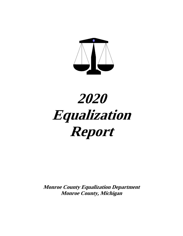

# **2020 Equalization Report**

**Monroe County Equalization Department Monroe County, Michigan**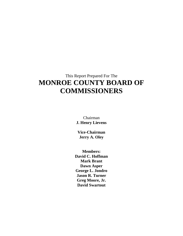# This Report Prepared For The **MONROE COUNTY BOARD OF COMMISSIONERS**

Chairman **J. Henry Lievens**

**Vice-Chairman Jerry A. Oley**

**Members: David C. Hoffman Mark Brant Dawn Asper George L. Jondro Jason R. Turner Greg Moore, Jr. David Swartout**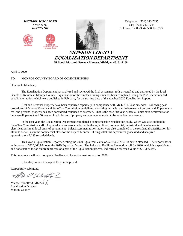



**MICHAEL WOOLFORD** Telephone: (734) 240-7235 *MMAO (4)* Fax: (734) 240-7244 **DIRECTOR** Toll Free: 1-888-354-5500 Ext 7235

> **MONROE COUNTY EQUALIZATION DEPARTMENT 51 South Macomb Street Monroe, Michigan 48161-2168**

April 9, 2020

#### TO: MONROE COUNTY BOARD OF COMMISSIONERS

Honorable Members;

The Equalization Department has analyzed and reviewed the final assessment rolls as certified and approved by the local Boards of Review in Monroe County. Equalization of the nineteen taxing units has been completed, using the 2020 recommended equalization ratios, which were published in February, for the starting base of the attached 2020 Equalization Report.

Real and Personal Property have been equalized separately in compliance with MCL 211.34 as amended. Following past procedures of Monroe County and State Tax Commission guidelines, any taxing unit with a ratio between 49 percent and 50 percent in real and personal property has been considered equalized as assessed. That is the case this year, where all units have achieved ratios between 49 percent and 50 percent in all classes of property and are recommended to be equalized as assessed.

In the past year, the Equalization Department completed a comprehensive equalization study, which was also audited by State Tax Commission staff. Appraisal studies were conducted in the agricultural, commercial, industrial and developmental classifications in all local units of government. Sales/assessment ratio studies were also completed in the residential classification for all units as well as in the commercial class for the City of Monroe. During 2019 this department processed and analyzed approximately 7,235 recorded deeds.

This year's Equalization Report reflecting the 2020 Equalized Value of \$7,783,657,346 is herein attached. The report shows an increase of \$320,060,994 over the 2019 Equalized Value. The Industrial Facilities Exemption roll for 2020, which is a specific tax and not a part of the ad valorem process or a part of the Equalization process, indicates an assessed value of \$57,386,496.

This department will also complete Headlee and Apportionment reports for 2020.

I, hereby, present this report for your approval.

Respectfully submitted,

20 Woon

Michael Woolford, MMAO (4) Equalization Director Monroe County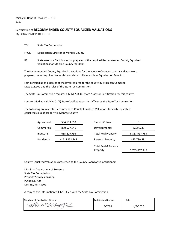Michigan Dept of Treasury -- STC 3127

## Certification of **RECOMMENDED COUNTY EQUALIZED VALUATIONS** By EQUALIZATION DIRECTOR

| TO: |  | <b>State Tax Commission</b> |
|-----|--|-----------------------------|
|     |  |                             |

FROM: Equalization Director of Monroe County

RE: State Assessor Certification of preparer of the required Recommended County Equalized Valuations for Monroe County for 2020.

The Recommended County Equalized Valuations for the above referenced county and year were prepared under my direct supervision and control in my role as Equalization Director.

I am certified as an assessor at the level required for the county by Michigan Compiled Laws 211.10d and the rules of the State Tax Commission.

The State Tax Commission requires a M.M.A.O. (4) State Assessor Certification for this county.

I am certified as a M.M.A.O. (4) State Certified Assessing Officer by the State Tax Commission.

The following are my total Recommended County Equalized Valuations for each separately equalized class of property in Monroe County.

| 6,887,917,765 |
|---------------|
| 895,739,581   |
| 7,783,657,346 |
| 2,324,730     |

County Equalized Valuations presented to the County Board of Commissioners

Michigan Department of Treasury State Tax Commission Property Services Division PO Box 30790 Lansing, Mi 48909

A copy of this information will be E-filed with the State Tax Commission.

| Signature of Equalization Director | <b>Certification Number</b> | Date     |
|------------------------------------|-----------------------------|----------|
|                                    | 8-7001                      | 4/9/2020 |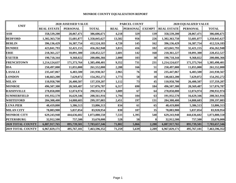| <b>UNIT</b>              |                    | <b>2020 ASSESSED VALUE</b> |               |             | <b>PARCEL COUNT</b> |               |                    | <b>2020 EQUALIZED VALUE</b> |               |
|--------------------------|--------------------|----------------------------|---------------|-------------|---------------------|---------------|--------------------|-----------------------------|---------------|
|                          | <b>REAL ESTATE</b> | <b>PERSONAL</b>            | <b>TOTAL</b>  | <b>REAL</b> | <b>PERSONAL</b>     | <b>EXEMPT</b> | <b>REAL ESTATE</b> | <b>PERSONAL</b>             | <b>TOTAL</b>  |
| $\bf ASH$                | 358,539,200        | 28,067,471                 | 386,606,671   | 4,218       | 329                 | 139           | 358,539,200        | 28,067,471                  | 386,606,671   |
| <b>BEDFORD</b>           | 1,302,363,750      | 55,681,877                 | 1,358,045,627 | 13,582      | 956                 | 226           | 1,302,363,750      | 55,681,877                  | 1,358,045,627 |
| <b>BERLIN</b>            | 396,136,429        | 16,387,754                 | 412,524,183   | 4,720       | 145                 | 162           | 396,136,429        | 16,387,754                  | 412,524,183   |
| <b>DUNDEE</b>            | 423,841,793        | 32,421,155                 | 456,262,948   | 3,815       | 416                 | 102           | 423,841,793        | 32,421,155                  | 456,262,948   |
| <b>ERIE</b>              | 218,361,227        | 10,091,300                 | 228,452,527   | 2,601       | 142                 | 168           | 218,361,227        | 10,091,300                  | 228,452,527   |
| <b>EXETER</b>            | 190,718,344        | 9,368,022                  | 200,086,366   | 2,000       | 103                 | 38            | 190,718,344        | 9,368,022                   | 200,086,366   |
| <b>FRENCHTOWN</b>        | 1,214,124,637      | 171,373,764                | 1,385,498,401 | 9,352       | 731                 | 231           | 1,214,124,637      | 171,373,764                 | 1,385,498,401 |
| <b>IDA</b>               | 250,497,000        | 11,055,000                 | 261,552,000   | 2,288       | 166                 | 51            | 250,497,000        | 11,055,000                  | 261,552,000   |
| <b>LASALLE</b>           | 235,447,067        | 6,483,500                  | 241,930,567   | 2,965       | 76                  | 18            | 235,447,067        | 6,483,500                   | 241,930,567   |
| <b>LONDON</b>            | 146,663,200        | 7,629,072                  | 154,292,272   | 1,773       | 58                  | 18            | 146,663,200        | 7,629,072                   | 154,292,272   |
| <b>MILAN</b>             | 110,958,700        | 26,400,507                 | 137, 359, 207 | 1,112       | 73                  | 45            | 110,958,700        | 26,400,507                  | 137, 359, 207 |
| <b>MONROE</b>            | 496,507,300        | 20,569,487                 | 517,076,787   | 6,317       | 690                 | 184           | 496,507,300        | 20,569,487                  | 517,076,787   |
| <b>RAISINVILLE</b>       | 278,858,000        | 12,074,974                 | 290,932,974   | 3,089       | 67                  | 64            | 278,858,000        | 12,074,974                  | 290,932,974   |
| <b>SUMMERFIELD</b>       | 191,932,570        | 16,629,346                 | 208,561,916   | 1,794       | 104                 | 63            | 191,932,570        | 16,629,346                  | 208,561,916   |
| <b>WHITEFORD</b>         | 284,308,400        | 14,888,683                 | 299,197,083   | 2,451       | 197                 | 131           | 284,308,400        | 14,888,683                  | 299,197,083   |
| <b>LUNA PIER</b>         | 48,419,800         | 5,386,513                  | 53,806,313    | 834         | 61                  | 65            | 48,419,800         | 5,386,513                   | 53,806,313    |
| <b>MILAN CITY</b>        | 78,083,900         | 5,837,054                  | 83,920,954    | 830         | 107                 | 35            | 78,083,900         | 5,837,054                   | 83,920,954    |
| <b>MONROE CITY</b>       | 629,243,948        | 444,636,602                | 1,073,880,550 | 7,533       | 1,395               | 548           | 629,243,948        | 444,636,602                 | 1,073,880,550 |
| <b>PETERSBURG</b>        | 32,912,500         | 757,500                    | 33,670,000    | 528         | 50                  | $\mathbf{0}$  | 32,912,500         | 757,500                     | 33,670,000    |
| 2020 TOTAL COUNTY        | 6,887,917,765      | 895,739,581                | 7,783,657,346 | 71,802      | 5,866               | 2,288         | 6,887,917,765      | 895,739,581                 | 7,783,657,346 |
| <b>2019 TOTAL COUNTY</b> | 6,967,829,171      | 495,767,181                | 7,463,596,352 | 71,259      | 5,639               | 2,289         | 6,967,829,171      | 495,767,181                 | 7,463,596,352 |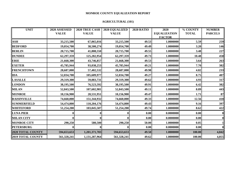#### **AGRICULTURAL (101)**

| <b>UNIT</b>              | 2020 ASSESSED | 2020 TRUE CASH | <b>2020 EQUALIZED</b> | <b>2020 RATIO</b> | 2020                | % COUNTY     | <b>NUMBER</b>  |
|--------------------------|---------------|----------------|-----------------------|-------------------|---------------------|--------------|----------------|
|                          | <b>VALUE</b>  | <b>VALUE</b>   | <b>VALUE</b>          |                   | <b>EQUALIZATION</b> | <b>TOTAL</b> | <b>PARCELS</b> |
|                          |               |                |                       |                   | <b>FACTOR</b>       |              |                |
| <b>ASH</b>               | 33,215,500    | 67,065,016     | 33,215,500            | 49.53             | 1.0000000           | 5.59         | 259            |
| <b>BEDFORD</b>           | 19,054,700    | 38,500,274     | 19,054,700            | 49.49             | 1.0000000           | 3.20         | 146            |
| <b>BERLIN</b>            | 20,715,700    | 41,808,550     | 20,715,700            | 49.55             | 1.0000000           | 3.48         | 227            |
| <b>DUNDEE</b>            | 62,297,359    | 125,282,954    | 62,297,359            | 49.73             | 1.0000000           | 10.48        | 458            |
| <b>ERIE</b>              | 21,668,300    | 43,746,857     | 21,668,300            | 49.53             | 1.0000000           | 3.64         | 263            |
| <b>EXETER</b>            | 45,785,944    | 93,038,253     | 45,785,944            | 49.21             | 1.0000000           | 7.70         | 382            |
| <b>FRENCHTOWN</b>        | 28,687,000    | 57,402,532     | 28,687,000            | 49.98             | 1.0000000           | 4.82         | 233            |
| <b>IDA</b>               | 52,034,700    | 105,609,977    | 52,034,700            | 49.27             | 1.0000000           | 8.75         | 407            |
| <b>LASALLE</b>           | 29,319,300    | 59,083,731     | 29,319,300            | 49.62             | 1.0000000           | 4.93         | 317            |
| <b>LONDON</b>            | 38,195,500    | 76,523,592     | 38,195,500            | 49.91             | 1.0000000           | 6.42         | 382            |
| <b>MILAN</b>             | 52,843,500    | 107,602,981    | 52,843,500            | 49.11             | 1.0000000           | 8.89         | 443            |
| <b>MONROE</b>            | 10,156,900    | 20,531,951     | 10,156,900            | 49.47             | 1.0000000           | 1.71         | 87             |
| <b>RAISINVILLE</b>       | 74,660,000    | 151,344,932    | 74,660,000            | 49.33             | 1.0000000           | 12.56        | 418            |
| <b>SUMMERFIELD</b>       | 54,474,800    | 110,204,176    | 54,474,800            | 49.43             | 1.0000000           | 9.16         | 397            |
| <b>WHITEFORD</b>         | 51,254,200    | 103,045,507    | 51,254,200            | 49.74             | 1.0000000           | 8.62         | 422            |
| <b>LUNA PIER</b>         |               |                |                       | 0.00              | 0.0000000           | 0.00         |                |
| <b>MILAN CITY</b>        |               |                |                       | 0.00              | 0.0000000           | 0.00         |                |
| <b>MONROE CITY</b>       | 290,250       | 580,500        | 290,250               | 50.00             | 1.0000000           | 0.05         |                |
| <b>PETERSBURG</b>        |               |                |                       | 0.00              | 0.0000000           | 0.00         |                |
| 2020 TOTAL COUNTY        | 594,653,653   | 1,201,371,783  | 594,653,653           | 49.50             | 1.0000000           | 100.00       | 4,842          |
| <b>2019 TOTAL COUNTY</b> | 561,328,241   | 1,131,287,964  | 561,328,241           | 49.62             | 1.0000000           | 100.00       | 4,855          |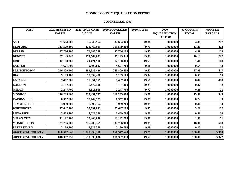#### **COMMERCIAL (201)**

| <b>UNIT</b>        | 2020 ASSESSED | <b>2020 TRUE CASH</b> | <b>2020 EQUALIZED</b> | <b>2020 RATIO</b> | 2020                | % COUNTY     | <b>NUMBER</b>  |
|--------------------|---------------|-----------------------|-----------------------|-------------------|---------------------|--------------|----------------|
|                    | <b>VALUE</b>  | <b>VALUE</b>          | <b>VALUE</b>          |                   | <b>EQUALIZATION</b> | <b>TOTAL</b> | <b>PARCELS</b> |
|                    |               |                       |                       |                   | <b>FACTOR</b>       |              |                |
| $\mathbf{ASH}$     | 37,684,000    | 75,542,964            | 37,684,000            | 49.88             | 1.0000000           | 4.38         | 207            |
| <b>BEDFORD</b>     | 113,579,300   | 228,467,965           | 113,579,300           | 49.71             | 1.0000000           | 13.20        | 402            |
| <b>BERLIN</b>      | 37,786,100    | 76,387,528            | 37,786,100            | 49.47             | 1.0000000           | 4.39         | 123            |
| <b>DUNDEE</b>      | 87,149,940    | 174,569,653           | 87,149,940            | 49.92             | 1.0000000           | 10.13        | 222            |
| <b>ERIE</b>        | 12,100,300    | 24,421,910            | 12,100,300            | 49.55             | 1.0000000           | 1.41         | 118            |
| <b>EXETER</b>      | 4,671,700     | 9,499,822             | 4,671,700             | 49.18             | 1.0000000           | 0.54         | 52             |
| <b>FRENCHTOWN</b>  | 240,809,400   | 484,835,426           | 240,809,400           | 49.67             | 1.0000000           | 27.98        | 447            |
| <b>IDA</b>         | 5,109,100     | 10,354,488            | 5,109,100             | 49.34             | 1.0000000           | 0.59         | 55             |
| <b>LASALLE</b>     | 7,467,500     | 15,051,759            | 7,467,500             | 49.61             | 1.0000000           | 0.87         | 408            |
| <b>LONDON</b>      | 3,187,800     | 6,472,406             | 3,187,800             | 49.25             | 1.0000000           | 0.37         | 32             |
| <b>MILAN</b>       | 2,247,700     | 4,515,908             | 2,247,700             | 49.77             | 1.0000000           | 0.26         | 21             |
| <b>MONROE</b>      | 116,235,600   | 233,451,737           | 116,235,600           | 49.79             | 1.0000000           | 13.51        | 343            |
| <b>RAISINVILLE</b> | 6,352,900     | 12,744,725            | 6,352,900             | 49.85             | 1.0000000           | 0.74         | 33             |
| <b>SUMMERFIELD</b> | 3,939,200     | 7,895,364             | 3,939,200             | 49.89             | 1.0000000           | 0.46         | 34             |
| <b>WHITEFORD</b>   | 27,647,100    | 55,791,042            | 27,647,100            | 49.55             | 1.0000000           | 3.21         | 102            |
| <b>LUNA PIER</b>   | 3,489,700     | 7,022,226             | 3,489,700             | 49.70             | 1.0000000           | 0.41         | 30             |
| <b>MILAN CITY</b>  | 11,192,700    | 22,403,646            | 11,192,700            | 49.96             | 1.0000000           | 1.30         | 51             |
| <b>MONROE CITY</b> | 137,796,900   | 276,206,369           | 137,796,900           | 49.89             | 1.0000000           | 16.01        | 608            |
| <b>PETERSBURG</b>  | 2,130,700     | 4,323,378             | 2,130,700             | 49.28             | 1.0000000           | 0.25         | 62             |
| 2020 TOTAL COUNTY  | 860,577,640   | 1,729,958,316         | 860,577,640           | 49.75             | 1.0000000           | 100.00       | 3,350          |
| 2019 TOTAL COUNTY  | 818,367,050   | 1,650,930,636         | 818,367,050           | 49.57             | 1.0000000           | 100.00       | 3,322          |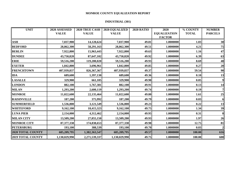#### **INDUSTRIAL (301)**

| <b>UNIT</b>              | 2020 ASSESSED |               | 2020 TRUE CASH   2020 EQUALIZED | <b>2020 RATIO</b> | 2020                | % COUNTY     | <b>NUMBER</b>  |
|--------------------------|---------------|---------------|---------------------------------|-------------------|---------------------|--------------|----------------|
|                          | <b>VALUE</b>  | <b>VALUE</b>  | <b>VALUE</b>                    |                   | <b>EQUALIZATION</b> | <b>TOTAL</b> | <b>PARCELS</b> |
|                          |               |               |                                 |                   | <b>FACTOR</b>       |              |                |
| <b>ASH</b>               | 7,037,900     | 14,128,624    | 7,037,900                       | 49.81             | 1.0000000           | 1.03         | 30             |
| <b>BEDFORD</b>           | 28,862,300    | 58,291,163    | 28,862,300                      | 49.51             | 1.0000000           | 4.21         | 75             |
| <b>BERLIN</b>            | 7,922,800     | 15,963,443    | 7,922,800                       | 49.63             | 1.0000000           | 1.16         | 47             |
| <b>DUNDEE</b>            | 43,750,820    | 87,647,102    | 43,750,820                      | 49.92             | 1.0000000           | 6.39         | 63             |
| <b>ERIE</b>              | 59,516,200    | 119,200,020   | 59,516,200                      | 49.93             | 1.0000000           | 8.69         | 48             |
| <b>EXETER</b>            | 1,842,800     | 3,696,961     | 1,842,800                       | 49.85             | 1.0000000           | 0.27         | 20             |
| <b>FRENCHTOWN</b>        | 407,939,837   | 826, 367, 367 | 407,939,837                     | 49.37             | 1.0000000           | 59.54        | 90             |
| <b>IDA</b>               | 689,600       | 1,397,130     | 689,600                         | 49.36             | 1.0000000           | 0.10         | 13             |
| <b>LASALLE</b>           | 329,900       | 661,105       | 329,900                         | 49.90             | 1.0000000           | 0.05         | 9              |
| <b>LONDON</b>            | 882,100       | 1,767,381     | 882,100                         | 49.91             | 1.0000000           | 0.13         | 14             |
| <b>MILAN</b>             | 1,293,200     | 2,600,119     | 1,293,200                       | 49.74             | 1.0000000           | 0.19         | 71             |
| <b>MONROE</b>            | 11,022,600    | 22,135,464    | 11,022,600                      | 49.80             | 1.0000000           | 1.61         | 25             |
| <b>RAISINVILLE</b>       | 187,200       | 375,992       | 187,200                         | 49.79             | 1.0000000           | 0.03         | <b>6</b>       |
| <b>SUMMERFIELD</b>       | 1,536,800     | 3,121,549     | 1,536,800                       | 49.23             | 1.0000000           | 0.22         | 13             |
| <b>WHITEFORD</b>         | 9,162,100     | 18,415,323    | 9,162,100                       | 49.75             | 1.0000000           | 1.34         | 39             |
| <b>LUNA PIER</b>         | 2,154,000     | 4,312,462     | 2,154,000                       | 49.95             | 1.0000000           | 0.31         | 8              |
| <b>MILAN CITY</b>        | 13,509,200    | 27,055,150    | 13,509,200                      | 49.93             | 1.0000000           | 1.97         | 26             |
| <b>MONROE CITY</b>       | 87,377,338    | 174,838,653   | 87,377,338                      | 49.98             | 1.0000000           | 12.75        | 81             |
| <b>PETERSBURG</b>        | 193,100       | 388,539       | 193,100                         | 49.70             | 1.0000000           | 0.03         |                |
| <b>2020 TOTAL COUNTY</b> | 685,209,795   | 1,382,363,547 | 685,209,795                     | 49.57             | 1.0000000           | 100.00       | 616            |
| <b>2019 TOTAL COUNTY</b> | 1,130,029,990 | 2,271,539,337 | 1,130,029,990                   | 49.75             | 1.0000000           | 100.00       | 608            |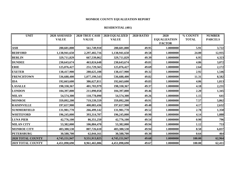#### **RESIDENTIAL (401)**

| <b>UNIT</b>              | 2020 ASSESSED |               | 2020 TRUE CASH   2020 EQUALIZED | <b>2020 RATIO</b> | 2020                | % COUNTY     | <b>NUMBER</b>  |
|--------------------------|---------------|---------------|---------------------------------|-------------------|---------------------|--------------|----------------|
|                          | <b>VALUE</b>  | <b>VALUE</b>  | <b>VALUE</b>                    |                   | <b>EQUALIZATION</b> | <b>TOTAL</b> | <b>PARCELS</b> |
|                          |               |               |                                 |                   | <b>FACTOR</b>       |              |                |
| <b>ASH</b>               | 280,601,800   | 561,749,910   | 280,601,800                     | 49.95             | 1.0000000           | 5.91         | 3,722          |
| <b>BEDFORD</b>           | 1,138,941,650 | 2,297,402,716 | 1,138,941,650                   | 49.58             | 1.0000000           | 24.00        | 12,935         |
| <b>BERLIN</b>            | 329,711,829   | 667,539,062   | 329,711,829                     | 49.39             | 1.0000000           | 6.95         | 4,323          |
| <b>DUNDEE</b>            | 230,643,674   | 463,024,648   | 230,643,674                     | 49.81             | 1.0000000           | 4.86         | 3,072          |
| <b>ERIE</b>              | 125,076,427   | 251,729,565   | 125,076,427                     | 49.69             | 1.0000000           | 2.64         | 2,172          |
| <b>EXETER</b>            | 138,417,900   | 280,625,108   | 138,417,900                     | 49.32             | 1.0000000           | 2.92         | 1,546          |
| <b>FRENCHTOWN</b>        | 536,688,400   | 1,077,199,543 | 536,688,400                     | 49.82             | 1.0000000           | 11.31        | 8,582          |
| <b>IDA</b>               | 192,663,600   | 386,627,811   | 192,663,600                     | 49.83             | 1.0000000           | 4.06         | 1,813          |
| <b>LASALLE</b>           | 198,330,367   | 401,703,979   | 198,330,367                     | 49.37             | 1.0000000           | 4.18         | 2,231          |
| <b>LONDON</b>            | 104,397,800   | 211,090,058   | 104,397,800                     | 49.46             | 1.0000000           | 2.20         | 1,345          |
| <b>MILAN</b>             | 54,574,300    | 110,778,090   | 54,574,300                      | 49.26             | 1.0000000           | 1.15         | 641            |
| <b>MONROE</b>            | 359,092,200   | 719,539,559   | 359,092,200                     | 49.91             | 1.0000000           | 7.57         | 5,862          |
| <b>RAISINVILLE</b>       | 197,657,900   | 400,083,436   | 197,657,900                     | 49.40             | 1.0000000           | 4.17         | 2,632          |
| <b>SUMMERFIELD</b>       | 131,981,770   | 266,499,142   | 131,981,770                     | 49.52             | 1.0000000           | 2.78         | 1,350          |
| <b>WHITEFORD</b>         | 196,245,000   | 393,314,707   | 196,245,000                     | 49.90             | 1.0000000           | 4.14         | 1,888          |
| <b>LUNA PIER</b>         | 42,776,100    | 86,351,250    | 42,776,100                      | 49.54             | 1.0000000           | 0.90         | 796            |
| <b>MILAN CITY</b>        | 53,382,000    | 106,884,470   | 53,382,000                      | 49.94             | 1.0000000           | 1.12         | 753            |
| <b>MONROE CITY</b>       | 403,380,530   | 807,726,610   | 403,380,530                     | 49.94             | 1.0000000           | 8.50         | 6,837          |
| <b>PETERSBURG</b>        | 30,588,700    | 62,044,161    | 30,588,700                      | 49.30             | 1.0000000           | 0.64         | 464            |
| 2020 TOTAL COUNTY        | 4,745,151,947 | 9,551,913,825 | 4,745,151,947                   | 49.68             | 1.0000000           | 100.00       | 62,964         |
| <b>2019 TOTAL COUNTY</b> | 4,451,098,690 | 8,961,465,086 | 4,451,098,690                   | 49.67             | 1.0000000           | 100.00       | 62,411         |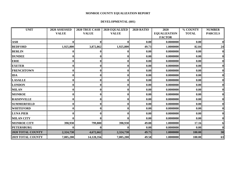#### **DEVELOPMENTAL (601)**

| <b>UNIT</b>              | 2020 ASSESSED |              | 2020 TRUE CASH 2020 EQUALIZED | <b>2020 RATIO</b> | 2020                | % COUNTY     | <b>NUMBER</b>  |
|--------------------------|---------------|--------------|-------------------------------|-------------------|---------------------|--------------|----------------|
|                          | <b>VALUE</b>  | <b>VALUE</b> | <b>VALUE</b>                  |                   | <b>EQUALIZATION</b> | <b>TOTAL</b> | <b>PARCELS</b> |
|                          |               |              |                               |                   | <b>FACTOR</b>       |              |                |
| $\mathbf{ASH}$           |               |              |                               | 0.00              | 0.0000000           | 0.00         |                |
| <b>BEDFORD</b>           | 1,925,800     | 3,872,862    | 1,925,800                     | 49.73             | 1.0000000           | 82.84        | 24             |
| <b>BERLIN</b>            |               |              |                               | 0.00              | 0.0000000           | 0.00         | $\bf{0}$       |
| <b>DUNDEE</b>            |               |              |                               | 0.00              | 0.0000000           | 0.00         | $\mathbf{0}$   |
| <b>ERIE</b>              |               |              |                               | 0.00              | 0.0000000           | 0.00         | $\mathbf{0}$   |
| <b>EXETER</b>            |               |              |                               | 0.00              | 0.0000000           | 0.00         | $\mathbf{0}$   |
| <b>FRENCHTOWN</b>        |               |              |                               | 0.00              | 0.0000000           | 0.00         |                |
| <b>IDA</b>               |               |              |                               | 0.00              | 0.0000000           | 0.00         | $\mathbf{0}$   |
| <b>LASALLE</b>           |               |              |                               | 0.00              | 0.0000000           | 0.00         | $\mathbf{0}$   |
| <b>LONDON</b>            |               |              |                               | 0.00              | 0.0000000           | 0.00         | $\mathbf{0}$   |
| <b>MILAN</b>             |               |              |                               | 0.00              | 0.0000000           | 0.00         | $\mathbf{0}$   |
| <b>MONROE</b>            |               |              |                               | 0.00              | 0.0000000           | 0.00         |                |
| <b>RAISINVILLE</b>       |               |              |                               | 0.00              | 0.0000000           | 0.00         |                |
| <b>SUMMERFIELD</b>       |               |              |                               | 0.00              | 0.0000000           | 0.00         | $\mathbf{0}$   |
| <b>WHITEFORD</b>         |               | $\bf{0}$     |                               | 0.00              | 0.0000000           | 0.00         | $\mathbf{0}$   |
| <b>LUNA PIER</b>         |               |              |                               | 0.00              | 0.0000000           | 0.00         | 0l             |
| <b>MILAN CITY</b>        |               |              |                               | 0.00              | 0.0000000           | 0.00         |                |
| <b>MONROE CITY</b>       | 398,930       | 799,800      | 398,930                       | 49.88             | 1.0000000           | 17.16        |                |
| <b>PETERSBURG</b>        |               |              |                               | 0.00              | 0.0000000           | 0.00         | $\mathbf{0}$   |
| 2020 TOTAL COUNTY        | 2,324,730     | 4,672,662    | 2,324,730                     | 49.75             | 1.0000000           | 100.00       | 30             |
| <b>2019 TOTAL COUNTY</b> | 7,005,200     | 14,128,356   | 7,005,200                     | 49.58             | 1.0000000           | 100.00       | 63             |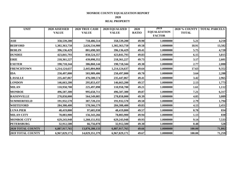#### **MONROE COUNTY EQUALIZATION REPORT 2020 REAL PROPERTY**

| <b>UNIT</b>              | 2020 ASSESSED | 2020 TRUE CASH | 2020 EQUALIZED | 2020         | 2019                                 | <b>2020 % COUNTY</b> | <b>TOTAL PARCELS</b> |
|--------------------------|---------------|----------------|----------------|--------------|--------------------------------------|----------------------|----------------------|
|                          | <b>VALUE</b>  | <b>VALUE</b>   | <b>VALUE</b>   | <b>RATIO</b> | <b>EQUALIZATION</b><br><b>FACTOR</b> | <b>TOTAL</b>         |                      |
| <b>ASH</b>               | 358,539,200   | 718,486,514    | 358,539,200    | 49.90        | 1.0000000                            | 5.21                 | 4,218                |
| <b>BEDFORD</b>           | 1,302,363,750 | 2,626,534,980  | 1,302,363,750  | 49.58        | 1.0000000                            | 18.91                | 13,582               |
| <b>BERLIN</b>            | 396,136,429   | 801,698,583    | 396,136,429    | 49.41        | 1.0000000                            | 5.75                 | 4,720                |
| <b>DUNDEE</b>            | 423,841,793   | 850,524,357    | 423,841,793    | 49.83        | 1.0000000                            | 6.15                 | 3,815                |
| <b>ERIE</b>              | 218,361,227   | 439,098,352    | 218,361,227    | 49.73        | 1.0000000                            | 3.17                 | 2,601                |
| <b>EXETER</b>            | 190,718,344   | 386,860,144    | 190,718,344    | 49.30        | 1.0000000                            | 2.77                 | 2,000                |
| <b>FRENCHTOWN</b>        | 1,214,124,637 | 2,445,804,868  | 1,214,124,637  | 49.64        | 1.0000000                            | 17.63                | 9,352                |
| <b>IDA</b>               | 250,497,000   | 503,989,406    | 250,497,000    | 49.70        | 1.0000000                            | 3.64                 | 2,288                |
| <b>LASALLE</b>           | 235,447,067   | 476,500,574    | 235,447,067    | 49.41        | 1.0000000                            | 3.42                 | 2,965                |
| <b>LONDON</b>            | 146,663,200   | 295,853,437    | 146,663,200    | 49.57        | 1.0000000                            | 2.13                 | 1,773                |
| <b>MILAN</b>             | 110,958,700   | 225,497,098    | 110,958,700    | 49.21        | 1.0000000                            | 1.61                 | 1,112                |
| <b>MONROE</b>            | 496,507,300   | 995,658,711    | 496,507,300    | 49.87        | 1.0000000                            | 7.21                 | 6,317                |
| <b>RAISINVILLE</b>       | 278,858,000   | 564,549,085    | 278,858,000    | 49.39        | 1.0000000                            | 4.05                 | 3,089                |
| <b>SUMMERFIELD</b>       | 191,932,570   | 387,720,231    | 191,932,570    | 49.50        | 1.0000000                            | 2.79                 | 1,794                |
| <b>WHITEFORD</b>         | 284,308,400   | 570,566,579    | 284,308,400    | 49.83        | 1.0000000                            | 4.13                 | 2,451                |
| <b>LUNA PIER</b>         | 48,419,800    | 97,685,938     | 48,419,800     | 49.57        | 1.0000000                            | 0.70                 | 834                  |
| <b>MILAN CITY</b>        | 78,083,900    | 156,343,266    | 78,083,900     | 49.94        | 1.0000000                            | 1.13                 | <b>830</b>           |
| <b>MONROE CITY</b>       | 629,243,948   | 1,260,151,932  | 629,243,948    | 49.93        | 1.0000000                            | 9.14                 | 7,533                |
| <b>PETERSBURG</b>        | 32,912,500    | 66,756,078     | 32,912,500     | 49.30        | 1.0000000                            | 0.48                 | 528                  |
| 2020 TOTAL COUNTY        | 6,887,917,765 | 13,870,280,133 | 6,887,917,765  | 49.66        | 1.0000000                            | 100.00               | 71,802               |
| <b>2019 TOTAL COUNTY</b> | 6,967,829,171 | 14,029,351,379 | 6,967,829,171  | 49.67        | 1.0000000                            | 100.00               | 71,259               |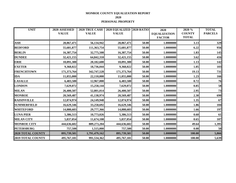**2020**

**PERSONAL PROPERTY**

| <b>UNIT</b>              | 2020 ASSESSED | 2020 TRUE CASH | 2020 EQUALIZED 2020 RATIO |       | 2020                | 2020 %        | <b>TOTAL</b>   |
|--------------------------|---------------|----------------|---------------------------|-------|---------------------|---------------|----------------|
|                          | <b>VALUE</b>  | <b>VALUE</b>   | <b>VALUE</b>              |       | <b>EQUALIZATION</b> | <b>COUNTY</b> | <b>PARCELS</b> |
|                          |               |                |                           |       | <b>FACTOR</b>       | <b>TOTAL</b>  |                |
| <b>ASH</b>               | 28,067,471    | 56,134,942     | 28,067,471                | 50.00 | 1.0000000           | 3.13          | 329            |
| <b>BEDFORD</b>           | 55,681,877    | 111,363,754    | 55,681,877                | 50.00 | 1.0000000           | 6.22          | 956            |
| <b>BERLIN</b>            | 16,387,754    | 32,775,508     | 16,387,754                | 50.00 | 1.0000000           | 1.83          | 145            |
| <b>DUNDEE</b>            | 32,421,155    | 64,842,310     | 32,421,155                | 50.00 | 1.0000000           | 3.62          | 416            |
| <b>ERIE</b>              | 10,091,300    | 20,182,600     | 10,091,300                | 50.00 | 1.0000000           | 1.13          | 142            |
| <b>EXETER</b>            | 9,368,022     | 18,736,044     | 9,368,022                 | 50.00 | 1.0000000           | 1.05          | 103            |
| <b>FRENCHTOWN</b>        | 171,373,764   | 342,747,528    | 171,373,764               | 50.00 | 1.0000000           | 19.13         | 731            |
| <b>IDA</b>               | 11,055,000    | 22,110,000     | 11,055,000                | 50.00 | 1.0000000           | 1.23          | 166            |
| <b>LASALLE</b>           | 6,483,500     | 12,967,000     | 6,483,500                 | 50.00 | 1.0000000           | 0.72          | 76             |
| <b>LONDON</b>            | 7,629,072     | 15,258,144     | 7,629,072                 | 50.00 | 1.0000000           | 0.85          | 58             |
| <b>MILAN</b>             | 26,400,507    | 52,801,014     | 26,400,507                | 50.00 | 1.0000000           | 2.95          | 73             |
| <b>MONROE</b>            | 20,569,487    | 41,138,974     | 20,569,487                | 50.00 | 1.0000000           | 2.30          | 690            |
| <b>RAISINVILLE</b>       | 12,074,974    | 24,149,948     | 12,074,974                | 50.00 | 1.0000000           | 1.35          | 67             |
| <b>SUMMERFIELD</b>       | 16,629,346    | 33,258,692     | 16,629,346                | 50.00 | 1.0000000           | 1.86          | 104            |
| <b>WHITEFORD</b>         | 14,888,683    | 29,777,366     | 14,888,683                | 50.00 | 1.0000000           | 1.66          | 197            |
| <b>LUNA PIER</b>         | 5,386,513     | 10,773,026     | 5,386,513                 | 50.00 | 1.0000000           | 0.60          | 61             |
| <b>MILAN CITY</b>        | 5,837,054     | 11,674,108     | 5,837,054                 | 50.00 | 1.0000000           | 0.65          | 107            |
| <b>MONROE CITY</b>       | 444,636,602   | 889,273,204    | 444,636,602               | 50.00 | 1.0000000           | 49.64         | 1,395          |
| <b>PETERSBURG</b>        | 757,500       | 1,515,000      | 757,500                   | 50.00 | 1.0000000           | 0.08          | 50             |
| <b>2020 TOTAL COUNTY</b> | 895,739,581   | 1,791,479,162  | 895,739,581               | 50.00 | 1.0000000           | 100.00        | 5,866          |
| <b>2019 TOTAL COUNTY</b> | 495,767,181   | 991,534,362    | 495,767,181               | 50.00 | 1.0000000           | 100.00        | 5,639          |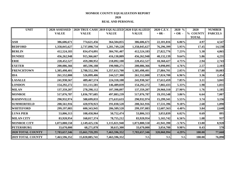#### **MONROE COUNTY EQUALIZATION REPORT 2020 REAL AND PERSONAL**

| <b>UNIT</b>              | 2020 ASSESSED |                |               | 2020 TRUE CASH 2019 EQUALIZED 2020 EQUALIZED | 2020 C.E.V. | 2020 %    | 2020         | <b>NUMBER</b>  |
|--------------------------|---------------|----------------|---------------|----------------------------------------------|-------------|-----------|--------------|----------------|
|                          | <b>VALUE</b>  | <b>VALUE</b>   | <b>VALUE</b>  | <b>VALUE</b>                                 | $+0R -$     | $+OR -$   | % COUNTY     | <b>PARCELS</b> |
|                          |               |                |               |                                              |             |           | <b>TOTAL</b> |                |
| <b>ASH</b>               | 386,606,671   | 774,621,456    | 364,504,855   | 386,606,671                                  | 22,101,816  | 6.06%     | 4.97         | 4,547          |
| <b>BEDFORD</b>           | 1,358,045,627 | 2,737,898,734  | 1,281,749,228 | 1,358,045,627                                | 76,296,399  | 5.95%     | 17.45        | 14,538         |
| <b>BERLIN</b>            | 412,524,183   | 834,474,091    | 384,701,407   | 412,524,183                                  | 27,822,776  | 7.23%     | 5.30         | 4,865          |
| <b>DUNDEE</b>            | 456,262,948   | 915,366,667    | 416,130,809   | 456,262,948                                  | 40,132,139  | 9.64%     | 5.86         | 4,231          |
| <b>ERIE</b>              | 228,452,527   | 459,280,952    | 218,092,100   | 228,452,527                                  | 10,360,427  | 4.75%     | 2.94         | 2,743          |
| <b>EXETER</b>            | 200,086,366   | 405,596,188    | 190,988,271   | 200,086,366                                  | 9,098,095   | 4.76%     | 2.57         | 2,103          |
| <b>FRENCHTOWN</b>        | 1,385,498,401 | 2,788,552,396  | 1,357,613,700 | 1,385,498,401                                | 27,884,701  | 2.05%     | 17.80        | 10,083         |
| <b>IDA</b>               | 261,552,000   | 526,099,406    | 244,527,300   | 261,552,000                                  | 17,024,700  | 6.96%     | 3.36         | 2,454          |
| <b>LASALLE</b>           | 241,930,567   | 489, 467, 574  | 224,318,108   | 241,930,567                                  | 17,612,459  | 7.85%     | 3.11         | 3,041          |
| <b>LONDON</b>            | 154,292,272   | 311,111,581    | 146,489,839   | 154,292,272                                  | 7,802,433   | 5.33%     | 1.98         | 1,831          |
| <b>MILAN</b>             | 137,359,207   | 278,298,112    | 107,398,897   | 137,359,207                                  | 29,960,310  | 27.90%    | 1.76         | 1,185          |
| <b>MONROE</b>            | 517,076,787   | 1,036,797,685  | 497,883,239   | 517,076,787                                  | 19,193,548  | 3.86%     | 6.64         | 7,007          |
| <b>RAISINVILLE</b>       | 290,932,974   | 588,699,033    | 275,633,633   | 290,932,974                                  | 15,299,341  | 5.55%     | 3.74         | 3,156          |
| <b>SUMMERFIELD</b>       | 208,561,916   | 420,978,923    | 191,030,520   | 208,561,916                                  | 17,531,396  | 9.18%     | 2.68         | 1,898          |
| <b>WHITEFORD</b>         | 299,197,083   | 600,343,945    | 286,589,520   | 299,197,083                                  | 12,607,563  | 4.40%     | 3.84         | 2,648          |
| <b>LUNA PIER</b>         | 53,806,313    | 108,458,964    | 50,752,474    | 53,806,313                                   | 3,053,839   | 6.02%     | 0.69         | 895            |
| <b>MILAN CITY</b>        | 83,920,954    | 168,017,374    | 78,755,212    | 83,920,954                                   | 5,165,742   | 6.56%     | 1.08         | 937            |
| <b>MONROE CITY</b>       | 1,073,880,550 | 2,149,425,136  | 1,115,821,940 | 1,073,880,550                                | -41,941,390 | $-3.76%$  | 13.80        | 8,928          |
| <b>PETERSBURG</b>        | 33,670,000    | 68,271,078     | 30,615,300    | 33,670,000                                   | 3,054,700   | 9.98%     | 0.43         | 578            |
| 2020 TOTAL COUNTY        | 7,783,657,346 | 15,661,759,295 | 7,463,596,352 | 7,783,657,346                                | 320,060,994 | 4.29%     | 100.00       | 77,668         |
| <b>2019 TOTAL COUNTY</b> | 7,463,596,352 | 15,020,885,741 | 7,463,596,352 | NA                                           | <b>NA</b>   | <b>NA</b> | 100.00       | 76,898         |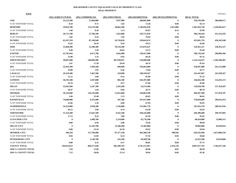## **2020 MONROE COUNTY EQUALIZED VALUE BY PROPERTY CLASS**

**REAL PROPERTY**

|                            | (101) AGRICULTURAL | (201) COMMERCIAL | (301) INDUSTRIAL | (401) RESIDENTIAL | (601) DEVELOPMENTAL | <b>REAL TOTAL</b> |               |
|----------------------------|--------------------|------------------|------------------|-------------------|---------------------|-------------------|---------------|
| ASH                        | 33,215,500         | 37,684,000       | 7,037,900        | 280,601,800       | $\bf{0}$            | 358,539,200       | 386,606,671   |
| % OF TOWNSHIP TOTAL        | 8.59               | 9.75             | 1.82             | 72.58             | 0.00                | 92.74             |               |
| <b>BEDFORD</b>             | 19,054,700         | 113,579,300      | 28,862,300       | 1,138,941,650     | 1,925,800           | 1,302,363,750     | 1,358,045,627 |
| % OF TOWNSHIP TOTAL        | 1.40               | 8.36             | 2.13             | 83.87             | 0.14                | 95.90             |               |
| <b>BERLIN</b>              | 20,715,700         | 37,786,100       | 7,922,800        | 329,711,829       | $\theta$            | 396,136,429       | 412,524,183   |
| % OF TOWNSHIP TOTAL        | 5.02               | 9.16             | 1.92             | 79.93             | 0.00                | 96.03             |               |
| <b>DUNDEE</b>              | 62,297,359         | 87,149,940       | 43,750,820       | 230,643,674       | $\bf{0}$            | 423,841,793       | 456,262,948   |
| % OF TOWNSHIP TOTAL        | 13.65              | 19.10            | 9.59             | 50.55             | 0.00                | 92.89             |               |
| ERIE                       | 21,668,300         | 12,100,300       | 59,516,200       | 125,076,427       | $\bf{0}$            | 218,361,227       | 228,452,527   |
| % OF TOWNSHIP TOTAL        | 9.48               | 5.30             | 26.05            | 54.75             | 0.00                | 95.58             |               |
| EXETER                     | 45,785,944         | 4,671,700        | 1,842,800        | 138,417,900       | $\bf{0}$            | 190,718,344       | 200,086,366   |
| % OF TOWNSHIP TOTAL        | 22.88              | 2.33             | 0.92             | 69.18             | 0.00                | 95.32             |               |
| <b>FRENCHTOWN</b>          | 28,687,000         | 240,809,400      | 407,939,837      | 536,688,400       | $\bf{0}$            | 1,214,124,637     | 1,385,498,401 |
| % OF TOWNSHIP TOTAL        | 2.07               | 17.38            | 29.44            | 38.74             | 0.00                | 87.63             |               |
| IDA                        | 52,034,700         | 5,109,100        | 689,600          | 192,663,600       | $\bf{0}$            | 250,497,000       | 261,552,000   |
| % OF TOWNSHIP TOTAL        | 19.89              | 1.95             | 0.26             | 73.66             | 0.00                | 95.77             |               |
| <b>LASALLE</b>             | 29,319,300         | 7,467,500        | 329,900          | 198,330,367       | $\bf{0}$            | 235,447,067       | 241,930,567   |
| % OF TOWNSHIP TOTAL        | 12.12              | 3.09             | 0.14             | 81.98             | 0.00                | 97.32             |               |
| <b>LONDON</b>              | 38,195,500         | 3,187,800        | 882,100          | 104,397,800       | $\bf{0}$            | 146,663,200       | 154,292,272   |
| % OF TOWNSHIP TOTAL        | 24.76              | 2.07             | 0.57             | 67.66             | 0.00                | 95.06             |               |
| <b>MILAN</b>               | 52,843,500         | 2,247,700        | 1,293,200        | 54,574,300        | $\bf{0}$            | 110,958,700       | 137, 359, 207 |
| % OF TOWNSHIP TOTAL        | 38.47              | 1.64             | 0.94             | 39.73             | 0.00                | 80.78             |               |
| <b>MONROE</b>              | 10,156,900         | 116,235,600      | 11,022,600       | 359,092,200       | $\bf{0}$            | 496,507,300       | 517,076,787   |
| % OF TOWNSHIP TOTAL        | 1.96               | 22.48            | 2.13             | 69.45             | 0.00                | 96.02             |               |
| <b>RAISINVILLE</b>         | 74,660,000         | 6,352,900        | 187,200          | 197,657,900       | $\bf{0}$            | 278,858,000       | 290,932,974   |
| % OF TOWNSHIP TOTAL        | 25.66              | 2.18             | 0.06             | 67.94             | 0.00                | 95.85             |               |
| <b>SUMMERFIELD</b>         | 54,474,800         | 3,939,200        | 1,536,800        | 131,981,770       | $\mathbf{0}$        | 191,932,570       | 208,561,916   |
| % OF TOWNSHIP TOTAL        | 26.12              | 1.89             | 0.74             | 63.28             | 0.00                | 92.03             |               |
| WHITEFORD                  | 51,254,200         | 27,647,100       | 9,162,100        | 196,245,000       | $\bf{0}$            | 284,308,400       | 299,197,083   |
| % OF TOWNSHIP TOTAL        | 17.13              | 9.24             | 3.06             | 65.59             | 0.00                | 95.02             |               |
| <b>LUNA PIER CITY</b>      | $\bf{0}$           | 3,489,700        | 2,154,000        | 42,776,100        | $\bf{0}$            | 48,419,800        | 53,806,313    |
| % OF TOWNSHIP TOTAL        | 0.00               | 6.49             | 4.00             | 79.50             | 0.00                | 89.99             |               |
| <b>MILAN CITY</b>          | $\bf{0}$           | 11,192,700       | 13,509,200       | 53,382,000        | $\bf{0}$            | 78,083,900        | 83,920,954    |
| % OF TOWNSHIP TOTAL        | 0.00               | 13.34            | 16.10            | 63.61             | 0.00                | 93.04             |               |
| <b>MONROE CITY</b>         | 290,250            | 137,796,900      | 87, 377, 338     | 403,380,530       | 398,930             | 629,243,948       | 1,073,880,550 |
| % OF TOWNSHIP TOTAL        | 0.03               | 12.83            | 8.14             | 37.56             | 0.04                | 58.60             |               |
| <b>PETERSBURG CITY</b>     | $\bf{0}$           | 2,130,700        | 193,100          | 30,588,700        | 0                   | 32,912,500        | 33,670,000    |
| % OF TOWNSHIP TOTAL        | 0.00               | 6.33             | 0.57             | 90.85             | 0.00                | 97.75             |               |
| <b>COUNTY TOTAL</b>        | 594,653,653        | 860,577,640      | 685,209,795      | 4,745,151,947     | 2,324,730           | 6,887,917,765     | 7,783,657,346 |
| <b>2020 % COUNTY TOTAL</b> | 7.64               | 11.06            | 8.80             | 60.96             | 0.03                | 88.49             |               |
| <b>2019 % COUNTY TOTAL</b> | 7.52               | 10.96            | 15.14            | 59.64             | 0.09                | 93.36             |               |
|                            |                    |                  |                  |                   |                     |                   |               |

**ITEM** TOTALS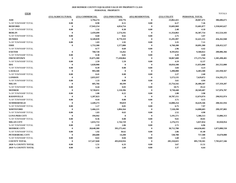#### **2020 MONROE COUNTY EQUALIZED VALUE BY PROPERTY CLASS PERSONAL PROPERTY**

|                            | (151) AGRICULTURAL | (251) COMMERCIAL | (351) INDUSTRIAL | (451) RESIDENTIAL | (551) UTILITY | PERSONAL TOTAL |               |
|----------------------------|--------------------|------------------|------------------|-------------------|---------------|----------------|---------------|
| ASH                        | $\theta$           | 3,794,274        | 410,776          | $\mathbf 0$       | 23,862,421    | 28,067,471     | 386,606,671   |
| % OF TOWNSHIP TOTAL        | 0.00               | 0.98             | 0.11             | 0.00              | 6.17          | 7.26           |               |
| <b>BEDFORD</b>             | $\mathbf{0}$       | 17,943,154       | 4,054,754        | $\theta$          | 33,683,969    | 55,681,877     | 1,358,045,627 |
| % OF TOWNSHIP TOTAL        | 0.00               | 1.32             | 0.30             | 0.00              | 2.48          | 4.10           |               |
| <b>BERLIN</b>              | $\theta$           | 2,459,499        | 2,574,192        | $\theta$          | 11,354,063    | 16,387,754     | 412,524,183   |
| % OF TOWNSHIP TOTAL        | 0.00               | 0.60             | 0.62             | 0.00              | 2.75          | 3.97           |               |
| <b>DUNDEE</b>              | $\theta$           | 8,349,839        | 8,779,319        | $\mathbf{0}$      | 15,291,997    | 32,421,155     | 456,262,948   |
| % OF TOWNSHIP TOTAL        | 0.00               | 1.83             | 1.92             | 0.00              | 3.35          | 7.11           |               |
| <b>ERIE</b>                | $\theta$           | 1,753,300        | 1,577,800        | $\mathbf{0}$      | 6,760,200     | 10,091,300     | 228,452,527   |
| % OF TOWNSHIP TOTAL        |                    | 0.77             | 0.69             | 0.00              | 2.96          | 4.42           |               |
| <b>EXETER</b>              | $\mathbf{0}$       | 760,728          | 14,262           | $\mathbf{0}$      | 8,593,032     | 9,368,022      | 200,086,366   |
| % OF TOWNSHIP TOTAL        | 0.00               | 0.38             | 0.01             | 0.00              | 4.29          | 4.68           |               |
| <b>FRENCHTOWN</b>          | $\mathbf{0}$       | 35,875,300       | 77,430,864       | $\mathbf{0}$      | 58,067,600    | 171,373,764    | 1,385,498,401 |
| % OF TOWNSHIP TOTAL        | 0.00               | 2.59             | 5.59             | 0.00              | 4.19          | 12.37          |               |
| <b>IDA</b>                 | $\mathbf{0}$       | 1,020,900        | $\theta$         | $\mathbf{0}$      | 10,034,100    | 11,055,000     | 261,552,000   |
| % OF TOWNSHIP TOTAL        | 0.00               | 0.39             | 0.00             | 0.00              | 3.84          | 4.23           |               |
| <b>LASALLE</b>             | $\mathbf{0}$       | 993,500          | $\mathbf{0}$     | $\bf{0}$          | 5,490,000     | 6,483,500      | 241,930,567   |
| % OF TOWNSHIP TOTAL        | 0.00               | 0.41             | 0.00             | 0.00              | 2.27          | 2.68           |               |
| <b>LONDON</b>              | $\mathbf{0}$       | 2,055,937        | $\bf{0}$         | $\bf{0}$          | 5,573,135     | 7,629,072      | 154,292,272   |
| % OF TOWNSHIP TOTAL        | 0.00               | 1.33             | 0.00             | 0.00              | 3.61          | 4.94           |               |
| <b>MILAN</b>               | $\mathbf{0}$       | 605,766          | 40,199           | $\bf{0}$          | 25,754,542    | 26,400,507     | 137,359,207   |
| % OF TOWNSHIP TOTAL        | 0.00               | 0.44             | 0.03             | 0.00              | 18.75         | 19.22          |               |
| <b>MONROE</b>              | $\mathbf{0}$       | 9,720,651        | 1,118,396        | $\mathbf{0}$      | 9,730,440     | 20,569,487     | 517,076,787   |
| % OF TOWNSHIP TOTAL        | 0.00               | 1.88             | 0.22             | 0.00              | 1.88          | 3.98           |               |
| <b>RAISINVILLE</b>         | $\mathbf{0}$       | 1,287,823        | $\theta$         | $\mathbf{0}$      | 10,787,151    | 12,074,974     | 290,932,974   |
| % OF TOWNSHIP TOTAL        | 0.00               | 0.44             | 0.00             | 0.00              | 3.71          | 4.15           |               |
| <b>SUMMERFIELD</b>         | $\mathbf{0}$       | 2,449,273        | 99,819           | $\bf{0}$          | 14,080,254    | 16,629,346     | 208,561,916   |
| % OF TOWNSHIP TOTAL        | 0.00               | 1.17             | 0.05             | 0.00              | 6.75          | 7.97           |               |
| <b>WHITEFORD</b>           | $\mathbf{0}$       | 5,466,221        | 1,894,164        | $\bf{0}$          | 7,528,298     | 14,888,683     | 299,197,083   |
| % OF TOWNSHIP TOTAL        | 0.00               | 1.83             | 0.63             | 0.00              | 2.52          | 4.98           |               |
| <b>LUNA PIER CITY</b>      | $\bf{0}$           | 194,942          | $\theta$         | $\bf{0}$          | 5,191,571     | 5,386,513      | 53,806,313    |
| % OF TOWNSHIP TOTAL        | 0.00               | 0.36             | 0.00             | 0.00              | 9.65          | 10.01          |               |
| <b>MILAN CITY</b>          | 0                  | 1,833,753        | 1,726,729        | $\bf{0}$          | 2,276,572     | 5,837,054      | 83,920,954    |
| % OF TOWNSHIP TOTAL        | 0.00               | 2.19             | 2.06             | 0.00              | 2.71          | 6.96           |               |
| <b>MONROE CITY</b>         | $\mathbf{0}$       | 20,648,380       | 393,275,442      | $\bf{0}$          | 30,712,780    | 444,636,602    | 1,073,880,550 |
| % OF TOWNSHIP TOTAL        | 0.00               | 1.92             | 36.62            | 0.00              | 2.86          | 41.40          |               |
| PETERSBURG CITY            | $\mathbf{0}$       | 204,600          | 14,200           | $\bf{0}$          | 538,700       | 757,500        | 33,670,000    |
| % OF TOWNSHIP TOTAL        | 0.00               | 0.61             | 0.04             | 0.00              | 1.60          | 2.25           |               |
| <b>COUNTY TOTAL</b>        | $\mathbf{0}$       | 117,417,840      | 493,010,916      | $\theta$          | 285,310,825   | 895,739,581    | 7,783,657,346 |
| <b>2020 % COUNTY TOTAL</b> | 0.00               | 1.51             | 6.33             | 0.00              | 3.67          | 11.51          |               |
| <b>2019 % COUNTY TOTAL</b> | 0.00               | 1.59             | 1.69             | 0.00              | 3.37          | 6.64           |               |

**ITEM** TOTALS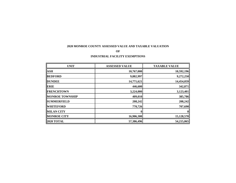#### **2020 MONROE COUNTY ASSESSED VALUE AND TAXABLE VALUATION**

#### **OF**

#### **INDUSTRIAL FACILITY EXEMPTIONS**

| <b>UNIT</b>            | <b>ASSESSED VALUE</b> | <b>TAXABLE VALUE</b> |
|------------------------|-----------------------|----------------------|
| <b>ASH</b>             | 10,767,000            | 10,592,196           |
| <b>BEDFORD</b>         | 9,882,997             | 9,272,250            |
| <b>DUNDEE</b>          | 14,771,621            | 14,454,059           |
| <b>ERIE</b>            | 446,600               | 342,871              |
| <b>FRENCHTOWN</b>      | 3,224,000             | 3,123,401            |
| <b>MONROE TOWNSHIP</b> | 409,010               | 385,786              |
| <b>SUMMERFIELD</b>     | 208,242               | 208,242              |
| <b>WHITEFORD</b>       | 770,726               | 707,690              |
| <b>MILAN CITY</b>      |                       |                      |
| <b>MONROE CITY</b>     | 16,906,300            | 15,128,570           |
| <b>2020 TOTAL</b>      | 57,386,496            | 54,215,065           |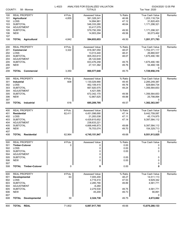|            |                                               | L-4023       | ANALYSIS FOR EQUALIZED VALUATION |                 |                             | 03/24/2020 12:05 PM |
|------------|-----------------------------------------------|--------------|----------------------------------|-----------------|-----------------------------|---------------------|
|            | COUNTY:<br>58 - Monroe                        |              | <b>TOTALS</b>                    |                 | Tax Year: 2020              |                     |
| 100        | <b>REAL PROPERTY</b>                          | # Pcls.      | Assessed Value                   | % Ratio         | True Cash Value             | Remarks             |
| 101        | <b>Agricultural</b>                           | 4,855        | 561,328,241                      | 46.66           | 1,203,118,724               |                     |
| 102        | LOSS                                          |              | 14,994,961                       | 47.12           | 31,820,403                  |                     |
| 103        | <b>SUBTOTAL</b>                               |              | 546,333,280                      | 46.64           | 1,171,298,321               |                     |
| 104        | <b>ADJUSTMENT</b>                             |              | 33,417,079                       |                 |                             |                     |
| 105<br>106 | <b>SUBTOTAL</b><br><b>NEW</b>                 |              | 579,750,359<br>14,903,294        | 49.50<br>49.56  | 1,171,298,321<br>30,073,462 |                     |
| 107        |                                               |              |                                  |                 | 0                           |                     |
| 108        | <b>TOTAL Agricultural</b>                     | 4,842        | 594,653,653                      | 49.50           | 1,201,371,783               |                     |
|            |                                               |              |                                  |                 |                             |                     |
| 200        | <b>REAL PROPERTY</b>                          | # Pcls.      | Assessed Value                   | % Ratio         | True Cash Value             | Remarks             |
| 201        | Commercial                                    | 3,322        | 818,367,050                      | 48.07           | 1,702,371,117               |                     |
| 202        | LOSS                                          |              | 13,013,440                       | 48.41           | 26,880,937                  |                     |
| 203        | <b>SUBTOTAL</b>                               |              | 805,353,610                      | 48.07           | 1,675,490,180               |                     |
| 204        | ADJUSTMENT                                    |              | 28,122,648                       |                 |                             |                     |
| 205        | <b>SUBTOTAL</b>                               |              | 833,476,258                      | 49.75<br>49.76  | 1,675,490,180               |                     |
| 206<br>207 | <b>NEW</b>                                    |              | 27,101,382                       |                 | 54,468,136<br>0             |                     |
| 208        | <b>TOTAL Commercial</b>                       | 3,350        | 860,577,640                      | 49.75           | 1,729,958,316               |                     |
|            |                                               |              |                                  |                 |                             |                     |
| 300        | <b>REAL PROPERTY</b>                          | # Pcls.      | <b>Assessed Value</b>            | % Ratio         | True Cash Value             | Remarks             |
| 301        | <b>Industrial</b>                             | 608          | 1,130,029,990                    | 49.45           | 2,285,249,387               |                     |
| 302        | LOSS                                          |              | 462,109,415                      | 49.76           | 928,684,734                 |                     |
| 303        | <b>SUBTOTAL</b>                               |              | 667,920,575                      | 49.24           | 1,356,564,653               |                     |
| 304        | <b>ADJUSTMENT</b>                             |              | 4,421,595                        | 49.56           |                             |                     |
| 305<br>306 | <b>SUBTOTAL</b><br><b>NEW</b>                 |              | 672,342,170<br>12,867,625        | 49.88           | 1,356,564,653<br>25,798,894 |                     |
| 307        |                                               |              |                                  |                 | 0                           |                     |
| 308        | <b>TOTAL</b> Industrial                       | 616          | 685,209,795                      | 49.57           | 1,382,363,547               |                     |
|            |                                               |              |                                  |                 |                             |                     |
| 400        | <b>REAL PROPERTY</b>                          | # Pcls.      | Assessed Value                   | % Ratio         | True Cash Value             | Remarks             |
| 401        | <b>Residential</b>                            | 62,411       | 4,451,098,690                    | 47.14           | 9,442,759,087               |                     |
| 402        | LOSS                                          |              | 21,283,038                       | 47.11<br>47.14  | 45,174,975                  |                     |
| 403<br>404 | <b>SUBTOTAL</b><br><b>ADJUSTMENT</b>          |              | 4,429,815,652<br>238,633,221     |                 | 9,397,584,112               |                     |
| 405        | <b>SUBTOTAL</b>                               |              | 4,668,448,873                    | 49.68           | 9,397,584,112               |                     |
| 406        | <b>NEW</b>                                    |              | 76,703,074                       | 49.70           | 154,329,713                 |                     |
| 407        |                                               |              |                                  |                 | 0                           |                     |
| 408        | <b>TOTAL Residential</b>                      | 62,964       | 4,745,151,947                    | 49.68           | 9,551,913,825               |                     |
|            |                                               |              |                                  |                 |                             |                     |
| 500<br>501 | <b>REAL PROPERTY</b><br><b>Timber-Cutover</b> | # Pcls.<br>0 | <b>Assessed Value</b><br>0       | % Ratio<br>0.00 | <b>True Cash Value</b><br>0 | Remarks             |
| 502        | LOSS                                          |              | 0                                | 0.00            | 0                           |                     |
| 503        | <b>SUBTOTAL</b>                               |              | 0                                | 0.00            | 0                           |                     |
| 504        | <b>ADJUSTMENT</b>                             |              | 0                                |                 |                             |                     |
| 505        | <b>SUBTOTAL</b>                               |              | 0                                | 0.00            | 0                           |                     |
| 506        | <b>NEW</b>                                    |              | 0                                | 0.00            | 0                           |                     |
| 507        |                                               |              |                                  |                 | 0                           |                     |
| 508        | <b>Timber-Cutover</b><br><b>TOTAL</b>         | 0            | 0                                | 0.00            | 0                           |                     |
| 600        | <b>REAL PROPERTY</b>                          | # Pcls.      | <b>Assessed Value</b>            | % Ratio         | True Cash Value             | Remarks             |
| 601        | Developmental                                 | 63           | 7,005,200                        | 48.27           | 14,511,113                  |                     |
| 602        | LOSS                                          |              | 4,719,410                        | 47.53           | 9,929,342                   |                     |
| 603        | <b>SUBTOTAL</b>                               |              | 2,285,790                        | 49.89           | 4,581,771                   |                     |
| 604        | <b>ADJUSTMENT</b>                             |              | $-6,260$                         |                 |                             |                     |
| 605        | <b>SUBTOTAL</b>                               |              | 2,279,530                        | 49.75           | 4,581,771                   |                     |
| 606        | <b>NEW</b>                                    |              | 45,200                           | 49.73           | 90,891                      |                     |
| 607        |                                               |              |                                  |                 | 0                           |                     |
| 608        | <b>TOTAL Developmental</b>                    | 30           | 2,324,730                        | 49.75           | 4,672,662                   |                     |
| 800        | TOTAL REAL                                    | 71,802       | 6,887,917,765                    | 49.66           | 13,870,280,133              |                     |
|            |                                               |              |                                  |                 |                             |                     |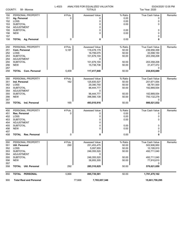| COUNTY:                                | 58 - Monroe                                                                                          | L-4023       | ANALYSIS FOR EQUALIZED VALUATION<br><b>TOTALS</b> |                                         | Tax Year: 2020                             | 03/24/2020 12:05 PM |
|----------------------------------------|------------------------------------------------------------------------------------------------------|--------------|---------------------------------------------------|-----------------------------------------|--------------------------------------------|---------------------|
| 150<br>151<br>152<br>153<br>154<br>155 | PERSONAL PROPERTY<br>Ag. Personal<br>LOSS<br><b>SUBTOTAL</b><br><b>ADJUSTMENT</b><br><b>SUBTOTAL</b> | # Pcls.<br>0 | <b>Assessed Value</b><br>0<br>0<br>0<br>0<br>0    | % Ratio<br>0.00<br>0.00<br>0.00<br>0.00 | <b>True Cash Value</b><br>0<br>0<br>0<br>0 | Remarks             |
| 156                                    | <b>NEW</b>                                                                                           |              | $\Omega$                                          | 0.00                                    | 0                                          |                     |
| 157<br>158                             | <b>TOTAL Ag. Personal</b>                                                                            | 0            | 0                                                 | 0.00                                    | 0<br>0                                     |                     |
|                                        |                                                                                                      |              |                                                   |                                         |                                            |                     |
| 250                                    | PERSONAL PROPERTY                                                                                    | # Pcls.      | Assessed Value                                    | % Ratio                                 | True Cash Value                            | Remarks             |
| 251                                    | Com. Personal                                                                                        | 5,187        | 118,478,179                                       | 50.00                                   | 236,956,358                                |                     |
| 252                                    | LOSS<br><b>SUBTOTAL</b>                                                                              |              | 16,799,075                                        | 50.00<br>50.00                          | 33,598,150                                 |                     |
| 253<br>254                             | <b>ADJUSTMENT</b>                                                                                    |              | 101,679,104<br>0                                  |                                         | 203,358,208                                |                     |
| 255                                    | <b>SUBTOTAL</b>                                                                                      |              | 101,679,104                                       | 50.00                                   | 203,358,208                                |                     |
| 256                                    | <b>NEW</b>                                                                                           |              | 15,738,736                                        | 50.00                                   | 31,477,472                                 |                     |
| 257                                    |                                                                                                      |              |                                                   |                                         | 0                                          |                     |
| 258                                    | <b>TOTAL Com. Personal</b>                                                                           | 5,409        | 117,417,840                                       | 50.00                                   | 234,835,680                                |                     |
| 350                                    | PERSONAL PROPERTY                                                                                    | # Pcls.      | Assessed Value                                    | % Ratio                                 | True Cash Value                            | Remarks             |
| 351                                    | Ind. Personal                                                                                        | 162          | 125,835,527                                       | 50.00                                   | 251,671,054                                |                     |
| 352                                    | LOSS                                                                                                 |              | 29,390,750                                        | 50.00                                   | 58,781,500                                 |                     |
| 353                                    | <b>SUBTOTAL</b>                                                                                      |              | 96,444,777                                        | 50.00                                   | 192,889,554                                |                     |
| 354                                    | <b>ADJUSTMENT</b>                                                                                    |              | 0                                                 |                                         |                                            |                     |
| 355<br>356                             | <b>SUBTOTAL</b><br><b>NEW</b>                                                                        |              | 96,444,777<br>396,566,139                         | 50.00<br>50.00                          | 192,889,554<br>793,132,278                 |                     |
| 357                                    |                                                                                                      |              |                                                   |                                         | 0                                          |                     |
| 358                                    | <b>TOTAL</b><br>Ind. Personal                                                                        | 165          | 493,010,916                                       | 50.00                                   | 986,021,832                                |                     |
| 450                                    | PERSONAL PROPERTY                                                                                    | # Pcls.      | Assessed Value                                    | % Ratio                                 | True Cash Value                            | Remarks             |
| 451                                    | Res. Personal                                                                                        | 0            | 0                                                 | 0.00                                    | 0                                          |                     |
| 452                                    | LOSS                                                                                                 |              | 0                                                 | 0.00                                    | 0                                          |                     |
| 453                                    | <b>SUBTOTAL</b>                                                                                      |              | 0                                                 | 0.00                                    | 0                                          |                     |
| 454                                    | <b>ADJUSTMENT</b>                                                                                    |              | 0                                                 |                                         |                                            |                     |
| 455                                    | <b>SUBTOTAL</b>                                                                                      |              | 0                                                 | 0.00                                    | 0                                          |                     |
| 456<br>457                             | <b>NEW</b>                                                                                           |              | 0                                                 | 0.00                                    | 0<br>0                                     |                     |
| 458                                    | <b>TOTAL</b><br><b>Res. Personal</b>                                                                 | 0            | 0                                                 | 0.00                                    | 0                                          |                     |
| 550                                    | PERSONAL PROPERTY                                                                                    | # Pcls.      | Assessed Value                                    | % Ratio                                 | True Cash Value                            | Remarks             |
| 551                                    | Util. Personal                                                                                       | 290          | 251,453,475                                       | 50.00                                   | 502,906,950                                |                     |
| 552                                    | <b>LOSS</b>                                                                                          |              | 5,097,955                                         | 50.00                                   | 10,195,910                                 |                     |
| 553                                    | <b>SUBTOTAL</b>                                                                                      |              | 246,355,520                                       | 50.00                                   | 492,711,040                                |                     |
| 554                                    | <b>ADJUSTMENT</b>                                                                                    |              | 0                                                 |                                         |                                            |                     |
| 555                                    | <b>SUBTOTAL</b>                                                                                      |              | 246,355,520                                       | 50.00                                   | 492,711,040                                |                     |
| 556                                    | <b>NEW</b>                                                                                           |              | 38,955,305                                        | 50.00                                   | 77,910,610                                 |                     |
| 557<br>558                             | <b>TOTAL</b><br>Util. Personal                                                                       | 292          | 285,310,825                                       | 50.00                                   | 0<br>570,621,650                           |                     |
| 850                                    | TOTAL PERSONAL                                                                                       | 5,866        | 895,739,581                                       | 50.00                                   | 1,791,479,162                              |                     |
|                                        |                                                                                                      |              |                                                   |                                         |                                            |                     |
| 900                                    | <b>Total Real and Personal</b>                                                                       |              | 77,668<br>7,783,657,346                           |                                         | 15,661,759,295                             |                     |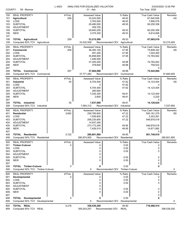| COUNTY:                                              | 58 - Monroe                                                                                                                          | L-4023           | ANALYSIS FOR EQUALIZED VALUATION<br>01 - Ash                                                        |                                                      | Tax Year: 2020                                                                               | 03/24/2020 12:05 PM |
|------------------------------------------------------|--------------------------------------------------------------------------------------------------------------------------------------|------------------|-----------------------------------------------------------------------------------------------------|------------------------------------------------------|----------------------------------------------------------------------------------------------|---------------------|
| 100<br>101<br>102<br>103                             | <b>REAL PROPERTY</b><br><b>Agricultural</b><br>LOSS<br><b>SUBTOTAL</b>                                                               | # Pcls.<br>256   | <b>Assessed Value</b><br>33,243,500<br>3,763,000<br>29,480,500                                      | % Ratio<br>48.93<br>48.93<br>48.93                   | <b>True Cash Value</b><br>67,940,936<br>7,690,578<br>60,250,358                              | Remarks<br>AS       |
| 104<br>105<br>106<br>107                             | <b>ADJUSTMENT</b><br><b>SUBTOTAL</b><br><b>NEW</b>                                                                                   |                  | 359,700<br>29,840,200<br>3,375,300                                                                  | 49.53<br>49.53                                       | 60,250,358<br>6,814,658<br>0                                                                 |                     |
| 108<br>109                                           | <b>TOTAL Agricultural</b><br>Computed 50% TCV Agricultural                                                                           | 259              | 33,215,500<br>33,532,508                                                                            | 49.53<br>Recommended CEV<br>Agricultural             | 67,065,016                                                                                   | 33,215,500          |
| 200<br>201<br>202<br>203<br>204<br>205               | <b>REAL PROPERTY</b><br>Commercial<br>LOSS<br><b>SUBTOTAL</b><br><b>ADJUSTMENT</b><br><b>SUBTOTAL</b>                                | # Pcls.<br>209   | Assessed Value<br>36,350,100<br>491,200<br>35,858,900<br>1,446,500<br>37,305,400                    | % Ratio<br>47.95<br>47.95<br>47.95<br>49.88          | <b>True Cash Value</b><br>75,808,342<br>1,024,400<br>74,783,942<br>74,783,942                | Remarks<br>AS       |
| 206<br>207<br>208<br>209                             | <b>NEW</b><br><b>TOTAL Commercial</b><br>Computed 50% TCV Commercial                                                                 | 207              | 378,600<br>37,684,000<br>37,771,482                                                                 | 49.88<br>49.88<br>Recommended CEV<br>Commercial      | 759,022<br>0<br>75,542,964                                                                   | 37,684,000          |
| 300                                                  | <b>REAL PROPERTY</b>                                                                                                                 | # Pcls.          | Assessed Value                                                                                      | % Ratio                                              | <b>True Cash Value</b>                                                                       | <b>Remarks</b>      |
| 301<br>302<br>303                                    | Industrial<br>LOSS<br><b>SUBTOTAL</b>                                                                                                | 30               | 6,754,400<br>0<br>6,754,400                                                                         | 47.82<br>47.82<br>47.82                              | 14,123,404<br>0<br>14,123,404                                                                | AS                  |
| 304<br>305<br>306<br>307                             | <b>ADJUSTMENT</b><br><b>SUBTOTAL</b><br><b>NEW</b>                                                                                   |                  | 280,900<br>7,035,300<br>2,600                                                                       | 49.81<br>49.81                                       | 14,123,404<br>5,220<br>0                                                                     |                     |
| 308<br>309                                           | <b>TOTAL</b> Industrial<br>Computed 50% TCV Industrial                                                                               | 30               | 7,037,900<br>7,064,312                                                                              | 49.81<br>Recommended CEV<br>Industrial               | 14,128,624                                                                                   | 7,037,900           |
| 400<br>401<br>402<br>403<br>404<br>405<br>406<br>407 | <b>REAL PROPERTY</b><br><b>Residential</b><br>LOSS<br><b>SUBTOTAL</b><br><b>ADJUSTMENT</b><br><b>SUBTOTAL</b><br><b>NEW</b>          | # Pcls.<br>3,692 | Assessed Value<br>259,795,600<br>1,559,800<br>258,235,800<br>14,937,490<br>273,173,290<br>7,428,510 | % Ratio<br>47.22<br>47.22<br>47.22<br>49.95<br>49.95 | True Cash Value<br>550,181,279<br>3,303,261<br>546,878,018<br>546,878,018<br>14,871,892<br>0 | Remarks<br>SS       |
| 408<br>409                                           | <b>TOTAL Residential</b><br>Computed 50% TCV Residential                                                                             | 3,722            | 280,601,800<br>280,874,955                                                                          | 49.95<br>Recommended CEV Residential                 | 561,749,910                                                                                  | 280,601,800         |
| 500<br>501<br>502<br>503<br>504<br>505<br>506<br>507 | <b>REAL PROPERTY</b><br><b>Timber-Cutover</b><br>LOSS<br><b>SUBTOTAL</b><br><b>ADJUSTMENT</b><br><b>SUBTOTAL</b><br><b>NEW</b>       | # Pcls.<br>0     | Assessed Value<br>0<br>0<br>0<br>0<br>0<br>0                                                        | % Ratio<br>0.00<br>0.00<br>0.00<br>0.00<br>0.00      | <b>True Cash Value</b><br>0<br>0<br>0<br>0<br>0<br>0                                         | Remarks             |
| 508<br>509                                           | <b>TOTAL Timber-Cutover</b><br>Computed 50% TCV Timber-Cutover                                                                       | 0                | 0<br>0                                                                                              | 0.00<br>Recommended CEV Timber-Cutover               | 0                                                                                            | 0                   |
| 600<br>601<br>602<br>603<br>604<br>605<br>606<br>607 | <b>REAL PROPERTY</b><br><b>Developmental</b><br><b>LOSS</b><br><b>SUBTOTAL</b><br><b>ADJUSTMENT</b><br><b>SUBTOTAL</b><br><b>NEW</b> | # Pcls.<br>0     | Assessed Value<br>0<br>0<br>0<br>0<br>0<br>0                                                        | % Ratio<br>0.00<br>0.00<br>0.00<br>0.00<br>0.00      | True Cash Value<br>0<br>0<br>0<br>0<br>0<br>0                                                | Remarks             |
| 608<br>609                                           | <b>TOTAL Developmental</b><br>Computed 50% TCV Developmental                                                                         | 0                | 0<br>0                                                                                              | 0.00<br>Recommended CEV<br>Developmental             | 0                                                                                            | 0                   |
| 800<br>809                                           | TOTAL REAL<br>Computed 50% TCV REAL                                                                                                  | 4,218            | 358,539,200<br>359,243,257                                                                          | 49.90<br>Recommended CEV<br><b>REAL</b>              | 718,486,514                                                                                  | 358,539,200         |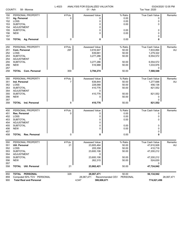|                   | COUNTY:<br>58 - Monroe                    | L-4023         | ANALYSIS FOR EQUALIZED VALUATION<br>01 - Ash |                             | Tax Year: 2020                   | 03/24/2020 12:05 PM |
|-------------------|-------------------------------------------|----------------|----------------------------------------------|-----------------------------|----------------------------------|---------------------|
| 150<br>151<br>152 | PERSONAL PROPERTY<br>Ag. Personal<br>LOSS | # Pcls.<br>0   | <b>Assessed Value</b><br>0<br>0              | % Ratio<br>0.00<br>0.00     | <b>True Cash Value</b><br>0<br>0 | Remarks             |
| 153<br>154        | <b>SUBTOTAL</b><br><b>ADJUSTMENT</b>      |                | 0<br>0                                       | 0.00                        | 0                                |                     |
| 155<br>156        | <b>SUBTOTAL</b><br><b>NEW</b>             |                | 0<br>0                                       | 0.00<br>0.00                | 0<br>0                           |                     |
| 157<br>158        | <b>TOTAL Ag. Personal</b>                 | 0              | 0                                            | 0.00                        | 0<br>0                           |                     |
| 250               | PERSONAL PROPERTY                         | # Pcls.        | <b>Assessed Value</b>                        | % Ratio                     | <b>True Cash Value</b>           | Remarks             |
| 251               | Com. Personal                             | 297            | 3,916,947                                    | 50.00                       | 7,833,894                        | AU                  |
| 252               | LOSS                                      |                | 639,661                                      | 50.00                       | 1,279,322                        |                     |
| 253               | <b>SUBTOTAL</b>                           |                | 3,277,286                                    | 50.00                       | 6,554,572                        |                     |
| 254               | <b>ADJUSTMENT</b>                         |                | 0                                            |                             |                                  |                     |
| 255               | <b>SUBTOTAL</b>                           |                | 3,277,286                                    | 50.00                       | 6,554,572                        |                     |
| 256<br>257        | <b>NEW</b>                                |                | 516,988                                      | 50.00                       | 1,033,976                        |                     |
| 258               | <b>TOTAL Com. Personal</b>                | 300            | 3,794,274                                    | 50.00                       | 0<br>7,588,548                   |                     |
|                   |                                           |                |                                              |                             |                                  |                     |
| 350               | PERSONAL PROPERTY                         | # Pcls.        | <b>Assessed Value</b>                        | % Ratio                     | True Cash Value                  | Remarks             |
| 351               | Ind. Personal                             | $\overline{7}$ | 638,844                                      | 50.00                       | 1,277,688                        | AU                  |
| 352               | LOSS                                      |                | 228,068                                      | 50.00                       | 456,136                          |                     |
| 353               | <b>SUBTOTAL</b>                           |                | 410,776                                      | 50.00                       | 821,552                          |                     |
| 354               | <b>ADJUSTMENT</b>                         |                | 0                                            |                             |                                  |                     |
| 355               | <b>SUBTOTAL</b>                           |                | 410,776                                      | 50.00                       | 821,552                          |                     |
| 356               | <b>NEW</b>                                |                | 0                                            | 50.00                       | 0                                |                     |
| 357<br>358        | <b>TOTAL</b> Ind. Personal                | 8              | 410,776                                      | 50.00                       | 0<br>821,552                     |                     |
|                   |                                           |                |                                              |                             |                                  |                     |
| 450               | PERSONAL PROPERTY                         | # Pcls.        | Assessed Value                               | % Ratio                     | True Cash Value                  | Remarks             |
| 451               | Res. Personal                             | 0              | 0                                            | 0.00                        | 0                                |                     |
| 452               | LOSS                                      |                | 0                                            | 0.00                        | 0                                |                     |
| 453               | <b>SUBTOTAL</b>                           |                | 0                                            | 0.00                        | 0                                |                     |
| 454               | <b>ADJUSTMENT</b>                         |                | 0                                            |                             |                                  |                     |
| 455               | <b>SUBTOTAL</b>                           |                | 0                                            | 0.00                        | 0                                |                     |
| 456               | <b>NEW</b>                                |                | 0                                            | 0.00                        | 0                                |                     |
| 457               |                                           |                |                                              |                             | 0                                |                     |
| 458               | TOTAL<br><b>Res. Personal</b>             | 0              | 0                                            | 0.00                        | 0                                |                     |
| 550               | PERSONAL PROPERTY                         | # Pcls.        | Assessed Value                               | % Ratio                     | True Cash Value                  | Remarks             |
| 551               | Util. Personal                            | 21             | 23,805,464                                   | 50.00                       | 47,610,928                       | AU                  |
| 552               | LOSS                                      |                | 205,358                                      | 50.00                       | 410,716                          |                     |
| 553               | <b>SUBTOTAL</b>                           |                | 23,600,106                                   | 50.00                       | 47,200,212                       |                     |
| 554               | ADJUSTMENT                                |                | 0                                            |                             |                                  |                     |
| 555               | <b>SUBTOTAL</b>                           |                | 23,600,106                                   | 50.00                       | 47,200,212                       |                     |
| 556               | <b>NEW</b>                                |                | 262,315                                      | 50.00                       | 524,630                          |                     |
| 557               |                                           |                |                                              |                             | 0                                |                     |
| 558               | <b>Util. Personal</b><br><b>TOTAL</b>     | 21             | 23,862,421                                   | 50.00                       | 47,724,842                       |                     |
| 850               | TOTAL PERSONAL                            | 329            | 28,067,471                                   | 50.00                       | 56,134,942                       |                     |
| 859               | Computed 50% TCV PERSONAL                 |                | 28,067,471                                   | PERSONAL<br>Recommended CEV |                                  | 28,067,471          |
| 900               | <b>Total Real and Personal</b>            |                | 4,547<br>386,606,671                         |                             | 774,621,456                      |                     |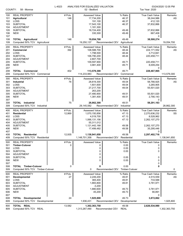| COUNTY:                                              | 58 - Monroe                                                                                                                 | L-4023            | ANALYSIS FOR EQUALIZED VALUATION<br>02 - Bedford                                                                  |                                                      | Tax Year: 2020                                                                                            | 03/24/2020 12:05 PM |
|------------------------------------------------------|-----------------------------------------------------------------------------------------------------------------------------|-------------------|-------------------------------------------------------------------------------------------------------------------|------------------------------------------------------|-----------------------------------------------------------------------------------------------------------|---------------------|
| 100<br>101<br>102<br>103<br>104                      | <b>REAL PROPERTY</b><br><b>Agricultural</b><br><b>LOSS</b><br><b>SUBTOTAL</b><br><b>ADJUSTMENT</b>                          | # Pcls.<br>146    | <b>Assessed Value</b><br>17,734,200<br>191,100<br>17,543,100<br>1,181,300                                         | % Ratio<br>46.37<br>46.37<br>46.37                   | <b>True Cash Value</b><br>38,244,986<br>412,120<br>37,832,866                                             | Remarks<br>AS       |
| 105<br>106<br>107                                    | <b>SUBTOTAL</b><br><b>NEW</b>                                                                                               |                   | 18,724,400<br>330,300                                                                                             | 49.49<br>49.49                                       | 37,832,866<br>667,408<br>0                                                                                |                     |
| 108<br>109                                           | <b>TOTAL Agricultural</b><br>Computed 50% TCV Agricultural                                                                  | 146               | 19,054,700<br>19,250,137                                                                                          | 49.49<br>Recommended CEV<br>Agricultural             | 38,500,274                                                                                                | 19,054,700          |
| 200<br>201<br>202<br>203<br>204<br>205<br>206<br>207 | <b>REAL PROPERTY</b><br>Commercial<br>LOSS<br><b>SUBTOTAL</b><br><b>ADJUSTMENT</b><br><b>SUBTOTAL</b><br><b>NEW</b>         | # Pcls.<br>392    | Assessed Value<br>108,588,700<br>1,798,500<br>106,790,200<br>2,807,700<br>109,597,900<br>3,981,400                | % Ratio<br>48.44<br>48.44<br>48.44<br>49.71<br>49.71 | <b>True Cash Value</b><br>224, 171, 552<br>3,712,841<br>220,458,711<br>220,458,711<br>8,009,254<br>0      | Remarks<br>AS       |
| 208<br>209                                           | <b>TOTAL Commercial</b><br>Computed 50% TCV Commercial                                                                      | 402               | 113,579,300<br>114,233,983                                                                                        | 49.71<br>Recommended CEV<br>Commercial               | 228,467,965                                                                                               | 113,579,300         |
| 300<br>301<br>302<br>303<br>304<br>305<br>306        | <b>REAL PROPERTY</b><br>Industrial<br>LOSS<br><b>SUBTOTAL</b><br><b>ADJUSTMENT</b><br><b>SUBTOTAL</b><br><b>NEW</b>         | # Pcls.<br>76     | <b>Assessed Value</b><br>28,819,300<br>1,601,600<br>27,217,700<br>263,200<br>27,480,900<br>1,381,400              | % Ratio<br>49.04<br>49.04<br>49.04<br>49.51<br>49.51 | True Cash Value<br>58,766,925<br>3,265,905<br>55,501,020<br>55,501,020<br>2,790,143                       | Remarks<br>AS       |
| 307<br>308<br>309                                    | <b>TOTAL</b> Industrial<br>Computed 50% TCV Industrial                                                                      | 75                | 28,862,300<br>29,145,582                                                                                          | 49.51<br>Recommended CEV<br>Industrial               | 0<br>58,291,163                                                                                           | 28,862,300          |
| 400<br>401<br>402<br>403<br>404<br>405<br>406<br>407 | <b>REAL PROPERTY</b><br><b>Residential</b><br>LOSS<br><b>SUBTOTAL</b><br><b>ADJUSTMENT</b><br><b>SUBTOTAL</b><br><b>NEW</b> | # Pcls.<br>12,869 | <b>Assessed Value</b><br>1,070,150,856<br>4,019,700<br>1,066,131,156<br>55,311,012<br>1,121,442,168<br>17,499,482 | % Ratio<br>47.13<br>47.13<br>47.13<br>49.58<br>49.58 | <b>True Cash Value</b><br>2,270,636,232<br>8,528,962<br>2,262,107,270<br>2,262,107,270<br>35,295,446<br>0 | Remarks<br>SS       |
| 408<br>409                                           | <b>TOTAL Residential</b><br>Computed 50% TCV Residential                                                                    | 12,935            | 1,138,941,650                                                                                                     | 49.58<br>1,148,701,358 Recommended CEV Residential   | 2,297,402,716                                                                                             | 1,138,941,650       |
| 500<br>501<br>502<br>503<br>504<br>505<br>506<br>507 | <b>REAL PROPERTY</b><br><b>Timber-Cutover</b><br>LOSS<br><b>SUBTOTAL</b><br>ADJUSTMENT<br><b>SUBTOTAL</b><br><b>NEW</b>     | # Pcls.<br>0      | <b>Assessed Value</b><br>0<br>0<br>0<br>0<br>0<br>$\Omega$                                                        | % Ratio<br>0.00<br>0.00<br>0.00<br>0.00<br>0.00      | <b>True Cash Value</b><br>0<br>0<br>0<br>0<br>0<br>0                                                      | Remarks             |
| 508<br>509                                           | <b>TOTAL Timber-Cutover</b><br>Computed 50% TCV Timber-Cutover                                                              | 0                 | 0<br>0                                                                                                            | 0.00<br>Timber-Cutover<br>Recommended CEV            | 0                                                                                                         | 0                   |
| 600<br>601<br>602<br>603<br>604<br>605<br>606<br>607 | <b>REAL PROPERTY</b><br>Developmental<br>LOSS<br><b>SUBTOTAL</b><br>ADJUSTMENT<br><b>SUBTOTAL</b><br><b>NEW</b>             | # Pcls.<br>27     | <b>Assessed Value</b><br>2,249,200<br>365,400<br>1,883,800<br>$-3,200$<br>1,880,600<br>45,200                     | % Ratio<br>49.81<br>49.81<br>49.81<br>49.73<br>49.73 | <b>True Cash Value</b><br>4,515,559<br>733,588<br>3,781,971<br>3,781,971<br>90,891<br>0                   | Remarks<br>AS       |
| 608<br>609                                           | <b>TOTAL Developmental</b><br>Computed 50% TCV Developmental                                                                | 24                | 1,925,800<br>1,936,431                                                                                            | 49.73<br>Recommended CEV<br>Developmental            | 3,872,862                                                                                                 | 1,925,800           |
| 800<br>809                                           | TOTAL REAL<br>Computed 50% TCV REAL                                                                                         | 13,582            | 1,302,363,750<br>1,313,267,490                                                                                    | 49.58<br>Recommended CEV<br><b>REAL</b>              | 2,626,534,980                                                                                             | 1,302,363,750       |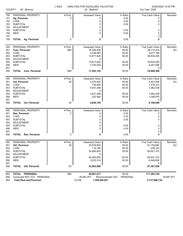|                                                             | COUNTY:<br>58 - Monroe                                                                                                                          | L-4023              | ANALYSIS FOR EQUALIZED VALUATION<br>02 - Bedford                                                    |                                                               | Tax Year: 2020                                                                                       | 03/24/2020 12:05 PM  |  |
|-------------------------------------------------------------|-------------------------------------------------------------------------------------------------------------------------------------------------|---------------------|-----------------------------------------------------------------------------------------------------|---------------------------------------------------------------|------------------------------------------------------------------------------------------------------|----------------------|--|
| 150<br>151<br>152<br>153<br>154                             | PERSONAL PROPERTY<br>Ag. Personal<br>LOSS<br><b>SUBTOTAL</b><br><b>ADJUSTMENT</b>                                                               | # Pcls.<br>0        | Assessed Value<br>0<br>0<br>0<br>0                                                                  | % Ratio<br>0.00<br>0.00<br>0.00                               | <b>True Cash Value</b><br>0<br>0<br>0                                                                | Remarks              |  |
| 155<br>156<br>157                                           | <b>SUBTOTAL</b><br><b>NEW</b>                                                                                                                   |                     | 0<br>0                                                                                              | 0.00<br>0.00                                                  | 0<br>0<br>0                                                                                          |                      |  |
| 158                                                         | <b>TOTAL Ag. Personal</b>                                                                                                                       | 0                   | 0                                                                                                   | 0.00                                                          | 0                                                                                                    |                      |  |
| 250<br>251<br>252<br>253<br>254                             | PERSONAL PROPERTY<br>Com. Personal<br>LOSS<br><b>SUBTOTAL</b><br><b>ADJUSTMENT</b>                                                              | # Pcls.<br>885      | Assessed Value<br>19,356,208<br>4,538,583<br>14,817,625<br>0                                        | % Ratio<br>50.00<br>50.00<br>50.00                            | <b>True Cash Value</b><br>38,712,416<br>9,077,166<br>29,635,250                                      | Remarks<br>AU        |  |
| 255<br>256<br>257                                           | <b>SUBTOTAL</b><br><b>NEW</b>                                                                                                                   |                     | 14,817,625<br>3,125,529                                                                             | 50.00<br>50.00                                                | 29,635,250<br>6,251,058<br>0                                                                         |                      |  |
| 258                                                         | <b>Com. Personal</b><br>TOTAL                                                                                                                   | 896                 | 17,943,154                                                                                          | 50.00                                                         | 35,886,308                                                                                           |                      |  |
| 350<br>351<br>352<br>353<br>354<br>355<br>356               | PERSONAL PROPERTY<br>Ind. Personal<br>LOSS<br><b>SUBTOTAL</b><br><b>ADJUSTMENT</b><br><b>SUBTOTAL</b><br><b>NEW</b>                             | # Pcls.<br>36       | <b>Assessed Value</b><br>4,270,924<br>739,655<br>3,531,269<br>0<br>3,531,269<br>523,485             | % Ratio<br>50.00<br>50.00<br>50.00<br>50.00<br>50.00          | <b>True Cash Value</b><br>8,541,848<br>1,479,310<br>7,062,538<br>7,062,538<br>1,046,970              | Remarks<br>AU        |  |
| 357<br>358                                                  | <b>TOTAL</b> Ind. Personal                                                                                                                      | 35                  | 4,054,754                                                                                           | 50.00                                                         | 0<br>8,109,508                                                                                       |                      |  |
| 450<br>451<br>452<br>453<br>454<br>455<br>456<br>457<br>458 | PERSONAL PROPERTY<br>Res. Personal<br>LOSS<br><b>SUBTOTAL</b><br><b>ADJUSTMENT</b><br><b>SUBTOTAL</b><br><b>NEW</b><br>TOTAL<br>Res. Personal   | # Pcls.<br>0<br>0   | Assessed Value<br>0<br>0<br>0<br>0<br>0<br>0<br>0                                                   | % Ratio<br>0.00<br>0.00<br>0.00<br>0.00<br>0.00<br>0.00       | True Cash Value<br>0<br>0<br>0<br>0<br>0<br>0<br>0                                                   | Remarks              |  |
| 550<br>551<br>552<br>553<br>554<br>555<br>556<br>557<br>558 | PERSONAL PROPERTY<br>Util. Personal<br>LOSS<br><b>SUBTOTAL</b><br>ADJUSTMENT<br><b>SUBTOTAL</b><br><b>NEW</b><br><b>Util. Personal</b><br>TOTAL | # Pcls.<br>25<br>25 | Assessed Value<br>30,579,840<br>119,185<br>30,460,655<br>0<br>30,460,655<br>3,223,314<br>33,683,969 | % Ratio<br>50.00<br>50.00<br>50.00<br>50.00<br>50.00<br>50.00 | True Cash Value<br>61,159,680<br>238,370<br>60,921,310<br>60,921,310<br>6,446,628<br>0<br>67,367,938 | Remarks<br><b>AU</b> |  |
| 850<br>859<br>900                                           | TOTAL PERSONAL<br>Computed 50% TCV PERSONAL<br><b>Total Real and Personal</b>                                                                   | 956                 | 55,681,877<br>55,681,877<br>14,538<br>1,358,045,627                                                 | 50.00<br>Recommended CEV<br>PERSONAL                          | 111,363,754<br>2,737,898,734                                                                         | 55,681,877           |  |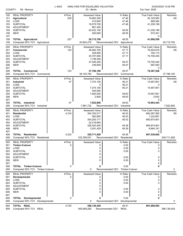| COUNTY:                                              | 58 - Monroe                                                                                                                        | L-4023           | ANALYSIS FOR EQUALIZED VALUATION<br>03 - Berlin                                                   |                                                      | Tax Year: 2020                                                                                     | 03/24/2020 12:05 PM |
|------------------------------------------------------|------------------------------------------------------------------------------------------------------------------------------------|------------------|---------------------------------------------------------------------------------------------------|------------------------------------------------------|----------------------------------------------------------------------------------------------------|---------------------|
| 100<br>101<br>102<br>103<br>104                      | <b>REAL PROPERTY</b><br>Agricultural<br>LOSS<br><b>SUBTOTAL</b><br><b>ADJUSTMENT</b>                                               | #Pcls.<br>229    | <b>Assessed Value</b><br>19,983,300<br>412,600<br>19,570,700<br>861,400                           | % Ratio<br>47.46<br>47.46<br>47.46                   | <b>True Cash Value</b><br>42,105,563<br>869,364<br>41,236,199                                      | Remarks<br>AS       |
| 105<br>106<br>107                                    | <b>SUBTOTAL</b><br><b>NEW</b>                                                                                                      |                  | 20,432,100<br>283,600                                                                             | 49.55<br>49.55                                       | 41,236,199<br>572,351<br>0                                                                         |                     |
| 108<br>109                                           | <b>TOTAL Agricultural</b><br>Computed 50% TCV Agricultural                                                                         | 227              | 20,715,700<br>20,904,275                                                                          | 49.55<br>Recommended CEV<br>Agricultural             | 41,808,550                                                                                         | 20,715,700          |
| 200<br>201<br>202<br>203<br>204                      | <b>REAL PROPERTY</b><br>Commercial<br><b>LOSS</b><br><b>SUBTOTAL</b><br><b>ADJUSTMENT</b>                                          | # Pcls.<br>123   | Assessed Value<br>36,062,700<br>354,800<br>35,707,900<br>1,738,300                                | % Ratio<br>47.17<br>47.17<br>47.17                   | True Cash Value<br>76,452,618<br>752,173<br>75,700,445                                             | Remarks<br>AS       |
| 205<br>206<br>207                                    | <b>SUBTOTAL</b><br><b>NEW</b>                                                                                                      |                  | 37,446,200<br>339,900                                                                             | 49.47<br>49.47                                       | 75,700,445<br>687,083<br>0                                                                         |                     |
| 208<br>209                                           | <b>TOTAL Commercial</b><br>Computed 50% TCV Commercial                                                                             | 123              | 37,786,100<br>38,193,764                                                                          | 49.47<br>Recommended CEV<br>Commercial               | 76,387,528                                                                                         | 37,786,100          |
| 300<br>301<br>302<br>303<br>304<br>305<br>306        | <b>REAL PROPERTY</b><br>Industrial<br>LOSS<br><b>SUBTOTAL</b><br><b>ADJUSTMENT</b><br><b>SUBTOTAL</b><br><b>NEW</b>                | # Pcls.<br>47    | Assessed Value<br>7,374,100<br>0<br>7,374,100<br>545,900<br>7,920,000<br>2,800                    | % Ratio<br>46.21<br>46.21<br>46.21<br>49.63<br>49.63 | True Cash Value<br>15,957,801<br>0<br>15,957,801<br>15,957,801<br>5,642                            | Remarks<br>AS       |
| 307<br>308<br>309                                    | <b>TOTAL</b> Industrial<br>Computed 50% TCV<br>Industrial                                                                          | 47               | 7,922,800<br>7,981,722                                                                            | 49.63<br>Recommended CEV<br>Industrial               | 0<br>15,963,443                                                                                    | 7,922,800           |
| 400<br>401<br>402<br>403<br>404<br>405<br>406        | <b>REAL PROPERTY</b><br><b>Residential</b><br><b>LOSS</b><br><b>SUBTOTAL</b><br><b>ADJUSTMENT</b><br><b>SUBTOTAL</b><br><b>NEW</b> | # Pcls.<br>4,316 | Assessed Value<br>304,763,517<br>562,800<br>304,200,717<br>22,219,683<br>326,420,400<br>3,291,429 | % Ratio<br>46.03<br>46.03<br>46.03<br>49.39<br>49.39 | <b>True Cash Value</b><br>662,097,582<br>1,222,681<br>660,874,901<br>660,874,901<br>6,664,161<br>0 | Remarks<br>SS       |
| 407<br>408<br>409                                    | <b>TOTAL Residential</b><br>Computed 50% TCV Residential                                                                           | 4,323            | 329,711,829<br>333,769,531                                                                        | 49.39<br>Recommended CEV Residential                 | 667,539,062                                                                                        | 329,711,829         |
| 500<br>501<br>502<br>503<br>504<br>505<br>506<br>507 | <b>REAL PROPERTY</b><br><b>Timber-Cutover</b><br>LOSS<br><b>SUBTOTAL</b><br>ADJUSTMENT<br><b>SUBTOTAL</b><br><b>NEW</b>            | # Pcls.<br>0     | <b>Assessed Value</b><br>0<br>0<br>0<br>0<br>0<br>0                                               | % Ratio<br>0.00<br>0.00<br>0.00<br>0.00<br>0.00      | True Cash Value<br>0<br>0<br>0<br>0<br>0<br>0                                                      | Remarks             |
| 508<br>509                                           | <b>TOTAL Timber-Cutover</b><br>Computed 50% TCV Timber-Cutover                                                                     | 0                | 0<br>0                                                                                            | 0.00<br>Recommended CEV Timber-Cutover               | 0                                                                                                  | 0                   |
| 600<br>601<br>602<br>603<br>604<br>605<br>606<br>607 | <b>REAL PROPERTY</b><br>Developmental<br>LOSS<br><b>SUBTOTAL</b><br><b>ADJUSTMENT</b><br><b>SUBTOTAL</b><br><b>NEW</b>             | # Pcls.<br>0     | Assessed Value<br>0<br>0<br>0<br>0<br>0<br>0                                                      | % Ratio<br>0.00<br>0.00<br>0.00<br>0.00<br>0.00      | True Cash Value<br>0<br>0<br>0<br>0<br>0<br>0                                                      | Remarks             |
| 608<br>609                                           | TOTAL<br>Developmental<br>Computed 50% TCV Developmental                                                                           | 0                | 0                                                                                                 | 0.00<br>Recommended CEV<br>Developmental             | 0                                                                                                  | 0                   |
| 800<br>809                                           | TOTAL REAL<br>Computed 50% TCV REAL                                                                                                | 4,720            | 396,136,429<br>400,849,292                                                                        | 49.41<br>Recommended CEV<br><b>REAL</b>              | 801,698,583                                                                                        | 396,136,429         |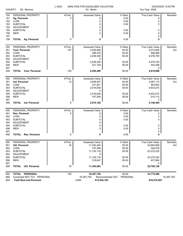| COUNTY:    | 58 - Monroe                           | L-4023  | ANALYSIS FOR EQUALIZED VALUATION<br>03 - Berlin |                                     | Tax Year: 2020         | 03/24/2020 12:05 PM |
|------------|---------------------------------------|---------|-------------------------------------------------|-------------------------------------|------------------------|---------------------|
| 150        | PERSONAL PROPERTY                     | # Pcls. | Assessed Value                                  | % Ratio                             | <b>True Cash Value</b> | Remarks             |
| 151        | Ag. Personal                          | 0       | 0                                               | 0.00                                | 0                      |                     |
| 152        | LOSS                                  |         | 0                                               | 0.00                                | 0                      |                     |
| 153        | <b>SUBTOTAL</b>                       |         | 0                                               | 0.00                                | 0                      |                     |
| 154        | <b>ADJUSTMENT</b>                     |         | 0                                               |                                     |                        |                     |
| 155        | <b>SUBTOTAL</b>                       |         | 0<br>0                                          | 0.00                                | 0                      |                     |
| 156<br>157 | <b>NEW</b>                            |         |                                                 | 0.00                                | 0<br>0                 |                     |
| 158        | <b>TOTAL Ag. Personal</b>             | 0       | 0                                               | 0.00                                | 0                      |                     |
|            |                                       |         |                                                 |                                     |                        |                     |
| 250        | PERSONAL PROPERTY                     | # Pcls. | Assessed Value                                  | % Ratio                             | True Cash Value        | Remarks             |
| 251<br>252 | Com. Personal<br>LOSS                 | 127     | 2,536,829<br>298,479                            | 50.00<br>50.00                      | 5,073,658<br>596,958   | AU                  |
| 253        | <b>SUBTOTAL</b>                       |         | 2,238,350                                       | 50.00                               | 4,476,700              |                     |
| 254        | ADJUSTMENT                            |         | 0                                               |                                     |                        |                     |
| 255        | <b>SUBTOTAL</b>                       |         | 2,238,350                                       | 50.00                               | 4,476,700              |                     |
| 256        | <b>NEW</b>                            |         | 221,149                                         | 50.00                               | 442,298                |                     |
| 257        |                                       |         |                                                 |                                     | 0                      |                     |
| 258        | <b>TOTAL Com. Personal</b>            | 120     | 2,459,499                                       | 50.00                               | 4,918,998              |                     |
| 350        | PERSONAL PROPERTY                     | # Pcls. | Assessed Value                                  | % Ratio                             | True Cash Value        | Remarks             |
| 351        | Ind. Personal                         | 10      | 2,648,557                                       | 50.00                               | 5,297,114              | AU                  |
| 352        | LOSS                                  |         | 231,921                                         | 50.00                               | 463,842                |                     |
| 353        | <b>SUBTOTAL</b>                       |         | 2,416,636                                       | 50.00                               | 4,833,272              |                     |
| 354        | ADJUSTMENT                            |         | 0                                               |                                     |                        |                     |
| 355        | <b>SUBTOTAL</b>                       |         | 2,416,636                                       | 50.00                               | 4,833,272              |                     |
| 356<br>357 | <b>NEW</b>                            |         | 157,556                                         | 50.00                               | 315,112<br>0           |                     |
| 358        | <b>TOTAL</b> Ind. Personal            | 9       | 2,574,192                                       | 50.00                               | 5,148,384              |                     |
|            | PERSONAL PROPERTY                     | # Pcls. | Assessed Value                                  | % Ratio                             | True Cash Value        | Remarks             |
| 450<br>451 | Res. Personal                         | 0       | 0                                               | 0.00                                | 0                      |                     |
| 452        | LOSS                                  |         | 0                                               | 0.00                                | 0                      |                     |
| 453        | <b>SUBTOTAL</b>                       |         | 0                                               | 0.00                                | 0                      |                     |
| 454        | ADJUSTMENT                            |         | 0                                               |                                     |                        |                     |
| 455        | <b>SUBTOTAL</b>                       |         | 0                                               | 0.00                                | 0                      |                     |
| 456        | <b>NEW</b>                            |         | 0                                               | 0.00                                | 0                      |                     |
| 457        |                                       |         |                                                 |                                     | 0                      |                     |
| 458        | Res. Personal<br><b>TOTAL</b>         | 0       | 0                                               | 0.00                                | 0                      |                     |
| 550        | PERSONAL PROPERTY                     | # Pcls. | Assessed Value                                  | % Ratio                             | True Cash Value        | Remarks             |
| 551        | Util. Personal                        | 16      | 11,332,404                                      | 50.00                               | 22,664,808             | AU                  |
| 552        | LOSS                                  |         | 197,288                                         | 50.00                               | 394,576                |                     |
| 553        | <b>SUBTOTAL</b>                       |         | 11,135,116                                      | 50.00                               | 22,270,232             |                     |
| 554<br>555 | <b>ADJUSTMENT</b><br><b>SUBTOTAL</b>  |         | 0<br>11,135,116                                 | 50.00                               | 22,270,232             |                     |
| 556        | <b>NEW</b>                            |         | 218,947                                         | 50.00                               | 437,894                |                     |
| 557        |                                       |         |                                                 |                                     | 0                      |                     |
| 558        | <b>Util. Personal</b><br><b>TOTAL</b> | 16      | 11,354,063                                      | 50.00                               | 22,708,126             |                     |
| 850        | TOTAL PERSONAL                        | 145     | 16,387,754                                      | 50.00                               | 32,775,508             |                     |
| 850        | Computed 50% TCV DERSONAL             |         |                                                 | 16 387 754 Recommended CEV PERSONAL |                        | 16 387 754          |

| <b>OUU IUIAL FERSUNAL</b>     | 140   | 10.007.704                          | JU.UU | <b>JA, 113, 300</b> |
|-------------------------------|-------|-------------------------------------|-------|---------------------|
| 859 Computed 50% TCV PERSONAL |       | 16.387.754 Recommended CEV PERSONAL |       | 16.387.754          |
| 900 Total Real and Personal   | 4,865 | 412,524,183                         |       | 834,474,091         |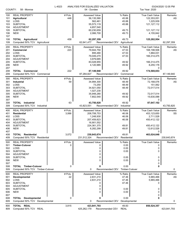| COUNTY:                  | 58 - Monroe                                                            | L-4023         | ANALYSIS FOR EQUALIZED VALUATION<br>04 - Dundee              |                                          | Tax Year: 2020                                                      | 03/24/2020 12:05 PM |
|--------------------------|------------------------------------------------------------------------|----------------|--------------------------------------------------------------|------------------------------------------|---------------------------------------------------------------------|---------------------|
| 100<br>101<br>102<br>103 | <b>REAL PROPERTY</b><br><b>Agricultural</b><br>LOSS<br><b>SUBTOTAL</b> | # Pcls.<br>448 | <b>Assessed Value</b><br>56,135,580<br>562,461<br>55,573,119 | % Ratio<br>45.88<br>45.88<br>45.88       | <b>True Cash Value</b><br>122,353,051<br>1,225,939<br>121, 127, 112 | Remarks<br>AS       |
| 104<br>105<br>106<br>107 | <b>ADJUSTMENT</b><br><b>SUBTOTAL</b><br><b>NEW</b>                     |                | 4,657,540<br>60,230,659<br>2,066,700                         | 49.73<br>49.73                           | 121, 127, 112<br>4,155,842<br>0                                     |                     |
| 108<br>109               | <b>TOTAL Agricultural</b><br>Computed 50% TCV Agricultural             | 458            | 62,297,359<br>62,641,477                                     | 49.73<br>Recommended CEV<br>Agricultural | 125,282,954                                                         | 62,297,359          |
| 200                      | <b>REAL PROPERTY</b>                                                   | # Pcls.        | <b>Assessed Value</b>                                        | % Ratio                                  | True Cash Value                                                     | Remarks             |
| 201                      | Commercial                                                             | 223            | 79,944,750                                                   | 47.53                                    | 168,198,506                                                         | AS                  |
| 202                      | LOSS                                                                   |                | 895,480                                                      | 47.53                                    | 1,884,031                                                           |                     |
| 203                      | <b>SUBTOTAL</b>                                                        |                | 79,049,270                                                   | 47.53                                    | 166,314,475                                                         |                     |
| 204                      | <b>ADJUSTMENT</b>                                                      |                | 3,979,685                                                    |                                          |                                                                     |                     |
| 205<br>206               | <b>SUBTOTAL</b><br><b>NEW</b>                                          |                | 83,028,955<br>4,120,985                                      | 49.92<br>49.92                           | 166,314,475<br>8,255,178                                            |                     |
| 207                      |                                                                        |                |                                                              |                                          | 0                                                                   |                     |
| 208                      | <b>TOTAL Commercial</b>                                                | 222            | 87,149,940                                                   | 49.92                                    | 174,569,653                                                         |                     |
| 209                      | Computed 50% TCV Commercial                                            |                | 87,284,827                                                   | Recommended CEV<br>Commercial            |                                                                     | 87,149,940          |
| 300                      | <b>REAL PROPERTY</b>                                                   | # Pcls.        | <b>Assessed Value</b>                                        | % Ratio                                  | <b>True Cash Value</b>                                              | <b>Remarks</b>      |
| 301                      | <b>Industrial</b>                                                      | 59             | 34,994,300                                                   | 48.49                                    | 72,168,076                                                          | AS                  |
| 302                      | LOSS                                                                   |                | 73,250                                                       | 48.49                                    | 151,062                                                             |                     |
| 303                      | <b>SUBTOTAL</b>                                                        |                | 34,921,050                                                   | 48.49                                    | 72,017,014                                                          |                     |
| 304                      | <b>ADJUSTMENT</b>                                                      |                | 1,027,230                                                    |                                          |                                                                     |                     |
| 305                      | <b>SUBTOTAL</b>                                                        |                | 35,948,280                                                   | 49.92                                    | 72,017,014                                                          |                     |
| 306<br>307               | <b>NEW</b>                                                             |                | 7,802,540                                                    | 49.92                                    | 15,630,088<br>0                                                     |                     |
| 308                      | <b>TOTAL</b> Industrial                                                | 63             | 43,750,820                                                   | 49.92                                    | 87,647,102                                                          |                     |
| 309                      | Computed 50% TCV Industrial                                            |                | 43,823,551                                                   | Recommended CEV<br>Industrial            |                                                                     | 43,750,820          |
| 400                      | <b>REAL PROPERTY</b>                                                   | # Pcls.        | Assessed Value                                               | % Ratio                                  | True Cash Value                                                     | Remarks             |
| 401                      | <b>Residential</b>                                                     | 3,066          | 208,708,753                                                  | 46.06                                    | 453,123,650                                                         | SS                  |
| 402                      | LOSS                                                                   |                | 1,248,930                                                    | 46.06                                    | 2,711,528                                                           |                     |
| 403                      | <b>SUBTOTAL</b>                                                        |                | 207,459,823                                                  | 46.06                                    | 450,412,122                                                         |                     |
| 404                      | <b>ADJUSTMENT</b>                                                      |                | 16,901,552                                                   |                                          |                                                                     |                     |
| 405                      | <b>SUBTOTAL</b>                                                        |                | 224,361,375                                                  | 49.81                                    | 450,412,122                                                         |                     |
| 406                      | <b>NEW</b>                                                             |                | 6,282,299                                                    | 49.81                                    | 12,612,526                                                          |                     |
| 407<br>408               | <b>TOTAL Residential</b>                                               | 3,072          | 230,643,674                                                  | 49.81                                    | 0<br>463,024,648                                                    |                     |
| 409                      | Computed 50% TCV Residential                                           |                | 231,512,324                                                  | Recommended CEV Residential              |                                                                     | 230,643,674         |
|                          | <b>REAL PROPERTY</b>                                                   | # Pcls.        |                                                              |                                          |                                                                     |                     |
| 500<br>501               | <b>Timber-Cutover</b>                                                  | 0              | <b>Assessed Value</b><br>0                                   | % Ratio<br>0.00                          | <b>True Cash Value</b><br>0                                         | Remarks             |
| 502                      | <b>LOSS</b>                                                            |                | 0                                                            | 0.00                                     | 0                                                                   |                     |
| 503                      | <b>SUBTOTAL</b>                                                        |                | 0                                                            | 0.00                                     | 0                                                                   |                     |
| 504                      | <b>ADJUSTMENT</b>                                                      |                | 0                                                            |                                          |                                                                     |                     |
| 505                      | <b>SUBTOTAL</b>                                                        |                | 0                                                            | 0.00                                     | 0                                                                   |                     |
| 506                      | <b>NEW</b>                                                             |                | $\Omega$                                                     | 0.00                                     | 0                                                                   |                     |
| 507<br>508               | <b>TOTAL Timber-Cutover</b>                                            | 0              | 0                                                            | 0.00                                     | 0<br>0                                                              |                     |
| 509                      | Computed 50% TCV Timber-Cutover                                        |                | 0                                                            | Recommended CEV Timber-Cutover           |                                                                     | 0                   |
|                          |                                                                        |                |                                                              |                                          |                                                                     |                     |
| 600                      | <b>REAL PROPERTY</b>                                                   | # Pcls.        | <b>Assessed Value</b>                                        | % Ratio                                  | True Cash Value                                                     | Remarks             |
| 601<br>602               | Developmental<br>LOSS                                                  | 22             | 2,831,210<br>2,831,210                                       | 47.46<br>47.46                           | 5,965,466<br>5,965,466                                              | AS                  |
| 603                      | <b>SUBTOTAL</b>                                                        |                | 0                                                            | 47.46                                    | 0                                                                   |                     |
| 604                      | <b>ADJUSTMENT</b>                                                      |                | 0                                                            |                                          |                                                                     |                     |
| 605                      | <b>SUBTOTAL</b>                                                        |                | 0                                                            | 0.00                                     | 0                                                                   |                     |
| 606                      | <b>NEW</b>                                                             |                | $\Omega$                                                     | 0.00                                     | 0                                                                   |                     |
| 607                      |                                                                        |                |                                                              |                                          | 0                                                                   |                     |
| 608                      | <b>TOTAL Developmental</b>                                             | 0              | 0                                                            | 0.00                                     | 0                                                                   |                     |
| 609                      | Computed 50% TCV Developmental                                         |                | 0                                                            | Recommended CEV<br>Developmental         |                                                                     | 0                   |
| 800                      | TOTAL REAL                                                             | 3,815          | 423,841,793                                                  | 49.83                                    | 850,524,357                                                         |                     |
| 809                      | Computed 50% TCV REAL                                                  |                | 425,262,179                                                  | Recommended CEV<br><b>REAL</b>           |                                                                     | 423,841,793         |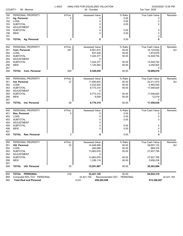| COUNTY:    | 58 - Monroe                          | L-4023        | ANALYSIS FOR EQUALIZED VALUATION<br>04 - Dundee |                             | Tax Year: 2020                | 03/24/2020 12:05 PM |
|------------|--------------------------------------|---------------|-------------------------------------------------|-----------------------------|-------------------------------|---------------------|
| 150        | PERSONAL PROPERTY                    | # Pcls.       | Assessed Value                                  | % Ratio                     | <b>True Cash Value</b>        | Remarks             |
| 151        | Ag. Personal                         | 0             | 0                                               | 0.00                        | 0                             |                     |
| 152        | LOSS                                 |               | 0                                               | 0.00                        | 0                             |                     |
| 153        | <b>SUBTOTAL</b>                      |               | 0                                               | 0.00                        | 0                             |                     |
| 154        | <b>ADJUSTMENT</b>                    |               | 0                                               |                             |                               |                     |
| 155        | <b>SUBTOTAL</b>                      |               | 0                                               | 0.00                        | 0                             |                     |
| 156        | <b>NEW</b>                           |               | 0                                               | 0.00                        | 0                             |                     |
| 157        |                                      |               |                                                 |                             | 0                             |                     |
| 158        | <b>TOTAL Ag. Personal</b>            | 0             | 0                                               | 0.00                        | 0                             |                     |
| 250        | PERSONAL PROPERTY                    | # Pcls.       | Assessed Value                                  | % Ratio                     | True Cash Value               | Remarks             |
| 251        | Com. Personal                        | 347           | 8,061,815                                       | 50.00                       | 16,123,630                    | AU                  |
| 252        | LOSS                                 |               | 837,438                                         | 50.00                       | 1,674,876                     |                     |
| 253        | <b>SUBTOTAL</b>                      |               | 7,224,377                                       | 50.00                       | 14,448,754                    |                     |
| 254        | ADJUSTMENT                           |               | 0                                               |                             |                               |                     |
| 255        | <b>SUBTOTAL</b>                      |               | 7,224,377                                       | 50.00                       | 14,448,754                    |                     |
| 256        | <b>NEW</b>                           |               | 1,125,462                                       | 50.00                       | 2,250,924                     |                     |
| 257<br>258 | <b>TOTAL Com. Personal</b>           | 355           | 8,349,839                                       | 50.00                       | 0<br>16,699,678               |                     |
|            |                                      |               |                                                 |                             |                               |                     |
| 350        | PERSONAL PROPERTY                    | # Pcls.       | Assessed Value                                  | % Ratio                     | True Cash Value               | Remarks             |
| 351        | Ind. Personal                        | 27            | 11,005,835                                      | 50.00                       | 22,011,670                    | AU                  |
| 352        | LOSS                                 |               | 2,232,525                                       | 50.00                       | 4,465,050                     |                     |
| 353        | <b>SUBTOTAL</b>                      |               | 8,773,310                                       | 50.00                       | 17,546,620                    |                     |
| 354        | ADJUSTMENT                           |               | 0                                               |                             |                               |                     |
| 355        | <b>SUBTOTAL</b>                      |               | 8,773,310                                       | 50.00                       | 17,546,620                    |                     |
| 356        | <b>NEW</b>                           |               | 6,009                                           | 50.00                       | 12,018                        |                     |
| 357<br>358 | <b>TOTAL</b> Ind. Personal           | 28            | 8,779,319                                       | 50.00                       | 0<br>17,558,638               |                     |
|            |                                      |               |                                                 |                             |                               |                     |
| 450        | PERSONAL PROPERTY                    | # Pcls.       | Assessed Value                                  | % Ratio                     | True Cash Value               | Remarks             |
| 451        | Res. Personal                        | 0             | 0                                               | 0.00                        | 0                             |                     |
| 452        | LOSS                                 |               | 0                                               | 0.00                        | 0                             |                     |
| 453        | <b>SUBTOTAL</b><br><b>ADJUSTMENT</b> |               | 0<br>0                                          | 0.00                        | 0                             |                     |
| 454<br>455 | <b>SUBTOTAL</b>                      |               | 0                                               | 0.00                        | 0                             |                     |
| 456        | <b>NEW</b>                           |               | 0                                               | 0.00                        | 0                             |                     |
| 457        |                                      |               |                                                 |                             | 0                             |                     |
| 458        | <b>TOTAL</b><br><b>Res. Personal</b> | 0             | 0                                               | 0.00                        | 0                             |                     |
|            |                                      |               |                                                 |                             |                               |                     |
| 550<br>551 | PERSONAL PROPERTY<br>Util. Personal  | # Pcls.<br>32 | Assessed Value<br>14,448,566                    | % Ratio<br>50.00            | True Cash Value<br>28,897,132 | Remarks<br>AU       |
| 552        | LOSS                                 |               | 484,688                                         | 50.00                       | 969,376                       |                     |
| 553        | <b>SUBTOTAL</b>                      |               | 13,963,878                                      | 50.00                       | 27,927,756                    |                     |
| 554        | ADJUSTMENT                           |               | 0                                               |                             |                               |                     |
| 555        | <b>SUBTOTAL</b>                      |               | 13,963,878                                      | 50.00                       | 27,927,756                    |                     |
| 556        | <b>NEW</b>                           |               | 1,328,119                                       | 50.00                       | 2,656,238                     |                     |
| 557        |                                      |               |                                                 |                             | 0                             |                     |
| 558        | Util. Personal<br><b>TOTAL</b>       | 33            | 15,291,997                                      | 50.00                       | 30,583,994                    |                     |
| 850        | TOTAL PERSONAL                       | 416           | 32,421,155                                      | 50.00                       | 64,842,310                    |                     |
| 859        | Computed 50% TCV PERSONAL            |               | 32,421,155                                      | Recommended CEV<br>PERSONAL |                               | 32,421,155          |

900 **Total Real and Personal** 4,231 **456,262,948 915,366,667**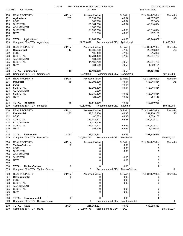| COUNTY:    | 58 - Monroe                          | L-4023         | ANALYSIS FOR EQUALIZED VALUATION<br>05 - Erie |                                 | Tax Year: 2020           | 03/24/2020 12:05 PM |
|------------|--------------------------------------|----------------|-----------------------------------------------|---------------------------------|--------------------------|---------------------|
|            |                                      |                |                                               |                                 |                          |                     |
| 100        | <b>REAL PROPERTY</b>                 | # Pcls.        | <b>Assessed Value</b>                         | % Ratio                         | <b>True Cash Value</b>   | Remarks             |
| 101        | <b>Agricultural</b>                  | 265            | 20,531,900                                    | 46.34                           | 44,307,078               | AS                  |
| 102        | LOSS                                 |                | 367,200                                       | 46.34                           | 792,404                  |                     |
| 103        | <b>SUBTOTAL</b>                      |                | 20,164,700                                    | 46.34                           | 43,514,674               |                     |
| 104        | ADJUSTMENT                           |                | 1,388,600                                     |                                 |                          |                     |
| 105        | <b>SUBTOTAL</b><br><b>NEW</b>        |                | 21,553,300                                    | 49.53<br>49.53                  | 43,514,674               |                     |
| 106<br>107 |                                      |                | 115,000                                       |                                 | 232,183<br>0             |                     |
| 108        | <b>TOTAL Agricultural</b>            | 263            | 21,668,300                                    | 49.53                           | 43,746,857               |                     |
| 109        | Computed 50% TCV Agricultural        |                | 21,873,429                                    | Recommended CEV<br>Agricultural |                          | 21,668,300          |
|            |                                      |                |                                               |                                 |                          |                     |
| 200        | <b>REAL PROPERTY</b>                 | # Pcls.<br>117 | <b>Assessed Value</b>                         | % Ratio                         | <b>True Cash Value</b>   | Remarks             |
| 201<br>202 | Commercial<br>LOSS                   |                | 10,836,800<br>102,400                         | 47.62<br>47.62                  | 22,756,825<br>215,036    | AS                  |
| 203        | <b>SUBTOTAL</b>                      |                | 10,734,400                                    | 47.62                           | 22,541,789               |                     |
| 204        | <b>ADJUSTMENT</b>                    |                | 434,300                                       |                                 |                          |                     |
| 205        | <b>SUBTOTAL</b>                      |                | 11,168,700                                    | 49.55                           | 22,541,789               |                     |
| 206        | <b>NEW</b>                           |                | 931,600                                       | 49.55                           | 1,880,121                |                     |
| 207        |                                      |                |                                               |                                 | 0                        |                     |
| 208        | <b>TOTAL Commercial</b>              | 118            | 12,100,300                                    | 49.55                           | 24,421,910               |                     |
| 209        | Computed 50% TCV Commercial          |                | 12,210,955                                    | Recommended CEV<br>Commercial   |                          | 12,100,300          |
| 300        | <b>REAL PROPERTY</b>                 | # Pcls.        | <b>Assessed Value</b>                         | % Ratio                         | <b>True Cash Value</b>   | <b>Remarks</b>      |
| 301        | Industrial                           | 48             | 59,398,500                                    | 49.94                           | 118,945,864              | AS                  |
| 302        | LOSS                                 |                | 0                                             | 49.94                           |                          |                     |
| 303        | <b>SUBTOTAL</b>                      |                | 59,398,500                                    | 49.94                           | 118,945,864              |                     |
| 304        | ADJUSTMENT                           |                | $-9,200$                                      |                                 |                          |                     |
| 305        | <b>SUBTOTAL</b>                      |                | 59,389,300                                    | 49.93                           | 118,945,864              |                     |
| 306        | <b>NEW</b>                           |                | 126,900                                       | 49.93                           | 254,156                  |                     |
| 307<br>308 | <b>TOTAL</b> Industrial              | 48             | 59,516,200                                    | 49.93                           | 0<br>119,200,020         |                     |
| 309        | Computed 50% TCV Industrial          |                | 59,600,010                                    | Recommended CEV<br>Industrial   |                          | 59,516,200          |
|            |                                      |                |                                               |                                 |                          |                     |
| 400        | <b>REAL PROPERTY</b>                 | # Pcls.        | <b>Assessed Value</b>                         | % Ratio                         | <b>True Cash Value</b>   | Remarks             |
| 401        | <b>Residential</b><br>LOSS           | 2,172          | 118,026,100                                   | 46.98<br>46.98                  | 251,226,266<br>1,023,165 | SS                  |
| 402<br>403 | <b>SUBTOTAL</b>                      |                | 480,683<br>117,545,417                        | 46.98                           | 250,203,101              |                     |
| 404        | ADJUSTMENT                           |                | 6,772,510                                     |                                 |                          |                     |
| 405        | <b>SUBTOTAL</b>                      |                | 124,317,927                                   | 49.69                           | 250,203,101              |                     |
| 406        | <b>NEW</b>                           |                | 758,500                                       | 49.69                           | 1,526,464                |                     |
| 407        |                                      |                |                                               |                                 | 0                        |                     |
| 408        | <b>TOTAL Residential</b>             | 2,172          | 125,076,427                                   | 49.69                           | 251,729,565              |                     |
| 409        | Computed 50% TCV Residential         |                | 125,864,783                                   | Recommended CEV Residential     |                          | 125,076,427         |
| 500        | <b>REAL PROPERTY</b>                 | # Pcls.        | Assessed Value                                | % Ratio                         | <b>True Cash Value</b>   | Remarks             |
| 501        | <b>Timber-Cutover</b>                | 0              | 0                                             | 0.00                            | 0                        |                     |
| 502        | LOSS                                 |                | 0                                             | 0.00                            | 0                        |                     |
| 503        | <b>SUBTOTAL</b>                      |                | 0                                             | 0.00                            | 0                        |                     |
| 504        | ADJUSTMENT                           |                | 0                                             |                                 |                          |                     |
| 505        | <b>SUBTOTAL</b>                      |                | 0                                             | 0.00                            | 0                        |                     |
| 506        | <b>NEW</b>                           |                | 0                                             | 0.00                            |                          |                     |
| 507        |                                      |                |                                               |                                 | 0                        |                     |
| 508        | <b>TOTAL Timber-Cutover</b>          | 0              | 0                                             | 0.00                            | 0                        |                     |
| 509        | Computed 50% TCV Timber-Cutover      |                | 0                                             | Recommended CEV Timber-Cutover  |                          | 0                   |
| 600        | <b>REAL PROPERTY</b>                 | # Pcls.        | Assessed Value                                | % Ratio                         | True Cash Value          | Remarks             |
| 601        | Developmental                        | 0              | 0                                             | 0.00                            | 0                        |                     |
| 602        | LOSS                                 |                | 0                                             | 0.00                            | 0                        |                     |
| 603<br>604 | <b>SUBTOTAL</b><br><b>ADJUSTMENT</b> |                | 0<br>0                                        | 0.00                            | 0                        |                     |
| 605        | <b>SUBTOTAL</b>                      |                | 0                                             | 0.00                            | 0                        |                     |
| 606        | <b>NEW</b>                           |                | 0                                             | 0.00                            | 0                        |                     |
| 607        |                                      |                |                                               |                                 | 0                        |                     |
| 608        | <b>TOTAL Developmental</b>           | 0              | 0                                             | 0.00                            | 0                        |                     |
| 609        | Computed 50% TCV Developmental       |                | 0                                             | Recommended CEV Developmental   |                          | 0                   |
| 800        | TOTAL REAL                           | 2,601          | 218,361,227                                   | 49.73                           | 439,098,352              |                     |
| 809        | Computed 50% TCV REAL                |                | 219,549,176                                   | Recommended CEV REAL            |                          | 218,361,227         |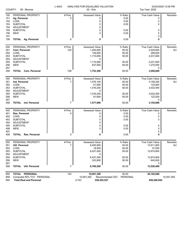|     | COUNTY:<br>58 - Monroe                | L-4023         | ANALYSIS FOR EQUALIZED VALUATION<br>05 - Erie |                             | Tax Year: 2020         | 03/24/2020 12:05 PM |
|-----|---------------------------------------|----------------|-----------------------------------------------|-----------------------------|------------------------|---------------------|
| 150 | PERSONAL PROPERTY                     | # Pcls.        | <b>Assessed Value</b>                         | % Ratio                     | <b>True Cash Value</b> | Remarks             |
| 151 | Ag. Personal                          | 0              | 0                                             | 0.00                        | 0                      |                     |
| 152 | LOSS                                  |                | 0                                             | 0.00                        | 0                      |                     |
| 153 | <b>SUBTOTAL</b>                       |                | 0                                             | 0.00                        | 0                      |                     |
| 154 | <b>ADJUSTMENT</b>                     |                | 0                                             |                             |                        |                     |
| 155 | <b>SUBTOTAL</b>                       |                | 0                                             | 0.00                        | 0                      |                     |
| 156 | <b>NEW</b>                            |                | 0                                             | 0.00                        | 0                      |                     |
| 157 |                                       |                |                                               |                             | 0                      |                     |
| 158 | <b>TOTAL Ag. Personal</b>             | 0              | 0                                             | 0.00                        | 0                      |                     |
| 250 | PERSONAL PROPERTY                     | # Pcls.        | Assessed Value                                | % Ratio                     | True Cash Value        | Remarks             |
| 251 | <b>Com. Personal</b>                  | 125            | 1,264,800                                     | 50.00                       | 2,529,600              | AU                  |
| 252 | LOSS                                  |                | 149,000                                       | 50.00                       | 298,000                |                     |
| 253 | <b>SUBTOTAL</b>                       |                | 1,115,800                                     | 50.00                       | 2,231,600              |                     |
| 254 | <b>ADJUSTMENT</b>                     |                | 0                                             |                             |                        |                     |
| 255 | <b>SUBTOTAL</b>                       |                | 1,115,800                                     | 50.00                       | 2,231,600              |                     |
| 256 | <b>NEW</b>                            |                | 637,500                                       | 50.00                       | 1,275,000              |                     |
| 257 |                                       |                |                                               |                             | 0                      |                     |
| 258 | <b>TOTAL Com. Personal</b>            | 128            | 1,753,300                                     | 50.00                       | 3,506,600              |                     |
| 350 | PERSONAL PROPERTY                     | # Pcls.        | Assessed Value                                | % Ratio                     | True Cash Value        | Remarks             |
| 351 | Ind. Personal                         | $\overline{7}$ | 1,578,100                                     | 50.00                       | 3,156,200              | AU                  |
| 352 | LOSS                                  |                | 61,900                                        | 50.00                       | 123,800                |                     |
| 353 | <b>SUBTOTAL</b>                       |                | 1,516,200                                     | 50.00                       | 3,032,400              |                     |
| 354 | <b>ADJUSTMENT</b>                     |                | 0                                             |                             |                        |                     |
| 355 | <b>SUBTOTAL</b>                       |                | 1,516,200                                     | 50.00                       | 3,032,400              |                     |
| 356 | <b>NEW</b>                            |                | 61,600                                        | 50.00                       | 123,200                |                     |
| 357 |                                       |                |                                               |                             | 0                      |                     |
| 358 | Ind. Personal<br><b>TOTAL</b>         | 7              | 1,577,800                                     | 50.00                       | 3,155,600              |                     |
| 450 | PERSONAL PROPERTY                     | # Pcls.        | Assessed Value                                | % Ratio                     | True Cash Value        | Remarks             |
| 451 | Res. Personal                         | 0              | 0                                             | 0.00                        | 0                      |                     |
| 452 | LOSS                                  |                | 0                                             | 0.00                        | 0                      |                     |
| 453 | <b>SUBTOTAL</b>                       |                | 0                                             | 0.00                        | 0                      |                     |
| 454 | <b>ADJUSTMENT</b>                     |                | 0                                             |                             |                        |                     |
| 455 | <b>SUBTOTAL</b>                       |                | 0                                             | 0.00                        | 0                      |                     |
| 456 | <b>NEW</b>                            |                | $\Omega$                                      | 0.00                        | 0                      |                     |
| 457 |                                       |                |                                               |                             | 0                      |                     |
| 458 | <b>Res. Personal</b><br><b>TOTAL</b>  | 0              | 0                                             | 0.00                        | 0                      |                     |
| 550 | PERSONAL PROPERTY                     | # Pcls.        | Assessed Value                                | % Ratio                     | True Cash Value        | Remarks             |
| 551 | <b>Util. Personal</b>                 | $\overline{7}$ | 6,455,900                                     | 50.00                       | 12,911,800             | AU                  |
| 552 | LOSS                                  |                | 18,500                                        | 50.00                       | 37,000                 |                     |
| 553 | <b>SUBTOTAL</b>                       |                | 6,437,400                                     | 50.00                       | 12,874,800             |                     |
| 554 | ADJUSTMENT                            |                | 0                                             |                             |                        |                     |
| 555 | <b>SUBTOTAL</b>                       |                | 6,437,400                                     | 50.00                       | 12,874,800             |                     |
| 556 | <b>NEW</b>                            |                | 322,800                                       | 50.00                       | 645,600                |                     |
| 557 |                                       |                |                                               |                             | 0                      |                     |
| 558 | <b>TOTAL</b><br><b>Util. Personal</b> | 7              | 6,760,200                                     | 50.00                       | 13,520,400             |                     |
| 850 | TOTAL PERSONAL                        | 142            | 10,091,300                                    | 50.00                       | 20,182,600             |                     |
| 859 | Computed 50% TCV PERSONAL             |                | 10,091,300                                    | Recommended CEV<br>PERSONAL |                        | 10,091,300          |
| 900 | <b>Total Real and Personal</b>        |                | 2,743<br>228,452,527                          |                             | 459,280,952            |                     |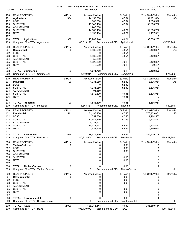| COUNTY:                  | 58 - Monroe                                                           | L-4023         | ANALYSIS FOR EQUALIZED VALUATION<br>06 - Exeter    |                                          | Tax Year: 2020                                                  | 03/24/2020 12:05 PM |
|--------------------------|-----------------------------------------------------------------------|----------------|----------------------------------------------------|------------------------------------------|-----------------------------------------------------------------|---------------------|
| 100<br>101<br>102        | <b>REAL PROPERTY</b><br><b>Agricultural</b><br>LOSS                   | # Pcls.<br>374 | Assessed Value<br>44,152,050<br>808,650            | % Ratio<br>47.84<br>47.84                | <b>True Cash Value</b><br>92,291,074<br>1,690,322<br>90,600,752 | Remarks<br>AS       |
| 103<br>104<br>105<br>106 | <b>SUBTOTAL</b><br><b>ADJUSTMENT</b><br><b>SUBTOTAL</b><br><b>NEW</b> |                | 43,343,400<br>1,243,050<br>44,586,450<br>1,199,494 | 47.84<br>49.21<br>49.21                  | 90,600,752<br>2,437,501                                         |                     |
| 107<br>108<br>109        | <b>TOTAL Agricultural</b><br>Computed 50% TCV Agricultural            | 382            | 45,785,944<br>46,519,127                           | 49.21<br>Recommended CEV<br>Agricultural | 0<br>93,038,253                                                 | 45,785,944          |
| 200                      | <b>REAL PROPERTY</b>                                                  | # Pcls.        | Assessed Value                                     | % Ratio                                  | <b>True Cash Value</b>                                          | Remarks             |
| 201                      | Commercial                                                            | 50             | 4,562,950                                          | 48.54                                    | 9,400,391                                                       | AS                  |
| 202                      | LOSS                                                                  |                | 0                                                  | 48.54                                    | 0                                                               |                     |
| 203<br>204               | <b>SUBTOTAL</b><br><b>ADJUSTMENT</b>                                  |                | 4,562,950<br>59,850                                | 48.54                                    | 9,400,391                                                       |                     |
| 205                      | <b>SUBTOTAL</b>                                                       |                | 4,622,800                                          | 49.18                                    | 9,400,391                                                       |                     |
| 206                      | <b>NEW</b>                                                            |                | 48,900                                             | 49.18                                    | 99,431                                                          |                     |
| 207                      |                                                                       |                |                                                    |                                          | 0                                                               |                     |
| 208<br>209               | <b>TOTAL Commercial</b><br>Computed 50% TCV Commercial                | 52             | 4,671,700<br>4,749,911                             | 49.18<br>Recommended CEV<br>Commercial   | 9,499,822                                                       | 4,671,700           |
| 300                      | <b>REAL PROPERTY</b>                                                  | # Pcls.        | Assessed Value                                     | % Ratio                                  | <b>True Cash Value</b>                                          | Remarks             |
| 301                      | Industrial                                                            | 20             | 1,934,250                                          | 52.32                                    | 3,696,961                                                       | AS                  |
| 302                      | LOSS                                                                  |                | 0                                                  | 52.32                                    | 0                                                               |                     |
| 303                      | <b>SUBTOTAL</b>                                                       |                | 1,934,250                                          | 52.32                                    | 3,696,961                                                       |                     |
| 304<br>305               | <b>ADJUSTMENT</b><br><b>SUBTOTAL</b>                                  |                | $-91,450$<br>1,842,800                             | 49.85                                    | 3,696,961                                                       |                     |
| 306                      | <b>NEW</b>                                                            |                | 0                                                  | 49.85                                    | 0                                                               |                     |
| 307                      |                                                                       |                |                                                    |                                          | 0                                                               |                     |
| 308                      | <b>TOTAL</b> Industrial                                               | 20             | 1,842,800                                          | 49.85                                    | 3,696,961                                                       |                     |
| 309                      | Computed 50% TCV Industrial                                           |                | 1,848,481                                          | Recommended CEV<br>Industrial            |                                                                 | 1,842,800           |
| 400                      | <b>REAL PROPERTY</b>                                                  | # Pcls.        | Assessed Value                                     | % Ratio                                  | <b>True Cash Value</b>                                          | Remarks             |
| 401<br>402               | <b>Residential</b><br>LOSS                                            | 1,541          | 131,197,950<br>552,700                             | 47.46<br>47.46                           | 276,439,001<br>1,164,560                                        | SS                  |
| 403                      | <b>SUBTOTAL</b>                                                       |                | 130,645,250                                        | 47.46                                    | 275,274,441                                                     |                     |
| 404                      | <b>ADJUSTMENT</b>                                                     |                | 5,133,701                                          |                                          |                                                                 |                     |
| 405                      | <b>SUBTOTAL</b>                                                       |                | 135,778,951                                        | 49.32                                    | 275,274,441                                                     |                     |
| 406                      | <b>NEW</b>                                                            |                | 2,638,949                                          | 49.32                                    | 5,350,667                                                       |                     |
| 407<br>408               | <b>TOTAL Residential</b>                                              | 1,546          | 138,417,900                                        | 49.32                                    | 0<br>280,625,108                                                |                     |
| 409                      | Computed 50% TCV Residential                                          |                | 140,312,554                                        | Recommended CEV Residential              |                                                                 | 138,417,900         |
| 500                      | <b>REAL PROPERTY</b>                                                  | # Pcls.        | <b>Assessed Value</b>                              | % Ratio                                  | <b>True Cash Value</b>                                          | <b>Remarks</b>      |
| 501                      | <b>Timber-Cutover</b>                                                 | 0              | 0                                                  | 0.00                                     | 0                                                               |                     |
| 502                      | LOSS                                                                  |                | 0                                                  | 0.00                                     | 0                                                               |                     |
| 503                      | <b>SUBTOTAL</b>                                                       |                | 0                                                  | 0.00                                     | 0                                                               |                     |
| 504<br>505               | <b>ADJUSTMENT</b><br><b>SUBTOTAL</b>                                  |                | 0<br>0                                             | 0.00                                     | 0                                                               |                     |
| 506                      | <b>NEW</b>                                                            |                | 0                                                  | 0.00                                     | 0                                                               |                     |
| 507                      |                                                                       |                |                                                    |                                          | 0                                                               |                     |
| 508                      | <b>TOTAL Timber-Cutover</b>                                           | 0              | 0                                                  | 0.00                                     | 0                                                               |                     |
| 509                      | Computed 50% TCV Timber-Cutover                                       |                | 0                                                  | Recommended CEV Timber-Cutover           |                                                                 | 0                   |
| 600                      | <b>REAL PROPERTY</b>                                                  | # Pcls.        | Assessed Value                                     | % Ratio                                  | True Cash Value                                                 | Remarks             |
| 601                      | <b>Developmental</b><br>LOSS                                          | 0              | 0                                                  | 0.00                                     | 0                                                               |                     |
| 602<br>603               | <b>SUBTOTAL</b>                                                       |                | 0<br>0                                             | 0.00<br>0.00                             | 0<br>0                                                          |                     |
| 604                      | <b>ADJUSTMENT</b>                                                     |                | 0                                                  |                                          |                                                                 |                     |
| 605                      | <b>SUBTOTAL</b>                                                       |                | 0                                                  | 0.00                                     | 0                                                               |                     |
| 606                      | <b>NEW</b>                                                            |                | 0                                                  | 0.00                                     | 0                                                               |                     |
| 607<br>608               | <b>TOTAL Developmental</b>                                            | 0              | 0                                                  | 0.00                                     | 0<br>0                                                          |                     |
| 609                      | Computed 50% TCV Developmental                                        |                | 0                                                  | Recommended CEV<br>Developmental         |                                                                 | 0                   |
| 800                      | TOTAL REAL                                                            | 2,000          | 190,718,344                                        | 49.30                                    | 386,860,144                                                     |                     |
| 809                      | Computed 50% TCV REAL                                                 |                | 193,430,072                                        | Recommended CEV<br>REAL                  |                                                                 | 190,718,344         |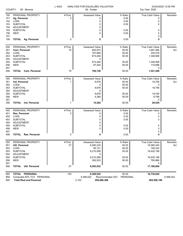|                   | COUNTY:<br>58 - Monroe                    | L-4023       | ANALYSIS FOR EQUALIZED VALUATION<br>06 - Exeter |                             | Tax Year: 2020                   | 03/24/2020 12:05 PM |
|-------------------|-------------------------------------------|--------------|-------------------------------------------------|-----------------------------|----------------------------------|---------------------|
| 150<br>151<br>152 | PERSONAL PROPERTY<br>Ag. Personal<br>LOSS | # Pcls.<br>0 | Assessed Value<br>0<br>0                        | % Ratio<br>0.00<br>0.00     | <b>True Cash Value</b><br>0<br>0 | Remarks             |
| 153<br>154        | <b>SUBTOTAL</b><br>ADJUSTMENT             |              | 0<br>0                                          | 0.00                        | 0                                |                     |
| 155<br>156        | <b>SUBTOTAL</b><br><b>NEW</b>             |              | 0<br>0                                          | 0.00<br>0.00                | 0<br>0                           |                     |
| 157<br>158        | <b>TOTAL Ag. Personal</b>                 | 0            | 0                                               | 0.00                        | 0<br>0                           |                     |
| 250               | PERSONAL PROPERTY                         | # Pcls.      | Assessed Value                                  | % Ratio                     | True Cash Value                  | Remarks             |
| 251               | Com. Personal                             | 75           | 840,973                                         | 50.00                       | 1,681,946                        | AU                  |
| 252               | LOSS                                      |              | 167,689                                         | 50.00                       | 335,378                          |                     |
| 253               | <b>SUBTOTAL</b>                           |              | 673,284                                         | 50.00                       | 1,346,568                        |                     |
| 254               | <b>ADJUSTMENT</b>                         |              | 0                                               |                             |                                  |                     |
| 255               | <b>SUBTOTAL</b><br><b>NEW</b>             |              | 673,284                                         | 50.00<br>50.00              | 1,346,568                        |                     |
| 256<br>257        |                                           |              | 87,444                                          |                             | 174,888<br>0                     |                     |
| 258               | TOTAL<br><b>Com. Personal</b>             | 75           | 760,728                                         | 50.00                       | 1,521,456                        |                     |
|                   |                                           |              |                                                 |                             |                                  |                     |
| 350               | PERSONAL PROPERTY                         | # Pcls.      | Assessed Value                                  | % Ratio                     | True Cash Value                  | Remarks             |
| 351<br>352        | Ind. Personal<br>LOSS                     |              | 9,878<br>0                                      | 50.00<br>50.00              | 19,756<br>0                      | AU                  |
| 353               | <b>SUBTOTAL</b>                           |              | 9,878                                           | 50.00                       | 19,756                           |                     |
| 354               | ADJUSTMENT                                |              | 0                                               |                             |                                  |                     |
| 355               | <b>SUBTOTAL</b>                           |              | 9,878                                           | 50.00                       | 19,756                           |                     |
| 356               | <b>NEW</b>                                |              | 4,384                                           | 50.00                       | 8,768                            |                     |
| 357               |                                           |              |                                                 |                             | 0                                |                     |
| 358               | <b>TOTAL</b> Ind. Personal                | 1            | 14,262                                          | 50.00                       | 28,524                           |                     |
| 450               | PERSONAL PROPERTY                         | # Pcls.      | Assessed Value                                  | % Ratio                     | True Cash Value                  | Remarks             |
| 451               | Res. Personal                             | 0            | 0                                               | 0.00                        | 0                                |                     |
| 452               | LOSS                                      |              | 0                                               | 0.00                        | 0                                |                     |
| 453               | <b>SUBTOTAL</b>                           |              | 0                                               | 0.00                        | 0                                |                     |
| 454               | <b>ADJUSTMENT</b>                         |              | 0                                               |                             |                                  |                     |
| 455               | <b>SUBTOTAL</b>                           |              | 0                                               | 0.00                        | 0                                |                     |
| 456               | <b>NEW</b>                                |              | $\Omega$                                        | 0.00                        | 0                                |                     |
| 457<br>458        | <b>TOTAL Res. Personal</b>                | 0            | 0                                               | 0.00                        | 0<br>0                           |                     |
|                   |                                           |              |                                                 |                             |                                  |                     |
| 550               | PERSONAL PROPERTY                         | # Pcls.      | Assessed Value                                  | % Ratio                     | True Cash Value                  | Remarks             |
| 551               | Util. Personal<br>LOSS                    | 27           | 8,290,220                                       | 50.00                       | 16,580,440<br>160,242            | AU                  |
| 552<br>553        | <b>SUBTOTAL</b>                           |              | 80,121<br>8,210,099                             | 50.00<br>50.00              | 16,420,198                       |                     |
| 554               | ADJUSTMENT                                |              | 0                                               |                             |                                  |                     |
| 555               | <b>SUBTOTAL</b>                           |              | 8,210,099                                       | 50.00                       | 16,420,198                       |                     |
| 556               | <b>NEW</b>                                |              | 382,933                                         | 50.00                       | 765,866                          |                     |
| 557               |                                           |              |                                                 |                             | 0                                |                     |
| 558               | Util. Personal<br><b>TOTAL</b>            | 27           | 8,593,032                                       | 50.00                       | 17,186,064                       |                     |
| 850               | TOTAL PERSONAL                            | 103          | 9,368,022                                       | 50.00                       | 18,736,044                       |                     |
| 859               | Computed 50% TCV PERSONAL                 |              | 9,368,022                                       | Recommended CEV<br>PERSONAL |                                  | 9,368,022           |
| 900               | <b>Total Real and Personal</b>            |              | 2,103<br>200,086,366                            |                             | 405,596,188                      |                     |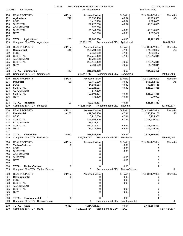| COUNTY:                  | 58 - Monroe                                                            | L-4023         | ANALYSIS FOR EQUALIZED VALUATION<br>07 - Frenchtown            |                                       | Tax Year: 2020                                                  | 03/24/2020 12:05 PM |
|--------------------------|------------------------------------------------------------------------|----------------|----------------------------------------------------------------|---------------------------------------|-----------------------------------------------------------------|---------------------|
| 100<br>101<br>102<br>103 | <b>REAL PROPERTY</b><br><b>Agricultural</b><br>LOSS<br><b>SUBTOTAL</b> | # Pcls.<br>247 | <b>Assessed Value</b><br>28,636,400<br>1,416,100<br>27,220,300 | % Ratio<br>48.34<br>48.34<br>48.34    | <b>True Cash Value</b><br>59,239,553<br>2,929,458<br>56,310,095 | Remarks<br>AS       |
| 104<br>105<br>106        | <b>ADJUSTMENT</b><br><b>SUBTOTAL</b><br><b>NEW</b>                     |                | 920,700<br>28,141,000<br>546,000                               | 49.98<br>49.98                        | 56,310,095<br>1,092,437                                         |                     |
| 107<br>108<br>109        | <b>TOTAL Agricultural</b><br>Computed 50% TCV Agricultural             | 233            | 28,687,000<br>28,701,266                                       | 49.98<br>Recommended CEV Agricultural | 0<br>57,402,532                                                 | 28,687,000          |
| 200                      | <b>REAL PROPERTY</b>                                                   | # Pcls.        | Assessed Value                                                 | % Ratio                               | True Cash Value                                                 | Remarks             |
| 201                      | Commercial                                                             | 446            | 224,794,300                                                    | 47.39                                 | 474,349,652                                                     | AS                  |
| 202                      | LOSS                                                                   |                | 2,053,900                                                      | 47.39                                 | 4,334,037                                                       |                     |
| 203                      | <b>SUBTOTAL</b>                                                        |                | 222,740,400                                                    | 47.39                                 | 470,015,615                                                     |                     |
| 204<br>205               | <b>ADJUSTMENT</b><br><b>SUBTOTAL</b>                                   |                | 10,708,000                                                     | 49.67                                 |                                                                 |                     |
| 206                      | <b>NEW</b>                                                             |                | 233,448,400<br>7,361,000                                       | 49.67                                 | 470,015,615<br>14,819,811                                       |                     |
| 207                      |                                                                        |                |                                                                |                                       | 0                                                               |                     |
| 208                      | <b>TOTAL Commercial</b>                                                | 447            | 240,809,400                                                    | 49.67                                 | 484,835,426                                                     |                     |
| 209                      | Computed 50% TCV Commercial                                            |                | 242,417,713                                                    | Recommended CEV<br>Commercial         |                                                                 | 240,809,400         |
| 300                      | <b>REAL PROPERTY</b>                                                   | # Pcls.        | <b>Assessed Value</b>                                          | % Ratio                               | <b>True Cash Value</b>                                          | Remarks             |
| 301                      | Industrial                                                             | 90             | 422,110,200                                                    | 49.30                                 | 856,282,483                                                     | AS                  |
| 302                      | LOSS                                                                   |                | 14,881,263                                                     | 49.30                                 | 30,185,118                                                      |                     |
| 303                      | <b>SUBTOTAL</b>                                                        |                | 407,228,937                                                    | 49.30                                 | 826,097,365                                                     |                     |
| 304                      | <b>ADJUSTMENT</b>                                                      |                | 577,600                                                        |                                       |                                                                 |                     |
| 305                      | <b>SUBTOTAL</b>                                                        |                | 407,806,537                                                    | 49.37                                 | 826,097,365                                                     |                     |
| 306                      | <b>NEW</b>                                                             |                | 133,300                                                        | 49.37                                 | 270,002                                                         |                     |
| 307                      | <b>TOTAL</b> Industrial                                                | 90             | 407,939,837                                                    | 49.37                                 | 0                                                               |                     |
| 308<br>309               | Computed 50% TCV Industrial                                            |                | 413,183,684                                                    | Recommended CEV Industrial            | 826,367,367                                                     | 407,939,837         |
|                          |                                                                        |                |                                                                |                                       |                                                                 |                     |
| 400                      | <b>REAL PROPERTY</b>                                                   | # Pcls.        | <b>Assessed Value</b>                                          | % Ratio                               | True Cash Value                                                 | Remarks             |
| 401<br>402               | <b>Residential</b><br>LOSS                                             | 8,185          | 499,563,400<br>3,910,600                                       | 47.31<br>47.31                        | 1,055,936,166<br>8,265,906                                      | SS                  |
| 403                      | <b>SUBTOTAL</b>                                                        |                | 495,652,800                                                    | 47.31                                 | 1,047,670,260                                                   |                     |
| 404                      | <b>ADJUSTMENT</b>                                                      |                | 26,324,111                                                     |                                       |                                                                 |                     |
| 405                      | <b>SUBTOTAL</b>                                                        |                | 521,976,911                                                    | 49.82                                 | 1,047,670,260                                                   |                     |
| 406                      | <b>NEW</b>                                                             |                | 14,711,489                                                     | 49.82                                 | 29,529,283                                                      |                     |
| 407                      |                                                                        |                |                                                                |                                       | 0                                                               |                     |
| 408                      | <b>TOTAL Residential</b>                                               | 8,582          | 536,688,400                                                    | 49.82                                 | 1,077,199,543                                                   |                     |
| 409                      | Computed 50% TCV Residential                                           |                | 538,599,772                                                    | Recommended CEV Residential           |                                                                 | 536,688,400         |
| 500                      | <b>REAL PROPERTY</b>                                                   | # Pcls.        | <b>Assessed Value</b>                                          | % Ratio                               | <b>True Cash Value</b>                                          | Remarks             |
| 501                      | <b>Timber-Cutover</b>                                                  | 0              | 0                                                              | 0.00                                  | 0                                                               |                     |
| 502                      | LOSS                                                                   |                | 0                                                              | 0.00                                  | 0                                                               |                     |
| 503                      | <b>SUBTOTAL</b>                                                        |                | 0                                                              | 0.00                                  | 0                                                               |                     |
| 504<br>505               | <b>ADJUSTMENT</b><br><b>SUBTOTAL</b>                                   |                | 0<br>0                                                         | 0.00                                  | 0                                                               |                     |
| 506                      | <b>NEW</b>                                                             |                | O                                                              | 0.00                                  | 0                                                               |                     |
| 507                      |                                                                        |                |                                                                |                                       | 0                                                               |                     |
| 508                      | <b>TOTAL Timber-Cutover</b>                                            | 0              | 0                                                              | 0.00                                  | 0                                                               |                     |
| 509                      | Computed 50% TCV Timber-Cutover                                        |                | 0                                                              | Recommended CEV Timber-Cutover        |                                                                 | 0                   |
| 600                      | <b>REAL PROPERTY</b>                                                   | # Pcls.        | Assessed Value                                                 | % Ratio                               | <b>True Cash Value</b>                                          | Remarks             |
| 601                      | Developmental                                                          | 0              | 0                                                              | 0.00                                  | 0                                                               |                     |
| 602                      | LOSS                                                                   |                | 0                                                              | 0.00                                  | 0                                                               |                     |
| 603                      | <b>SUBTOTAL</b>                                                        |                | 0                                                              | 0.00                                  | 0                                                               |                     |
| 604                      | <b>ADJUSTMENT</b>                                                      |                | 0                                                              |                                       |                                                                 |                     |
| 605                      | <b>SUBTOTAL</b>                                                        |                | 0                                                              | 0.00                                  | 0                                                               |                     |
| 606                      | <b>NEW</b>                                                             |                | 0                                                              | 0.00                                  | 0                                                               |                     |
| 607<br>608               | <b>TOTAL Developmental</b>                                             | 0              | 0                                                              | 0.00                                  | 0<br>0                                                          |                     |
| 609                      | Computed 50% TCV Developmental                                         |                | 0                                                              | Recommended CEV<br>Developmental      |                                                                 | 0                   |
|                          |                                                                        |                |                                                                |                                       |                                                                 |                     |
| 800<br>809               | TOTAL REAL<br>Computed 50% TCV REAL                                    | 9,352          | 1,214,124,637<br>1,222,902,434                                 | 49.64<br>Recommended CEV<br>REAL      | 2,445,804,868                                                   | 1,214,124,637       |
|                          |                                                                        |                |                                                                |                                       |                                                                 |                     |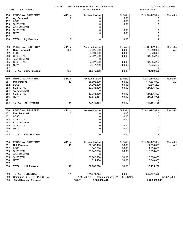| COUNTY:    | 58 - Monroe                                 | L-4023  | ANALYSIS FOR EQUALIZED VALUATION<br>07 - Frenchtown |                                   | 03/24/2020 12:05 PM<br>Tax Year: 2020 |             |  |
|------------|---------------------------------------------|---------|-----------------------------------------------------|-----------------------------------|---------------------------------------|-------------|--|
| 150        | PERSONAL PROPERTY                           | # Pcls. | <b>Assessed Value</b>                               | % Ratio                           | True Cash Value                       | Remarks     |  |
| 151        | Ag. Personal                                | 0       | 0                                                   | 0.00                              | 0                                     |             |  |
| 152        | LOSS                                        |         | 0                                                   | 0.00                              | 0                                     |             |  |
| 153        | <b>SUBTOTAL</b>                             |         | 0                                                   | 0.00                              | 0                                     |             |  |
| 154        | <b>ADJUSTMENT</b>                           |         | 0                                                   |                                   |                                       |             |  |
| 155<br>156 | <b>SUBTOTAL</b><br><b>NEW</b>               |         | 0<br>0                                              | 0.00<br>0.00                      | 0<br>0                                |             |  |
| 157        |                                             |         |                                                     |                                   | 0                                     |             |  |
| 158        | <b>TOTAL Ag. Personal</b>                   | 0       | 0                                                   | 0.00                              | 0                                     |             |  |
|            |                                             |         |                                                     |                                   |                                       |             |  |
| 250        | PERSONAL PROPERTY                           | # Pcls. | Assessed Value                                      | % Ratio                           | True Cash Value                       | Remarks     |  |
| 251        | Com. Personal                               | 693     | 36,629,500                                          | 50.00                             | 73,259,000                            | AU          |  |
| 252        | LOSS                                        |         | 4,301,900                                           | 50.00                             | 8,603,800                             |             |  |
| 253        | <b>SUBTOTAL</b>                             |         | 32,327,600                                          | 50.00                             | 64,655,200                            |             |  |
| 254        | <b>ADJUSTMENT</b>                           |         | 0                                                   |                                   |                                       |             |  |
| 255        | <b>SUBTOTAL</b>                             |         | 32,327,600                                          | 50.00                             | 64,655,200                            |             |  |
| 256<br>257 | <b>NEW</b>                                  |         | 3,547,700                                           | 50.00                             | 7,095,400<br>0                        |             |  |
| 258        | TOTAL<br><b>Com. Personal</b>               | 699     | 35,875,300                                          | 50.00                             | 71,750,600                            |             |  |
|            |                                             |         |                                                     |                                   |                                       |             |  |
| 350        | PERSONAL PROPERTY                           | # Pcls. | <b>Assessed Value</b>                               | % Ratio                           | True Cash Value                       | Remarks     |  |
| 351        | Ind. Personal                               | 12      | 88,696,500                                          | 50.00                             | 177,393,000                           | <b>AU</b>   |  |
| 352        | LOSS                                        |         | 24,908,100                                          | 50.00                             | 49,816,200                            |             |  |
| 353        | <b>SUBTOTAL</b>                             |         | 63,788,400                                          | 50.00                             | 127,576,800                           |             |  |
| 354        | <b>ADJUSTMENT</b>                           |         | 0                                                   |                                   |                                       |             |  |
| 355        | <b>SUBTOTAL</b>                             |         | 63,788,400                                          | 50.00                             | 127,576,800                           |             |  |
| 356        | <b>NEW</b>                                  |         | 13,642,464                                          | 50.00                             | 27,284,928                            |             |  |
| 357<br>358 | <b>TOTAL</b><br>Ind. Personal               | 14      | 77,430,864                                          | 50.00                             | 0<br>154,861,728                      |             |  |
|            |                                             |         |                                                     |                                   |                                       |             |  |
| 450        | PERSONAL PROPERTY                           | # Pcls. | Assessed Value                                      | % Ratio                           | True Cash Value                       | Remarks     |  |
| 451        | Res. Personal                               | 0       | 0                                                   | 0.00                              | 0                                     |             |  |
| 452        | LOSS                                        |         | 0                                                   | 0.00                              | 0                                     |             |  |
| 453<br>454 | <b>SUBTOTAL</b><br><b>ADJUSTMENT</b>        |         | 0<br>0                                              | 0.00                              | 0                                     |             |  |
| 455        | <b>SUBTOTAL</b>                             |         | 0                                                   | 0.00                              | 0                                     |             |  |
| 456        | <b>NEW</b>                                  |         | 0                                                   | 0.00                              | 0                                     |             |  |
| 457        |                                             |         |                                                     |                                   | 0                                     |             |  |
| 458        | Res. Personal<br><b>TOTAL</b>               | 0       | 0                                                   | 0.00                              | 0                                     |             |  |
|            |                                             |         |                                                     |                                   |                                       |             |  |
| 550        | PERSONAL PROPERTY                           | # Pcls. | Assessed Value                                      | % Ratio                           | True Cash Value                       | Remarks     |  |
| 551        | Util. Personal                              | 18      | 57,183,400                                          | 50.00                             | 114,366,800                           | AU          |  |
| 552<br>553 | LOSS<br><b>SUBTOTAL</b>                     |         | 640,200                                             | 50.00<br>50.00                    | 1,280,400<br>113,086,400              |             |  |
| 554        | ADJUSTMENT                                  |         | 56,543,200<br>0                                     |                                   |                                       |             |  |
| 555        | <b>SUBTOTAL</b>                             |         | 56,543,200                                          | 50.00                             | 113,086,400                           |             |  |
| 556        | <b>NEW</b>                                  |         | 1,524,400                                           | 50.00                             | 3,048,800                             |             |  |
| 557        |                                             |         |                                                     |                                   | 0                                     |             |  |
| 558        | <b>Util. Personal</b><br><b>TOTAL</b>       | 18      | 58,067,600                                          | 50.00                             | 116,135,200                           |             |  |
|            |                                             |         |                                                     |                                   |                                       |             |  |
| 850<br>859 | TOTAL PERSONAL<br>Computed 50% TCV PERSONAL | 731     | 171,373,764<br>171,373,764                          | 50.00<br>Recommended CEV PERSONAL | 342,747,528                           | 171,373,764 |  |
|            |                                             |         |                                                     |                                   |                                       |             |  |

900 **Total Real and Personal** 10,083 **1,385,498,401 2,788,552,396**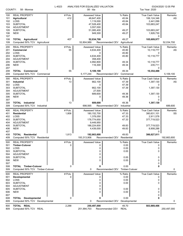| COUNTY:    | 58 - Monroe                                                    | L-4023  | ANALYSIS FOR EQUALIZED VALUATION<br>08 - Ida |                                  | Tax Year: 2020           | 03/24/2020 12:05 PM |
|------------|----------------------------------------------------------------|---------|----------------------------------------------|----------------------------------|--------------------------|---------------------|
|            |                                                                |         |                                              |                                  |                          |                     |
| 100        | <b>REAL PROPERTY</b>                                           | # Pcls. | <b>Assessed Value</b>                        | % Ratio                          | <b>True Cash Value</b>   | Remarks             |
| 101        | <b>Agricultural</b><br>LOSS                                    | 412     | 48,647,400<br>1,119,000                      | 45.84<br>45.84                   | 106,124,346<br>2,441,099 | AS                  |
| 102<br>103 | <b>SUBTOTAL</b>                                                |         | 47,528,400                                   | 45.84                            | 103,683,247              |                     |
| 104        | <b>ADJUSTMENT</b>                                              |         | 3,557,000                                    |                                  |                          |                     |
| 105        | <b>SUBTOTAL</b>                                                |         | 51,085,400                                   | 49.27                            | 103,683,247              |                     |
| 106        | <b>NEW</b>                                                     |         | 949,300                                      | 49.27                            | 1,926,730                |                     |
| 107        |                                                                |         |                                              |                                  | 0                        |                     |
| 108        | <b>TOTAL Agricultural</b>                                      | 407     | 52,034,700                                   | 49.27                            | 105,609,977              |                     |
| 109        | Computed 50% TCV Agricultural                                  |         | 52,804,989                                   | Recommended CEV<br>Agricultural  |                          | 52,034,700          |
| 200        | <b>REAL PROPERTY</b>                                           | # Pcls. | <b>Assessed Value</b>                        | % Ratio                          | <b>True Cash Value</b>   | Remarks             |
| 201        | Commercial                                                     | 55      | 4,634,400                                    | 45.80                            | 10,118,777               | AS                  |
| 202        | LOSS                                                           |         | 0                                            | 45.80                            |                          |                     |
| 203        | <b>SUBTOTAL</b>                                                |         | 4,634,400                                    | 45.80                            | 10,118,777               |                     |
| 204        | <b>ADJUSTMENT</b>                                              |         | 358,400                                      |                                  |                          |                     |
| 205        | <b>SUBTOTAL</b>                                                |         | 4,992,800                                    | 49.34                            | 10,118,777               |                     |
| 206<br>207 | <b>NEW</b>                                                     |         | 116,300                                      | 49.34                            | 235,711<br>0             |                     |
| 208        | <b>TOTAL Commercial</b>                                        | 55      | 5,109,100                                    | 49.34                            | 10,354,488               |                     |
| 209        | Computed 50% TCV Commercial                                    |         | 5,177,244                                    | Recommended CEV<br>Commercial    |                          | 5,109,100           |
| 300        | <b>REAL PROPERTY</b>                                           | # Pcls. | Assessed Value                               | % Ratio                          | True Cash Value          | Remarks             |
| 301        | Industrial                                                     | 13      | 662,100                                      | 47.39                            | 1,397,130                | AS                  |
| 302        | LOSS                                                           |         | 0                                            | 47.39                            | 0                        |                     |
| 303        | <b>SUBTOTAL</b>                                                |         | 662,100                                      | 47.39                            | 1,397,130                |                     |
| 304        | <b>ADJUSTMENT</b>                                              |         | 27,500                                       |                                  |                          |                     |
| 305        | <b>SUBTOTAL</b>                                                |         | 689,600                                      | 49.36                            | 1,397,130                |                     |
| 306        | <b>NEW</b>                                                     |         | 0                                            | 49.36                            | 0                        |                     |
| 307        |                                                                |         |                                              |                                  | 0                        |                     |
| 308        | <b>TOTAL</b> Industrial                                        | 13      | 689,600                                      | 49.36                            | 1,397,130                |                     |
| 309        | Computed 50% TCV Industrial                                    |         | 698,565                                      | Recommended CEV<br>Industrial    |                          | 689,600             |
| 400        | <b>REAL PROPERTY</b>                                           | # Pcls. | Assessed Value                               | % Ratio                          | <b>True Cash Value</b>   | Remarks             |
| 401        | <b>Residential</b>                                             | 1,806   | 180, 152, 700                                | 47.33                            | 380,631,101              | SS                  |
| 402        | LOSS                                                           |         | 1,378,050                                    | 47.33                            | 2,911,578                |                     |
| 403        | <b>SUBTOTAL</b>                                                |         | 178,774,650                                  | 47.33                            | 377,719,523              |                     |
| 404<br>405 | ADJUSTMENT<br><b>SUBTOTAL</b>                                  |         | 9,449,950<br>188,224,600                     | 49.83                            | 377,719,523              |                     |
| 406        | <b>NEW</b>                                                     |         | 4,439,000                                    | 49.83                            | 8,908,288                |                     |
| 407        |                                                                |         |                                              |                                  | 0                        |                     |
| 408        | <b>TOTAL Residential</b>                                       | 1,813   | 192,663,600                                  | 49.83                            | 386,627,811              |                     |
| 409        | Computed 50% TCV Residential                                   |         | 193,313,906                                  | Recommended CEV Residential      |                          | 192,663,600         |
| 500        | <b>REAL PROPERTY</b>                                           | # Pcls. | <b>Assessed Value</b>                        | % Ratio                          | True Cash Value          | Remarks             |
| 501        | <b>Timber-Cutover</b>                                          | 0       | 0                                            | 0.00                             | 0                        |                     |
| 502        | LOSS                                                           |         | 0                                            | 0.00                             | 0                        |                     |
| 503        | <b>SUBTOTAL</b>                                                |         | 0                                            | 0.00                             | 0                        |                     |
| 504        | <b>ADJUSTMENT</b>                                              |         | 0                                            |                                  |                          |                     |
| 505        | <b>SUBTOTAL</b>                                                |         | 0                                            | 0.00                             | 0                        |                     |
| 506        | <b>NEW</b>                                                     |         |                                              | 0.00                             |                          |                     |
| 507        |                                                                |         |                                              | 0.00                             | 0                        |                     |
| 508<br>509 | <b>TOTAL Timber-Cutover</b><br>Computed 50% TCV Timber-Cutover | 0       | 0<br>0                                       | Recommended CEV Timber-Cutover   | 0                        | 0                   |
|            |                                                                |         |                                              |                                  |                          |                     |
| 600        | <b>REAL PROPERTY</b>                                           | # Pcls. | <b>Assessed Value</b>                        | % Ratio                          | True Cash Value          | Remarks             |
| 601        | <b>Developmental</b><br>LOSS                                   | 0       | 0                                            | 0.00                             | 0                        |                     |
| 602<br>603 | <b>SUBTOTAL</b>                                                |         | 0<br>0                                       | 0.00<br>0.00                     | 0<br>0                   |                     |
| 604        | <b>ADJUSTMENT</b>                                              |         | 0                                            |                                  |                          |                     |
| 605        | <b>SUBTOTAL</b>                                                |         | 0                                            | 0.00                             | 0                        |                     |
| 606        | <b>NEW</b>                                                     |         | 0                                            | 0.00                             | 0                        |                     |
| 607        |                                                                |         |                                              |                                  | 0                        |                     |
| 608        | <b>TOTAL Developmental</b>                                     | 0       | 0                                            | 0.00                             | 0                        |                     |
| 609        | Computed 50% TCV Developmental                                 |         | 0                                            | Recommended CEV<br>Developmental |                          | 0                   |
| 800        | TOTAL REAL                                                     | 2,288   | 250,497,000                                  | 49.70                            | 503,989,406              |                     |
| 809        | Computed 50% TCV REAL                                          |         | 251,994,703                                  | Recommended CEV<br><b>REAL</b>   |                          | 250,497,000         |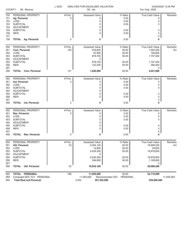| COUNTY:<br>58 - Monroe |                                | L-4023  | ANALYSIS FOR EQUALIZED VALUATION<br>08 - Ida |                             |                        | 03/24/2020 12:05 PM<br>Tax Year: 2020 |  |
|------------------------|--------------------------------|---------|----------------------------------------------|-----------------------------|------------------------|---------------------------------------|--|
| 150                    | PERSONAL PROPERTY              | # Pcls. | <b>Assessed Value</b>                        | % Ratio                     | True Cash Value        | Remarks                               |  |
| 151                    | Ag. Personal                   | 0       | 0                                            | 0.00                        | 0                      |                                       |  |
| 152                    | LOSS                           |         | 0                                            | 0.00                        | 0                      |                                       |  |
| 153                    | <b>SUBTOTAL</b>                |         | 0                                            | 0.00                        | 0                      |                                       |  |
| 154                    | ADJUSTMENT                     |         | 0                                            |                             |                        |                                       |  |
| 155                    | <b>SUBTOTAL</b>                |         | 0                                            | 0.00                        | 0                      |                                       |  |
| 156                    | <b>NEW</b>                     |         | 0                                            | 0.00                        | 0                      |                                       |  |
| 157                    |                                |         |                                              |                             | 0                      |                                       |  |
| 158                    | <b>TOTAL Ag. Personal</b>      | 0       | 0                                            | 0.00                        | 0                      |                                       |  |
| 250                    | PERSONAL PROPERTY              | # Pcls. | Assessed Value                               | % Ratio                     | True Cash Value        | Remarks                               |  |
| 251                    | Com. Personal                  | 140     | 976,600                                      | 50.00                       | 1,953,200              | AU                                    |  |
| 252                    | LOSS                           |         | 97,900                                       | 50.00                       | 195,800                |                                       |  |
| 253                    | <b>SUBTOTAL</b>                |         | 878,700                                      | 50.00                       | 1,757,400              |                                       |  |
| 254                    | <b>ADJUSTMENT</b>              |         | 0                                            |                             |                        |                                       |  |
| 255                    | <b>SUBTOTAL</b>                |         | 878,700                                      | 50.00                       | 1,757,400              |                                       |  |
| 256                    | <b>NEW</b>                     |         | 142,200                                      | 50.00                       | 284,400                |                                       |  |
| 257                    |                                |         |                                              |                             | 0                      |                                       |  |
| 258                    | <b>TOTAL Com. Personal</b>     | 141     | 1,020,900                                    | 50.00                       | 2,041,800              |                                       |  |
| 350                    | PERSONAL PROPERTY              | # Pcls. | Assessed Value                               | % Ratio                     | True Cash Value        | Remarks                               |  |
| 351                    | Ind. Personal                  | 2       | 0                                            | 0.00                        | 0                      |                                       |  |
| 352                    | LOSS                           |         | 0                                            | 0.00                        | 0                      |                                       |  |
| 353                    | <b>SUBTOTAL</b>                |         | 0                                            | 0.00                        | 0                      |                                       |  |
| 354                    | <b>ADJUSTMENT</b>              |         | 0                                            |                             |                        |                                       |  |
| 355                    | <b>SUBTOTAL</b>                |         | 0                                            | 0.00                        | 0                      |                                       |  |
| 356                    | <b>NEW</b>                     |         | 0                                            | 0.00                        | 0                      |                                       |  |
| 357                    |                                |         |                                              |                             | 0                      |                                       |  |
| 358                    | <b>TOTAL</b> Ind. Personal     | 2       | 0                                            | 0.00                        | 0                      |                                       |  |
| 450                    | PERSONAL PROPERTY              | # Pcls. | Assessed Value                               | % Ratio                     | <b>True Cash Value</b> | Remarks                               |  |
| 451                    | Res. Personal                  | 0       | 0                                            | 0.00                        | 0                      |                                       |  |
| 452                    | LOSS                           |         | 0                                            | 0.00                        | 0                      |                                       |  |
| 453                    | <b>SUBTOTAL</b>                |         | 0                                            | 0.00                        | 0                      |                                       |  |
| 454                    | <b>ADJUSTMENT</b>              |         | 0                                            |                             |                        |                                       |  |
| 455                    | <b>SUBTOTAL</b>                |         | 0                                            | 0.00                        | 0                      |                                       |  |
| 456                    | <b>NEW</b>                     |         | 0                                            | 0.00                        | 0                      |                                       |  |
| 457                    |                                |         |                                              |                             | 0                      |                                       |  |
| 458                    | Res. Personal<br>TOTAL         | 0       | 0                                            | 0.00                        | 0                      |                                       |  |
| 550                    | PERSONAL PROPERTY              | # Pcls. | Assessed Value                               | % Ratio                     | True Cash Value        | Remarks                               |  |
| 551                    | Util. Personal                 | 23      | 9,454,100                                    | 50.00                       | 18,908,200             | AU                                    |  |
| 552                    | LOSS                           |         | 14,800                                       | 50.00                       | 29,600                 |                                       |  |
| 553                    | <b>SUBTOTAL</b>                |         | 9,439,300                                    | 50.00                       | 18,878,600             |                                       |  |
| 554                    | ADJUSTMENT                     |         | 0                                            |                             |                        |                                       |  |
| 555                    | <b>SUBTOTAL</b>                |         | 9,439,300                                    | 50.00                       | 18,878,600             |                                       |  |
| 556                    | <b>NEW</b>                     |         | 594,800                                      | 50.00                       | 1,189,600              |                                       |  |
| 557                    |                                |         |                                              |                             | 0                      |                                       |  |
| 558                    | <b>TOTAL</b> Util. Personal    | 23      | 10,034,100                                   | 50.00                       | 20,068,200             |                                       |  |
| 850                    | TOTAL PERSONAL                 | 166     | 11,055,000                                   | 50.00                       | 22,110,000             |                                       |  |
| 859                    | Computed 50% TCV PERSONAL      |         | 11,055,000                                   | PERSONAL<br>Recommended CEV |                        | 11,055,000                            |  |
| 900                    | <b>Total Real and Personal</b> |         | 2,454<br>261,552,000                         |                             | 526,099,406            |                                       |  |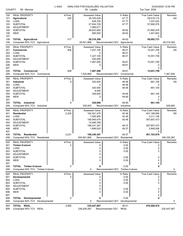| COUNTY:                                              | 58 - Monroe                                                                                                                 | L-4023           | ANALYSIS FOR EQUALIZED VALUATION<br>09 - Lasalle                                                    |                                                      | Tax Year: 2020                                                                                | 03/24/2020 12:05 PM |
|------------------------------------------------------|-----------------------------------------------------------------------------------------------------------------------------|------------------|-----------------------------------------------------------------------------------------------------|------------------------------------------------------|-----------------------------------------------------------------------------------------------|---------------------|
| 100<br>101<br>102<br>103                             | <b>REAL PROPERTY</b><br><b>Agricultural</b><br>LOSS<br><b>SUBTOTAL</b>                                                      | # Pcls.<br>320   | <b>Assessed Value</b><br>28,193,429<br>638,700<br>27,554,729                                        | % Ratio<br>47.77<br>47.77<br>47.77                   | <b>True Cash Value</b><br>59,019,110<br>1,337,032<br>57,682,078                               | Remarks<br>AS       |
| 104<br>105<br>106<br>107                             | <b>ADJUSTMENT</b><br><b>SUBTOTAL</b><br><b>NEW</b>                                                                          |                  | 1,069,071<br>28,623,800<br>695,500                                                                  | 49.62<br>49.62                                       | 57,682,078<br>1,401,653                                                                       |                     |
| 108<br>109                                           | <b>TOTAL Agricultural</b><br>Computed 50% TCV Agricultural                                                                  | 317              | 29,319,300<br>29,541,866                                                                            | 49.62<br>Recommended CEV<br>Agricultural             | 0<br>59,083,731                                                                               | 29,319,300          |
| 200<br>201                                           | <b>REAL PROPERTY</b><br>Commercial                                                                                          | # Pcls.<br>408   | Assessed Value<br>7,227,100                                                                         | % Ratio<br>48.01                                     | True Cash Value<br>15,051,759                                                                 | Remarks<br>AS       |
| 202<br>203<br>204                                    | LOSS<br><b>SUBTOTAL</b><br><b>ADJUSTMENT</b>                                                                                |                  | 0<br>7,227,100<br>240,400                                                                           | 48.01<br>48.01                                       | 0<br>15,051,759                                                                               |                     |
| 205<br>206<br>207                                    | <b>SUBTOTAL</b><br><b>NEW</b>                                                                                               |                  | 7,467,500<br>0                                                                                      | 49.61<br>49.61                                       | 15,051,759<br>0<br>0                                                                          |                     |
| 208<br>209                                           | <b>TOTAL Commercial</b><br>Computed 50% TCV Commercial                                                                      | 408              | 7,467,500<br>7,525,880                                                                              | 49.61<br>Recommended CEV<br>Commercial               | 15,051,759                                                                                    | 7,467,500           |
| 300<br>301<br>302                                    | <b>REAL PROPERTY</b><br>Industrial<br>LOSS                                                                                  | # Pcls.<br>9     | Assessed Value<br>320,500<br>0                                                                      | % Ratio<br>48.48<br>48.48                            | <b>True Cash Value</b><br>661,105<br>0                                                        | Remarks<br>AS       |
| 303<br>304<br>305<br>306                             | <b>SUBTOTAL</b><br><b>ADJUSTMENT</b><br><b>SUBTOTAL</b><br><b>NEW</b>                                                       |                  | 320,500<br>9,400<br>329,900<br>0                                                                    | 48.48<br>49.90<br>49.90                              | 661,105<br>661,105<br>0                                                                       |                     |
| 307<br>308<br>309                                    | <b>TOTAL</b> Industrial<br>Computed 50% TCV Industrial                                                                      | 9                | 329,900<br>330,553                                                                                  | 49.90<br>Recommended CEV<br>Industrial               | 0<br>661,105                                                                                  | 329,900             |
| 400<br>401<br>402<br>403<br>404<br>405<br>406<br>407 | <b>REAL PROPERTY</b><br><b>Residential</b><br>LOSS<br><b>SUBTOTAL</b><br><b>ADJUSTMENT</b><br><b>SUBTOTAL</b><br><b>NEW</b> | # Pcls.<br>2,226 | Assessed Value<br>182,451,479<br>1,505,900<br>180,945,579<br>15,485,768<br>196,431,347<br>1,899,020 | % Ratio<br>45.48<br>45.48<br>45.48<br>49.37<br>49.37 | True Cash Value<br>401,168,599<br>3,311,126<br>397,857,473<br>397, 857, 473<br>3,846,506<br>0 | Remarks<br>SS       |
| 408<br>409                                           | <b>TOTAL Residential</b><br>Computed 50% TCV Residential                                                                    | 2,231            | 198,330,367<br>200,851,990                                                                          | 49.37<br>Recommended CEV Residential                 | 401,703,979                                                                                   | 198,330,367         |
| 500<br>501<br>502<br>503<br>504<br>505<br>506<br>507 | <b>REAL PROPERTY</b><br><b>Timber-Cutover</b><br>LOSS<br><b>SUBTOTAL</b><br>ADJUSTMENT<br><b>SUBTOTAL</b><br><b>NEW</b>     | # Pcls.<br>0     | <b>Assessed Value</b><br>0<br>0<br>0<br>0<br>0<br>0                                                 | % Ratio<br>0.00<br>0.00<br>0.00<br>0.00<br>0.00      | <b>True Cash Value</b><br>0<br>0<br>$\Omega$<br>0<br>0<br>0                                   | Remarks             |
| 508<br>509                                           | <b>TOTAL Timber-Cutover</b><br>Computed 50% TCV Timber-Cutover                                                              | 0                | 0<br>0                                                                                              | 0.00<br>Recommended CEV Timber-Cutover               | 0                                                                                             | 0                   |
| 600<br>601<br>602<br>603<br>604<br>605<br>606<br>607 | <b>REAL PROPERTY</b><br>Developmental<br>LOSS<br><b>SUBTOTAL</b><br><b>ADJUSTMENT</b><br><b>SUBTOTAL</b><br><b>NEW</b>      | # Pcls.<br>0     | Assessed Value<br>0<br>0<br>0<br>0<br>0<br>0                                                        | % Ratio<br>0.00<br>0.00<br>0.00<br>0.00<br>0.00      | True Cash Value<br>0<br>0<br>0<br>0<br>0<br>0                                                 | Remarks             |
| 608<br>609                                           | <b>TOTAL</b> Developmental<br>Computed 50% TCV Developmental                                                                | 0                | 0<br>0                                                                                              | 0.00<br>Recommended CEV<br>Developmental             | 0                                                                                             | 0                   |
| 800<br>809                                           | TOTAL REAL<br>Computed 50% TCV REAL                                                                                         | 2,965            | 235,447,067<br>238,250,287                                                                          | 49.41<br>Recommended CEV<br><b>REAL</b>              | 476,500,574                                                                                   | 235,447,067         |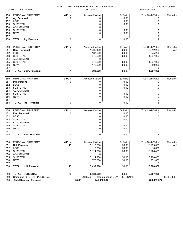| COUNTY:<br>58 - Monroe |                                | L-4023  | ANALYSIS FOR EQUALIZED VALUATION<br>09 - Lasalle |                             | 03/24/2020 12:05 PM<br>Tax Year: 2020 |           |  |
|------------------------|--------------------------------|---------|--------------------------------------------------|-----------------------------|---------------------------------------|-----------|--|
| 150                    | PERSONAL PROPERTY              | # Pcls. | <b>Assessed Value</b>                            | % Ratio                     | True Cash Value                       | Remarks   |  |
| 151                    | Ag. Personal                   | 0       | 0                                                | 0.00                        | 0                                     |           |  |
| 152                    | LOSS                           |         | 0                                                | 0.00                        | 0                                     |           |  |
| 153                    | <b>SUBTOTAL</b>                |         | 0                                                | 0.00                        | 0                                     |           |  |
| 154                    | ADJUSTMENT                     |         | 0                                                |                             |                                       |           |  |
| 155                    | <b>SUBTOTAL</b>                |         | 0                                                | 0.00                        | 0                                     |           |  |
| 156                    | <b>NEW</b>                     |         | $\Omega$                                         | 0.00                        | 0                                     |           |  |
| 157                    |                                |         |                                                  |                             | 0                                     |           |  |
| 158                    | <b>TOTAL Ag. Personal</b>      | 0       | 0                                                | 0.00                        | 0                                     |           |  |
| 250                    | PERSONAL PROPERTY              | # Pcls. | Assessed Value                                   | % Ratio                     | True Cash Value                       | Remarks   |  |
| 251                    | Com. Personal                  | 64      | 1,006,100                                        | 50.00                       | 2,012,200                             | AU        |  |
| 252                    | LOSS                           |         | 187,600                                          | 50.00                       | 375,200                               |           |  |
| 253                    | <b>SUBTOTAL</b>                |         | 818,500                                          | 50.00                       | 1,637,000                             |           |  |
| 254                    | <b>ADJUSTMENT</b>              |         | 0                                                |                             |                                       |           |  |
| 255                    | <b>SUBTOTAL</b>                |         | 818,500                                          | 50.00                       | 1,637,000                             |           |  |
| 256                    | <b>NEW</b>                     |         | 175,000                                          | 50.00                       | 350,000                               |           |  |
| 257                    |                                |         |                                                  |                             | 0                                     |           |  |
| 258                    | TOTAL<br><b>Com. Personal</b>  | 61      | 993,500                                          | 50.00                       | 1,987,000                             |           |  |
|                        |                                |         |                                                  |                             |                                       |           |  |
| 350                    | PERSONAL PROPERTY              | # Pcls. | Assessed Value                                   | % Ratio                     | True Cash Value                       | Remarks   |  |
| 351                    | Ind. Personal                  | 0       | 0                                                | 0.00                        | 0                                     |           |  |
| 352                    | LOSS                           |         | 0                                                | 0.00                        | 0                                     |           |  |
| 353                    | <b>SUBTOTAL</b>                |         | 0                                                | 0.00                        | 0                                     |           |  |
| 354                    | <b>ADJUSTMENT</b>              |         | 0                                                |                             |                                       |           |  |
| 355                    | <b>SUBTOTAL</b>                |         | 0                                                | 0.00                        | 0                                     |           |  |
| 356                    | <b>NEW</b>                     |         | $\Omega$                                         | 0.00                        | 0                                     |           |  |
| 357                    |                                |         |                                                  |                             | 0                                     |           |  |
| 358                    | <b>TOTAL</b> Ind. Personal     | 0       | 0                                                | 0.00                        | 0                                     |           |  |
| 450                    | PERSONAL PROPERTY              | # Pcls. | Assessed Value                                   | % Ratio                     | True Cash Value                       | Remarks   |  |
| 451                    | Res. Personal                  | 0       | 0                                                | 0.00                        | 0                                     |           |  |
| 452                    | LOSS                           |         | 0                                                | 0.00                        | 0                                     |           |  |
| 453                    | <b>SUBTOTAL</b>                |         | 0                                                | 0.00                        | 0                                     |           |  |
| 454                    | ADJUSTMENT                     |         | 0                                                |                             |                                       |           |  |
| 455                    | <b>SUBTOTAL</b>                |         | 0                                                | 0.00                        | 0                                     |           |  |
| 456                    | <b>NEW</b>                     |         | 0                                                | 0.00                        | 0                                     |           |  |
| 457                    |                                |         |                                                  |                             | 0                                     |           |  |
| 458                    | <b>TOTAL Res. Personal</b>     | 0       | 0                                                | 0.00                        | 0                                     |           |  |
| 550                    | PERSONAL PROPERTY              | # Pcls. | Assessed Value                                   | % Ratio                     | True Cash Value                       | Remarks   |  |
| 551                    | Util. Personal                 | 15      | 5,119,500                                        | 50.00                       | 10,239,000                            | AU        |  |
| 552                    | LOSS                           |         | 5,300                                            | 50.00                       | 10,600                                |           |  |
| 553                    | <b>SUBTOTAL</b>                |         | 5,114,200                                        | 50.00                       | 10,228,400                            |           |  |
| 554                    | ADJUSTMENT                     |         | 0                                                |                             |                                       |           |  |
| 555                    | <b>SUBTOTAL</b>                |         | 5,114,200                                        | 50.00                       | 10,228,400                            |           |  |
| 556                    | <b>NEW</b>                     |         | 375,800                                          | 50.00                       | 751,600                               |           |  |
| 557                    |                                |         |                                                  |                             | 0                                     |           |  |
| 558                    | <b>Util. Personal</b><br>TOTAL | 15      | 5,490,000                                        | 50.00                       | 10,980,000                            |           |  |
| 850                    | TOTAL PERSONAL                 | 76      | 6,483,500                                        | 50.00                       | 12,967,000                            |           |  |
| 859                    | Computed 50% TCV PERSONAL      |         | 6,483,500                                        | Recommended CEV<br>PERSONAL |                                       | 6,483,500 |  |
| 900                    | <b>Total Real and Personal</b> |         | 3,041<br>241,930,567                             |                             | 489,467,574                           |           |  |
|                        |                                |         |                                                  |                             |                                       |           |  |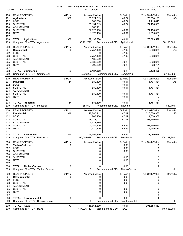| COUNTY:                                | 58 - Monroe                                                                                                          | L-4023           | ANALYSIS FOR EQUALIZED VALUATION<br>10 - London                                   |                                                  | Tax Year: 2020                                                            | 03/24/2020 12:05 PM |
|----------------------------------------|----------------------------------------------------------------------------------------------------------------------|------------------|-----------------------------------------------------------------------------------|--------------------------------------------------|---------------------------------------------------------------------------|---------------------|
| 100<br>101<br>102                      | <b>REAL PROPERTY</b><br><b>Agricultural</b><br>LOSS                                                                  | # Pcls.<br>380   | <b>Assessed Value</b><br>36,824,619<br>689,700                                    | % Ratio<br>48.72<br>48.72                        | <b>True Cash Value</b><br>75,584,193<br>1,415,640                         | Remarks<br>AS       |
| 103<br>104<br>105<br>106               | <b>SUBTOTAL</b><br><b>ADJUSTMENT</b><br><b>SUBTOTAL</b><br><b>NEW</b>                                                |                  | 36,134,919<br>885,181<br>37,020,100<br>1,175,400                                  | 48.72<br>49.91<br>49.91                          | 74,168,553<br>74,168,553<br>2,355,039                                     |                     |
| 107<br>108<br>109                      | <b>TOTAL Agricultural</b><br>Computed 50% TCV Agricultural                                                           | 382              | 38,195,500<br>38,261,796                                                          | 49.91<br>Recommended CEV<br>Agricultural         | 0<br>76,523,592                                                           | 38,195,500          |
| 200<br>201<br>202                      | <b>REAL PROPERTY</b><br>Commercial<br><b>LOSS</b>                                                                    | # Pcls.<br>30    | Assessed Value<br>2,757,100<br>0                                                  | % Ratio<br>47.02<br>47.02                        | <b>True Cash Value</b><br>5,863,675<br>0                                  | Remarks<br>AS       |
| 203<br>204<br>205<br>206               | <b>SUBTOTAL</b><br><b>ADJUSTMENT</b><br><b>SUBTOTAL</b><br><b>NEW</b>                                                |                  | 2,757,100<br>130,900<br>2,888,000<br>299,800                                      | 47.02<br>49.25<br>49.25                          | 5,863,675<br>5,863,675<br>608,731                                         |                     |
| 207<br>208<br>209                      | <b>TOTAL Commercial</b><br>Computed 50% TCV Commercial                                                               | 32               | 3,187,800<br>3,236,203                                                            | 49.25<br>Recommended CEV<br>Commercial           | 0<br>6,472,406                                                            | 3,187,800           |
| 300<br>301<br>302<br>303               | <b>REAL PROPERTY</b><br>Industrial<br>LOSS<br><b>SUBTOTAL</b>                                                        | # Pcls.<br>14    | Assessed Value<br>882,100<br>0<br>882,100                                         | % Ratio<br>49.91<br>49.91<br>49.91               | True Cash Value<br>1,767,381<br>0<br>1,767,381                            | Remarks<br>AS       |
| 304<br>305<br>306<br>307               | <b>ADJUSTMENT</b><br><b>SUBTOTAL</b><br><b>NEW</b>                                                                   |                  | 0<br>882,100<br>0                                                                 | 49.91<br>49.91                                   | 1,767,381<br>0<br>0                                                       |                     |
| 308<br>309                             | <b>TOTAL</b> Industrial<br>Computed 50% TCV Industrial                                                               | 14               | 882,100<br>883,691                                                                | 49.91<br>Recommended CEV<br>Industrial           | 1,767,381                                                                 | 882,100             |
| 400<br>401<br>402<br>403<br>404<br>405 | <b>REAL PROPERTY</b><br><b>Residential</b><br><b>LOSS</b><br><b>SUBTOTAL</b><br><b>ADJUSTMENT</b><br><b>SUBTOTAL</b> | # Pcls.<br>1,348 | Assessed Value<br>98,880,411<br>767,400<br>98,113,011<br>4,974,389<br>103,087,400 | % Ratio<br>47.07<br>47.07<br>47.07<br>49.46      | True Cash Value<br>210,070,982<br>1,630,338<br>208,440,644<br>208,440,644 | Remarks<br>SS       |
| 406<br>407<br>408<br>409               | <b>NEW</b><br><b>TOTAL Residential</b><br>Computed 50% TCV Residential                                               | 1,345            | 1,310,400<br>104,397,800<br>105,545,029                                           | 49.46<br>49.46<br>Recommended CEV<br>Residential | 2,649,414<br>0<br>211,090,058                                             | 104,397,800         |
| 500<br>501<br>502                      | <b>REAL PROPERTY</b><br><b>Timber-Cutover</b><br>LOSS<br><b>SUBTOTAL</b>                                             | # Pcls.<br>0     | <b>Assessed Value</b><br>0<br>0                                                   | % Ratio<br>0.00<br>0.00                          | <b>True Cash Value</b><br>0<br>0                                          | Remarks             |
| 503<br>504<br>505<br>506<br>507        | <b>ADJUSTMENT</b><br><b>SUBTOTAL</b><br><b>NEW</b>                                                                   |                  | 0<br>0<br>0<br>0                                                                  | 0.00<br>0.00<br>0.00                             | 0<br>0<br>0<br>0                                                          |                     |
| 508<br>509                             | <b>TOTAL Timber-Cutover</b><br>Computed 50% TCV Timber-Cutover                                                       | 0                | 0<br>0                                                                            | 0.00<br>Recommended CEV Timber-Cutover           | 0                                                                         | 0                   |
| 600<br>601<br>602<br>603<br>604<br>605 | <b>REAL PROPERTY</b><br>Developmental<br>LOSS<br><b>SUBTOTAL</b><br>ADJUSTMENT<br><b>SUBTOTAL</b>                    | # Pcls.<br>0     | <b>Assessed Value</b><br>0<br>0<br>0<br>0<br>0                                    | % Ratio<br>0.00<br>0.00<br>0.00<br>0.00          | <b>True Cash Value</b><br>0<br>0<br>0<br>0                                | Remarks             |
| 606<br>607<br>608<br>609               | <b>NEW</b><br>TOTAL<br>Developmental<br>Computed 50% TCV Developmental                                               | 0                | 0<br>0<br>0                                                                       | 0.00<br>0.00<br>Recommended CEV                  | 0<br>0<br>0<br>Developmental                                              | 0                   |
| 800<br>809                             | TOTAL REAL<br>Computed 50% TCV REAL                                                                                  | 1,773            | 146,663,200<br>147,926,719                                                        | 49.57<br>Recommended CEV<br><b>REAL</b>          | 295,853,437                                                               | 146,663,200         |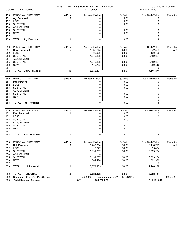| COUNTY:    | 58 - Monroe                          | L-4023  | ANALYSIS FOR EQUALIZED VALUATION<br>10 - London |                                  | Tax Year: 2020  | 03/24/2020 12:05 PM |
|------------|--------------------------------------|---------|-------------------------------------------------|----------------------------------|-----------------|---------------------|
|            | PERSONAL PROPERTY                    | # Pcls. | Assessed Value                                  | % Ratio                          | True Cash Value | Remarks             |
| 150<br>151 | Ag. Personal                         | 0       | 0                                               | 0.00                             | 0               |                     |
| 152        | LOSS                                 |         | 0                                               | 0.00                             | 0               |                     |
| 153        | <b>SUBTOTAL</b>                      |         | 0                                               | 0.00                             | 0               |                     |
| 154        | ADJUSTMENT                           |         | 0                                               |                                  |                 |                     |
| 155        | <b>SUBTOTAL</b>                      |         | 0                                               | 0.00                             | 0               |                     |
| 156        | <b>NEW</b>                           |         | 0                                               | 0.00                             | 0               |                     |
| 157        |                                      |         |                                                 |                                  | 0               |                     |
| 158        | <b>TOTAL Ag. Personal</b>            | 0       | 0                                               | 0.00                             | 0               |                     |
| 250        | PERSONAL PROPERTY                    | # Pcls. | Assessed Value                                  | % Ratio                          | True Cash Value | Remarks             |
| 251        | Com. Personal                        | 54      | 1,936,245                                       | 50.00                            | 3,872,490       | AU                  |
| 252        | LOSS                                 |         | 60,063                                          | 50.00                            | 120,126         |                     |
| 253        | <b>SUBTOTAL</b>                      |         | 1,876,182                                       | 50.00                            | 3,752,364       |                     |
| 254        | ADJUSTMENT                           |         | 0                                               |                                  |                 |                     |
| 255        | <b>SUBTOTAL</b><br><b>NEW</b>        |         | 1,876,182<br>179,755                            | 50.00<br>50.00                   | 3,752,364       |                     |
| 256<br>257 |                                      |         |                                                 |                                  | 359,510<br>0    |                     |
| 258        | <b>TOTAL Com. Personal</b>           | 49      | 2,055,937                                       | 50.00                            | 4,111,874       |                     |
|            | PERSONAL PROPERTY                    | # Pcls. | Assessed Value                                  | % Ratio                          | True Cash Value | Remarks             |
| 350<br>351 | Ind. Personal                        | 1       | 0                                               | 0.00                             | 0               |                     |
| 352        | LOSS                                 |         | 0                                               | 0.00                             | 0               |                     |
| 353        | <b>SUBTOTAL</b>                      |         | 0                                               | 0.00                             | 0               |                     |
| 354        | <b>ADJUSTMENT</b>                    |         | 0                                               |                                  |                 |                     |
| 355        | <b>SUBTOTAL</b>                      |         | 0                                               | 0.00                             | 0               |                     |
| 356        | <b>NEW</b>                           |         | 0                                               | 0.00                             | 0               |                     |
| 357        |                                      |         |                                                 |                                  | 0               |                     |
| 358        | <b>TOTAL</b> Ind. Personal           |         | 0                                               | 0.00                             | 0               |                     |
| 450        | PERSONAL PROPERTY                    | # Pcls. | Assessed Value                                  | % Ratio                          | True Cash Value | Remarks             |
| 451        | Res. Personal                        | 0       | 0                                               | 0.00                             | 0               |                     |
| 452        | LOSS                                 |         | 0                                               | 0.00                             | 0               |                     |
| 453        | <b>SUBTOTAL</b><br><b>ADJUSTMENT</b> |         | 0<br>0                                          | 0.00                             | 0               |                     |
| 454<br>455 | <b>SUBTOTAL</b>                      |         | 0                                               | 0.00                             | 0               |                     |
| 456        | <b>NEW</b>                           |         | 0                                               | 0.00                             | 0               |                     |
| 457        |                                      |         |                                                 |                                  | 0               |                     |
| 458        | <b>TOTAL</b><br><b>Res. Personal</b> | 0       | 0                                               | 0.00                             | 0               |                     |
| 550        | PERSONAL PROPERTY                    | # Pcls. | Assessed Value                                  | % Ratio                          | True Cash Value | Remarks             |
| 551        | Util. Personal                       | 8       | 5,209,364                                       | 50.00                            | 10,418,728      | AU                  |
| 552        | LOSS                                 |         | 17,727                                          | 50.00                            | 35,454          |                     |
| 553        | <b>SUBTOTAL</b>                      |         | 5,191,637                                       | 50.00                            | 10,383,274      |                     |
| 554        | ADJUSTMENT                           |         | 0                                               |                                  |                 |                     |
| 555        | <b>SUBTOTAL</b>                      |         | 5,191,637                                       | 50.00                            | 10,383,274      |                     |
| 556<br>557 | <b>NEW</b>                           |         | 381,498                                         | 50.00                            | 762,996<br>0    |                     |
| 558        | <b>Util. Personal</b><br>TOTAL       | 8       | 5,573,135                                       | 50.00                            | 11,146,270      |                     |
| 850        | TOTAL PERSONAL                       | 58      | 7,629,072                                       | 50.00                            | 15,258,144      |                     |
| 850        | Computed 50% TCV PERSONAL            |         |                                                 | 7629072 Recommended CEV PERSONAL |                 | 7 629 072           |

|     | 859 Computed 50% TCV PERSONAL | 7.629.072 | Recommended CEV PERSONAL |             | 7,629,072 |
|-----|-------------------------------|-----------|--------------------------|-------------|-----------|
| 900 | Total Real and Personal       | .831      | 154.292.272              | 311,111,581 |           |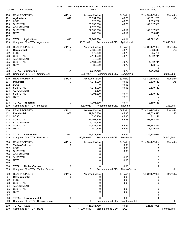| COUNTY:                  | 58 - Monroe                                                            | L-4023         | ANALYSIS FOR EQUALIZED VALUATION<br>11 - Milan               |                                          | Tax Year: 2020                                                    | 03/24/2020 12:05 PM |
|--------------------------|------------------------------------------------------------------------|----------------|--------------------------------------------------------------|------------------------------------------|-------------------------------------------------------------------|---------------------|
| 100<br>101<br>102<br>103 | <b>REAL PROPERTY</b><br><b>Agricultural</b><br>LOSS<br><b>SUBTOTAL</b> | # Pcls.<br>446 | <b>Assessed Value</b><br>50,654,200<br>623,300<br>50,030,900 | % Ratio<br>46.75<br>46.75<br>46.75       | <b>True Cash Value</b><br>108,351,230<br>1,333,262<br>107,017,968 | Remarks<br>AS       |
| 104<br>105<br>106<br>107 | ADJUSTMENT<br><b>SUBTOTAL</b><br><b>NEW</b>                            |                | 2,525,300<br>52,556,200<br>287,300                           | 49.11<br>49.11                           | 107,017,968<br>585,013<br>0                                       |                     |
| 108<br>109               | <b>TOTAL Agricultural</b><br>Computed 50% TCV Agricultural             | 443            | 52,843,500<br>53,801,491                                     | 49.11<br>Recommended CEV<br>Agricultural | 107,602,981                                                       | 52,843,500          |
| 200                      | <b>REAL PROPERTY</b>                                                   | # Pcls.        | <b>Assessed Value</b>                                        | % Ratio                                  | <b>True Cash Value</b>                                            | Remarks             |
| 201                      | Commercial                                                             | 24             | 2,585,200                                                    | 48.70                                    | 5,308,419                                                         | AS                  |
| 202                      | LOSS                                                                   |                | 470,300                                                      | 48.70                                    | 965,708                                                           |                     |
| 203                      | <b>SUBTOTAL</b>                                                        |                | 2,114,900                                                    | 48.70                                    | 4,342,711                                                         |                     |
| 204<br>205               | ADJUSTMENT<br><b>SUBTOTAL</b>                                          |                | 46,600                                                       | 49.77                                    |                                                                   |                     |
| 206                      | <b>NEW</b>                                                             |                | 2,161,500<br>86,200                                          | 49.77                                    | 4,342,711<br>173,197                                              |                     |
| 207                      |                                                                        |                |                                                              |                                          | 0                                                                 |                     |
| 208                      | <b>TOTAL Commercial</b>                                                | 21             | 2,247,700                                                    | 49.77                                    | 4,515,908                                                         |                     |
| 209                      | Computed 50% TCV Commercial                                            |                | 2,257,954                                                    | Recommended CEV<br>Commercial            |                                                                   | 2,247,700           |
| 300                      | <b>REAL PROPERTY</b>                                                   | # Pcls.        | <b>Assessed Value</b>                                        | % Ratio                                  | <b>True Cash Value</b>                                            | Remarks             |
| 301                      | Industrial                                                             | 7              | 1,274,900                                                    | 49.03                                    | 2,600,119                                                         | AS                  |
| 302                      | LOSS                                                                   |                | 0                                                            | 49.03                                    | 0                                                                 |                     |
| 303                      | <b>SUBTOTAL</b>                                                        |                | 1,274,900                                                    | 49.03                                    | 2,600,119                                                         |                     |
| 304                      | ADJUSTMENT                                                             |                | 18,300                                                       |                                          |                                                                   |                     |
| 305                      | <b>SUBTOTAL</b>                                                        |                | 1,293,200                                                    | 49.74                                    | 2,600,119                                                         |                     |
| 306<br>307               | <b>NEW</b>                                                             |                | 0                                                            | 49.74                                    | 0<br>0                                                            |                     |
| 308                      | <b>TOTAL</b> Industrial                                                | 7              | 1,293,200                                                    | 49.74                                    | 2,600,119                                                         |                     |
| 309                      | Computed 50% TCV Industrial                                            |                | 1,300,060                                                    | Recommended CEV<br>Industrial            |                                                                   | 1,293,200           |
| 400                      | <b>REAL PROPERTY</b>                                                   | # Pcls.        | <b>Assessed Value</b>                                        | % Ratio                                  | <b>True Cash Value</b>                                            | Remarks             |
| 401                      | <b>Residential</b>                                                     | 637            | 49,740,800                                                   | 45.38                                    | 109,609,520                                                       | SS                  |
| 402                      | LOSS                                                                   |                | 336,400                                                      | 45.38                                    | 741,296                                                           |                     |
| 403                      | <b>SUBTOTAL</b>                                                        |                | 49,404,400                                                   | 45.38                                    | 108,868,224                                                       |                     |
| 404                      | <b>ADJUSTMENT</b>                                                      |                | 4,229,100                                                    |                                          |                                                                   |                     |
| 405                      | <b>SUBTOTAL</b>                                                        |                | 53,633,500                                                   | 49.26                                    | 108,868,224                                                       |                     |
| 406                      | <b>NEW</b>                                                             |                | 940,800                                                      | 49.26                                    | 1,909,866                                                         |                     |
| 407<br>408               | <b>TOTAL Residential</b>                                               | 641            | 54,574,300                                                   | 49.26                                    | 0<br>110,778,090                                                  |                     |
| 409                      | Computed 50% TCV Residential                                           |                | 55,389,045                                                   | Recommended CEV Residential              |                                                                   | 54,574,300          |
|                          |                                                                        |                |                                                              |                                          |                                                                   |                     |
| 500<br>501               | <b>REAL PROPERTY</b><br><b>Timber-Cutover</b>                          | # Pcls.<br>0   | <b>Assessed Value</b><br>0                                   | % Ratio<br>0.00                          | <b>True Cash Value</b><br>0                                       | <b>Remarks</b>      |
| 502                      | LOSS                                                                   |                | 0                                                            | 0.00                                     | 0                                                                 |                     |
| 503                      | <b>SUBTOTAL</b>                                                        |                | 0                                                            | 0.00                                     | 0                                                                 |                     |
| 504                      | ADJUSTMENT                                                             |                | 0                                                            |                                          |                                                                   |                     |
| 505                      | <b>SUBTOTAL</b>                                                        |                | 0                                                            | 0.00                                     | 0                                                                 |                     |
| 506                      | <b>NEW</b>                                                             |                | 0                                                            | 0.00                                     | 0                                                                 |                     |
| 507                      |                                                                        |                |                                                              |                                          | 0                                                                 |                     |
| 508<br>509               | <b>TOTAL Timber-Cutover</b><br>Computed 50% TCV Timber-Cutover         | 0              | 0<br>0                                                       | 0.00<br>Recommended CEV Timber-Cutover   | 0                                                                 | 0                   |
|                          |                                                                        |                |                                                              |                                          |                                                                   |                     |
| 600                      | <b>REAL PROPERTY</b>                                                   | # Pcls.        | <b>Assessed Value</b>                                        | % Ratio                                  | True Cash Value                                                   | Remarks             |
| 601                      | Developmental                                                          | 0              | 0                                                            | 0.00                                     | 0                                                                 |                     |
| 602<br>603               | LOSS<br><b>SUBTOTAL</b>                                                |                | 0<br>0                                                       | 0.00<br>0.00                             | 0<br>0                                                            |                     |
| 604                      | <b>ADJUSTMENT</b>                                                      |                | 0                                                            |                                          |                                                                   |                     |
| 605                      | <b>SUBTOTAL</b>                                                        |                | 0                                                            | 0.00                                     | 0                                                                 |                     |
| 606                      | <b>NEW</b>                                                             |                | 0                                                            | 0.00                                     | 0                                                                 |                     |
| 607                      |                                                                        |                |                                                              |                                          | 0                                                                 |                     |
| 608                      | <b>TOTAL Developmental</b>                                             | 0              | 0                                                            | 0.00                                     | 0                                                                 |                     |
| 609                      | Computed 50% TCV Developmental                                         |                | 0                                                            | Recommended CEV<br>Developmental         |                                                                   | 0                   |
| 800                      | TOTAL REAL                                                             | 1,112          | 110,958,700                                                  | 49.21                                    | 225,497,098                                                       |                     |
| 809                      | Computed 50% TCV REAL                                                  |                | 112,748,549                                                  | Recommended CEV<br><b>REAL</b>           |                                                                   | 110,958,700         |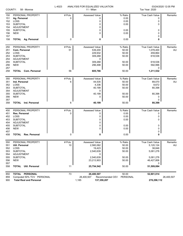| COUNTY: | 58 - Monroe                    | L-4023  | ANALYSIS FOR EQUALIZED VALUATION<br>11 - Milan |                             | Tax Year: 2020         | 03/24/2020 12:05 PM |
|---------|--------------------------------|---------|------------------------------------------------|-----------------------------|------------------------|---------------------|
| 150     | PERSONAL PROPERTY              | # Pcls. | <b>Assessed Value</b>                          | % Ratio                     | <b>True Cash Value</b> | Remarks             |
| 151     | Ag. Personal                   | 0       | 0                                              | 0.00                        | 0                      |                     |
| 152     | LOSS                           |         | 0                                              | 0.00                        | 0                      |                     |
| 153     | <b>SUBTOTAL</b>                |         | 0                                              | 0.00                        | 0                      |                     |
| 154     | ADJUSTMENT                     |         | 0                                              |                             |                        |                     |
| 155     | <b>SUBTOTAL</b>                |         | 0                                              | 0.00                        | 0                      |                     |
| 156     | <b>NEW</b>                     |         | 0                                              | 0.00                        | 0                      |                     |
| 157     |                                |         |                                                |                             | 0                      |                     |
| 158     | <b>TOTAL Ag. Personal</b>      | 0       | 0                                              | 0.00                        | 0                      |                     |
| 250     | PERSONAL PROPERTY              | # Pcls. | Assessed Value                                 | % Ratio                     | True Cash Value        | Remarks             |
| 251     | Com. Personal                  | 51      | 539,200                                        | 50.00                       | 1,078,400              | AU                  |
| 252     | LOSS                           |         | 229,932                                        | 50.00                       | 459,864                |                     |
| 253     | <b>SUBTOTAL</b>                |         | 309,268                                        | 50.00                       | 618,536                |                     |
| 254     | ADJUSTMENT                     |         | 0                                              |                             |                        |                     |
| 255     | <b>SUBTOTAL</b>                |         | 309,268                                        | 50.00                       | 618,536                |                     |
| 256     | <b>NEW</b>                     |         | 296,498                                        | 50.00                       | 592,996                |                     |
| 257     |                                |         |                                                |                             | 0                      |                     |
| 258     | <b>TOTAL</b> Com. Personal     | 56      | 605,766                                        | 50.00                       | 1,211,532              |                     |
| 350     | PERSONAL PROPERTY              | # Pcls. | Assessed Value                                 | % Ratio                     | True Cash Value        | Remarks             |
| 351     | Ind. Personal                  | 6       | 44,535                                         | 50.00                       | 89,070                 | AU                  |
|         | LOSS                           |         |                                                | 50.00                       | 8,672                  |                     |
| 352     |                                |         | 4,336                                          |                             |                        |                     |
| 353     | <b>SUBTOTAL</b>                |         | 40,199                                         | 50.00                       | 80,398                 |                     |
| 354     | <b>ADJUSTMENT</b>              |         | 0                                              |                             |                        |                     |
| 355     | <b>SUBTOTAL</b>                |         | 40,199                                         | 50.00                       | 80,398                 |                     |
| 356     | <b>NEW</b>                     |         | 0                                              | 50.00                       | 0                      |                     |
| 357     |                                |         |                                                |                             | 0                      |                     |
| 358     | <b>TOTAL</b> Ind. Personal     | 6       | 40,199                                         | 50.00                       | 80,398                 |                     |
| 450     | PERSONAL PROPERTY              | #Pcls.  | <b>Assessed Value</b>                          | % Ratio                     | True Cash Value        | Remarks             |
| 451     | Res. Personal                  | 0       | 0                                              | 0.00                        | 0                      |                     |
| 452     | LOSS                           |         | 0                                              | 0.00                        | 0                      |                     |
| 453     | <b>SUBTOTAL</b>                |         | 0                                              | 0.00                        | 0                      |                     |
| 454     | <b>ADJUSTMENT</b>              |         | 0                                              |                             |                        |                     |
| 455     | <b>SUBTOTAL</b>                |         | 0                                              | 0.00                        | 0                      |                     |
| 456     | <b>NEW</b>                     |         | $\Omega$                                       | 0.00                        | 0                      |                     |
| 457     |                                |         |                                                |                             | 0                      |                     |
| 458     | Res. Personal<br>TOTAL         | 0       | 0                                              | 0.00                        | 0                      |                     |
| 550     | PERSONAL PROPERTY              | # Pcls. | Assessed Value                                 | % Ratio                     | True Cash Value        | Remarks             |
| 551     | Util. Personal                 | 10      | 2,560,062                                      | 50.00                       | 5,120,124              | <b>AU</b>           |
| 552     | LOSS                           |         | 19,423                                         | 50.00                       | 38,846                 |                     |
| 553     | <b>SUBTOTAL</b>                |         | 2,540,639                                      | 50.00                       | 5,081,278              |                     |
| 554     | ADJUSTMENT                     |         | 0                                              |                             |                        |                     |
| 555     | <b>SUBTOTAL</b>                |         | 2,540,639                                      | 50.00                       | 5,081,278              |                     |
| 556     | <b>NEW</b>                     |         | 23,213,903                                     | 50.00                       | 46,427,806             |                     |
| 557     |                                |         |                                                |                             | 0                      |                     |
| 558     | <b>TOTAL Util. Personal</b>    | 11      | 25,754,542                                     | 50.00                       | 51,509,084             |                     |
| 850     | TOTAL PERSONAL                 | 73      | 26,400,507                                     | 50.00                       | 52,801,014             |                     |
| 859     | Computed 50% TCV PERSONAL      |         | 26,400,507                                     | PERSONAL<br>Recommended CEV |                        | 26,400,507          |
| 900     | <b>Total Real and Personal</b> |         | 1,185<br>137,359,207                           |                             | 278,298,112            |                     |
|         |                                |         |                                                |                             |                        |                     |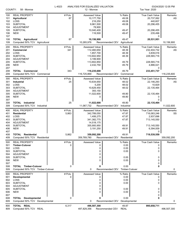| COUNTY:                                                     | 58 - Monroe                                                                                                                                             | L-4023                    | ANALYSIS FOR EQUALIZED VALUATION<br>12 - Monroe                                                            |                                                               | Tax Year: 2020                                                                                     | 03/24/2020 12:05 PM |
|-------------------------------------------------------------|---------------------------------------------------------------------------------------------------------------------------------------------------------|---------------------------|------------------------------------------------------------------------------------------------------------|---------------------------------------------------------------|----------------------------------------------------------------------------------------------------|---------------------|
| 100<br>101<br>102<br>103                                    | <b>REAL PROPERTY</b><br><b>Agricultural</b><br>LOSS<br><b>SUBTOTAL</b>                                                                                  | # Pcls.<br>87             | <b>Assessed Value</b><br>10,177,750<br>216,250<br>9,961,500                                                | % Ratio<br>49.08<br>49.08<br>49.08                            | <b>True Cash Value</b><br>20,737,062<br>440,607<br>20,296,455                                      | Remarks<br>AS       |
| 104<br>105<br>106<br>107                                    | <b>ADJUSTMENT</b><br><b>SUBTOTAL</b><br><b>NEW</b>                                                                                                      |                           | 78,900<br>10,040,400<br>116,500                                                                            | 49.47<br>49.47                                                | 20,296,455<br>235,496<br>0                                                                         |                     |
| 108<br>109                                                  | <b>TOTAL Agricultural</b><br>Computed 50% TCV Agricultural                                                                                              | 87                        | 10,156,900<br>10,265,976                                                                                   | 49.47<br>Recommended CEV<br>Agricultural                      | 20,531,951                                                                                         | 10,156,900          |
| 200<br>201<br>202<br>203<br>204<br>205<br>206               | <b>REAL PROPERTY</b><br>Commercial<br>LOSS<br><b>SUBTOTAL</b><br><b>ADJUSTMENT</b><br><b>SUBTOTAL</b><br><b>NEW</b>                                     | # Pcls.<br>341            | <b>Assessed Value</b><br>112,460,650<br>1,857,700<br>110,602,950<br>3,199,900<br>113,802,850<br>2,432,750  | % Ratio<br>48.39<br>48.39<br>48.39<br>49.79<br>49.79          | <b>True Cash Value</b><br>232,404,732<br>3,839,016<br>228,565,716<br>228,565,716<br>4,886,021      | Remarks<br>AS       |
| 207<br>208<br>209                                           | <b>TOTAL Commercial</b><br>Computed 50% TCV Commercial                                                                                                  | 343                       | 116,235,600<br>116,725,869                                                                                 | 49.79<br>Recommended CEV<br>Commercial                        | 0<br>233,451,737                                                                                   | 116,235,600         |
| 300<br>301<br>302<br>303<br>304<br>305<br>306<br>307        | <b>REAL PROPERTY</b><br>Industrial<br>LOSS<br><b>SUBTOTAL</b><br><b>ADJUSTMENT</b><br><b>SUBTOTAL</b><br><b>NEW</b>                                     | # Pcls.<br>25             | <b>Assessed Value</b><br>10,634,650<br>5,200<br>10,629,450<br>393,150<br>11,022,600<br>0                   | % Ratio<br>48.02<br>48.02<br>48.02<br>49.80<br>49.80          | <b>True Cash Value</b><br>22,146,293<br>10,829<br>22,135,464<br>22,135,464<br>0<br>0               | Remarks<br>AS       |
| 308<br>309                                                  | <b>TOTAL</b> Industrial<br>Computed 50% TCV Industrial                                                                                                  | 25                        | 11,022,600<br>11,067,732                                                                                   | 49.80<br>Recommended CEV<br>Industrial                        | 22,135,464                                                                                         | 11,022,600          |
| 400<br>401<br>402<br>403<br>404<br>405<br>406<br>407<br>408 | <b>REAL PROPERTY</b><br><b>Residential</b><br>LOSS<br><b>SUBTOTAL</b><br><b>ADJUSTMENT</b><br><b>SUBTOTAL</b><br><b>NEW</b><br><b>TOTAL Residential</b> | # Pcls.<br>5,863<br>5,862 | <b>Assessed Value</b><br>342,789,050<br>1,406,275<br>341,382,775<br>14,518,175<br>355,900,950<br>3,191,250 | % Ratio<br>47.87<br>47.87<br>47.87<br>49.91<br>49.91<br>49.91 | <b>True Cash Value</b><br>716,083,246<br>2,937,696<br>713,145,550<br>713,145,550<br>6,394,009<br>0 | Remarks<br>SS       |
| 409                                                         | Computed 50% TCV Residential                                                                                                                            |                           | 359,092,200<br>359,769,780                                                                                 | Recommended CEV Residential                                   | 719,539,559                                                                                        | 359,092,200         |
| 500<br>501<br>502<br>503<br>504<br>505<br>506<br>507        | <b>REAL PROPERTY</b><br><b>Timber-Cutover</b><br>LOSS<br><b>SUBTOTAL</b><br><b>ADJUSTMENT</b><br><b>SUBTOTAL</b><br><b>NEW</b>                          | # Pcls.<br>0              | <b>Assessed Value</b><br>0<br>0<br>0<br>0<br>0<br>0                                                        | % Ratio<br>0.00<br>0.00<br>0.00<br>0.00<br>0.00               | <b>True Cash Value</b><br>0<br>0<br>0<br>0<br>0<br>0                                               | Remarks             |
| 508<br>509                                                  | <b>TOTAL Timber-Cutover</b><br>Computed 50% TCV Timber-Cutover                                                                                          | 0                         | 0<br>0                                                                                                     | 0.00<br>Recommended CEV<br>Timber-Cutover                     | 0                                                                                                  | 0                   |
| 600<br>601<br>602<br>603<br>604<br>605<br>606<br>607        | <b>REAL PROPERTY</b><br><b>Developmental</b><br>LOSS<br><b>SUBTOTAL</b><br><b>ADJUSTMENT</b><br><b>SUBTOTAL</b><br><b>NEW</b>                           | # Pcls.<br>0              | <b>Assessed Value</b><br>0<br>0<br>0<br>0<br>0<br>0                                                        | % Ratio<br>0.00<br>0.00<br>0.00<br>0.00<br>0.00               | <b>True Cash Value</b><br>0<br>0<br>0<br>0<br>0                                                    | Remarks             |
| 608<br>609                                                  | <b>TOTAL Developmental</b><br>Computed 50% TCV Developmental                                                                                            | 0                         | 0<br>0                                                                                                     | 0.00<br>Recommended CEV<br>Developmental                      | 0                                                                                                  | 0                   |
| 800<br>809                                                  | TOTAL REAL<br>Computed 50% TCV REAL                                                                                                                     | 6,317                     | 496,507,300<br>497,829,356                                                                                 | 49.87<br>Recommended CEV<br><b>REAL</b>                       | 995,658,711                                                                                        | 496,507,300         |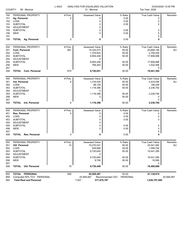| COUNTY:<br>58 - Monroe                                      |                                                                                                                                                   | L-4023                | ANALYSIS FOR EQUALIZED VALUATION<br>12 - Monroe                                                         |                                                               | 03/24/2020 12:05 PM<br>Tax Year: 2020                                                                         |                      |  |
|-------------------------------------------------------------|---------------------------------------------------------------------------------------------------------------------------------------------------|-----------------------|---------------------------------------------------------------------------------------------------------|---------------------------------------------------------------|---------------------------------------------------------------------------------------------------------------|----------------------|--|
| 150<br>151<br>152<br>153<br>154<br>155<br>156<br>157<br>158 | PERSONAL PROPERTY<br>Ag. Personal<br>LOSS<br><b>SUBTOTAL</b><br><b>ADJUSTMENT</b><br><b>SUBTOTAL</b><br><b>NEW</b><br><b>TOTAL Ag. Personal</b>   | # Pcls.<br>0<br>0     | <b>Assessed Value</b><br>0<br>0<br>0<br>0<br>0<br>0<br>0                                                | % Ratio<br>0.00<br>0.00<br>0.00<br>0.00<br>0.00<br>0.00       | True Cash Value<br>0<br>0<br>0<br>0<br>0<br>0<br>0                                                            | Remarks              |  |
| 250<br>251<br>252<br>253<br>254<br>255<br>256<br>257<br>258 | PERSONAL PROPERTY<br>Com. Personal<br>LOSS<br><b>SUBTOTAL</b><br><b>ADJUSTMENT</b><br><b>SUBTOTAL</b><br><b>NEW</b><br><b>TOTAL Com. Personal</b> | # Pcls.<br>661<br>674 | <b>Assessed Value</b><br>10,334,073<br>1,379,625<br>8,954,448<br>0<br>8,954,448<br>766,203<br>9,720,651 | % Ratio<br>50.00<br>50.00<br>50.00<br>50.00<br>50.00<br>50.00 | <b>True Cash Value</b><br>20,668,146<br>2,759,250<br>17,908,896<br>17,908,896<br>1,532,406<br>0<br>19,441,302 | Remarks<br>AU        |  |
| 350<br>351<br>352<br>353<br>354<br>355<br>356<br>357<br>358 | PERSONAL PROPERTY<br>Ind. Personal<br>LOSS<br><b>SUBTOTAL</b><br><b>ADJUSTMENT</b><br><b>SUBTOTAL</b><br><b>NEW</b><br><b>TOTAL</b> Ind. Personal | # Pcls.<br>6<br>6     | <b>Assessed Value</b><br>1,216,525<br>98,129<br>1,118,396<br>0<br>1,118,396<br>0<br>1,118,396           | % Ratio<br>50.00<br>50.00<br>50.00<br>50.00<br>50.00<br>50.00 | True Cash Value<br>2,433,050<br>196,258<br>2,236,792<br>2,236,792<br>0<br>0<br>2,236,792                      | Remarks<br><b>AU</b> |  |
| 450<br>451<br>452<br>453<br>454<br>455<br>456<br>457<br>458 | PERSONAL PROPERTY<br>Res. Personal<br>LOSS<br><b>SUBTOTAL</b><br><b>ADJUSTMENT</b><br><b>SUBTOTAL</b><br><b>NEW</b><br>TOTAL<br>Res. Personal     | # Pcls.<br>0<br>0     | Assessed Value<br>0<br>0<br>0<br>0<br>0<br>0<br>0                                                       | % Ratio<br>0.00<br>0.00<br>0.00<br>0.00<br>0.00<br>0.00       | True Cash Value<br>0<br>0<br>0<br>0<br>0<br>0<br>0                                                            | Remarks              |  |
| 550<br>551<br>552<br>553<br>554<br>555<br>556<br>557<br>558 | PERSONAL PROPERTY<br>Util. Personal<br>LOSS<br><b>SUBTOTAL</b><br><b>ADJUSTMENT</b><br><b>SUBTOTAL</b><br><b>NEW</b><br>TOTAL<br>Util. Personal   | # Pcls.<br>10<br>10   | Assessed Value<br>10,270,541<br>549.896<br>9,720,645<br>0<br>9,720,645<br>9,795<br>9,730,440            | % Ratio<br>50.00<br>50.00<br>50.00<br>50.00<br>50.00<br>50.00 | True Cash Value<br>20,541,082<br>1,099,792<br>19,441,290<br>19,441,290<br>19,590<br>0<br>19,460,880           | Remarks<br><b>AU</b> |  |
| 850<br>859<br>900                                           | TOTAL PERSONAL<br>Computed 50% TCV PERSONAL<br><b>Total Real and Personal</b>                                                                     | 690                   | 20,569,487<br>20,569,487<br>7,007<br>517,076,787                                                        | 50.00<br>PERSONAL<br>Recommended CEV                          | 41,138,974<br>1,036,797,685                                                                                   | 20,569,487           |  |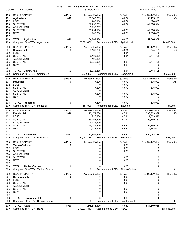| COUNTY:    | 58 - Monroe                          | L-4023  | ANALYSIS FOR EQUALIZED VALUATION<br>13 - Raisinville |                                   | Tax Year: 2020           | 03/24/2020 12:05 PM |
|------------|--------------------------------------|---------|------------------------------------------------------|-----------------------------------|--------------------------|---------------------|
| 100        | <b>REAL PROPERTY</b>                 | #Pcls.  | <b>Assessed Value</b>                                | % Ratio                           | <b>True Cash Value</b>   | Remarks             |
| 101        | Agricultural                         | 418     | 68,040,363                                           | 45.32                             | 150,133,193              | AS                  |
| 102        | LOSS                                 |         | 283,100                                              | 45.32                             | 624,669                  |                     |
| 103        | <b>SUBTOTAL</b>                      |         | 67,757,263                                           | 45.32                             | 149,508,524              |                     |
| 104<br>105 | <b>ADJUSTMENT</b><br><b>SUBTOTAL</b> |         | 5,996,837<br>73,754,100                              | 49.33                             | 149,508,524              |                     |
| 106        | <b>NEW</b>                           |         | 905,900                                              | 49.33                             | 1,836,408                |                     |
| 107        |                                      |         |                                                      |                                   | 0                        |                     |
| 108        | <b>TOTAL Agricultural</b>            | 418     | 74,660,000                                           | 49.33                             | 151,344,932              |                     |
| 109        | Computed 50% TCV Agricultural        |         | 75,672,466                                           | Recommended CEV<br>Agricultural   |                          | 74,660,000          |
| 200        | <b>REAL PROPERTY</b>                 | # Pcls. | Assessed Value                                       | % Ratio                           | True Cash Value          | Remarks             |
| 201        | Commercial                           | 33      | 6,160,800                                            | 48.34                             | 12,744,725               | AS                  |
| 202        | LOSS                                 |         | 0                                                    | 48.34                             | 0                        |                     |
| 203        | <b>SUBTOTAL</b>                      |         | 6,160,800                                            | 48.34                             | 12,744,725               |                     |
| 204<br>205 | <b>ADJUSTMENT</b><br><b>SUBTOTAL</b> |         | 192,100<br>6,352,900                                 | 49.85                             | 12,744,725               |                     |
| 206        | <b>NEW</b>                           |         | 0                                                    | 49.85                             | 0                        |                     |
| 207        |                                      |         |                                                      |                                   | 0                        |                     |
| 208        | TOTAL<br>Commercial                  | 33      | 6,352,900                                            | 49.85                             | 12,744,725               |                     |
| 209        | Computed 50% TCV Commercial          |         | 6,372,363                                            | Recommended CEV<br>Commercial     |                          | 6,352,900           |
| 300        | <b>REAL PROPERTY</b>                 | # Pcls. | Assessed Value                                       | % Ratio                           | True Cash Value          | Remarks             |
| 301        | Industrial                           | 6       | 187,200                                              | 49.79                             | 375,992                  | AS                  |
| 302        | LOSS                                 |         | 0                                                    | 49.79                             | 0                        |                     |
| 303        | <b>SUBTOTAL</b>                      |         | 187,200                                              | 49.79                             | 375,992                  |                     |
| 304        | <b>ADJUSTMENT</b>                    |         | 0                                                    |                                   |                          |                     |
| 305        | <b>SUBTOTAL</b><br><b>NEW</b>        |         | 187,200<br>0                                         | 49.79<br>49.79                    | 375,992                  |                     |
| 306<br>307 |                                      |         |                                                      |                                   | 0<br>0                   |                     |
| 308        | TOTAL<br>Industrial                  | 6       | 187,200                                              | 49.79                             | 375,992                  |                     |
| 309        | Computed 50% TCV Industrial          |         | 187,996                                              | Recommended CEV<br>Industrial     |                          | 187,200             |
| 400        | <b>REAL PROPERTY</b>                 | # Pcls. | Assessed Value                                       | % Ratio                           | True Cash Value          | Remarks             |
| 401        | <b>Residential</b>                   | 2,629   | 190,179,600                                          | 47.94                             | 396,703,379              | SS                  |
| 402        | LOSS                                 |         | 720,800                                              | 47.94                             | 1,503,546                |                     |
| 403        | <b>SUBTOTAL</b>                      |         | 189,458,800                                          | 47.94                             | 395,199,833              |                     |
| 404        | <b>ADJUSTMENT</b>                    |         | 5,786,600                                            |                                   |                          |                     |
| 405        | <b>SUBTOTAL</b><br><b>NEW</b>        |         | 195,245,400<br>2,412,500                             | 49.40<br>49.40                    | 395,199,833<br>4,883,603 |                     |
| 406<br>407 |                                      |         |                                                      |                                   | 0                        |                     |
| 408        | Residential<br>TOTAL                 | 2,632   | 197,657,900                                          | 49.40                             | 400.083.436              |                     |
| 409        | Computed 50% TCV Residential         |         | 200,041,718                                          | Recommended CEV Residential       |                          | 197,657,900         |
| 500        | <b>REAL PROPERTY</b>                 | # Pcls. | Assessed Value                                       | % Ratio                           | <b>True Cash Value</b>   | Remarks             |
| 501        | <b>Timber-Cutover</b>                | 0       | 0                                                    | 0.00                              | 0                        |                     |
| 502        | LOSS                                 |         | 0                                                    | 0.00                              | 0                        |                     |
| 503        | <b>SUBTOTAL</b><br><b>ADJUSTMENT</b> |         | 0                                                    | 0.00                              | 0                        |                     |
| 504<br>505 | <b>SUBTOTAL</b>                      |         | 0<br>0                                               | 0.00                              | 0                        |                     |
| 506        | <b>NEW</b>                           |         |                                                      | 0.00                              | 0                        |                     |
| 507        |                                      |         |                                                      |                                   | 0                        |                     |
| 508        | <b>TOTAL Timber-Cutover</b>          | 0       | 0                                                    | 0.00                              | 0                        |                     |
| 509        | Computed 50% TCV Timber-Cutover      |         | 0                                                    | Recommended CEV<br>Timber-Cutover |                          | 0                   |
| 600        | <b>REAL PROPERTY</b>                 | # Pcls. | Assessed Value                                       | % Ratio                           | True Cash Value          | Remarks             |
| 601        | Developmental                        | 0       | 0                                                    | 0.00                              | 0                        |                     |
| 602        | LOSS                                 |         | 0                                                    | 0.00                              | 0                        |                     |
| 603        | <b>SUBTOTAL</b>                      |         | 0                                                    | 0.00                              | 0                        |                     |
| 604        | <b>ADJUSTMENT</b><br><b>SUBTOTAL</b> |         | 0<br>0                                               | 0.00                              | 0                        |                     |
| 605<br>606 | <b>NEW</b>                           |         | 0                                                    | 0.00                              | 0                        |                     |
| 607        |                                      |         |                                                      |                                   | 0                        |                     |
| 608        | <b>TOTAL Developmental</b>           | 0       | 0                                                    | 0.00                              | 0                        |                     |
| 609        | Computed 50% TCV Developmental       |         | 0                                                    | Developmental<br>Recommended CEV  |                          | 0                   |
| 800        | TOTAL REAL                           | 3,089   | 278,858,000                                          | 49.39                             | 564,549,085              |                     |
| 809        | Computed 50% TCV REAL                |         | 282,274,543                                          | Recommended CEV<br><b>REAL</b>    |                          | 278,858,000         |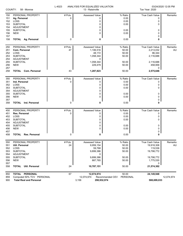| COUNTY:                | 58 - Monroe                               | L-4023  | ANALYSIS FOR EQUALIZED VALUATION<br>13 - Raisinville |                                         | Tax Year: 2020  | 03/24/2020 12:05 PM |
|------------------------|-------------------------------------------|---------|------------------------------------------------------|-----------------------------------------|-----------------|---------------------|
| 150                    | PERSONAL PROPERTY                         | # Pcls. | Assessed Value                                       | % Ratio                                 | True Cash Value | Remarks             |
| 151                    | Ag. Personal                              | 0       | 0                                                    | 0.00                                    | 0               |                     |
| 152                    | LOSS                                      |         | 0                                                    | 0.00                                    | 0               |                     |
| 153                    | <b>SUBTOTAL</b>                           |         | 0                                                    | 0.00                                    | 0               |                     |
| 154                    | ADJUSTMENT                                |         | 0                                                    |                                         |                 |                     |
| 155                    | <b>SUBTOTAL</b>                           |         | 0                                                    | 0.00                                    | 0               |                     |
| 156                    | <b>NEW</b>                                |         | 0                                                    | 0.00                                    | 0               |                     |
| 157                    |                                           |         |                                                      |                                         | 0               |                     |
| 158                    | <b>TOTAL Ag. Personal</b>                 | 0       | 0                                                    | 0.00                                    | 0               |                     |
| 250                    | PERSONAL PROPERTY                         | # Pcls. | Assessed Value                                       | % Ratio                                 | True Cash Value | Remarks             |
| 251                    | Com. Personal                             | 47      | 1,106,516                                            | 50.00                                   | 2,213,032       | AU                  |
| 252                    | LOSS                                      |         | 48,172                                               | 50.00                                   | 96,344          |                     |
| 253                    | <b>SUBTOTAL</b>                           |         | 1,058,344                                            | 50.00                                   | 2,116,688       |                     |
| 254                    | <b>ADJUSTMENT</b>                         |         | 0                                                    |                                         |                 |                     |
| 255                    | <b>SUBTOTAL</b>                           |         | 1,058,344                                            | 50.00                                   | 2,116,688       |                     |
| 256                    | <b>NEW</b>                                |         | 229,479                                              | 50.00                                   | 458,958         |                     |
| 257                    |                                           |         |                                                      |                                         | 0               |                     |
| 258                    | <b>TOTAL Com. Personal</b>                | 43      | 1,287,823                                            | 50.00                                   | 2,575,646       |                     |
| 350                    | PERSONAL PROPERTY                         | # Pcls. | Assessed Value                                       | % Ratio                                 | True Cash Value | Remarks             |
| 351                    | Ind. Personal                             | 0       | 0                                                    | 0.00                                    | 0               |                     |
| 352                    | LOSS                                      |         | 0                                                    | 0.00                                    | 0               |                     |
| 353                    | <b>SUBTOTAL</b>                           |         | 0                                                    | 0.00                                    | 0               |                     |
| 354                    | <b>ADJUSTMENT</b>                         |         | 0                                                    |                                         |                 |                     |
| 355                    | <b>SUBTOTAL</b>                           |         | 0                                                    | 0.00                                    | 0               |                     |
| 356                    | <b>NEW</b>                                |         | 0                                                    | 0.00                                    | 0               |                     |
| 357<br>358             | <b>TOTAL</b> Ind. Personal                | 0       | 0                                                    | 0.00                                    | 0<br>0          |                     |
|                        |                                           |         |                                                      |                                         |                 |                     |
| 450                    | PERSONAL PROPERTY                         | # Pcls. | Assessed Value                                       | % Ratio                                 | True Cash Value | Remarks             |
| 451                    | Res. Personal                             | 0       | 0                                                    | 0.00                                    | 0               |                     |
| 452                    | LOSS                                      |         | 0                                                    | 0.00                                    | 0               |                     |
| 453                    | <b>SUBTOTAL</b>                           |         | 0                                                    | 0.00                                    | 0               |                     |
| 454                    | <b>ADJUSTMENT</b>                         |         | 0                                                    |                                         |                 |                     |
| 455                    | <b>SUBTOTAL</b><br><b>NEW</b>             |         | 0<br>0                                               | 0.00<br>0.00                            | 0<br>0          |                     |
| 456<br>457             |                                           |         |                                                      |                                         |                 |                     |
| 458                    | Res. Personal<br><b>TOTAL</b>             | 0       | 0                                                    | 0.00                                    | 0<br>0          |                     |
|                        |                                           |         |                                                      |                                         |                 |                     |
| 550                    | PERSONAL PROPERTY                         | # Pcls. | Assessed Value                                       | % Ratio                                 | True Cash Value | Remarks             |
| 551                    | Util. Personal                            | 24      | 9,959,154                                            | 50.00                                   | 19,918,308      | AU                  |
| 552                    | LOSS                                      |         | 59,768                                               | 50.00                                   | 119,536         |                     |
| 553<br>554             | <b>SUBTOTAL</b><br>ADJUSTMENT             |         | 9,899,386<br>0                                       | 50.00                                   | 19,798,772      |                     |
| 555                    | <b>SUBTOTAL</b>                           |         | 9,899,386                                            | 50.00                                   | 19,798,772      |                     |
| 556                    | <b>NEW</b>                                |         | 887,765                                              | 50.00                                   | 1,775,530       |                     |
| 557                    |                                           |         |                                                      |                                         | 0               |                     |
| 558                    | <b>Util. Personal</b><br><b>TOTAL</b>     | 24      | 10,787,151                                           | 50.00                                   | 21,574,302      |                     |
|                        | <b>PERSONAL</b>                           | 67      |                                                      |                                         |                 |                     |
| 850<br>0E <sub>0</sub> | <b>TOTAL</b><br>$1.500$ TO $\ell$ DEDCOMM |         | 12,074,974<br>10.071.071                             | 50.00<br><b>DEDCOMM</b><br>proposal CEV | 24,149,948      | 10.071.071          |

859 Computed 50% TCV PERSONAL 12,074,974 Recommended CEV PERSONAL 12,074,974 900 **Total Real and Personal** 3,156 **290,932,974 588,699,033**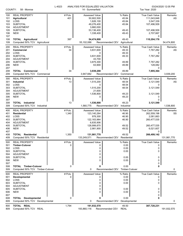| COUNTY:                                                     | 58 - Monroe                                                                                                                                             | L-4023                    | ANALYSIS FOR EQUALIZED VALUATION<br>14 - Summerfield                                                            |                                                               | Tax Year: 2020                                                                                             | 03/24/2020 12:05 PM |
|-------------------------------------------------------------|---------------------------------------------------------------------------------------------------------------------------------------------------------|---------------------------|-----------------------------------------------------------------------------------------------------------------|---------------------------------------------------------------|------------------------------------------------------------------------------------------------------------|---------------------|
| 100<br>101<br>102<br>103                                    | <b>REAL PROPERTY</b><br><b>Agricultural</b><br>LOSS<br><b>SUBTOTAL</b>                                                                                  | # Pcls.<br>401            | <b>Assessed Value</b><br>50,902,500<br>1,626,100<br>49,276,400                                                  | % Ratio<br>45.84<br>45.84<br>45.84                            | <b>True Cash Value</b><br>111,043,848<br>3,547,339<br>107,496,509                                          | Remarks<br>AS       |
| 104<br>105<br>106                                           | <b>ADJUSTMENT</b><br><b>SUBTOTAL</b><br><b>NEW</b>                                                                                                      |                           | 3,860,000<br>53,136,400<br>1,338,400                                                                            | 49.43<br>49.43                                                | 107,496,509<br>2,707,667                                                                                   |                     |
| 107<br>108<br>109                                           | <b>TOTAL Agricultural</b><br>Computed 50% TCV Agricultural                                                                                              | 397                       | 54,474,800<br>55,102,088                                                                                        | 49.43<br>Recommended CEV<br>Agricultural                      | 0<br>110,204,176                                                                                           | 54,474,800          |
| 200<br>201<br>202<br>203<br>204                             | <b>REAL PROPERTY</b><br>Commercial<br>LOSS<br><b>SUBTOTAL</b><br><b>ADJUSTMENT</b>                                                                      | # Pcls.<br>34             | Assessed Value<br>3,831,600<br>0<br>3,831,600<br>43,700                                                         | % Ratio<br>49.33<br>49.33<br>49.33                            | <b>True Cash Value</b><br>7,767,282<br>0<br>7,767,282                                                      | Remarks<br>AS       |
| 205<br>206<br>207                                           | <b>SUBTOTAL</b><br><b>NEW</b>                                                                                                                           |                           | 3,875,300<br>63,900                                                                                             | 49.89<br>49.89                                                | 7,767,282<br>128,082<br>0                                                                                  |                     |
| 208<br>209                                                  | <b>TOTAL Commercial</b><br>Computed 50% TCV Commercial                                                                                                  | 34                        | 3,939,200<br>3,947,682                                                                                          | 49.89<br>Recommended CEV<br>Commercial                        | 7,895,364                                                                                                  | 3,939,200           |
| 300<br>301<br>302<br>303<br>304<br>305<br>306               | <b>REAL PROPERTY</b><br>Industrial<br>LOSS<br><b>SUBTOTAL</b><br><b>ADJUSTMENT</b><br><b>SUBTOTAL</b><br><b>NEW</b>                                     | # Pcls.<br>13             | Assessed Value<br>1,515,200<br>0<br>1,515,200<br>21,600<br>1,536,800<br>0                                       | % Ratio<br>48.54<br>48.54<br>48.54<br>49.23<br>49.23          | True Cash Value<br>3,121,549<br>3,121,549<br>3,121,549<br>0                                                | Remarks<br>AS       |
| 307<br>308<br>309                                           | <b>TOTAL</b> Industrial<br>Computed 50% TCV Industrial                                                                                                  | 13                        | 1,536,800<br>1,560,775                                                                                          | 49.23<br>Recommended CEV Industrial                           | 0<br>3,121,549                                                                                             | 1,536,800           |
| 400<br>401<br>402<br>403<br>404<br>405<br>406<br>407<br>408 | <b>REAL PROPERTY</b><br><b>Residential</b><br>LOSS<br><b>SUBTOTAL</b><br><b>ADJUSTMENT</b><br><b>SUBTOTAL</b><br><b>NEW</b><br><b>TOTAL Residential</b> | # Pcls.<br>1,340<br>1,350 | Assessed Value<br>123,140,264<br>976,300<br>122,163,964<br>6,835,906<br>128,999,870<br>2,981,900<br>131,981,770 | % Ratio<br>46.90<br>46.90<br>46.90<br>49.52<br>49.52<br>49.52 | True Cash Value<br>262,559,198<br>2,081,663<br>260,477,535<br>260,477,535<br>6,021,607<br>0<br>266,499,142 | Remarks<br>SS       |
| 409                                                         | Computed 50% TCV Residential                                                                                                                            |                           |                                                                                                                 | 133,249,571 Recommended CEV Residential                       |                                                                                                            | 131,981,770         |
| 500<br>501<br>502<br>503<br>504<br>505<br>506<br>507        | <b>REAL PROPERTY</b><br><b>Timber-Cutover</b><br>LOSS<br><b>SUBTOTAL</b><br>ADJUSTMENT<br><b>SUBTOTAL</b><br><b>NEW</b>                                 | # Pcls.<br>0              | Assessed Value<br>0<br>0<br>0<br>0<br>0<br>0                                                                    | % Ratio<br>0.00<br>0.00<br>0.00<br>0.00<br>0.00               | <b>True Cash Value</b><br>0<br>0<br>0<br>0<br>0                                                            | Remarks             |
| 508<br>509                                                  | <b>TOTAL Timber-Cutover</b><br>Computed 50% TCV Timber-Cutover                                                                                          | 0                         | 0                                                                                                               | 0.00<br>Recommended CEV Timber-Cutover                        | 0                                                                                                          | 0                   |
| 600<br>601<br>602<br>603<br>604<br>605<br>606<br>607        | <b>REAL PROPERTY</b><br>Developmental<br>LOSS<br>SUBTOTAL<br><b>ADJUSTMENT</b><br><b>SUBTOTAL</b><br><b>NEW</b>                                         | # Pcls.<br>0              | Assessed Value<br>0<br>0<br>0<br>0<br>0<br>0                                                                    | % Ratio<br>0.00<br>0.00<br>0.00<br>0.00<br>0.00               | True Cash Value<br>0<br>0<br>0<br>0<br>0<br>0                                                              | Remarks             |
| 608<br>609                                                  | <b>TOTAL Developmental</b><br>Computed 50% TCV Developmental                                                                                            | 0                         | 0<br>0                                                                                                          | 0.00<br>Recommended CEV<br>Developmental                      | 0                                                                                                          | 0                   |
| 800<br>809                                                  | TOTAL REAL<br>Computed 50% TCV REAL                                                                                                                     | 1,794                     | 191,932,570<br>193,860,116                                                                                      | 49.50<br>Recommended CEV<br><b>REAL</b>                       | 387,720,231                                                                                                | 191,932,570         |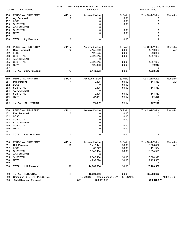|            | COUNTY:<br>58 - Monroe                | L-4023  | ANALYSIS FOR EQUALIZED VALUATION<br>14 - Summerfield |                             | Tax Year: 2020         | 03/24/2020 12:05 PM |
|------------|---------------------------------------|---------|------------------------------------------------------|-----------------------------|------------------------|---------------------|
| 150        | PERSONAL PROPERTY                     | # Pcls. | Assessed Value                                       | % Ratio                     | <b>True Cash Value</b> | Remarks             |
| 151        | Ag. Personal                          | 0       | 0                                                    | 0.00                        | 0                      |                     |
| 152        | LOSS                                  |         | 0                                                    | 0.00                        | 0                      |                     |
| 153        | <b>SUBTOTAL</b>                       |         | 0                                                    | 0.00                        | 0                      |                     |
| 154        | <b>ADJUSTMENT</b>                     |         | 0                                                    |                             |                        |                     |
| 155        | <b>SUBTOTAL</b>                       |         | 0                                                    | 0.00                        | 0                      |                     |
| 156        | <b>NEW</b>                            |         | $\Omega$                                             | 0.00                        | 0                      |                     |
| 157        |                                       |         |                                                      |                             | 0                      |                     |
| 158        | <b>TOTAL Ag. Personal</b>             | 0       | 0                                                    | 0.00                        | 0                      |                     |
| 250        | PERSONAL PROPERTY                     | # Pcls. | Assessed Value                                       | % Ratio                     | True Cash Value        | Remarks             |
| 251        | Com. Personal                         | 72      | 2,155,340                                            | 50.00                       | 4,310,680              | AU                  |
| 252        | LOSS                                  |         | 126,525                                              | 50.00                       | 253,050                |                     |
| 253        | <b>SUBTOTAL</b>                       |         | 2,028,815                                            | 50.00                       | 4,057,630              |                     |
| 254        | <b>ADJUSTMENT</b>                     |         | 0                                                    |                             |                        |                     |
| 255        | <b>SUBTOTAL</b>                       |         |                                                      | 50.00                       | 4,057,630              |                     |
|            |                                       |         | 2,028,815                                            |                             |                        |                     |
| 256<br>257 | <b>NEW</b>                            |         | 420,458                                              | 50.00                       | 840,916<br>0           |                     |
| 258        | <b>TOTAL Com. Personal</b>            | 77      | 2,449,273                                            | 50.00                       | 4,898,546              |                     |
|            |                                       |         |                                                      |                             |                        |                     |
| 350        | PERSONAL PROPERTY                     | # Pcls. | Assessed Value                                       | % Ratio                     | True Cash Value        | Remarks             |
| 351        | Ind. Personal                         | 1       | 72,175                                               | 50.00                       | 144,350                | AU                  |
| 352        | LOSS                                  |         | 0                                                    | 50.00                       |                        |                     |
| 353        | <b>SUBTOTAL</b>                       |         | 72,175                                               | 50.00                       | 144,350                |                     |
| 354        | <b>ADJUSTMENT</b>                     |         | 0                                                    |                             |                        |                     |
| 355        | <b>SUBTOTAL</b>                       |         | 72,175                                               | 50.00                       | 144,350                |                     |
| 356        | <b>NEW</b>                            |         | 27,644                                               | 50.00                       | 55,288                 |                     |
| 357        |                                       |         |                                                      |                             | 0                      |                     |
| 358        | Ind. Personal<br><b>TOTAL</b>         |         | 99,819                                               | 50.00                       | 199,638                |                     |
|            | PERSONAL PROPERTY                     | # Pcls. | Assessed Value                                       | % Ratio                     | True Cash Value        | Remarks             |
| 450        | Res. Personal                         | 0       | 0                                                    | 0.00                        | 0                      |                     |
| 451        |                                       |         |                                                      |                             |                        |                     |
| 452        | LOSS                                  |         | 0                                                    | 0.00                        | 0                      |                     |
| 453        | <b>SUBTOTAL</b>                       |         | 0                                                    | 0.00                        | 0                      |                     |
| 454        | <b>ADJUSTMENT</b>                     |         | 0                                                    |                             |                        |                     |
| 455        | <b>SUBTOTAL</b>                       |         | 0                                                    | 0.00                        | 0                      |                     |
| 456        | <b>NEW</b>                            |         | 0                                                    | 0.00                        | 0                      |                     |
| 457<br>458 | <b>TOTAL</b><br>Res. Personal         | 0       | 0                                                    | 0.00                        | 0<br>0                 |                     |
|            |                                       |         |                                                      |                             |                        |                     |
| 550        | PERSONAL PROPERTY                     | # Pcls. | Assessed Value                                       | % Ratio                     | True Cash Value        | Remarks             |
| 551        | Util. Personal                        | 26      | 9,413,441                                            | 50.00                       | 18,826,882             | AU                  |
| 552        | LOSS                                  |         | 65,977                                               | 50.00                       | 131,954                |                     |
| 553        | <b>SUBTOTAL</b>                       |         | 9,347,464                                            | 50.00                       | 18,694,928             |                     |
| 554        | <b>ADJUSTMENT</b>                     |         | 0                                                    |                             |                        |                     |
| 555        | <b>SUBTOTAL</b>                       |         | 9,347,464                                            | 50.00                       | 18,694,928             |                     |
| 556        | <b>NEW</b>                            |         | 4,732,790                                            | 50.00                       | 9,465,580              |                     |
| 557        |                                       |         |                                                      |                             | 0                      |                     |
| 558        | <b>Util. Personal</b><br><b>TOTAL</b> | 26      | 14,080,254                                           | 50.00                       | 28,160,508             |                     |
| 850        | TOTAL PERSONAL                        | 104     | 16,629,346                                           | 50.00                       | 33,258,692             |                     |
| 859        | Computed 50% TCV PERSONAL             |         | 16,629,346                                           | PERSONAL<br>Recommended CEV |                        | 16,629,346          |
| 900        | <b>Total Real and Personal</b>        |         | 1,898<br>208,561,916                                 |                             | 420,978,923            |                     |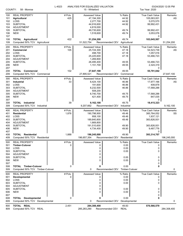| COUNTY:                                              | 58 - Monroe                                                                                                                    | L-4023           | ANALYSIS FOR EQUALIZED VALUATION<br>15 - Whiteford                                                      |                                                      | Tax Year: 2020                                                                                | 03/24/2020 12:05 PM |
|------------------------------------------------------|--------------------------------------------------------------------------------------------------------------------------------|------------------|---------------------------------------------------------------------------------------------------------|------------------------------------------------------|-----------------------------------------------------------------------------------------------|---------------------|
| 100<br>101<br>102<br>103                             | <b>REAL PROPERTY</b><br><b>Agricultural</b><br>LOSS<br><b>SUBTOTAL</b>                                                         | # Pcls.<br>425   | <b>Assessed Value</b><br>47,194,300<br>2,277,700<br>44,916,600                                          | % Ratio<br>44.92<br>44.92<br>44.92                   | True Cash Value<br>105,063,001<br>5,070,570<br>99,992,431                                     | Remarks<br>AS       |
| 104<br>105<br>106<br>107                             | <b>ADJUSTMENT</b><br><b>SUBTOTAL</b><br><b>NEW</b>                                                                             |                  | 4,819,000<br>49,735,600<br>1,518,600                                                                    | 49.74<br>49.74                                       | 99,992,431<br>3,053,076<br>0                                                                  |                     |
| 108<br>109                                           | <b>TOTAL Agricultural</b><br>Computed 50% TCV Agricultural                                                                     | 422              | 51,254,200<br>51,522,754                                                                                | 49.74<br>Recommended CEV<br>Agricultural             | 103,045,507                                                                                   | 51,254,200          |
| 200<br>201<br>202<br>203<br>204<br>205               | <b>REAL PROPERTY</b><br>Commercial<br>LOSS<br><b>SUBTOTAL</b><br><b>ADJUSTMENT</b><br><b>SUBTOTAL</b>                          | # Pcls.<br>105   | <b>Assessed Value</b><br>25,724,300<br>498,700<br>25,225,600<br>1,269,800<br>26,495,400                 | % Ratio<br>47.18<br>47.18<br>47.18<br>49.55          | True Cash Value<br>54,523,739<br>1,057,016<br>53,466,723<br>53,466,723                        | Remarks<br>AS       |
| 206<br>207<br>208                                    | <b>NEW</b><br>TOTAL<br>Commercial                                                                                              | 102              | 1,151,700<br>27,647,100                                                                                 | 49.55<br>49.55                                       | 2,324,319<br>0<br>55,791,042                                                                  |                     |
| 209                                                  | Computed 50% TCV Commercial                                                                                                    |                  | 27,895,521                                                                                              | Recommended CEV<br>Commercial                        |                                                                                               | 27,647,100          |
| 300<br>301<br>302<br>303<br>304<br>305               | <b>REAL PROPERTY</b><br><b>Industrial</b><br>LOSS<br><b>SUBTOTAL</b><br><b>ADJUSTMENT</b><br><b>SUBTOTAL</b>                   | # Pcls.<br>33    | <b>Assessed Value</b><br>8,424,100<br>191,600<br>8,232,500<br>508,200<br>8,740,700                      | % Ratio<br>46.86<br>46.86<br>46.86<br>49.75          | True Cash Value<br>17,977,166<br>408,878<br>17,568,288<br>17,568,288                          | Remarks<br>AS       |
| 306<br>307<br>308<br>309                             | <b>NEW</b><br>TOTAL<br><b>Industrial</b><br>Computed 50% TCV<br>Industrial                                                     | 39               | 421,400<br>9,162,100<br>9,207,662                                                                       | 49.75<br>49.75<br>Recommended CEV<br>Industrial      | 847,035<br>0<br>18,415,323                                                                    | 9,162,100           |
| 400<br>401<br>402<br>403<br>404<br>405<br>406        | <b>REAL PROPERTY</b><br><b>Residential</b><br>LOSS<br><b>SUBTOTAL</b><br><b>ADJUSTMENT</b><br><b>SUBTOTAL</b><br><b>NEW</b>    | # Pcls.<br>1,876 | <b>Assessed Value</b><br>190,798,900<br>958,100<br>189,840,800<br>1,669,800<br>191,510,600<br>4,734,400 | % Ratio<br>49.46<br>49.46<br>49.46<br>49.90<br>49.90 | <b>True Cash Value</b><br>385,764,052<br>1,937,121<br>383,826,931<br>383,826,931<br>9,487,776 | Remarks<br>SS       |
| 407<br>408<br>409                                    | TOTAL<br>Residential<br>Computed 50% TCV Residential                                                                           | 1,888            | 196,245,000<br>196,657,354                                                                              | 49.90<br>Recommended CEV Residential                 | 0<br>393,314,707                                                                              | 196,245,000         |
| 500<br>501<br>502<br>503<br>504<br>505<br>506<br>507 | <b>REAL PROPERTY</b><br><b>Timber-Cutover</b><br>LOSS<br><b>SUBTOTAL</b><br><b>ADJUSTMENT</b><br><b>SUBTOTAL</b><br><b>NEW</b> | # Pcls.<br>0     | <b>Assessed Value</b><br>0<br>0<br>0<br>0<br>0<br>0                                                     | % Ratio<br>0.00<br>0.00<br>0.00<br>0.00<br>0.00      | <b>True Cash Value</b><br>0<br>0<br>0<br>0<br>0<br>0                                          | Remarks             |
| 508<br>509                                           | <b>TOTAL Timber-Cutover</b><br>Computed 50% TCV Timber-Cutover                                                                 | 0                | 0<br>0                                                                                                  | 0.00<br>Recommended CEV Timber-Cutover               | 0                                                                                             | 0                   |
| 600<br>601<br>602<br>603<br>604<br>605<br>606<br>607 | <b>REAL PROPERTY</b><br><b>Developmental</b><br>LOSS<br><b>SUBTOTAL</b><br><b>ADJUSTMENT</b><br><b>SUBTOTAL</b><br><b>NEW</b>  | # Pcls.<br>0     | Assessed Value<br>0<br>0<br>0<br>0<br>0<br>0                                                            | % Ratio<br>0.00<br>0.00<br>0.00<br>0.00<br>0.00      | True Cash Value<br>0<br>0<br>0<br>0<br>0<br>0                                                 | Remarks             |
| 608<br>609                                           | TOTAL<br>Developmental<br>Computed 50% TCV Developmental                                                                       | 0                | 0                                                                                                       | 0.00<br>Recommended CEV Developmental                |                                                                                               | 0                   |
| 800<br>809                                           | TOTAL REAL<br>Computed 50% TCV REAL                                                                                            | 2,451            | 284,308,400<br>285,283,290                                                                              | 49.83<br>Recommended CEV REAL                        | 570,566,579                                                                                   | 284,308,400         |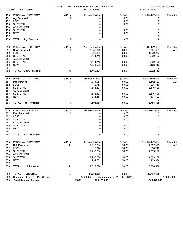| COUNTY:<br>58 - Monroe |                                      | L-4023         | ANALYSIS FOR EQUALIZED VALUATION<br>15 - Whiteford |         | 03/24/2020 12:05 PM<br>Tax Year: 2020 |         |  |
|------------------------|--------------------------------------|----------------|----------------------------------------------------|---------|---------------------------------------|---------|--|
| 150                    | PERSONAL PROPERTY                    | # Pcls.        | <b>Assessed Value</b>                              | % Ratio | <b>True Cash Value</b>                | Remarks |  |
| 151                    | Ag. Personal                         | 0              | 0                                                  | 0.00    | 0                                     |         |  |
| 152                    | LOSS                                 |                | 0                                                  | 0.00    | 0                                     |         |  |
| 153                    | <b>SUBTOTAL</b>                      |                | 0                                                  | 0.00    | 0                                     |         |  |
| 154                    | <b>ADJUSTMENT</b>                    |                | 0                                                  |         |                                       |         |  |
| 155                    | <b>SUBTOTAL</b>                      |                | 0                                                  | 0.00    | 0                                     |         |  |
| 156                    | <b>NEW</b>                           |                | 0                                                  | 0.00    | 0                                     |         |  |
| 157                    |                                      |                |                                                    |         | 0                                     |         |  |
| 158                    | <b>TOTAL Ag. Personal</b>            | 0              | 0                                                  | 0.00    | 0                                     |         |  |
| 250                    | PERSONAL PROPERTY                    | # Pcls.        | <b>Assessed Value</b>                              | % Ratio | True Cash Value                       | Remarks |  |
| 251                    | Com. Personal                        | 169            | 5,350,849                                          | 50.00   | 10,701,698                            | AU      |  |
| 252                    | LOSS                                 |                | 936,136                                            | 50.00   | 1,872,272                             |         |  |
| 253                    | <b>SUBTOTAL</b>                      |                | 4,414,713                                          | 50.00   | 8,829,426                             |         |  |
| 254                    | ADJUSTMENT                           |                | 0                                                  |         |                                       |         |  |
| 255                    | <b>SUBTOTAL</b>                      |                | 4,414,713                                          | 50.00   | 8,829,426                             |         |  |
| 256                    | <b>NEW</b>                           |                | 1,051,508                                          | 50.00   | 2,103,016                             |         |  |
| 257                    |                                      |                |                                                    |         | 0                                     |         |  |
| 258                    | <b>TOTAL Com. Personal</b>           | 179            | 5,466,221                                          | 50.00   | 10,932,442                            |         |  |
| 350                    | PERSONAL PROPERTY                    | # Pcls.        | Assessed Value                                     | % Ratio | True Cash Value                       | Remarks |  |
| 351                    | Ind. Personal                        | $\overline{7}$ | 1,771,061                                          | 50.00   | 3,542,122                             | AU      |  |
| 352                    | LOSS                                 |                | 112,758                                            | 50.00   | 225,516                               |         |  |
| 353                    | <b>SUBTOTAL</b>                      |                | 1,658,303                                          | 50.00   | 3,316,606                             |         |  |
| 354                    | ADJUSTMENT                           |                | 0                                                  |         |                                       |         |  |
| 355                    | <b>SUBTOTAL</b>                      |                | 1,658,303                                          | 50.00   | 3,316,606                             |         |  |
| 356<br>357             | <b>NEW</b>                           |                | 235,861                                            | 50.00   | 471,722<br>0                          |         |  |
| 358                    | <b>TOTAL</b> Ind. Personal           | 7              | 1,894,164                                          | 50.00   | 3,788,328                             |         |  |
| 450                    | PERSONAL PROPERTY                    | # Pcls.        | Assessed Value                                     | % Ratio | True Cash Value                       | Remarks |  |
| 451                    | Res. Personal                        | 0              | 0                                                  | 0.00    | 0                                     |         |  |
| 452                    | LOSS                                 |                | 0                                                  | 0.00    | 0                                     |         |  |
| 453                    | <b>SUBTOTAL</b>                      |                | 0                                                  | 0.00    | 0                                     |         |  |
| 454                    | <b>ADJUSTMENT</b>                    |                | 0                                                  |         |                                       |         |  |
| 455                    | <b>SUBTOTAL</b>                      |                | 0                                                  | 0.00    | 0                                     |         |  |
| 456                    | <b>NEW</b>                           |                | 0                                                  | 0.00    | 0                                     |         |  |
| 457                    |                                      |                |                                                    |         | 0                                     |         |  |
| 458                    | <b>Res. Personal</b><br><b>TOTAL</b> | 0              | 0                                                  | 0.00    | 0                                     |         |  |
| 550                    | PERSONAL PROPERTY                    | # Pcls.        | Assessed Value                                     | % Ratio | True Cash Value                       | Remarks |  |
| 551                    | Util. Personal                       | 11             | 7,326,010                                          | 50.00   | 14,652,020                            | AU      |  |
| 552                    | LOSS                                 |                | 29,374                                             | 50.00   | 58,748                                |         |  |
| 553                    | <b>SUBTOTAL</b>                      |                | 7,296,636                                          | 50.00   | 14,593,272                            |         |  |
| 554                    | ADJUSTMENT                           |                | 0                                                  |         |                                       |         |  |
| 555                    | <b>SUBTOTAL</b>                      |                | 7,296,636                                          | 50.00   | 14,593,272                            |         |  |
| 556                    | <b>NEW</b>                           |                | 231,662                                            | 50.00   | 463,324                               |         |  |
| 557<br>558             | Util. Personal<br><b>TOTAL</b>       | 11             | 7,528,298                                          | 50.00   | 0<br>15,056,596                       |         |  |
|                        |                                      |                |                                                    |         |                                       |         |  |
| 850                    | <b>TOTAL</b><br><b>PERSONAL</b>      | 197            | 14,888,683                                         | 50.00   | 29,777,366                            |         |  |

| <b>UUU IUIAL FERUUNAL</b>     | 191   | 17.000.000                          | JU.UU | <b>2000, 11, 62</b> |
|-------------------------------|-------|-------------------------------------|-------|---------------------|
| 859 Computed 50% TCV PERSONAL |       | 14.888.683 Recommended CEV PERSONAL |       | 14,888,683          |
| 900 Total Real and Personal   | 2.648 | 299,197,083                         |       | 600,343,945         |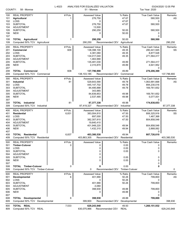| COUNTY:    | 58 - Monroe                          | L-4023  | ANALYSIS FOR EQUALIZED VALUATION<br>51 - Monroe |                                   | 03/24/2020 12:05 PM<br>Tax Year: 2020 |             |  |
|------------|--------------------------------------|---------|-------------------------------------------------|-----------------------------------|---------------------------------------|-------------|--|
|            | <b>REAL PROPERTY</b>                 | # Pcls. | <b>Assessed Value</b>                           | % Ratio                           | <b>True Cash Value</b>                | Remarks     |  |
| 100<br>101 | Agricultural                         | 1       | 276,750                                         | 47.67                             | 580,500                               | AS          |  |
| 102        | LOSS                                 |         | 0                                               | 47.67                             | 0                                     |             |  |
| 103        | <b>SUBTOTAL</b>                      |         | 276,750                                         | 47.67                             | 580,500                               |             |  |
| 104        | <b>ADJUSTMENT</b>                    |         | 13,500                                          |                                   |                                       |             |  |
| 105<br>106 | <b>SUBTOTAL</b><br><b>NEW</b>        |         | 290,250<br>0                                    | 50.00<br>50.00                    | 580,500<br>0                          |             |  |
| 107        |                                      |         |                                                 |                                   | 0                                     |             |  |
| 108        | <b>TOTAL Agricultural</b>            |         | 290,250                                         | 50.00                             | 580,500                               |             |  |
| 109        | Computed 50% TCV Agricultural        |         | 290,250                                         | Recommended CEV<br>Agricultural   |                                       | 290,250     |  |
| 200        | <b>REAL PROPERTY</b>                 | # Pcls. | <b>Assessed Value</b>                           | % Ratio                           | <b>True Cash Value</b>                | Remarks     |  |
| 201        | Commercial                           | 609     | 138,398,100                                     | 49.35                             | 280,441,945                           | SS          |  |
| 202        | LOSS                                 |         | 4,381,060                                       | 49.35                             | 8,877,528                             |             |  |
| 203        | <b>SUBTOTAL</b>                      |         | 134,017,040                                     | 49.35                             | 271,564,417                           |             |  |
| 204<br>205 | <b>ADJUSTMENT</b><br><b>SUBTOTAL</b> |         | 1,463,990<br>135,481,030                        | 49.89                             | 271,564,417                           |             |  |
| 206        | <b>NEW</b>                           |         | 2,315,870                                       | 49.89                             | 4,641,952                             |             |  |
| 207        |                                      |         |                                                 |                                   | 0                                     |             |  |
| 208        | <b>TOTAL Commercial</b>              | 608     | 137,796,900                                     | 49.89                             | 276,206,369                           |             |  |
| 209        | Computed 50% TCV Commercial          |         | 138, 103, 185                                   | Recommended CEV<br>Commercial     |                                       | 137,796,900 |  |
| 300        | <b>REAL PROPERTY</b>                 | # Pcls. | Assessed Value                                  | % Ratio                           | True Cash Value                       | Remarks     |  |
| 301        | Industrial                           | 81      | 529,643,590                                     | 49.78                             | 1,063,991,668                         | AS          |  |
| 302        | LOSS                                 |         | 445, 147, 702                                   | 49.78                             | 894,230,016                           |             |  |
| 303        | <b>SUBTOTAL</b>                      |         | 84,495,888                                      | 49.78                             | 169,761,652                           |             |  |
| 304<br>305 | <b>ADJUSTMENT</b><br><b>SUBTOTAL</b> |         | 343,965<br>84,839,853                           | 49.98                             | 169,761,652                           |             |  |
| 306        | <b>NEW</b>                           |         | 2,537,485                                       | 49.98                             | 5,077,001                             |             |  |
| 307        |                                      |         |                                                 |                                   | 0                                     |             |  |
| 308        | <b>TOTAL</b> Industrial              | 81      | 87,377,338                                      | 49.98                             | 174,838,653                           |             |  |
| 309        | Computed 50% TCV<br>Industrial       |         | 87,419,327                                      | Recommended CEV<br>Industrial     |                                       | 87,377,338  |  |
| 400        | <b>REAL PROPERTY</b>                 | # Pcls. | <b>Assessed Value</b>                           | % Ratio                           | True Cash Value                       | Remarks     |  |
| 401        | <b>Residential</b>                   | 6,831   | 383,004,810                                     | 47.50                             | 806,325,916                           | SS          |  |
| 402        | LOSS                                 |         | 697,000                                         | 47.50                             | 1,467,368                             |             |  |
| 403        | <b>SUBTOTAL</b>                      |         | 382,307,810                                     | 47.50                             | 804,858,548                           |             |  |
| 404<br>405 | <b>ADJUSTMENT</b><br><b>SUBTOTAL</b> |         | 19,640,410<br>401,948,220                       | 49.94                             | 804,858,548                           |             |  |
| 406        | <b>NEW</b>                           |         | 1,432,310                                       | 49.94                             | 2,868,062                             |             |  |
| 407        |                                      |         |                                                 |                                   | 0                                     |             |  |
| 408        | <b>TOTAL Residential</b>             | 6,837   | 403,380,530                                     | 49.94                             | 807,726,610                           |             |  |
| 409        | Computed 50% TCV Residential         |         | 403.863.305                                     | Recommended CEV Residential       |                                       | 403.380.530 |  |
| 500        | <b>REAL PROPERTY</b>                 | # Pcls. | <b>Assessed Value</b>                           | % Ratio                           | <b>True Cash Value</b>                | Remarks     |  |
| 501        | <b>Timber-Cutover</b>                | 0       | 0                                               | 0.00                              | 0                                     |             |  |
| 502        | LOSS                                 |         | 0                                               | 0.00                              | 0                                     |             |  |
| 503        | <b>SUBTOTAL</b>                      |         | 0                                               | 0.00                              | 0                                     |             |  |
| 504<br>505 | <b>ADJUSTMENT</b><br><b>SUBTOTAL</b> |         | 0<br>0                                          | 0.00                              | 0                                     |             |  |
| 506        | <b>NEW</b>                           |         | 0                                               | 0.00                              | 0                                     |             |  |
| 507        |                                      |         |                                                 |                                   | 0                                     |             |  |
| 508        | <b>TOTAL Timber-Cutover</b>          | 0       | 0                                               | 0.00                              | 0                                     |             |  |
| 509        | Computed 50% TCV Timber-Cutover      |         | 0                                               | Recommended CEV<br>Timber-Cutover |                                       | 0           |  |
| 600        | <b>REAL PROPERTY</b>                 | # Pcls. | <b>Assessed Value</b>                           | % Ratio                           | True Cash Value                       | Remarks     |  |
| 601        | <b>Developmental</b>                 | 6       | 401,990                                         | 50.26                             | 799,800                               | AS          |  |
| 602        | LOSS                                 |         | 0                                               | 50.26                             | 0                                     |             |  |
| 603        | <b>SUBTOTAL</b>                      |         | 401,990                                         | 50.26                             | 799,800                               |             |  |
| 604<br>605 | <b>ADJUSTMENT</b><br><b>SUBTOTAL</b> |         | $-3,060$<br>398,930                             | 49.88                             | 799,800                               |             |  |
| 606        | <b>NEW</b>                           |         | 0                                               | 49.88                             | 0                                     |             |  |
| 607        |                                      |         |                                                 |                                   | 0                                     |             |  |
| 608        | Developmental<br>TOTAL               | 6       | 398,930                                         | 49.88                             | 799,800                               |             |  |
| 609        | Computed 50% TCV Developmental       |         | 399,900                                         | Recommended CEV<br>Developmental  |                                       | 398,930     |  |
| 800        | TOTAL REAL                           | 7,533   | 629,243,948                                     | 49.93                             | 1,260,151,932                         |             |  |
| 809        | Computed 50% TCV REAL                |         | 630,075,966                                     | Recommended CEV<br><b>REAL</b>    |                                       | 629,243,948 |  |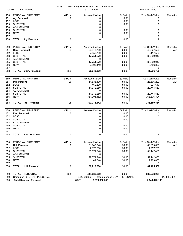| COUNTY:<br>58 - Monroe                                      |                                                                                                                                                        | L-4023                          | ANALYSIS FOR EQUALIZED VALUATION<br>51 - Monroe                                                                        |                                                               | 03/24/2020 12:05 PM<br>Tax Year: 2020                                                                         |                      |  |
|-------------------------------------------------------------|--------------------------------------------------------------------------------------------------------------------------------------------------------|---------------------------------|------------------------------------------------------------------------------------------------------------------------|---------------------------------------------------------------|---------------------------------------------------------------------------------------------------------------|----------------------|--|
| 150<br>151<br>152<br>153<br>154<br>155<br>156<br>157<br>158 | PERSONAL PROPERTY<br>Ag. Personal<br><b>LOSS</b><br><b>SUBTOTAL</b><br><b>ADJUSTMENT</b><br><b>SUBTOTAL</b><br><b>NEW</b><br><b>TOTAL Ag. Personal</b> | # Pcls.<br>0<br>0               | <b>Assessed Value</b><br>0<br>0<br>0<br>0<br>0<br>$\mathbf 0$<br>0                                                     | % Ratio<br>0.00<br>0.00<br>0.00<br>0.00<br>0.00<br>0.00       | <b>True Cash Value</b><br>0<br>0<br>0<br>0<br>0<br>0<br>0                                                     | Remarks              |  |
|                                                             |                                                                                                                                                        |                                 |                                                                                                                        |                                                               |                                                                                                               |                      |  |
| 250<br>251<br>252<br>253<br>254<br>255<br>256<br>257<br>258 | PERSONAL PROPERTY<br>Com. Personal<br>LOSS<br><b>SUBTOTAL</b><br><b>ADJUSTMENT</b><br><b>SUBTOTAL</b><br><b>NEW</b><br><b>TOTAL Com. Personal</b>      | # Pcls.<br>1,194<br>1,359       | <b>Assessed Value</b><br>20,313,760<br>2,558,790<br>17,754,970<br>0<br>17,754,970<br>2,893,410<br>20,648,380           | % Ratio<br>50.00<br>50.00<br>50.00<br>50.00<br>50.00<br>50.00 | True Cash Value<br>40,627,520<br>5,117,580<br>35,509,940<br>35,509,940<br>5,786,820<br>0<br>41,296,760        | Remarks<br>AU        |  |
|                                                             |                                                                                                                                                        |                                 |                                                                                                                        |                                                               |                                                                                                               |                      |  |
| 350<br>351<br>352<br>353<br>354<br>355<br>356               | PERSONAL PROPERTY<br>Ind. Personal<br>LOSS<br><b>SUBTOTAL</b><br><b>ADJUSTMENT</b><br><b>SUBTOTAL</b><br><b>NEW</b>                                    | # Pcls.<br>26                   | <b>Assessed Value</b><br>11,833,100<br>460,820<br>11,372,280<br>0<br>11,372,280<br>381,903,162                         | % Ratio<br>50.00<br>50.00<br>50.00<br>50.00<br>50.00          | True Cash Value<br>23,666,200<br>921,640<br>22,744,560<br>22,744,560<br>763,806,324                           | Remarks<br><b>AU</b> |  |
| 357<br>358                                                  | Ind. Personal<br>TOTAL                                                                                                                                 | 28                              | 393,275,442                                                                                                            | 50.00                                                         | 0<br>786,550,884                                                                                              |                      |  |
| 450<br>451<br>452<br>453<br>454<br>455<br>456<br>457<br>458 | PERSONAL PROPERTY<br>Res. Personal<br>LOSS<br><b>SUBTOTAL</b><br><b>ADJUSTMENT</b><br><b>SUBTOTAL</b><br><b>NEW</b><br><b>TOTAL Res. Personal</b>      | # Pcls.<br>$\Omega$<br>$\Omega$ | <b>Assessed Value</b><br>0<br>0<br>0<br>0<br>0<br>0<br>0                                                               | % Ratio<br>0.00<br>0.00<br>0.00<br>0.00<br>0.00<br>0.00       | True Cash Value<br>0<br>0<br>0<br>0<br>0<br>0<br>0                                                            | Remarks              |  |
| 550<br>551<br>552<br>553<br>554<br>555<br>556<br>557<br>558 | PERSONAL PROPERTY<br>Util. Personal<br>LOSS<br><b>SUBTOTAL</b><br><b>ADJUSTMENT</b><br><b>SUBTOTAL</b><br><b>NEW</b><br><b>Util. Personal</b><br>TOTAL | # Pcls.<br>8<br>8               | <b>Assessed Value</b><br>31,949,840<br>2,378,600<br>29,571,240<br>$\mathbf 0$<br>29,571,240<br>1,141,540<br>30,712,780 | % Ratio<br>50.00<br>50.00<br>50.00<br>50.00<br>50.00<br>50.00 | <b>True Cash Value</b><br>63,899,680<br>4,757,200<br>59,142,480<br>59,142,480<br>2,283,080<br>0<br>61,425,560 | Remarks<br>AU        |  |
| 850<br>859<br>900                                           | TOTAL PERSONAL<br>Computed 50% TCV PERSONAL<br><b>Total Real and Personal</b>                                                                          | 1,395                           | 444,636,602<br>444,636,602<br>8,928<br>1,073,880,550                                                                   | 50.00<br>PERSONAL<br>Recommended CEV                          | 889,273,204<br>2,149,425,136                                                                                  | 444,636,602          |  |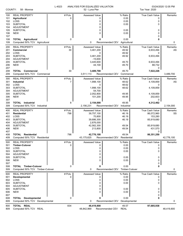| COUNTY:                                              | 58 - Monroe                                                                                                                    | L-4023         | ANALYSIS FOR EQUALIZED VALUATION<br>52 - Luna Pier                                                | Tax Year: 2020                                       | 03/24/2020 12:05 PM                                                                         |               |
|------------------------------------------------------|--------------------------------------------------------------------------------------------------------------------------------|----------------|---------------------------------------------------------------------------------------------------|------------------------------------------------------|---------------------------------------------------------------------------------------------|---------------|
| 100<br>101<br>102<br>103<br>104                      | <b>REAL PROPERTY</b><br><b>Agricultural</b><br>LOSS<br><b>SUBTOTAL</b><br><b>ADJUSTMENT</b>                                    | # Pcls.<br>0   | <b>Assessed Value</b><br>0<br>0<br>0<br>0                                                         | % Ratio<br>0.00<br>0.00<br>0.00                      | <b>True Cash Value</b><br>0<br>0<br>0                                                       | Remarks       |
| 105<br>106<br>107                                    | <b>SUBTOTAL</b><br><b>NEW</b>                                                                                                  |                | 0<br>0                                                                                            | 0.00<br>0.00                                         | 0<br>0<br>0                                                                                 |               |
| 108<br>109                                           | <b>TOTAL Agricultural</b><br>Computed 50% TCV Agricultural                                                                     | 0              | 0<br>0                                                                                            | 0.00<br>Recommended CEV<br>Agricultural              |                                                                                             | 0             |
| 200<br>201<br>202<br>203<br>204<br>205               | <b>REAL PROPERTY</b><br>Commercial<br>LOSS<br><b>SUBTOTAL</b><br><b>ADJUSTMENT</b><br><b>SUBTOTAL</b>                          | # Pcls.<br>30  | <b>Assessed Value</b><br>3,461,200<br>0<br>3,461,200<br>$-15,600$<br>3,445,600                    | % Ratio<br>49.92<br>49.92<br>49.92<br>49.70          | True Cash Value<br>6,933,494<br>6,933,494<br>6,933,494                                      | Remarks<br>AS |
| 206<br>207                                           | <b>NEW</b>                                                                                                                     |                | 44,100                                                                                            | 49.70                                                | 88,732<br>0                                                                                 |               |
| 208<br>209                                           | <b>TOTAL Commercial</b><br>Computed 50% TCV Commercial                                                                         | 30             | 3,489,700<br>3,511,113                                                                            | 49.70<br>Recommended CEV<br>Commercial               | 7,022,226                                                                                   | 3,489,700     |
| 300<br>301<br>302<br>303<br>304<br>305<br>306        | <b>REAL PROPERTY</b><br><b>Industrial</b><br>LOSS<br><b>SUBTOTAL</b><br><b>ADJUSTMENT</b><br><b>SUBTOTAL</b><br><b>NEW</b>     | # Pcls.<br>7   | Assessed Value<br>1,998,100<br>0<br>1,998,100<br>54,700<br>2,052,800<br>101,200                   | % Ratio<br>48.62<br>48.62<br>48.62<br>49.95<br>49.95 | True Cash Value<br>4,109,859<br>0<br>4,109,859<br>4,109,859<br>202,603                      | Remarks<br>AS |
| 307<br>308<br>309                                    | <b>TOTAL</b> Industrial<br>Computed 50% TCV Industrial                                                                         | 8              | 2,154,000<br>2,156,231                                                                            | 49.95<br>Recommended CEV<br>Industrial               | 0<br>4,312,462                                                                              | 2,154,000     |
| 400<br>401<br>402<br>403<br>404<br>405<br>406<br>407 | <b>REAL PROPERTY</b><br><b>Residential</b><br>LOSS<br><b>SUBTOTAL</b><br><b>ADJUSTMENT</b><br><b>SUBTOTAL</b><br><b>NEW</b>    | # Pcls.<br>798 | <b>Assessed Value</b><br>39,757,100<br>70,800<br>39,686,300<br>2,876,000<br>42,562,300<br>213,800 | % Ratio<br>46.19<br>46.19<br>46.19<br>49.54<br>49.54 | <b>True Cash Value</b><br>86,072,960<br>153,280<br>85,919,680<br>85,919,680<br>431,570<br>0 | Remarks<br>SS |
| 408<br>409                                           | <b>TOTAL Residential</b><br>Computed 50% TCV Residential                                                                       | 796            | 42,776,100<br>43,175,625                                                                          | 49.54<br>Recommended CEV Residential                 | 86,351,250                                                                                  | 42,776,100    |
| 500<br>501<br>502<br>503<br>504<br>505<br>506<br>507 | <b>REAL PROPERTY</b><br><b>Timber-Cutover</b><br>LOSS<br><b>SUBTOTAL</b><br><b>ADJUSTMENT</b><br><b>SUBTOTAL</b><br><b>NEW</b> | # Pcls.<br>0   | <b>Assessed Value</b><br>0<br>0<br>0<br>0<br>0<br>0                                               | % Ratio<br>0.00<br>0.00<br>0.00<br>0.00<br>0.00      | <b>True Cash Value</b><br>0<br>0<br>0<br>0<br>0<br>0                                        | Remarks       |
| 508<br>509                                           | <b>TOTAL Timber-Cutover</b><br>Computed 50% TCV Timber-Cutover                                                                 | 0              | 0<br>0                                                                                            | 0.00<br>Recommended CEV Timber-Cutover               |                                                                                             | 0             |
| 600<br>601<br>602<br>603<br>604<br>605<br>606<br>607 | <b>REAL PROPERTY</b><br><b>Developmental</b><br>LOSS<br><b>SUBTOTAL</b><br><b>ADJUSTMENT</b><br><b>SUBTOTAL</b><br><b>NEW</b>  | # Pcls.<br>0   | Assessed Value<br>0<br>0<br>0<br>0<br>0<br>0                                                      | % Ratio<br>0.00<br>0.00<br>0.00<br>0.00<br>0.00      | True Cash Value<br>0<br>0<br>0<br>0<br>0<br>0                                               | Remarks       |
| 608<br>609                                           | <b>TOTAL Developmental</b><br>Computed 50% TCV Developmental                                                                   | 0              | 0<br>0                                                                                            | 0.00<br>Recommended CEV<br>Developmental             |                                                                                             | 0             |
| 800<br>809                                           | TOTAL REAL<br>Computed 50% TCV REAL                                                                                            | 834            | 48,419,800<br>48,842,969                                                                          | 49.57<br>Recommended CEV<br><b>REAL</b>              | 97,685,938                                                                                  | 48,419,800    |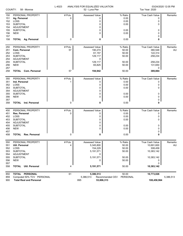| COUNTY:<br>58 - Monroe                |                                      | L-4023  | ANALYSIS FOR EQUALIZED VALUATION<br>52 - Luna Pier | Tax Year: 2020              | 03/24/2020 12:05 PM    |           |  |
|---------------------------------------|--------------------------------------|---------|----------------------------------------------------|-----------------------------|------------------------|-----------|--|
| 150                                   | PERSONAL PROPERTY                    | # Pcls. | <b>Assessed Value</b>                              | % Ratio                     | <b>True Cash Value</b> | Remarks   |  |
| 151                                   | Ag. Personal                         | 0       | 0                                                  | 0.00                        | 0                      |           |  |
| 152                                   | LOSS                                 |         | 0                                                  | 0.00                        | 0                      |           |  |
| 153                                   | <b>SUBTOTAL</b>                      |         | 0                                                  | 0.00                        | 0                      |           |  |
| 154                                   | ADJUSTMENT                           |         | 0                                                  |                             |                        |           |  |
| 155                                   | <b>SUBTOTAL</b>                      |         | 0                                                  | 0.00                        | 0                      |           |  |
| 156                                   | <b>NEW</b>                           |         | 0                                                  | 0.00                        | 0                      |           |  |
| 157                                   |                                      |         |                                                    |                             | 0                      |           |  |
| 158                                   | TOTAL Ag. Personal                   | 0       | 0                                                  | 0.00                        | 0                      |           |  |
| 250                                   | PERSONAL PROPERTY                    | # Pcls. | Assessed Value                                     | % Ratio                     | True Cash Value        | Remarks   |  |
| 251                                   | Com. Personal                        | 57      | 190,274                                            | 50.00                       | 380,548                | AU        |  |
| 252                                   | LOSS                                 |         | 61,157                                             | 50.00                       | 122,314                |           |  |
| 253                                   | <b>SUBTOTAL</b>                      |         | 129,117                                            | 50.00                       | 258,234                |           |  |
| 254                                   | ADJUSTMENT                           |         | 0                                                  |                             |                        |           |  |
| 255                                   | <b>SUBTOTAL</b>                      |         | 129,117                                            | 50.00                       | 258,234                |           |  |
| 256                                   | <b>NEW</b>                           |         | 65,825                                             | 50.00                       | 131,650                |           |  |
| 257                                   |                                      |         |                                                    |                             | 0                      |           |  |
| 258                                   | <b>TOTAL Com. Personal</b>           | 57      | 194,942                                            | 50.00                       | 389,884                |           |  |
| 350                                   | PERSONAL PROPERTY                    | # Pcls. | <b>Assessed Value</b>                              | % Ratio                     | True Cash Value        | Remarks   |  |
| 351                                   | Ind. Personal                        | 1       | 0                                                  | 0.00                        | 0                      |           |  |
| 352                                   | LOSS                                 |         | 0                                                  | 0.00                        | 0                      |           |  |
| 353                                   | <b>SUBTOTAL</b>                      |         | 0                                                  | 0.00                        | 0                      |           |  |
| 354                                   | <b>ADJUSTMENT</b>                    |         | 0                                                  |                             |                        |           |  |
| 355                                   | <b>SUBTOTAL</b>                      |         | 0                                                  | 0.00                        | 0                      |           |  |
| 356                                   | <b>NEW</b>                           |         | 0                                                  | 0.00                        | 0                      |           |  |
| 357                                   |                                      |         |                                                    |                             | 0                      |           |  |
| 358                                   | <b>TOTAL</b> Ind. Personal           | 0       | 0                                                  | 0.00                        | 0                      |           |  |
| 450                                   | PERSONAL PROPERTY                    | # Pcls. | <b>Assessed Value</b>                              | % Ratio                     | True Cash Value        | Remarks   |  |
| 451                                   | Res. Personal                        | 0       | 0                                                  | 0.00                        | 0                      |           |  |
| 452                                   | LOSS                                 |         | 0                                                  | 0.00                        | 0                      |           |  |
| 453                                   | <b>SUBTOTAL</b>                      |         | 0                                                  | 0.00                        | 0                      |           |  |
| 454                                   | <b>ADJUSTMENT</b>                    |         | 0                                                  |                             |                        |           |  |
| 455                                   | <b>SUBTOTAL</b>                      |         | 0                                                  | 0.00                        | 0                      |           |  |
| 456                                   | <b>NEW</b>                           |         | 0                                                  | 0.00                        | 0                      |           |  |
| 457                                   |                                      |         |                                                    |                             | 0                      |           |  |
| 458                                   | <b>Res. Personal</b><br><b>TOTAL</b> | 0       | 0                                                  | 0.00                        | 0                      |           |  |
| 550                                   | PERSONAL PROPERTY                    | # Pcls. | Assessed Value                                     | % Ratio                     | True Cash Value        | Remarks   |  |
| 551                                   | <b>Util. Personal</b>                | 4       | 5,345,800                                          | 50.00                       | 10,691,600             | AU        |  |
| 552                                   | LOSS                                 |         | 154,229                                            | 50.00                       | 308,458                |           |  |
| 553                                   | <b>SUBTOTAL</b>                      |         | 5,191,571                                          | 50.00                       | 10,383,142             |           |  |
| 554                                   | ADJUSTMENT                           |         | 0                                                  |                             |                        |           |  |
| 555                                   | <b>SUBTOTAL</b>                      |         | 5,191,571                                          | 50.00                       | 10,383,142             |           |  |
| 556                                   | <b>NEW</b>                           |         | 0                                                  | 50.00                       | 0                      |           |  |
| 557                                   |                                      |         |                                                    |                             | 0                      |           |  |
| 558                                   | <b>TOTAL Util. Personal</b>          | 4       | 5,191,571                                          | 50.00                       | 10,383,142             |           |  |
| 850                                   | TOTAL PERSONAL                       | 61      | 5,386,513                                          | 50.00                       | 10,773,026             |           |  |
| 859                                   | Computed 50% TCV PERSONAL            |         | 5,386,513                                          | PERSONAL<br>Recommended CEV |                        | 5,386,513 |  |
| <b>Total Real and Personal</b><br>900 |                                      | 895     | 53,806,313                                         | 108,458,964                 |                        |           |  |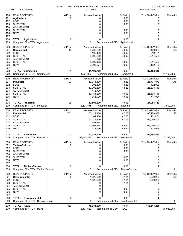| COUNTY:                                              | 58 - Monroe                                                                                                                    | L-4023<br>ANALYSIS FOR EQUALIZED VALUATION | Tax Year: 2020                                                                                     | 03/24/2020 12:05 PM                                     |                                                                                                |               |
|------------------------------------------------------|--------------------------------------------------------------------------------------------------------------------------------|--------------------------------------------|----------------------------------------------------------------------------------------------------|---------------------------------------------------------|------------------------------------------------------------------------------------------------|---------------|
| 100<br>101<br>102<br>103                             | <b>REAL PROPERTY</b><br><b>Agricultural</b><br>LOSS<br><b>SUBTOTAL</b>                                                         | # Pcls.<br>0                               | <b>Assessed Value</b><br>0<br>0<br>0                                                               | % Ratio<br>0.00<br>0.00<br>0.00                         | <b>True Cash Value</b><br>0<br>0<br>0                                                          | Remarks       |
| 104<br>105<br>106<br>107                             | <b>ADJUSTMENT</b><br><b>SUBTOTAL</b><br><b>NEW</b>                                                                             |                                            | 0<br>0<br>0                                                                                        | 0.00<br>0.00                                            | 0<br>0<br>0                                                                                    |               |
| 108<br>109                                           | <b>TOTAL Agricultural</b><br>Computed 50% TCV Agricultural                                                                     | 0                                          | 0<br>0                                                                                             | 0.00<br>Recommended CEV Agricultural                    | 0                                                                                              | 0             |
| 200<br>201<br>202<br>203<br>204<br>205<br>206        | <b>REAL PROPERTY</b><br>Commercial<br>LOSS<br><b>SUBTOTAL</b><br><b>ADJUSTMENT</b><br><b>SUBTOTAL</b><br><b>NEW</b>            | # Pcls.<br>43                              | <b>Assessed Value</b><br>8,202,200<br>109,400<br>8,092,800<br>6,323<br>8,099,123<br>3,093,577      | % Ratio<br>49.92<br>49.92<br>49.92<br>49.96<br>49.96    | True Cash Value<br>16,430,689<br>219,151<br>16,211,538<br>16,211,538<br>6,192,108              | Remarks<br>AS |
| 207<br>208<br>209                                    | <b>TOTAL Commercial</b><br>Computed 50% TCV Commercial                                                                         | 51                                         | 11,192,700<br>11,201,823                                                                           | 49.96<br>Recommended CEV<br>Commercial                  | 0<br>22,403,646                                                                                | 11,192,700    |
| 300<br>301<br>302<br>303<br>304<br>305<br>306        | <b>REAL PROPERTY</b><br>Industrial<br>LOSS<br><b>SUBTOTAL</b><br><b>ADJUSTMENT</b><br><b>SUBTOTAL</b><br><b>NEW</b>            | # Pcls.<br>27                              | <b>Assessed Value</b><br>12,911,300<br>208,800<br>12,702,500<br>448,700<br>13,151,200<br>358,000   | % Ratio<br>48.23<br>48.23<br>48.23<br>49.93<br>49.93    | <b>True Cash Value</b><br>26,771,072<br>432,926<br>26,338,146<br>26,338,146<br>717,004         | Remarks<br>AS |
| 307<br>308<br>309                                    | <b>TOTAL</b> Industrial<br>Computed 50% TCV Industrial                                                                         | 26                                         | 13,509,200<br>13,527,575                                                                           | 49.93<br>Recommended CEV<br>Industrial                  | 0<br>27,055,150                                                                                | 13,509,200    |
| 400<br>401<br>402<br>403<br>404<br>405<br>406<br>407 | <b>REAL PROPERTY</b><br><b>Residential</b><br>LOSS<br><b>SUBTOTAL</b><br>ADJUSTMENT<br><b>SUBTOTAL</b><br><b>NEW</b>           | # Pcls.<br>751                             | <b>Assessed Value</b><br>50,121,100<br>104,900<br>50,016,200<br>2,952,264<br>52,968,464<br>413,536 | % Ratio<br>47.16<br>47.16<br>47.16<br>49.94<br>49.94    | <b>True Cash Value</b><br>106,278,838<br>222,434<br>106,056,404<br>106,056,404<br>828,066<br>0 | Remarks<br>SS |
| 408<br>409                                           | <b>TOTAL Residential</b><br>Computed 50% TCV Residential                                                                       | 753                                        | 53,382,000<br>53,442,235                                                                           | 49.94<br>Recommended CEV Residential                    | 106,884,470                                                                                    | 53,382,000    |
| 500<br>501<br>502<br>503<br>504<br>505<br>506<br>507 | <b>REAL PROPERTY</b><br><b>Timber-Cutover</b><br>LOSS<br><b>SUBTOTAL</b><br><b>ADJUSTMENT</b><br><b>SUBTOTAL</b><br><b>NEW</b> | # Pcls.<br>0                               | <b>Assessed Value</b><br>0<br>0<br>0<br>0<br>0<br>U<br>0                                           | % Ratio<br>0.00<br>0.00<br>0.00<br>0.00<br>0.00<br>0.00 | <b>True Cash Value</b><br>0<br>0<br>0<br>0<br>0<br>0<br>0                                      | Remarks       |
| 508<br>509                                           | <b>TOTAL Timber-Cutover</b><br>Computed 50% TCV Timber-Cutover                                                                 | 0                                          | 0                                                                                                  | Recommended CEV Timber-Cutover                          |                                                                                                | 0             |
| 600<br>601<br>602<br>603<br>604<br>605<br>606<br>607 | <b>REAL PROPERTY</b><br><b>Developmental</b><br>LOSS<br><b>SUBTOTAL</b><br><b>ADJUSTMENT</b><br><b>SUBTOTAL</b><br><b>NEW</b>  | # Pcls.<br>8                               | <b>Assessed Value</b><br>1,522,800<br>1,522,800<br>0<br>0<br>0<br>0                                | % Ratio<br>47.14<br>47.14<br>47.14<br>0.00<br>0.00      | True Cash Value<br>3,230,288<br>3,230,288<br>0<br>0<br>0<br>0                                  | Remarks<br>AS |
| 608<br>609                                           | <b>TOTAL Developmental</b><br>Computed 50% TCV Developmental                                                                   | 0                                          | 0<br>0                                                                                             | 0.00<br>Recommended CEV<br>Developmental                | 0                                                                                              | 0             |
| 800<br>809                                           | TOTAL REAL<br>Computed 50% TCV REAL                                                                                            | 830                                        | 78,083,900<br>78,171,633                                                                           | 49.94<br>Recommended CEV<br><b>REAL</b>                 | 156,343,266                                                                                    | 78,083,900    |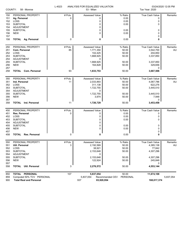| COUNTY:    | 58 - Monroe                           | L-4023  | ANALYSIS FOR EQUALIZED VALUATION<br>53 - Milan | Tax Year: 2020              | 03/24/2020 12:05 PM    |           |  |
|------------|---------------------------------------|---------|------------------------------------------------|-----------------------------|------------------------|-----------|--|
| 150        | PERSONAL PROPERTY                     | # Pcls. | <b>Assessed Value</b>                          | % Ratio                     | <b>True Cash Value</b> | Remarks   |  |
| 151        | Ag. Personal                          | 0       | 0                                              | 0.00                        | 0                      |           |  |
| 152        | LOSS                                  |         | 0                                              | 0.00                        | 0                      |           |  |
| 153        | <b>SUBTOTAL</b>                       |         | 0                                              | 0.00                        | 0                      |           |  |
| 154        | ADJUSTMENT                            |         | 0                                              |                             |                        |           |  |
| 155        | <b>SUBTOTAL</b>                       |         | 0                                              | 0.00                        | 0                      |           |  |
| 156        | <b>NEW</b>                            |         | 0                                              | 0.00                        | 0                      |           |  |
| 157        |                                       |         |                                                |                             | 0                      |           |  |
| 158        | <b>TOTAL Ag. Personal</b>             | 0       | 0                                              | 0.00                        | 0                      |           |  |
| 250        | PERSONAL PROPERTY                     | #Pcls.  | Assessed Value                                 | % Ratio                     | True Cash Value        | Remarks   |  |
| 251        | Com. Personal                         | 85      | 1,771,350                                      | 50.00                       | 3,542,700              | AU        |  |
| 252        | LOSS                                  |         | 102,425                                        | 50.00                       | 204,850                |           |  |
| 253        | <b>SUBTOTAL</b>                       |         | 1,668,925                                      | 50.00                       | 3,337,850              |           |  |
| 254        | <b>ADJUSTMENT</b>                     |         | 0                                              |                             |                        |           |  |
| 255        | <b>SUBTOTAL</b>                       |         | 1,668,925                                      | 50.00                       | 3,337,850              |           |  |
| 256        | <b>NEW</b>                            |         | 164,828                                        | 50.00                       | 329,656                |           |  |
| 257        |                                       |         |                                                |                             | 0                      |           |  |
| 258        | <b>TOTAL</b> Com. Personal            | 93      | 1,833,753                                      | 50.00                       | 3,667,506              |           |  |
| 350        | PERSONAL PROPERTY                     | # Pcls. | <b>Assessed Value</b>                          | % Ratio                     | <b>True Cash Value</b> | Remarks   |  |
| 351        | Ind. Personal                         | 11      | 2,033,893                                      | 50.00                       | 4,067,786              | AU        |  |
| 352        | LOSS                                  |         | 311,138                                        | 50.00                       | 622,276                |           |  |
| 353        | <b>SUBTOTAL</b>                       |         | 1,722,755                                      | 50.00                       | 3,445,510              |           |  |
| 354        | <b>ADJUSTMENT</b>                     |         | 0                                              |                             |                        |           |  |
| 355        | <b>SUBTOTAL</b>                       |         | 1,722,755                                      | 50.00                       | 3,445,510              |           |  |
| 356        | <b>NEW</b>                            |         | 3,974                                          | 50.00                       | 7,948                  |           |  |
| 357        |                                       |         |                                                |                             | 0                      |           |  |
| 358        | Ind. Personal<br><b>TOTAL</b>         | 11      | 1,726,729                                      | 50.00                       | 3,453,458              |           |  |
| 450        | PERSONAL PROPERTY                     | # Pcls. | <b>Assessed Value</b>                          | % Ratio                     | True Cash Value        | Remarks   |  |
| 451        | Res. Personal                         | 0       | 0                                              | 0.00                        | 0                      |           |  |
| 452        | LOSS                                  |         | 0                                              | 0.00                        | 0                      |           |  |
| 453        | <b>SUBTOTAL</b>                       |         | 0                                              | 0.00                        | 0                      |           |  |
| 454        | <b>ADJUSTMENT</b>                     |         | 0                                              |                             |                        |           |  |
| 455        | <b>SUBTOTAL</b>                       |         | 0                                              | 0.00                        | 0                      |           |  |
| 456        | <b>NEW</b>                            |         | 0                                              | 0.00                        | 0                      |           |  |
| 457        |                                       |         |                                                |                             | 0                      |           |  |
| 458        | Res. Personal<br><b>TOTAL</b>         | 0       | 0                                              | 0.00                        | 0                      |           |  |
| 550        | PERSONAL PROPERTY                     | # Pcls. | Assessed Value                                 | % Ratio                     | True Cash Value        | Remarks   |  |
| 551        | Util. Personal                        | 3       | 2,192,569                                      | 50.00                       | 4,385,138              | AU        |  |
| 552        | LOSS                                  |         | 38,921                                         | 50.00                       | 77,842                 |           |  |
| 553        | <b>SUBTOTAL</b>                       |         | 2,153,648                                      | 50.00                       | 4,307,296              |           |  |
| 554        | ADJUSTMENT                            |         | 0                                              |                             |                        |           |  |
| 555        | <b>SUBTOTAL</b>                       |         | 2,153,648                                      | 50.00                       | 4,307,296              |           |  |
| 556        | <b>NEW</b>                            |         | 122,924                                        | 50.00                       | 245,848                |           |  |
| 557<br>558 | <b>Util. Personal</b><br><b>TOTAL</b> | 3       | 2,276,572                                      | 50.00                       | 0<br>4,553,144         |           |  |
| 850        | TOTAL PERSONAL                        | 107     | 5,837,054                                      | 50.00                       | 11,674,108             |           |  |
| 859        | Computed 50% TCV PERSONAL             |         | 5,837,054                                      | PERSONAL<br>Recommended CEV |                        | 5,837,054 |  |
| 900        | <b>Total Real and Personal</b>        |         | 937                                            | 83,920,954                  | 168,017,374            |           |  |
|            |                                       |         |                                                |                             |                        |           |  |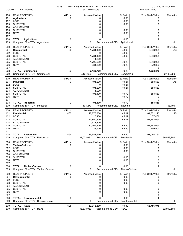| COUNTY:                                              | 58 - Monroe                                                                                                                    | L-4023<br>ANALYSIS FOR EQUALIZED VALUATION | Tax Year: 2020                                                                                    | 03/24/2020 12:05 PM                                  |                                                                                            |               |
|------------------------------------------------------|--------------------------------------------------------------------------------------------------------------------------------|--------------------------------------------|---------------------------------------------------------------------------------------------------|------------------------------------------------------|--------------------------------------------------------------------------------------------|---------------|
| 100<br>101<br>102<br>103<br>104                      | <b>REAL PROPERTY</b><br><b>Agricultural</b><br>LOSS<br><b>SUBTOTAL</b><br><b>ADJUSTMENT</b>                                    | # Pcls.<br>0                               | <b>Assessed Value</b><br>0<br>0<br>0<br>0                                                         | % Ratio<br>0.00<br>0.00<br>0.00                      | True Cash Value<br>0<br>0<br>0                                                             | Remarks       |
| 105<br>106<br>107                                    | <b>SUBTOTAL</b><br><b>NEW</b>                                                                                                  |                                            | 0<br>0                                                                                            | 0.00<br>0.00                                         | 0<br>0<br>0                                                                                |               |
| 108<br>109                                           | <b>TOTAL Agricultural</b><br>Computed 50% TCV Agricultural                                                                     | 0                                          | 0<br>0                                                                                            | 0.00<br>Recommended CEV<br>Agricultural              |                                                                                            | 0             |
| 200<br>201<br>202<br>203<br>204<br>205               | <b>REAL PROPERTY</b><br>Commercial<br>LOSS<br><b>SUBTOTAL</b><br>ADJUSTMENT<br><b>SUBTOTAL</b>                                 | # Pcls.<br>50                              | Assessed Value<br>1,784,100<br>0<br>1,784,100<br>11,800<br>1,795,900                              | % Ratio<br>48.96<br>48.96<br>48.96<br>49.28          | <b>True Cash Value</b><br>3,643,995<br>3,643,995<br>3,643,995                              | Remarks<br>AS |
| 206<br>207<br>208                                    | <b>NEW</b><br><b>TOTAL Commercial</b>                                                                                          | 62                                         | 334,800<br>2,130,700                                                                              | 49.28<br>49.28                                       | 679,383<br>0<br>4,323,378                                                                  |               |
| 209                                                  | Computed 50% TCV Commercial                                                                                                    |                                            | 2,161,689                                                                                         | Recommended CEV<br>Commercial                        |                                                                                            | 2,130,700     |
| 300<br>301<br>302<br>303<br>304                      | <b>REAL PROPERTY</b><br><b>Industrial</b><br>LOSS<br><b>SUBTOTAL</b><br><b>ADJUSTMENT</b>                                      | # Pcls.<br>3                               | Assessed Value<br>191,200<br>0<br>191,200<br>1,900                                                | % Ratio<br>49.21<br>49.21<br>49.21                   | True Cash Value<br>388,539<br>0<br>388,539                                                 | Remarks<br>AS |
| 305<br>306<br>307                                    | <b>SUBTOTAL</b><br><b>NEW</b>                                                                                                  |                                            | 193,100<br>0                                                                                      | 49.70<br>49.70                                       | 388,539<br>0<br>0                                                                          |               |
| 308<br>309                                           | <b>TOTAL</b> Industrial<br>Computed 50% TCV Industrial                                                                         | 2                                          | 193,100<br>194,270                                                                                | 49.70<br>Recommended CEV<br>Industrial               | 388,539                                                                                    | 193,100       |
| 400<br>401<br>402<br>403<br>404<br>405<br>406<br>407 | <b>REAL PROPERTY</b><br><b>Residential</b><br>LOSS<br><b>SUBTOTAL</b><br><b>ADJUSTMENT</b><br><b>SUBTOTAL</b><br><b>NEW</b>    | # Pcls.<br>465                             | <b>Assessed Value</b><br>27,876,300<br>25,900<br>27,850,400<br>2,614,800<br>30,465,200<br>123,500 | % Ratio<br>45.07<br>45.07<br>45.07<br>49.30<br>49.30 | <b>True Cash Value</b><br>61,851,120<br>57,466<br>61,793,654<br>61,793,654<br>250,507<br>0 | Remarks<br>SS |
| 408<br>409                                           | <b>TOTAL Residential</b><br>Computed 50% TCV Residential                                                                       | 464                                        | 30,588,700<br>31,022,081                                                                          | 49.30<br>Recommended CEV Residential                 | 62,044,161                                                                                 | 30,588,700    |
| 500<br>501<br>502<br>503<br>504<br>505<br>506<br>507 | <b>REAL PROPERTY</b><br><b>Timber-Cutover</b><br>LOSS<br><b>SUBTOTAL</b><br><b>ADJUSTMENT</b><br><b>SUBTOTAL</b><br><b>NEW</b> | # Pcls.<br>0                               | <b>Assessed Value</b><br>0<br>0<br>0<br>0<br>0<br>0                                               | % Ratio<br>0.00<br>0.00<br>0.00<br>0.00<br>0.00      | <b>True Cash Value</b><br>0<br>0<br>0<br>0<br>0<br>0                                       | Remarks       |
| 508<br>509                                           | <b>TOTAL Timber-Cutover</b><br>Computed 50% TCV Timber-Cutover                                                                 | 0                                          | 0<br>0                                                                                            | 0.00<br>Recommended CEV Timber-Cutover               |                                                                                            | 0             |
| 600<br>601<br>602<br>603<br>604<br>605<br>606<br>607 | <b>REAL PROPERTY</b><br><b>Developmental</b><br>LOSS<br><b>SUBTOTAL</b><br><b>ADJUSTMENT</b><br><b>SUBTOTAL</b><br><b>NEW</b>  | # Pcls.<br>0                               | Assessed Value<br>0<br>0<br>0<br>0<br>0<br>0                                                      | % Ratio<br>0.00<br>0.00<br>0.00<br>0.00<br>0.00      | True Cash Value<br>0<br>0<br>0<br>0<br>0<br>0                                              | Remarks       |
| 608<br>609                                           | <b>TOTAL Developmental</b><br>Computed 50% TCV Developmental                                                                   | 0                                          | 0<br>0                                                                                            | 0.00<br>Recommended CEV<br>Developmental             |                                                                                            | 0             |
| 800<br>809                                           | TOTAL REAL<br>Computed 50% TCV REAL                                                                                            | 528                                        | 32,912,500<br>33,378,039                                                                          | 49.30<br>Recommended CEV<br><b>REAL</b>              | 66,756,078                                                                                 | 32,912,500    |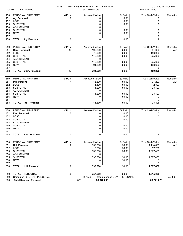| COUNTY:                         | 58 - Monroe                                                                       | L-4023       | ANALYSIS FOR EQUALIZED VALUATION<br>54 - Petersburg |                                 |                                       | 03/24/2020 12:05 PM<br>Tax Year: 2020 |  |
|---------------------------------|-----------------------------------------------------------------------------------|--------------|-----------------------------------------------------|---------------------------------|---------------------------------------|---------------------------------------|--|
| 150<br>151<br>152<br>153<br>154 | PERSONAL PROPERTY<br>Ag. Personal<br>LOSS<br><b>SUBTOTAL</b><br><b>ADJUSTMENT</b> | # Pcls.<br>0 | <b>Assessed Value</b><br>0<br>0<br>0<br>0           | % Ratio<br>0.00<br>0.00<br>0.00 | <b>True Cash Value</b><br>0<br>0<br>0 | Remarks                               |  |
| 155<br>156<br>157               | <b>SUBTOTAL</b><br><b>NEW</b>                                                     |              | 0<br>$\Omega$                                       | 0.00<br>0.00                    | 0<br>0<br>0                           |                                       |  |
| 158                             | <b>TOTAL Ag. Personal</b>                                                         | 0            | 0                                                   | 0.00                            | 0                                     |                                       |  |
| 250                             | PERSONAL PROPERTY                                                                 | # Pcls.      | Assessed Value                                      | % Ratio                         | True Cash Value                       | Remarks                               |  |
| 251                             | Com. Personal                                                                     | 44           | 190,800                                             | 50.00                           | 381,600                               | AU                                    |  |
| 252                             | LOSS                                                                              |              | 78,000                                              | 50.00                           | 156,000                               |                                       |  |
| 253                             | <b>SUBTOTAL</b>                                                                   |              | 112,800                                             | 50.00                           | 225,600                               |                                       |  |
| 254                             | ADJUSTMENT                                                                        |              | 0                                                   |                                 |                                       |                                       |  |
| 255                             | <b>SUBTOTAL</b>                                                                   |              | 112,800                                             | 50.00                           | 225,600                               |                                       |  |
| 256                             | <b>NEW</b>                                                                        |              | 91,800                                              | 50.00                           | 183,600                               |                                       |  |
| 257<br>258                      | <b>TOTAL Com. Personal</b>                                                        | 47           | 204,600                                             | 50.00                           | 0<br>409,200                          |                                       |  |
|                                 |                                                                                   |              |                                                     |                                 |                                       |                                       |  |
| 350                             | PERSONAL PROPERTY                                                                 | # Pcls.      | Assessed Value                                      | % Ratio                         | True Cash Value                       | Remarks                               |  |
| 351                             | Ind. Personal                                                                     | 1            | 15,600                                              | 50.00                           | 31,200                                | AU                                    |  |
| 352                             | LOSS                                                                              |              | 1,400                                               | 50.00                           | 2,800                                 |                                       |  |
| 353                             | <b>SUBTOTAL</b>                                                                   |              | 14,200                                              | 50.00                           | 28,400                                |                                       |  |
| 354                             | ADJUSTMENT                                                                        |              | 0                                                   |                                 |                                       |                                       |  |
| 355                             | <b>SUBTOTAL</b>                                                                   |              | 14,200                                              | 50.00                           | 28,400                                |                                       |  |
| 356                             | <b>NEW</b>                                                                        |              | 0                                                   | 50.00                           | 0                                     |                                       |  |
| 357                             | <b>TOTAL</b> Ind. Personal                                                        |              |                                                     |                                 | 0                                     |                                       |  |
| 358                             |                                                                                   |              | 14,200                                              | 50.00                           | 28,400                                |                                       |  |
| 450                             | PERSONAL PROPERTY                                                                 | # Pcls.      | Assessed Value                                      | % Ratio                         | True Cash Value                       | Remarks                               |  |
| 451                             | Res. Personal                                                                     | 0            | 0                                                   | 0.00                            | 0                                     |                                       |  |
| 452                             | LOSS                                                                              |              | 0                                                   | 0.00                            | 0                                     |                                       |  |
| 453                             | <b>SUBTOTAL</b>                                                                   |              | 0                                                   | 0.00                            | 0                                     |                                       |  |
| 454                             | <b>ADJUSTMENT</b>                                                                 |              | 0                                                   |                                 |                                       |                                       |  |
| 455                             | <b>SUBTOTAL</b>                                                                   |              | 0                                                   | 0.00                            | 0                                     |                                       |  |
| 456                             | <b>NEW</b>                                                                        |              | 0                                                   | 0.00                            | 0                                     |                                       |  |
| 457<br>458                      | Res. Personal<br><b>TOTAL</b>                                                     | 0            | 0                                                   | 0.00                            | 0<br>O                                |                                       |  |
|                                 |                                                                                   |              |                                                     |                                 |                                       |                                       |  |
| 550                             | PERSONAL PROPERTY                                                                 | # Pcls.      | Assessed Value                                      | % Ratio                         | True Cash Value                       | Remarks                               |  |
| 551                             | Util. Personal                                                                    | 2            | 557,300                                             | 50.00                           | 1,114,600                             | AU                                    |  |
| 552                             | LOSS                                                                              |              | 18,600                                              | 50.00                           | 37,200                                |                                       |  |
| 553                             | <b>SUBTOTAL</b>                                                                   |              | 538,700                                             | 50.00                           | 1,077,400                             |                                       |  |
| 554                             | <b>ADJUSTMENT</b>                                                                 |              | 0                                                   |                                 |                                       |                                       |  |
| 555                             | <b>SUBTOTAL</b>                                                                   |              | 538,700                                             | 50.00                           | 1,077,400                             |                                       |  |
| 556                             | <b>NEW</b>                                                                        |              | 0                                                   | 50.00                           | 0                                     |                                       |  |
| 557<br>558                      | <b>TOTAL Util. Personal</b>                                                       | 2            | 538,700                                             | 50.00                           | 0<br>1,077,400                        |                                       |  |
|                                 |                                                                                   |              |                                                     |                                 |                                       |                                       |  |
| 850                             | TOTAL PERSONAL                                                                    | 50           | 757,500                                             | 50.00                           | 1,515,000                             |                                       |  |
| 859                             | Computed 50% TCV PERSONAL                                                         |              | 757,500                                             | Recommended CEV<br>PERSONAL     |                                       | 757,500                               |  |
| 900                             | <b>Total Real and Personal</b>                                                    |              | 578                                                 | 33,670,000                      | 68,271,078                            |                                       |  |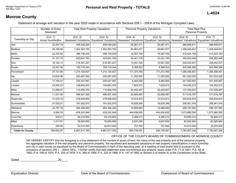**L-4024**

# **Monroe County**

Statement of acreage and valuation in the year 2020 made in accordance with Sections 209.1 - 209.8 of the Michigan Compiled Laws.

|                          | Number of Acres<br>Assessed         |               | <b>Total Real Property Valuations</b> | <b>Personal Property Valuations</b> |             | <b>Total Real Plus</b><br>Personal Property                                                                                                      |               |
|--------------------------|-------------------------------------|---------------|---------------------------------------|-------------------------------------|-------------|--------------------------------------------------------------------------------------------------------------------------------------------------|---------------|
| Township or City         | (Col. 1)<br><b>Acres Hundredths</b> | (Col. 2)      | (Col. 3)                              | (Col. 4)                            | (Col. 5)    | (Col. 6)<br>Assessed Valuations   Equalized Valuations   Assessed Valuations   Equalized Valuations   Assessed Valuations   Equalized Valuations | (Col. 7)      |
| Ash                      | 22,297.75                           | 358,539,200   | 358,539,200                           | 28,067,471                          | 28,067,471  | 386,606,671                                                                                                                                      | 386,606,671   |
| Bedford                  | 25,195.96                           | 1,302,363,750 | 1,302,363,750                         | 55,681,877                          | 55,681,877  | 1,358,045,627                                                                                                                                    | 1,358,045,627 |
| <b>Berlin</b>            | 22,433.84                           | 396,136,429   | 396,136,429                           | 16,387,754                          | 16,387,754  | 412,524,183                                                                                                                                      | 412,524,183   |
| Dundee                   | 31,107.70                           | 423,841,793   | 423,841,793                           | 32,421,155                          | 32,421,155  | 456,262,948                                                                                                                                      | 456,262,948   |
| Erie                     | 16,124.12                           | 218,361,227   | 218,361,227                           | 10,091,300                          | 10,091,300  | 228,452,527                                                                                                                                      | 228,452,527   |
| Exeter                   | 23,457.06                           | 190,718,344   | 190,718,344                           | 9,368,022                           | 9,368,022   | 200,086,366                                                                                                                                      | 200,086,366   |
| Frenchtown               | 27,721.84                           | 1,214,124,637 | 1,214,124,637                         | 171,373,764                         | 171,373,764 | 1,385,498,401                                                                                                                                    | 1,385,498,401 |
| Ida                      | 23,629.96                           | 250,497,000   | 250,497,000                           | 11,055,000                          | 11,055,000  | 261,552,000                                                                                                                                      | 261,552,000   |
| Lasalle                  | 17,194.47                           | 235,447,067   | 235,447,067                           | 6,483,500                           | 6,483,500   | 241,930,567                                                                                                                                      | 241,930,567   |
| London                   | 22,955.33                           | 146,663,200   | 146,663,200                           | 7,629,072                           | 7,629,072   | 154,292,272                                                                                                                                      | 154,292,272   |
| Milan                    | 21,888.07                           | 110,958,700   | 110,958,700                           | 26,400,507                          | 26,400,507  | 137,359,207                                                                                                                                      | 137,359,207   |
| Monroe                   | 11,431.90                           | 496,507,300   | 496,507,300                           | 20,569,487                          | 20,569,487  | 517,076,787                                                                                                                                      | 517,076,787   |
| Raisinville              | 31,070.18                           | 278,858,000   | 278,858,000                           | 12,074,974                          | 12,074,974  | 290,932,974                                                                                                                                      | 290,932,974   |
| Summerfield              | 27,052.01                           | 191,932,570   | 191,932,570                           | 16,629,346                          | 16,629,346  | 208,561,916                                                                                                                                      | 208,561,916   |
| Whiteford                | 25,757.78                           | 284,308,400   | 284,308,400                           | 14,888,683                          | 14,888,683  | 299,197,083                                                                                                                                      | 299,197,083   |
| Monroe                   | 6,564.33                            | 629,243,948   | 629,243,948                           | 444,636,602                         | 444,636,602 | 1,073,880,550                                                                                                                                    | 1,073,880,550 |
| Luna Pier                | 978.21                              | 48,419,800    | 48,419,800                            | 5,386,513                           | 5,386,513   | 53,806,313                                                                                                                                       | 53,806,313    |
| Milan                    | 1,417.51                            | 78,083,900    | 78,083,900                            | 5,837,054                           | 5,837,054   | 83,920,954                                                                                                                                       | 83,920,954    |
| Petersburg               | 355.95                              | 32,912,500    | 32,912,500                            | 757,500                             | 757,500     | 33,670,000                                                                                                                                       | 33,670,000    |
| <b>Totals for County</b> | 358,633.97                          | 6,887,917,765 | 6,887,917,765                         | 895,739,581                         | 895,739,581 | 7,783,657,346                                                                                                                                    | 7,783,657,346 |

#### OFFICE OF THE COUNTY BOARD OF COMMISSIONERS OF MONROE COUNTY

WE HEREBY CERTIFY that the foregoing is a true statement of the number of acres of land, the value of the real property and of the personal property, the aggregate valuation of the real property and personal property, the equalized and assessed valuations of real property classifications in each township and city in said county as equalized by the Board of Commissioners in April of the reporting year, at a meeting of said board held in pursuant to the provisions of sections 209.1 – 209.8, MCL. I further certify that said statement does not embrace any property taxed under P.A. 77 of 1951; P.A. 68 of 1963; P.A. 198 of 1974; P.A. 225 of 1978; P.A. 385 of 1984; P A. 224 of 1985; P.A. 147 of 1992 or Section 5 of Article IX of the Constitution of the State.

Dated the contract of the contract of the contract of the contract of the contract of the contract of the contract of the contract of the contract of the contract of the contract of the contract of the contract of the cont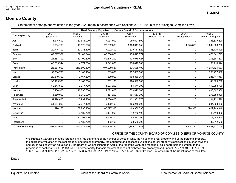## **L-4024**

## **Monroe County**

Statement of acreage and valuation in the year 2020 made in accordance with Sections 209.1 - 209.8 of the Michigan Compiled Laws.

| Real Property Equalized by County Board of Commissioners |                          |                        |                        |                         |                            |                           |                                        |  |  |  |
|----------------------------------------------------------|--------------------------|------------------------|------------------------|-------------------------|----------------------------|---------------------------|----------------------------------------|--|--|--|
| Township or City                                         | (Col. 1)<br>Agricultural | (Col. 2)<br>Commercial | (Col. 3)<br>Industrial | (Col. 4)<br>Residential | (Col. 5)<br>Timber-Cutover | (Col. 6)<br>Developmental | (Col. 7)<br><b>Total Real Property</b> |  |  |  |
| Ash                                                      | 33,215,500               | 37,684,000             | 7,037,900              | 280,601,800             |                            |                           | 358,539,200                            |  |  |  |
| Bedford                                                  | 19,054,700               | 113,579,300            | 28,862,300             | 1,138,941,650           |                            | 1,925,800                 | 1,302,363,750                          |  |  |  |
| <b>Berlin</b>                                            | 20,715,700               | 37,786,100             | 7,922,800              | 329,711,829             |                            |                           | 396,136,429                            |  |  |  |
| Dundee                                                   | 62,297,359               | 87,149,940             | 43,750,820             | 230,643,674             |                            |                           | 423,841,793                            |  |  |  |
| Erie                                                     | 21,668,300               | 12,100,300             | 59,516,200             | 125,076,427             | $\Omega$                   |                           | 218,361,227                            |  |  |  |
| Exeter                                                   | 45,785,944               | 4,671,700              | 1,842,800              | 138,417,900             | 0                          |                           | 190,718,344                            |  |  |  |
| Frenchtown                                               | 28,687,000               | 240,809,400            | 407,939,837            | 536,688,400             | 0                          |                           | 1,214,124,637                          |  |  |  |
| Ida                                                      | 52,034,700               | 5,109,100              | 689,600                | 192,663,600             | 0                          |                           | 250,497,000                            |  |  |  |
| Lasalle                                                  | 29,319,300               | 7,467,500              | 329,900                | 198,330,367             | $\Omega$                   |                           | 235,447,067                            |  |  |  |
| London                                                   | 38,195,500               | 3,187,800              | 882,100                | 104,397,800             | 0                          |                           | 146,663,200                            |  |  |  |
| Milan                                                    | 52,843,500               | 2,247,700              | 1,293,200              | 54,574,300              | 0                          |                           | 110,958,700                            |  |  |  |
| Monroe                                                   | 10,156,900               | 116,235,600            | 11,022,600             | 359,092,200             | O                          |                           | 496,507,300                            |  |  |  |
| Raisinville                                              | 74,660,000               | 6,352,900              | 187,200                | 197,657,900             | 0                          |                           | 278,858,000                            |  |  |  |
| Summerfield                                              | 54,474,800               | 3,939,200              | 1,536,800              | 131,981,770             | O                          |                           | 191,932,570                            |  |  |  |
| Whiteford                                                | 51,254,200               | 27,647,100             | 9,162,100              | 196,245,000             | O                          |                           | 284,308,400                            |  |  |  |
| Monroe                                                   | 290,250                  | 137,796,900            | 87, 377, 338           | 403,380,530             | 0                          | 398,930                   | 629,243,948                            |  |  |  |
| Luna Pier                                                |                          | 3,489,700              | 2,154,000              | 42,776,100              |                            |                           | 48,419,800                             |  |  |  |
| Milan                                                    | $\Omega$                 | 11,192,700             | 13,509,200             | 53,382,000              | $\Omega$                   |                           | 78,083,900                             |  |  |  |
| Petersburg                                               | $\Omega$                 | 2,130,700              | 193,100                | 30,588,700              | $\Omega$                   |                           | 32,912,500                             |  |  |  |
| <b>Total for County</b>                                  | 594,653,653              | 860,577,640            | 685,209,795            | 4,745,151,947           | 0                          | 2,324,730                 | 6,887,917,765                          |  |  |  |

#### OFFICE OF THE COUNTY BOARD OF COMMISSIONERS OF MONROE COUNTY

WE HEREBY CERTIFY that the foregoing is a true statement of the number of acres of land, the value of the real property and of the personal property, the aggregate valuation of the real property and personal property, the equalized and assessed valuations of real property classifications in each township and city in said county as equalized by the Board of Commissioners in April of the reporting year, at a meeting of said board held in pursuant to the provisions of sections 209.1 – 209.8, MCL. I further certify that said statement does not embrace any property taxed under P.A. 77 of 1951; P.A. 68 of 1963; P.A. 198 of 1974; P.A. 225 of 1978; P.A. 385 of 1984; P A. 224 of 1985; P.A. 147 of 1992 or Section 5 of Article IX of the Constitution of the State.

Dated \_\_\_\_\_\_\_\_\_\_\_\_\_\_\_\_\_\_\_\_\_\_, 20\_\_\_\_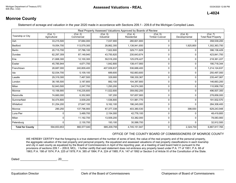#### **L-4024**

## **Monroe County**

Statement of acreage and valuation in the year 2020 made in accordance with Sections 209.1 - 209.8 of the Michigan Compiled Laws.

| Real Property Assessed Valuations Approved by Boards of Review |                          |                                     |                        |                         |                            |                           |                                        |  |  |  |  |  |
|----------------------------------------------------------------|--------------------------|-------------------------------------|------------------------|-------------------------|----------------------------|---------------------------|----------------------------------------|--|--|--|--|--|
| Township or City                                               | (Col. 1)<br>Agricultural | $\overline{(Col. 2)}$<br>Commercial | (Col. 3)<br>Industrial | (Col. 4)<br>Residential | (Col. 5)<br>Timber-Cutover | (Col. 6)<br>Developmental | (Col. 7)<br><b>Total Real Property</b> |  |  |  |  |  |
| Ash                                                            | 33,215,500               | 37,684,000                          | 7,037,900              | 280,601,800             | 0                          | U                         | 358,539,200                            |  |  |  |  |  |
| Bedford                                                        | 19,054,700               | 113,579,300                         | 28,862,300             | 1,138,941,650           | $\Omega$                   | 1,925,800                 | 1,302,363,750                          |  |  |  |  |  |
| Berlin                                                         | 20,715,700               | 37,786,100                          | 7,922,800              | 329,711,829             | 0                          | 0                         | 396,136,429                            |  |  |  |  |  |
| Dundee                                                         | 62,297,359               | 87,149,940                          | 43,750,820             | 230,643,674             | 0                          | U                         | 423,841,793                            |  |  |  |  |  |
| Erie                                                           | 21,668,300               | 12,100,300                          | 59,516,200             | 125,076,427             | $\mathbf 0$                | 0                         | 218,361,227                            |  |  |  |  |  |
| Exeter                                                         | 45,785,944               | 4,671,700                           | 1,842,800              | 138,417,900             | 0                          | U                         | 190,718,344                            |  |  |  |  |  |
| Frenchtown                                                     | 28,687,000               | 240,809,400                         | 407,939,837            | 536,688,400             | 0                          | U                         | 1,214,124,637                          |  |  |  |  |  |
| Ida                                                            | 52,034,700               | 5,109,100                           | 689,600                | 192,663,600             | $\mathbf 0$                | U                         | 250,497,000                            |  |  |  |  |  |
| Lasalle                                                        | 29,319,300               | 7,467,500                           | 329,900                | 198,330,367             | $\mathbf 0$                | ŋ                         | 235,447,067                            |  |  |  |  |  |
| London                                                         | 38,195,500               | 3,187,800                           | 882,100                | 104,397,800             | 0                          | 0                         | 146,663,200                            |  |  |  |  |  |
| Milan                                                          | 52,843,500               | 2,247,700                           | 1,293,200              | 54,574,300              | 0                          | 0                         | 110,958,700                            |  |  |  |  |  |
| Monroe                                                         | 10,156,900               | 116,235,600                         | 11,022,600             | 359,092,200             | $\mathbf 0$                |                           | 496,507,300                            |  |  |  |  |  |
| Raisinville                                                    | 74,660,000               | 6,352,900                           | 187,200                | 197,657,900             | 0                          | 0                         | 278,858,000                            |  |  |  |  |  |
| Summerfield                                                    | 54,474,800               | 3,939,200                           | 1,536,800              | 131,981,770             | $\mathbf 0$                | U                         | 191,932,570                            |  |  |  |  |  |
| Whiteford                                                      | 51,254,200               | 27,647,100                          | 9,162,100              | 196,245,000             | 0                          | U                         | 284,308,400                            |  |  |  |  |  |
| Monroe                                                         | 290,250                  | 137,796,900                         | 87,377,338             | 403,380,530             | 0                          | 398,930                   | 629,243,948                            |  |  |  |  |  |
| Luna Pier                                                      |                          | 3,489,700                           | 2,154,000              | 42,776,100              | 0                          | <sup>0</sup>              | 48,419,800                             |  |  |  |  |  |
| Milan                                                          |                          | 11,192,700                          | 13,509,200             | 53,382,000              | 0                          | 0                         | 78,083,900                             |  |  |  |  |  |
| Petersburg                                                     |                          | 2,130,700                           | 193,100                | 30,588,700              | 0                          | 0                         | 32,912,500                             |  |  |  |  |  |
| <b>Total for County</b>                                        | 594,653,653              | 860,577,640                         | 685,209,795            | 4,745,151,947           | 0                          | 2,324,730                 | 6,887,917,765                          |  |  |  |  |  |

#### OFFICE OF THE COUNTY BOARD OF COMMISSIONERS OF MONROE COUNTY

WE HEREBY CERTIFY that the foregoing is a true statement of the number of acres of land, the value of the real property and of the personal property, the aggregate valuation of the real property and personal property, the equalized and assessed valuations of real property classifications in each township and city in said county as equalized by the Board of Commissioners in April of the reporting year, at a meeting of said board held in pursuant to the provisions of sections 209.1 – 209.8, MCL. I further certify that said statement does not embrace any property taxed under P.A. 77 of 1951; P.A. 68 of 1963; P.A. 198 of 1974; P.A. 225 of 1978; P.A. 385 of 1984; P A. 224 of 1985; P.A. 147 of 1992 or Section 5 of Article IX of the Constitution of the State.

Dated 20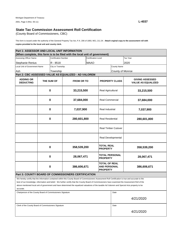(County Board of Commissioners, CBC)

This form is issued under the authority of the General Property Tax Act, P.A. 206 of 1893, MCL 211.34. **Attach orginal copy to the assessment roll with copies provided to the local unit and county clerk.** 

| Part 1: ASSESSOR AND LOCAL UNIT INFORMATION                  |                       |                             |                                                                                                                                                      |                                        |                                                                |                       |                           |  |  |
|--------------------------------------------------------------|-----------------------|-----------------------------|------------------------------------------------------------------------------------------------------------------------------------------------------|----------------------------------------|----------------------------------------------------------------|-----------------------|---------------------------|--|--|
|                                                              |                       |                             | (When complete, this form is to be filed with the local unit of government)                                                                          |                                        |                                                                |                       |                           |  |  |
| Assessing Officer Name                                       |                       | <b>Certification Number</b> |                                                                                                                                                      | <b>Certification Level</b>             |                                                                |                       | Tax Year                  |  |  |
| <b>Stephanie Renius</b>                                      |                       | R - 8518                    |                                                                                                                                                      | <b>MAAO</b>                            |                                                                |                       | 2020                      |  |  |
| Local Unit of Government Name                                |                       | City or Township            |                                                                                                                                                      |                                        |                                                                | <b>County Name</b>    |                           |  |  |
| Ash                                                          |                       | Township                    |                                                                                                                                                      |                                        |                                                                | County of Monroe      |                           |  |  |
|                                                              |                       |                             | Part 2: CBC ASSESSED VALUE AS EQUALIZED - AD VALOREM                                                                                                 |                                        |                                                                |                       |                           |  |  |
| <b>ADDING OR</b>                                             |                       |                             |                                                                                                                                                      |                                        |                                                                |                       | <b>GIVING ASSESSED</b>    |  |  |
| <b>DEDUCTING</b>                                             | THE SUM OF            |                             | <b>FROM OR TO</b>                                                                                                                                    |                                        |                                                                | <b>PROPERTY CLASS</b> | <b>VALUE AS EQUALIZED</b> |  |  |
|                                                              |                       |                             |                                                                                                                                                      |                                        |                                                                |                       |                           |  |  |
|                                                              |                       | $\bf{0}$<br>33,215,500      |                                                                                                                                                      |                                        | Real Agricultural                                              |                       | 33,215,500                |  |  |
|                                                              |                       |                             |                                                                                                                                                      |                                        |                                                                |                       |                           |  |  |
|                                                              |                       | $\bf{0}$                    | 37,684,000                                                                                                                                           |                                        | <b>Real Commercial</b>                                         |                       | 37,684,000                |  |  |
|                                                              | $\bf{0}$<br>7,037,900 |                             | Real Industrial                                                                                                                                      |                                        | 7,037,900                                                      |                       |                           |  |  |
|                                                              |                       |                             |                                                                                                                                                      |                                        |                                                                |                       |                           |  |  |
|                                                              | $\bf{0}$              |                             |                                                                                                                                                      | 280,601,800<br><b>Real Residential</b> |                                                                |                       | 280,601,800               |  |  |
|                                                              |                       |                             | <b>Real Timber Cutover</b>                                                                                                                           |                                        |                                                                |                       |                           |  |  |
|                                                              |                       |                             |                                                                                                                                                      |                                        | Real Developmental                                             |                       |                           |  |  |
|                                                              |                       | $\bf{0}$                    | 358,539,200                                                                                                                                          |                                        | <b>TOTAL REAL</b><br><b>PROPERTY</b>                           |                       | 358,539,200               |  |  |
|                                                              |                       | $\mathbf 0$                 | 28,067,471                                                                                                                                           |                                        | TOTAL PERSONAL<br><b>PROPERTY</b>                              |                       | 28,067,471                |  |  |
|                                                              |                       | $\bf{0}$                    | 386,606,671                                                                                                                                          |                                        | <b>TOTAL OF REAL</b><br><b>AND PERSONAL</b><br><b>PROPERTY</b> |                       | 386,606,671               |  |  |
|                                                              |                       |                             | Part 3: COUNTY BOARD OF COMMISSIONERS CERTIFICATION                                                                                                  |                                        |                                                                |                       |                           |  |  |
|                                                              |                       |                             | We hereby certify that the information contained within this County Board of Commissioners Assessment Roll Certification is true and accurate to the |                                        |                                                                |                       |                           |  |  |
|                                                              |                       |                             | best of our knowledge, information and belief. We further certify that the County Board of Commissioners have examined the Assessment Roll of the    |                                        |                                                                |                       |                           |  |  |
|                                                              |                       |                             | above mentioned local unit of government and have determined the equalized valuations of the taxable Ad Valorem and Special Acts property to be      |                                        |                                                                |                       |                           |  |  |
| accurate.                                                    |                       |                             |                                                                                                                                                      |                                        |                                                                |                       |                           |  |  |
| Chairperson of the County Board of Commissioners Signature   |                       |                             |                                                                                                                                                      |                                        |                                                                | Date                  |                           |  |  |
|                                                              |                       |                             |                                                                                                                                                      |                                        |                                                                |                       | 4/21/2020                 |  |  |
| Clerk of the County Board of Commissioners Signature<br>Date |                       |                             |                                                                                                                                                      |                                        |                                                                |                       |                           |  |  |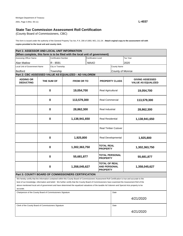(County Board of Commissioners, CBC)

**copies provided to the local unit and county clerk.**  This form is issued under the authority of the General Property Tax Act, P.A. 206 of 1893, MCL 211.34. **Attach orginal copy to the assessment roll with** 

| Part 1: ASSESSOR AND LOCAL UNIT INFORMATION                                 |                           |                             |                                                                                                                                                      |                            |                                                                |                                      |                                                     |  |  |
|-----------------------------------------------------------------------------|---------------------------|-----------------------------|------------------------------------------------------------------------------------------------------------------------------------------------------|----------------------------|----------------------------------------------------------------|--------------------------------------|-----------------------------------------------------|--|--|
| (When complete, this form is to be filed with the local unit of government) |                           |                             |                                                                                                                                                      |                            |                                                                |                                      |                                                     |  |  |
| Assessing Officer Name                                                      |                           | <b>Certification Number</b> |                                                                                                                                                      | Certification Level        |                                                                |                                      | Tax Year                                            |  |  |
| <b>Alan Matlow</b>                                                          |                           | R - 8591                    |                                                                                                                                                      | <b>MAAO</b>                |                                                                |                                      | 2020                                                |  |  |
| Local Unit of Government Name                                               |                           | City or Township            |                                                                                                                                                      |                            |                                                                | <b>County Name</b>                   |                                                     |  |  |
| <b>Bedford</b>                                                              |                           | Township                    |                                                                                                                                                      |                            | County of Monroe                                               |                                      |                                                     |  |  |
|                                                                             |                           |                             | Part 2: CBC ASSESSED VALUE AS EQUALIZED - AD VALOREM                                                                                                 |                            |                                                                |                                      |                                                     |  |  |
| <b>ADDING OR</b><br><b>DEDUCTING</b>                                        | THE SUM OF                |                             | <b>FROM OR TO</b>                                                                                                                                    |                            | <b>PROPERTY CLASS</b>                                          |                                      | <b>GIVING ASSESSED</b><br><b>VALUE AS EQUALIZED</b> |  |  |
|                                                                             |                           | $\mathbf 0$<br>19,054,700   |                                                                                                                                                      |                            | Real Agricultural                                              |                                      | 19,054,700                                          |  |  |
|                                                                             |                           | $\bf{0}$<br>113,579,300     |                                                                                                                                                      |                            | <b>Real Commercial</b>                                         |                                      | 113,579,300                                         |  |  |
|                                                                             | $\bf{0}$                  |                             | 28,862,300                                                                                                                                           |                            | Real Industrial                                                |                                      | 28,862,300                                          |  |  |
|                                                                             | $\mathbf 0$               |                             | 1,138,941,650                                                                                                                                        |                            | <b>Real Residential</b>                                        |                                      | 1,138,941,650                                       |  |  |
|                                                                             |                           |                             |                                                                                                                                                      | <b>Real Timber Cutover</b> |                                                                |                                      |                                                     |  |  |
|                                                                             |                           | $\bf{0}$                    |                                                                                                                                                      | 1,925,800                  |                                                                | Real Developmental                   | 1,925,800                                           |  |  |
|                                                                             |                           | $\mathbf 0$                 |                                                                                                                                                      | 1,302,363,750              |                                                                | <b>TOTAL REAL</b><br><b>PROPERTY</b> | 1,302,363,750                                       |  |  |
|                                                                             |                           | $\bf{0}$                    | 55,681,877                                                                                                                                           |                            | TOTAL PERSONAL<br><b>PROPERTY</b>                              |                                      | 55,681,877                                          |  |  |
|                                                                             | $\bf{0}$<br>1,358,045,627 |                             |                                                                                                                                                      |                            | <b>TOTAL OF REAL</b><br><b>AND PERSONAL</b><br><b>PROPERTY</b> |                                      | 1,358,045,627                                       |  |  |
|                                                                             |                           |                             | Part 3: COUNTY BOARD OF COMMISSIONERS CERTIFICATION                                                                                                  |                            |                                                                |                                      |                                                     |  |  |
|                                                                             |                           |                             | We hereby certify that the information contained within this County Board of Commissioners Assessment Roll Certification is true and accurate to the |                            |                                                                |                                      |                                                     |  |  |
|                                                                             |                           |                             | best of our knowledge, information and belief. We further certify that the County Board of Commissioners have examined the Assessment Roll of the    |                            |                                                                |                                      |                                                     |  |  |
|                                                                             |                           |                             | above mentioned local unit of government and have determined the equalized valuations of the taxable Ad Valorem and Special Acts property to be      |                            |                                                                |                                      |                                                     |  |  |
| accurate.                                                                   |                           |                             |                                                                                                                                                      |                            |                                                                |                                      |                                                     |  |  |
| Chairperson of the County Board of Commissioners Signature                  |                           |                             |                                                                                                                                                      |                            |                                                                | Date                                 |                                                     |  |  |
|                                                                             |                           |                             |                                                                                                                                                      |                            |                                                                |                                      | 4/21/2020                                           |  |  |
| Clerk of the County Board of Commissioners Signature                        |                           |                             |                                                                                                                                                      |                            |                                                                |                                      | Date                                                |  |  |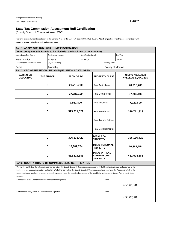(County Board of Commissioners, CBC)

**copies provided to the local unit and county clerk.**  This form is issued under the authority of the General Property Tax Act, P.A. 206 of 1893, MCL 211.34. **Attach orginal copy to the assessment roll with** 

| Part 1: ASSESSOR AND LOCAL UNIT INFORMATION                |   |                             |                                                                                                                                                                                                                                                                                                                                                                                                                                                              |                       |                                                                |                    |                                                     |  |
|------------------------------------------------------------|---|-----------------------------|--------------------------------------------------------------------------------------------------------------------------------------------------------------------------------------------------------------------------------------------------------------------------------------------------------------------------------------------------------------------------------------------------------------------------------------------------------------|-----------------------|----------------------------------------------------------------|--------------------|-----------------------------------------------------|--|
|                                                            |   |                             | (When complete, this form is to be filed with the local unit of government)                                                                                                                                                                                                                                                                                                                                                                                  |                       |                                                                |                    |                                                     |  |
| Assessing Officer Name                                     |   | <b>Certification Number</b> |                                                                                                                                                                                                                                                                                                                                                                                                                                                              | Certification Level   |                                                                |                    | Tax Year                                            |  |
| <b>Bryan Renius</b>                                        |   | R-8646                      |                                                                                                                                                                                                                                                                                                                                                                                                                                                              | <b>MAAO</b>           |                                                                |                    | 2020                                                |  |
| Local Unit of Government Name                              |   | City or Township            |                                                                                                                                                                                                                                                                                                                                                                                                                                                              |                       |                                                                | <b>County Name</b> |                                                     |  |
| Berlin                                                     |   | Township                    |                                                                                                                                                                                                                                                                                                                                                                                                                                                              |                       |                                                                | County of Monroe   |                                                     |  |
|                                                            |   |                             | Part 2: CBC ASSESSED VALUE AS EQUALIZED - AD VALOREM                                                                                                                                                                                                                                                                                                                                                                                                         |                       |                                                                |                    |                                                     |  |
| <b>ADDING OR</b><br><b>DEDUCTING</b>                       |   | THE SUM OF                  | <b>FROM OR TO</b>                                                                                                                                                                                                                                                                                                                                                                                                                                            | <b>PROPERTY CLASS</b> |                                                                |                    | <b>GIVING ASSESSED</b><br><b>VALUE AS EQUALIZED</b> |  |
|                                                            |   | 0                           |                                                                                                                                                                                                                                                                                                                                                                                                                                                              | 20,715,700            | Real Agricultural                                              |                    | 20,715,700                                          |  |
|                                                            | 0 |                             | 37,786,100                                                                                                                                                                                                                                                                                                                                                                                                                                                   |                       | <b>Real Commercial</b>                                         |                    | 37,786,100                                          |  |
|                                                            | 0 |                             | 7,922,800                                                                                                                                                                                                                                                                                                                                                                                                                                                    |                       | Real Industrial                                                |                    | 7,922,800                                           |  |
|                                                            | 0 |                             | 329,711,829                                                                                                                                                                                                                                                                                                                                                                                                                                                  |                       | <b>Real Residential</b>                                        |                    | 329,711,829                                         |  |
|                                                            |   |                             |                                                                                                                                                                                                                                                                                                                                                                                                                                                              |                       | <b>Real Timber Cutover</b>                                     |                    |                                                     |  |
|                                                            |   |                             |                                                                                                                                                                                                                                                                                                                                                                                                                                                              |                       | Real Developmental                                             |                    |                                                     |  |
|                                                            |   | 0                           | 396,136,429                                                                                                                                                                                                                                                                                                                                                                                                                                                  |                       | <b>TOTAL REAL</b><br><b>PROPERTY</b>                           |                    | 396,136,429                                         |  |
|                                                            |   | 0                           | 16,387,754                                                                                                                                                                                                                                                                                                                                                                                                                                                   |                       | <b>TOTAL PERSONAL</b><br><b>PROPERTY</b>                       |                    | 16,387,754                                          |  |
|                                                            |   | 0                           | 412,524,183                                                                                                                                                                                                                                                                                                                                                                                                                                                  |                       | <b>TOTAL OF REAL</b><br><b>AND PERSONAL</b><br><b>PROPERTY</b> |                    | 412,524,183                                         |  |
|                                                            |   |                             | Part 3: COUNTY BOARD OF COMMISSIONERS CERTIFICATION                                                                                                                                                                                                                                                                                                                                                                                                          |                       |                                                                |                    |                                                     |  |
| accurate.                                                  |   |                             | We hereby certify that the information contained within this County Board of Commissioners Assessment Roll Certification is true and accurate to the<br>best of our knowledge, information and belief. We further certify that the County Board of Commissioners have examined the Assessment Roll of the<br>above mentioned local unit of government and have determined the equalized valuations of the taxable Ad Valorem and Special Acts property to be |                       |                                                                |                    |                                                     |  |
| Chairperson of the County Board of Commissioners Signature |   |                             |                                                                                                                                                                                                                                                                                                                                                                                                                                                              |                       |                                                                | Date               |                                                     |  |
|                                                            |   |                             |                                                                                                                                                                                                                                                                                                                                                                                                                                                              |                       |                                                                |                    | 4/21/2020                                           |  |
|                                                            |   |                             |                                                                                                                                                                                                                                                                                                                                                                                                                                                              |                       |                                                                | Date               |                                                     |  |
| Clerk of the County Board of Commissioners Signature       |   |                             |                                                                                                                                                                                                                                                                                                                                                                                                                                                              |                       |                                                                | 4/21/2020          |                                                     |  |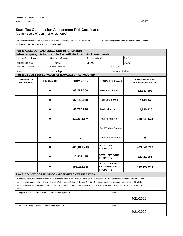(County Board of Commissioners, CBC)

**copies provided to the local unit and county clerk.**  This form is issued under the authority of the General Property Tax Act, P.A. 206 of 1893, MCL 211.34. **Attach orginal copy to the assessment roll with** 

| Part 1: ASSESSOR AND LOCAL UNIT INFORMATION                |                  |                             |                                                                                                                                                                                                                                                                                                                                                                                                                                                              |                                                     |                                                                |                            |                                                     |  |  |
|------------------------------------------------------------|------------------|-----------------------------|--------------------------------------------------------------------------------------------------------------------------------------------------------------------------------------------------------------------------------------------------------------------------------------------------------------------------------------------------------------------------------------------------------------------------------------------------------------|-----------------------------------------------------|----------------------------------------------------------------|----------------------------|-----------------------------------------------------|--|--|
|                                                            |                  |                             | (When complete, this form is to be filed with the local unit of government)                                                                                                                                                                                                                                                                                                                                                                                  |                                                     |                                                                |                            |                                                     |  |  |
| <b>Assessing Officer Name</b>                              |                  | <b>Certification Number</b> |                                                                                                                                                                                                                                                                                                                                                                                                                                                              | <b>Certification Level</b>                          |                                                                |                            | Tax Year                                            |  |  |
| Robert Brazeau                                             |                  | R - 6972                    |                                                                                                                                                                                                                                                                                                                                                                                                                                                              | <b>MAAO</b>                                         |                                                                |                            | 2020                                                |  |  |
| Local Unit of Government Name                              |                  | City or Township            |                                                                                                                                                                                                                                                                                                                                                                                                                                                              |                                                     | <b>County Name</b>                                             |                            |                                                     |  |  |
| Dundee                                                     |                  | Township                    |                                                                                                                                                                                                                                                                                                                                                                                                                                                              |                                                     |                                                                | County of Monroe           |                                                     |  |  |
|                                                            |                  |                             | Part 2: CBC ASSESSED VALUE AS EQUALIZED - AD VALOREM                                                                                                                                                                                                                                                                                                                                                                                                         |                                                     |                                                                |                            |                                                     |  |  |
| <b>ADDING OR</b><br><b>DEDUCTING</b>                       |                  | THE SUM OF                  | <b>FROM OR TO</b>                                                                                                                                                                                                                                                                                                                                                                                                                                            |                                                     | <b>PROPERTY CLASS</b>                                          |                            | <b>GIVING ASSESSED</b><br><b>VALUE AS EQUALIZED</b> |  |  |
|                                                            |                  | $\pmb{0}$<br>62,297,359     |                                                                                                                                                                                                                                                                                                                                                                                                                                                              |                                                     | Real Agricultural                                              |                            | 62,297,359                                          |  |  |
|                                                            | 0                |                             | 87,149,940                                                                                                                                                                                                                                                                                                                                                                                                                                                   |                                                     | <b>Real Commercial</b>                                         |                            | 87,149,940                                          |  |  |
|                                                            | 0                |                             | 43,750,820                                                                                                                                                                                                                                                                                                                                                                                                                                                   |                                                     | Real Industrial                                                |                            | 43,750,820                                          |  |  |
|                                                            | $\bf{0}$         |                             | 230,643,674                                                                                                                                                                                                                                                                                                                                                                                                                                                  |                                                     | <b>Real Residential</b>                                        |                            | 230,643,674                                         |  |  |
|                                                            |                  |                             |                                                                                                                                                                                                                                                                                                                                                                                                                                                              |                                                     |                                                                | <b>Real Timber Cutover</b> |                                                     |  |  |
|                                                            |                  | 0                           | 0                                                                                                                                                                                                                                                                                                                                                                                                                                                            |                                                     | Real Developmental                                             |                            | 0                                                   |  |  |
|                                                            |                  | 0                           |                                                                                                                                                                                                                                                                                                                                                                                                                                                              | <b>TOTAL REAL</b><br>423,841,793<br><b>PROPERTY</b> |                                                                |                            | 423,841,793                                         |  |  |
|                                                            |                  | $\bf{0}$                    | 32,421,155                                                                                                                                                                                                                                                                                                                                                                                                                                                   |                                                     | <b>TOTAL PERSONAL</b><br><b>PROPERTY</b>                       |                            | 32,421,155                                          |  |  |
|                                                            | 0<br>456,262,948 |                             |                                                                                                                                                                                                                                                                                                                                                                                                                                                              |                                                     | <b>TOTAL OF REAL</b><br><b>AND PERSONAL</b><br><b>PROPERTY</b> |                            | 456,262,948                                         |  |  |
|                                                            |                  |                             | Part 3: COUNTY BOARD OF COMMISSIONERS CERTIFICATION                                                                                                                                                                                                                                                                                                                                                                                                          |                                                     |                                                                |                            |                                                     |  |  |
| accurate.                                                  |                  |                             | We hereby certify that the information contained within this County Board of Commissioners Assessment Roll Certification is true and accurate to the<br>best of our knowledge, information and belief. We further certify that the County Board of Commissioners have examined the Assessment Roll of the<br>above mentioned local unit of government and have determined the equalized valuations of the taxable Ad Valorem and Special Acts property to be |                                                     |                                                                |                            |                                                     |  |  |
| Chairperson of the County Board of Commissioners Signature |                  |                             |                                                                                                                                                                                                                                                                                                                                                                                                                                                              |                                                     |                                                                | Date                       |                                                     |  |  |
|                                                            | 4/21/2020        |                             |                                                                                                                                                                                                                                                                                                                                                                                                                                                              |                                                     |                                                                |                            |                                                     |  |  |

Clerk of the County Board of Commissioners Signature Date Date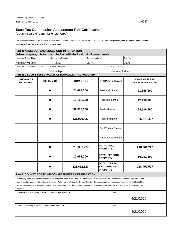(County Board of Commissioners, CBC)

**copies provided to the local unit and county clerk.**  This form is issued under the authority of the General Property Tax Act, P.A. 206 of 1893, MCL 211.34. **Attach orginal copy to the assessment roll with** 

| Part 1: ASSESSOR AND LOCAL UNIT INFORMATION                |                        |                             |                                                                                                                                                      |                            |                                      |                         |                                                     |  |  |
|------------------------------------------------------------|------------------------|-----------------------------|------------------------------------------------------------------------------------------------------------------------------------------------------|----------------------------|--------------------------------------|-------------------------|-----------------------------------------------------|--|--|
|                                                            |                        |                             | (When complete, this form is to be filed with the local unit of government)                                                                          |                            |                                      |                         |                                                     |  |  |
| Assessing Officer Name                                     |                        | <b>Certification Number</b> |                                                                                                                                                      | <b>Certification Level</b> |                                      |                         | Tax Year                                            |  |  |
| Kathleen McElroy                                           |                        | R - 9662                    |                                                                                                                                                      | <b>MCAO</b>                |                                      |                         | 2020                                                |  |  |
| Local Unit of Government Name                              |                        | City or Township            |                                                                                                                                                      |                            |                                      | <b>County Name</b>      |                                                     |  |  |
| Erie                                                       |                        | Township                    |                                                                                                                                                      |                            |                                      | County of Monroe        |                                                     |  |  |
|                                                            |                        |                             | Part 2: CBC ASSESSED VALUE AS EQUALIZED - AD VALOREM                                                                                                 |                            |                                      |                         |                                                     |  |  |
|                                                            |                        |                             |                                                                                                                                                      |                            |                                      |                         |                                                     |  |  |
| <b>ADDING OR</b><br><b>DEDUCTING</b>                       | THE SUM OF             |                             |                                                                                                                                                      | <b>FROM OR TO</b>          |                                      | <b>PROPERTY CLASS</b>   | <b>GIVING ASSESSED</b><br><b>VALUE AS EQUALIZED</b> |  |  |
|                                                            |                        | $\mathbf 0$                 | 21,668,300                                                                                                                                           |                            | Real Agricultural                    |                         | 21,668,300                                          |  |  |
|                                                            |                        | $\bf{0}$                    | 12,100,300                                                                                                                                           |                            | <b>Real Commercial</b>               |                         | 12,100,300                                          |  |  |
|                                                            | $\bf{0}$<br>59,516,200 |                             |                                                                                                                                                      | Real Industrial            |                                      | 59,516,200              |                                                     |  |  |
|                                                            | $\mathbf 0$            |                             |                                                                                                                                                      | 125,076,427                |                                      | <b>Real Residential</b> | 125,076,427                                         |  |  |
|                                                            |                        |                             |                                                                                                                                                      | <b>Real Timber Cutover</b> |                                      |                         |                                                     |  |  |
|                                                            |                        |                             |                                                                                                                                                      |                            | Real Developmental                   |                         |                                                     |  |  |
|                                                            |                        | $\mathbf 0$                 | 218,361,227                                                                                                                                          |                            | <b>TOTAL REAL</b><br><b>PROPERTY</b> |                         | 218,361,227                                         |  |  |
|                                                            |                        | $\mathbf 0$                 | 10,091,300                                                                                                                                           |                            | TOTAL PERSONAL<br><b>PROPERTY</b>    |                         | 10,091,300                                          |  |  |
|                                                            |                        | $\bf{0}$                    | <b>TOTAL OF REAL</b><br>228,452,527<br><b>AND PERSONAL</b><br><b>PROPERTY</b>                                                                        |                            |                                      |                         | 228,452,527                                         |  |  |
|                                                            |                        |                             | Part 3: COUNTY BOARD OF COMMISSIONERS CERTIFICATION                                                                                                  |                            |                                      |                         |                                                     |  |  |
|                                                            |                        |                             | We hereby certify that the information contained within this County Board of Commissioners Assessment Roll Certification is true and accurate to the |                            |                                      |                         |                                                     |  |  |
|                                                            |                        |                             | best of our knowledge, information and belief. We further certify that the County Board of Commissioners have examined the Assessment Roll of the    |                            |                                      |                         |                                                     |  |  |
|                                                            |                        |                             | above mentioned local unit of government and have determined the equalized valuations of the taxable Ad Valorem and Special Acts property to be      |                            |                                      |                         |                                                     |  |  |
| accurate.                                                  |                        |                             |                                                                                                                                                      |                            |                                      |                         |                                                     |  |  |
| Chairperson of the County Board of Commissioners Signature |                        |                             |                                                                                                                                                      |                            |                                      | Date                    |                                                     |  |  |
|                                                            |                        |                             |                                                                                                                                                      |                            |                                      |                         | 4/21/2020                                           |  |  |
| Clerk of the County Board of Commissioners Signature       |                        |                             |                                                                                                                                                      |                            |                                      | Date                    |                                                     |  |  |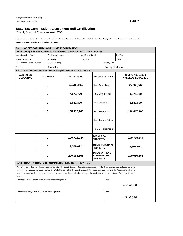(County Board of Commissioners, CBC)

**copies provided to the local unit and county clerk.**  This form is issued under the authority of the General Property Tax Act, P.A. 206 of 1893, MCL 211.34. **Attach orginal copy to the assessment roll with** 

| Part 1: ASSESSOR AND LOCAL UNIT INFORMATION                |   |                             |                                                                                                                                                                                                                                                                                                                                                                                                                                                              |                     |                                                                |                            |                                                     |  |
|------------------------------------------------------------|---|-----------------------------|--------------------------------------------------------------------------------------------------------------------------------------------------------------------------------------------------------------------------------------------------------------------------------------------------------------------------------------------------------------------------------------------------------------------------------------------------------------|---------------------|----------------------------------------------------------------|----------------------------|-----------------------------------------------------|--|
|                                                            |   |                             | (When complete, this form is to be filed with the local unit of government)                                                                                                                                                                                                                                                                                                                                                                                  |                     |                                                                |                            |                                                     |  |
| Assessing Officer Name                                     |   | <b>Certification Number</b> |                                                                                                                                                                                                                                                                                                                                                                                                                                                              | Certification Level |                                                                |                            | Tax Year                                            |  |
| Julie Durocher                                             |   | R-9598                      |                                                                                                                                                                                                                                                                                                                                                                                                                                                              | MCAO                |                                                                |                            | 2020                                                |  |
| Local Unit of Government Name                              |   | City or Township            |                                                                                                                                                                                                                                                                                                                                                                                                                                                              |                     |                                                                | <b>County Name</b>         |                                                     |  |
| Exeter                                                     |   | Township                    |                                                                                                                                                                                                                                                                                                                                                                                                                                                              |                     |                                                                | County of Monroe           |                                                     |  |
|                                                            |   |                             | Part 2: CBC ASSESSED VALUE AS EQUALIZED - AD VALOREM                                                                                                                                                                                                                                                                                                                                                                                                         |                     |                                                                |                            |                                                     |  |
| <b>ADDING OR</b><br><b>DEDUCTING</b>                       |   | THE SUM OF                  | <b>FROM OR TO</b>                                                                                                                                                                                                                                                                                                                                                                                                                                            |                     |                                                                | <b>PROPERTY CLASS</b>      | <b>GIVING ASSESSED</b><br><b>VALUE AS EQUALIZED</b> |  |
|                                                            |   | 0<br>45,785,944             |                                                                                                                                                                                                                                                                                                                                                                                                                                                              |                     | Real Agricultural                                              |                            | 45,785,944                                          |  |
|                                                            | 0 |                             | 4,671,700                                                                                                                                                                                                                                                                                                                                                                                                                                                    |                     | <b>Real Commercial</b>                                         |                            | 4,671,700                                           |  |
|                                                            | 0 |                             | 1,842,800                                                                                                                                                                                                                                                                                                                                                                                                                                                    |                     | Real Industrial                                                |                            | 1,842,800                                           |  |
|                                                            | 0 |                             | 138,417,900                                                                                                                                                                                                                                                                                                                                                                                                                                                  |                     | <b>Real Residential</b>                                        |                            | 138,417,900                                         |  |
|                                                            |   |                             |                                                                                                                                                                                                                                                                                                                                                                                                                                                              |                     |                                                                | <b>Real Timber Cutover</b> |                                                     |  |
|                                                            |   |                             |                                                                                                                                                                                                                                                                                                                                                                                                                                                              |                     | Real Developmental                                             |                            |                                                     |  |
|                                                            |   | 0                           | 190,718,344                                                                                                                                                                                                                                                                                                                                                                                                                                                  |                     | TOTAL REAL<br><b>PROPERTY</b>                                  |                            | 190,718,344                                         |  |
|                                                            |   | 0                           | 9,368,022                                                                                                                                                                                                                                                                                                                                                                                                                                                    |                     | <b>TOTAL PERSONAL</b><br><b>PROPERTY</b>                       |                            | 9,368,022                                           |  |
|                                                            |   | 0                           | 200,086,366                                                                                                                                                                                                                                                                                                                                                                                                                                                  |                     | <b>TOTAL OF REAL</b><br><b>AND PERSONAL</b><br><b>PROPERTY</b> |                            | 200,086,366                                         |  |
|                                                            |   |                             | <b>Part 3: COUNTY BOARD OF COMMISSIONERS CERTIFICATION</b>                                                                                                                                                                                                                                                                                                                                                                                                   |                     |                                                                |                            |                                                     |  |
| accurate.                                                  |   |                             | We hereby certify that the information contained within this County Board of Commissioners Assessment Roll Certification is true and accurate to the<br>best of our knowledge, information and belief. We further certify that the County Board of Commissioners have examined the Assessment Roll of the<br>above mentioned local unit of government and have determined the equalized valuations of the taxable Ad Valorem and Special Acts property to be |                     |                                                                |                            |                                                     |  |
|                                                            |   |                             |                                                                                                                                                                                                                                                                                                                                                                                                                                                              |                     |                                                                | Date                       |                                                     |  |
| Chairperson of the County Board of Commissioners Signature |   |                             |                                                                                                                                                                                                                                                                                                                                                                                                                                                              |                     |                                                                |                            | 4/21/2020                                           |  |
|                                                            |   |                             |                                                                                                                                                                                                                                                                                                                                                                                                                                                              |                     |                                                                | Date                       |                                                     |  |
| Clerk of the County Board of Commissioners Signature       |   |                             |                                                                                                                                                                                                                                                                                                                                                                                                                                                              |                     |                                                                |                            | 4/21/2020                                           |  |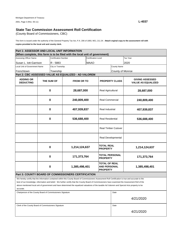(County Board of Commissioners, CBC)

**copies provided to the local unit and county clerk.**  This form is issued under the authority of the General Property Tax Act, P.A. 206 of 1893, MCL 211.34. **Attach orginal copy to the assessment roll with** 

| Part 1: ASSESSOR AND LOCAL UNIT INFORMATION                  |                         |                             |                                                                                                                                                      |                            |                                                                |                       |                                                     |  |  |
|--------------------------------------------------------------|-------------------------|-----------------------------|------------------------------------------------------------------------------------------------------------------------------------------------------|----------------------------|----------------------------------------------------------------|-----------------------|-----------------------------------------------------|--|--|
|                                                              |                         |                             | (When complete, this form is to be filed with the local unit of government)                                                                          |                            |                                                                |                       |                                                     |  |  |
| Assessing Officer Name                                       |                         | <b>Certification Number</b> |                                                                                                                                                      | Certification Level        |                                                                |                       | Tax Year                                            |  |  |
| Susan L. lott-Garrison                                       |                         | R - 5883                    |                                                                                                                                                      | <b>MAAO</b>                |                                                                |                       | 2020                                                |  |  |
| <b>Local Unit of Government Name</b>                         |                         | City or Township            |                                                                                                                                                      |                            |                                                                | <b>County Name</b>    |                                                     |  |  |
| Frenchtown                                                   |                         | Township                    |                                                                                                                                                      |                            |                                                                | County of Monroe      |                                                     |  |  |
|                                                              |                         |                             | Part 2: CBC ASSESSED VALUE AS EQUALIZED - AD VALOREM                                                                                                 |                            |                                                                |                       |                                                     |  |  |
| <b>ADDING OR</b><br><b>DEDUCTING</b>                         | THE SUM OF              |                             | <b>FROM OR TO</b>                                                                                                                                    |                            |                                                                | <b>PROPERTY CLASS</b> | <b>GIVING ASSESSED</b><br><b>VALUE AS EQUALIZED</b> |  |  |
|                                                              |                         | $\mathbf 0$<br>28,687,000   |                                                                                                                                                      | Real Agricultural          |                                                                | 28,687,000            |                                                     |  |  |
|                                                              |                         | $\bf{0}$                    | 240,809,400                                                                                                                                          |                            | <b>Real Commercial</b>                                         |                       | 240,809,400                                         |  |  |
|                                                              | $\bf{0}$<br>407,939,837 |                             |                                                                                                                                                      | Real Industrial            |                                                                | 407,939,837           |                                                     |  |  |
|                                                              | $\mathbf 0$             |                             | 536,688,400                                                                                                                                          |                            | <b>Real Residential</b>                                        |                       | 536,688,400                                         |  |  |
|                                                              |                         |                             |                                                                                                                                                      | <b>Real Timber Cutover</b> |                                                                |                       |                                                     |  |  |
|                                                              |                         |                             |                                                                                                                                                      |                            | Real Developmental                                             |                       |                                                     |  |  |
|                                                              |                         | $\bf{0}$                    | 1,214,124,637                                                                                                                                        |                            | <b>TOTAL REAL</b><br><b>PROPERTY</b>                           |                       | 1,214,124,637                                       |  |  |
|                                                              |                         | $\bf{0}$                    | 171,373,764                                                                                                                                          |                            | TOTAL PERSONAL<br><b>PROPERTY</b>                              |                       | 171,373,764                                         |  |  |
|                                                              |                         | $\bf{0}$                    | 1,385,498,401                                                                                                                                        |                            | <b>TOTAL OF REAL</b><br><b>AND PERSONAL</b><br><b>PROPERTY</b> |                       | 1,385,498,401                                       |  |  |
|                                                              |                         |                             | Part 3: COUNTY BOARD OF COMMISSIONERS CERTIFICATION                                                                                                  |                            |                                                                |                       |                                                     |  |  |
|                                                              |                         |                             | We hereby certify that the information contained within this County Board of Commissioners Assessment Roll Certification is true and accurate to the |                            |                                                                |                       |                                                     |  |  |
|                                                              |                         |                             | best of our knowledge, information and belief. We further certify that the County Board of Commissioners have examined the Assessment Roll of the    |                            |                                                                |                       |                                                     |  |  |
| accurate.                                                    |                         |                             | above mentioned local unit of government and have determined the equalized valuations of the taxable Ad Valorem and Special Acts property to be      |                            |                                                                |                       |                                                     |  |  |
| Chairperson of the County Board of Commissioners Signature   |                         |                             |                                                                                                                                                      |                            |                                                                | Date                  |                                                     |  |  |
|                                                              |                         |                             |                                                                                                                                                      |                            |                                                                |                       | 4/21/2020                                           |  |  |
| Clerk of the County Board of Commissioners Signature<br>Date |                         |                             |                                                                                                                                                      |                            |                                                                |                       |                                                     |  |  |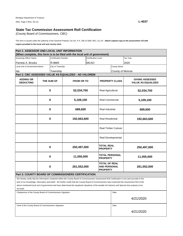(County Board of Commissioners, CBC)

**copies provided to the local unit and county clerk.**  This form is issued under the authority of the General Property Tax Act, P.A. 206 of 1893, MCL 211.34. **Attach orginal copy to the assessment roll with** 

| Part 1: ASSESSOR AND LOCAL UNIT INFORMATION                |              |                             |                                                                                                                                                      |                            |                                                         |                       |                                                     |  |  |
|------------------------------------------------------------|--------------|-----------------------------|------------------------------------------------------------------------------------------------------------------------------------------------------|----------------------------|---------------------------------------------------------|-----------------------|-----------------------------------------------------|--|--|
|                                                            |              |                             | (When complete, this form is to be filed with the local unit of government)                                                                          |                            |                                                         |                       |                                                     |  |  |
| Assessing Officer Name                                     |              | <b>Certification Number</b> |                                                                                                                                                      | <b>Certification Level</b> |                                                         |                       | Tax Year                                            |  |  |
| Pamela A. Brooks                                           |              | R-8865                      |                                                                                                                                                      | <b>MCAO</b>                |                                                         |                       | 2020                                                |  |  |
| Local Unit of Government Name                              |              | City or Township            |                                                                                                                                                      |                            |                                                         | <b>County Name</b>    |                                                     |  |  |
| Ida                                                        |              | Township                    |                                                                                                                                                      |                            |                                                         | County of Monroe      |                                                     |  |  |
|                                                            |              |                             | Part 2: CBC ASSESSED VALUE AS EQUALIZED - AD VALOREM                                                                                                 |                            |                                                         |                       |                                                     |  |  |
| <b>ADDING OR</b><br><b>DEDUCTING</b>                       |              | THE SUM OF                  | <b>FROM OR TO</b>                                                                                                                                    |                            |                                                         | <b>PROPERTY CLASS</b> | <b>GIVING ASSESSED</b><br><b>VALUE AS EQUALIZED</b> |  |  |
|                                                            |              | $\bf{0}$<br>52,034,700      |                                                                                                                                                      |                            | Real Agricultural                                       |                       | 52,034,700                                          |  |  |
|                                                            |              | $\mathbf 0$                 | 5,109,100                                                                                                                                            |                            | <b>Real Commercial</b>                                  |                       | 5,109,100                                           |  |  |
|                                                            | 689,600<br>0 |                             |                                                                                                                                                      | Real Industrial            |                                                         | 689,600               |                                                     |  |  |
|                                                            | $\bf{0}$     |                             | 192,663,600                                                                                                                                          | <b>Real Residential</b>    |                                                         |                       | 192,663,600                                         |  |  |
|                                                            |              |                             |                                                                                                                                                      |                            | <b>Real Timber Cutover</b>                              |                       |                                                     |  |  |
|                                                            |              |                             |                                                                                                                                                      | Real Developmental         |                                                         |                       |                                                     |  |  |
|                                                            |              | $\bf{0}$                    | 250,497,000                                                                                                                                          |                            | <b>TOTAL REAL</b><br><b>PROPERTY</b>                    |                       | 250,497,000                                         |  |  |
|                                                            |              | $\bf{0}$                    | 11,055,000                                                                                                                                           |                            | TOTAL PERSONAL<br><b>PROPERTY</b>                       |                       | 11,055,000                                          |  |  |
|                                                            |              | $\mathbf 0$                 | 261,552,000                                                                                                                                          |                            | <b>TOTAL OF REAL</b><br>AND PERSONAL<br><b>PROPERTY</b> |                       | 261,552,000                                         |  |  |
|                                                            |              |                             | <b>Part 3: COUNTY BOARD OF COMMISSIONERS CERTIFICATION</b>                                                                                           |                            |                                                         |                       |                                                     |  |  |
|                                                            |              |                             | We hereby certify that the information contained within this County Board of Commissioners Assessment Roll Certification is true and accurate to the |                            |                                                         |                       |                                                     |  |  |
|                                                            |              |                             | best of our knowledge, information and belief. We further certify that the County Board of Commissioners have examined the Assessment Roll of the    |                            |                                                         |                       |                                                     |  |  |
|                                                            |              |                             | above mentioned local unit of government and have determined the equalized valuations of the taxable Ad Valorem and Special Acts property to be      |                            |                                                         |                       |                                                     |  |  |
| accurate.                                                  |              |                             |                                                                                                                                                      |                            |                                                         |                       |                                                     |  |  |
| Chairperson of the County Board of Commissioners Signature |              |                             |                                                                                                                                                      |                            |                                                         | Date                  |                                                     |  |  |
|                                                            |              |                             |                                                                                                                                                      |                            |                                                         |                       | 4/21/2020                                           |  |  |
| Clerk of the County Board of Commissioners Signature       |              |                             | Date                                                                                                                                                 |                            |                                                         |                       |                                                     |  |  |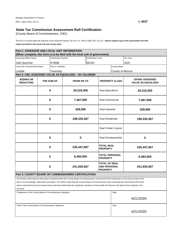(County Board of Commissioners, CBC)

**copies provided to the local unit and county clerk.**  This form is issued under the authority of the General Property Tax Act, P.A. 206 of 1893, MCL 211.34. **Attach orginal copy to the assessment roll with** 

| Part 1: ASSESSOR AND LOCAL UNIT INFORMATION                |                        |                             |                                                                                                                                                      |                                                                               |                                      |                            |                                                     |  |  |
|------------------------------------------------------------|------------------------|-----------------------------|------------------------------------------------------------------------------------------------------------------------------------------------------|-------------------------------------------------------------------------------|--------------------------------------|----------------------------|-----------------------------------------------------|--|--|
|                                                            |                        |                             | (When complete, this form is to be filed with the local unit of government)                                                                          |                                                                               |                                      |                            |                                                     |  |  |
| Assessing Officer Name                                     |                        | <b>Certification Number</b> |                                                                                                                                                      | Certification Level                                                           |                                      |                            | Tax Year                                            |  |  |
| Julie Durocher                                             |                        | R-9598                      |                                                                                                                                                      | <b>MCAO</b>                                                                   |                                      |                            | 2020                                                |  |  |
| <b>Local Unit of Government Name</b>                       |                        | City or Township            |                                                                                                                                                      |                                                                               |                                      | <b>County Name</b>         |                                                     |  |  |
| LaSalle                                                    |                        | Township                    |                                                                                                                                                      |                                                                               |                                      | County of Monroe           |                                                     |  |  |
|                                                            |                        |                             | Part 2: CBC ASSESSED VALUE AS EQUALIZED - AD VALOREM                                                                                                 |                                                                               |                                      |                            |                                                     |  |  |
| <b>ADDING OR</b><br><b>DEDUCTING</b>                       |                        | THE SUM OF                  | <b>FROM OR TO</b>                                                                                                                                    |                                                                               |                                      | <b>PROPERTY CLASS</b>      | <b>GIVING ASSESSED</b><br><b>VALUE AS EQUALIZED</b> |  |  |
|                                                            | $\bf{0}$<br>29,319,300 |                             |                                                                                                                                                      | Real Agricultural                                                             |                                      | 29,319,300                 |                                                     |  |  |
|                                                            | $\bf{0}$               |                             | 7,467,500                                                                                                                                            |                                                                               | <b>Real Commercial</b>               |                            | 7,467,500                                           |  |  |
| $\bf{0}$                                                   |                        |                             | 329,900                                                                                                                                              |                                                                               | Real Industrial                      | 329,900                    |                                                     |  |  |
| $\bf{0}$                                                   |                        | 198,330,367                 |                                                                                                                                                      | <b>Real Residential</b>                                                       |                                      | 198,330,367                |                                                     |  |  |
|                                                            |                        |                             |                                                                                                                                                      |                                                                               |                                      | <b>Real Timber Cutover</b> |                                                     |  |  |
|                                                            |                        | $\bf{0}$                    | $\bf{0}$                                                                                                                                             |                                                                               | Real Developmental                   |                            | 0                                                   |  |  |
|                                                            |                        | $\bf{0}$                    | 235,447,067                                                                                                                                          |                                                                               | <b>TOTAL REAL</b><br><b>PROPERTY</b> |                            | 235,447,067                                         |  |  |
|                                                            |                        | $\bf{0}$                    | 6,483,500                                                                                                                                            |                                                                               | TOTAL PERSONAL<br><b>PROPERTY</b>    |                            | 6,483,500                                           |  |  |
|                                                            |                        | $\bf{0}$                    |                                                                                                                                                      | <b>TOTAL OF REAL</b><br>241,930,567<br><b>AND PERSONAL</b><br><b>PROPERTY</b> |                                      |                            | 241,930,567                                         |  |  |
|                                                            |                        |                             | Part 3: COUNTY BOARD OF COMMISSIONERS CERTIFICATION                                                                                                  |                                                                               |                                      |                            |                                                     |  |  |
|                                                            |                        |                             | We hereby certify that the information contained within this County Board of Commissioners Assessment Roll Certification is true and accurate to the |                                                                               |                                      |                            |                                                     |  |  |
|                                                            |                        |                             | best of our knowledge, information and belief. We further certify that the County Board of Commissioners have examined the Assessment Roll of the    |                                                                               |                                      |                            |                                                     |  |  |
|                                                            |                        |                             | above mentioned local unit of government and have determined the equalized valuations of the taxable Ad Valorem and Special Acts property to be      |                                                                               |                                      |                            |                                                     |  |  |
| accurate.                                                  |                        |                             |                                                                                                                                                      |                                                                               |                                      |                            |                                                     |  |  |
| Chairperson of the County Board of Commissioners Signature |                        |                             |                                                                                                                                                      |                                                                               |                                      | Date                       |                                                     |  |  |
|                                                            |                        |                             |                                                                                                                                                      |                                                                               |                                      |                            | 4/21/2020                                           |  |  |
| Clerk of the County Board of Commissioners Signature       |                        |                             |                                                                                                                                                      |                                                                               |                                      | Date                       |                                                     |  |  |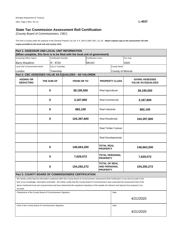(County Board of Commissioners, CBC)

**copies provided to the local unit and county clerk.**  This form is issued under the authority of the General Property Tax Act, P.A. 206 of 1893, MCL 211.34. **Attach orginal copy to the assessment roll with** 

| Part 1: ASSESSOR AND LOCAL UNIT INFORMATION                  |                     |                             |                                                                                                                                                      |                            |                                                                |                         |                                                     |  |
|--------------------------------------------------------------|---------------------|-----------------------------|------------------------------------------------------------------------------------------------------------------------------------------------------|----------------------------|----------------------------------------------------------------|-------------------------|-----------------------------------------------------|--|
|                                                              |                     |                             | (When complete, this form is to be filed with the local unit of government)                                                                          |                            |                                                                |                         |                                                     |  |
| Assessing Officer Name                                       |                     | <b>Certification Number</b> |                                                                                                                                                      | <b>Certification Level</b> |                                                                |                         | Tax Year                                            |  |
| <b>Barry Wauldron</b>                                        |                     | R - 9720                    |                                                                                                                                                      | <b>MCAO</b>                |                                                                |                         | 2020                                                |  |
| Local Unit of Government Name                                |                     | City or Township            |                                                                                                                                                      |                            |                                                                | <b>County Name</b>      |                                                     |  |
| London                                                       |                     | Township                    |                                                                                                                                                      |                            |                                                                | County of Monroe        |                                                     |  |
|                                                              |                     |                             | Part 2: CBC ASSESSED VALUE AS EQUALIZED - AD VALOREM                                                                                                 |                            |                                                                |                         |                                                     |  |
| <b>ADDING OR</b><br><b>DEDUCTING</b>                         | THE SUM OF          |                             | <b>FROM OR TO</b>                                                                                                                                    |                            |                                                                | <b>PROPERTY CLASS</b>   | <b>GIVING ASSESSED</b><br><b>VALUE AS EQUALIZED</b> |  |
|                                                              | $\bf{0}$            |                             | 38,195,500                                                                                                                                           | Real Agricultural          |                                                                |                         | 38,195,500                                          |  |
|                                                              |                     | $\bf{0}$<br>3,187,800       |                                                                                                                                                      |                            | <b>Real Commercial</b>                                         |                         | 3,187,800                                           |  |
|                                                              | $\bf{0}$<br>882,100 |                             |                                                                                                                                                      | Real Industrial            |                                                                | 882,100                 |                                                     |  |
|                                                              | $\bf{0}$            |                             |                                                                                                                                                      | 104,397,800                |                                                                | <b>Real Residential</b> | 104,397,800                                         |  |
|                                                              |                     |                             | <b>Real Timber Cutover</b>                                                                                                                           |                            |                                                                |                         |                                                     |  |
|                                                              |                     |                             |                                                                                                                                                      |                            | Real Developmental                                             |                         |                                                     |  |
|                                                              |                     | $\bf{0}$                    | 146,663,200                                                                                                                                          |                            | <b>TOTAL REAL</b><br><b>PROPERTY</b>                           |                         | 146,663,200                                         |  |
|                                                              |                     | $\mathbf 0$                 | 7,629,072                                                                                                                                            |                            | TOTAL PERSONAL<br><b>PROPERTY</b>                              |                         | 7,629,072                                           |  |
|                                                              |                     | $\bf{0}$                    | 154,292,272                                                                                                                                          |                            | <b>TOTAL OF REAL</b><br><b>AND PERSONAL</b><br><b>PROPERTY</b> |                         | 154,292,272                                         |  |
|                                                              |                     |                             | Part 3: COUNTY BOARD OF COMMISSIONERS CERTIFICATION                                                                                                  |                            |                                                                |                         |                                                     |  |
|                                                              |                     |                             | We hereby certify that the information contained within this County Board of Commissioners Assessment Roll Certification is true and accurate to the |                            |                                                                |                         |                                                     |  |
|                                                              |                     |                             | best of our knowledge, information and belief. We further certify that the County Board of Commissioners have examined the Assessment Roll of the    |                            |                                                                |                         |                                                     |  |
|                                                              |                     |                             | above mentioned local unit of government and have determined the equalized valuations of the taxable Ad Valorem and Special Acts property to be      |                            |                                                                |                         |                                                     |  |
| accurate.                                                    |                     |                             |                                                                                                                                                      |                            |                                                                |                         |                                                     |  |
| Chairperson of the County Board of Commissioners Signature   |                     |                             |                                                                                                                                                      |                            |                                                                | Date                    |                                                     |  |
|                                                              |                     |                             |                                                                                                                                                      |                            |                                                                |                         | 4/21/2020                                           |  |
| Clerk of the County Board of Commissioners Signature<br>Date |                     |                             |                                                                                                                                                      |                            |                                                                |                         |                                                     |  |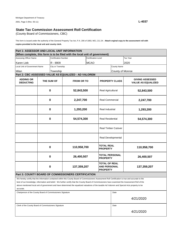(County Board of Commissioners, CBC)

**copies provided to the local unit and county clerk.**  This form is issued under the authority of the General Property Tax Act, P.A. 206 of 1893, MCL 211.34. **Attach orginal copy to the assessment roll with** 

| Part 1: ASSESSOR AND LOCAL UNIT INFORMATION                  |                         |                             |                                                                                                                                                      |                            |                                                                |                         |                                                     |  |  |
|--------------------------------------------------------------|-------------------------|-----------------------------|------------------------------------------------------------------------------------------------------------------------------------------------------|----------------------------|----------------------------------------------------------------|-------------------------|-----------------------------------------------------|--|--|
|                                                              |                         |                             | (When complete, this form is to be filed with the local unit of government)                                                                          |                            |                                                                |                         |                                                     |  |  |
| Assessing Officer Name                                       |                         | <b>Certification Number</b> |                                                                                                                                                      | <b>Certification Level</b> |                                                                |                         | Tax Year                                            |  |  |
| Karen Lieb                                                   |                         | R - 8909                    |                                                                                                                                                      | <b>MCAO</b>                |                                                                |                         | 2020                                                |  |  |
| Local Unit of Government Name                                |                         | City or Township            |                                                                                                                                                      |                            |                                                                | <b>County Name</b>      |                                                     |  |  |
| Milan                                                        |                         | Township                    |                                                                                                                                                      |                            |                                                                | County of Monroe        |                                                     |  |  |
|                                                              |                         |                             | Part 2: CBC ASSESSED VALUE AS EQUALIZED - AD VALOREM                                                                                                 |                            |                                                                |                         |                                                     |  |  |
| <b>ADDING OR</b><br><b>DEDUCTING</b>                         | THE SUM OF              |                             | <b>FROM OR TO</b>                                                                                                                                    |                            | <b>PROPERTY CLASS</b>                                          |                         | <b>GIVING ASSESSED</b><br><b>VALUE AS EQUALIZED</b> |  |  |
|                                                              |                         | $\bf{0}$<br>52,843,500      |                                                                                                                                                      |                            | Real Agricultural                                              |                         | 52,843,500                                          |  |  |
|                                                              |                         | $\bf{0}$                    | 2,247,700                                                                                                                                            |                            | <b>Real Commercial</b>                                         |                         | 2,247,700                                           |  |  |
|                                                              | $\bf{0}$                |                             | 1,293,200                                                                                                                                            |                            | Real Industrial                                                |                         | 1,293,200                                           |  |  |
|                                                              | $\bf{0}$                |                             |                                                                                                                                                      | 54,574,300                 |                                                                | <b>Real Residential</b> | 54,574,300                                          |  |  |
|                                                              |                         |                             |                                                                                                                                                      | <b>Real Timber Cutover</b> |                                                                |                         |                                                     |  |  |
|                                                              |                         |                             |                                                                                                                                                      |                            | Real Developmental                                             |                         |                                                     |  |  |
|                                                              |                         | $\bf{0}$                    | 110,958,700                                                                                                                                          |                            | <b>TOTAL REAL</b><br><b>PROPERTY</b>                           |                         | 110,958,700                                         |  |  |
|                                                              |                         | $\mathbf 0$                 | 26,400,507                                                                                                                                           |                            | TOTAL PERSONAL<br><b>PROPERTY</b>                              |                         | 26,400,507                                          |  |  |
|                                                              | $\bf{0}$<br>137,359,207 |                             |                                                                                                                                                      |                            | <b>TOTAL OF REAL</b><br><b>AND PERSONAL</b><br><b>PROPERTY</b> |                         | 137,359,207                                         |  |  |
|                                                              |                         |                             | Part 3: COUNTY BOARD OF COMMISSIONERS CERTIFICATION                                                                                                  |                            |                                                                |                         |                                                     |  |  |
|                                                              |                         |                             | We hereby certify that the information contained within this County Board of Commissioners Assessment Roll Certification is true and accurate to the |                            |                                                                |                         |                                                     |  |  |
|                                                              |                         |                             | best of our knowledge, information and belief. We further certify that the County Board of Commissioners have examined the Assessment Roll of the    |                            |                                                                |                         |                                                     |  |  |
|                                                              |                         |                             | above mentioned local unit of government and have determined the equalized valuations of the taxable Ad Valorem and Special Acts property to be      |                            |                                                                |                         |                                                     |  |  |
| accurate.                                                    |                         |                             |                                                                                                                                                      |                            |                                                                |                         |                                                     |  |  |
| Chairperson of the County Board of Commissioners Signature   |                         |                             |                                                                                                                                                      |                            |                                                                | Date                    |                                                     |  |  |
|                                                              |                         |                             |                                                                                                                                                      |                            |                                                                |                         | 4/21/2020                                           |  |  |
| Clerk of the County Board of Commissioners Signature<br>Date |                         |                             |                                                                                                                                                      |                            |                                                                |                         |                                                     |  |  |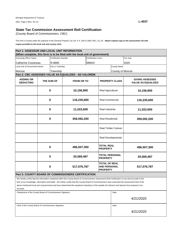(County Board of Commissioners, CBC)

**copies provided to the local unit and county clerk.**  This form is issued under the authority of the General Property Tax Act, P.A. 206 of 1893, MCL 211.34. **Attach orginal copy to the assessment roll with** 

| Part 1: ASSESSOR AND LOCAL UNIT INFORMATION                |          |                             |                                                                                                                                                      |                     |                                                                |                       |                                                     |
|------------------------------------------------------------|----------|-----------------------------|------------------------------------------------------------------------------------------------------------------------------------------------------|---------------------|----------------------------------------------------------------|-----------------------|-----------------------------------------------------|
|                                                            |          |                             | (When complete, this form is to be filed with the local unit of government)                                                                          |                     |                                                                |                       |                                                     |
| Assessing Officer Name                                     |          | <b>Certification Number</b> |                                                                                                                                                      | Certification Level |                                                                |                       | Tax Year                                            |
| Catherine Cousineau                                        |          | R-8690                      |                                                                                                                                                      | <b>MMAO</b>         |                                                                |                       | 2020                                                |
| Local Unit of Government Name                              |          | City or Township            |                                                                                                                                                      |                     |                                                                | <b>County Name</b>    |                                                     |
| Monroe                                                     |          | Township                    |                                                                                                                                                      | County of Monroe    |                                                                |                       |                                                     |
|                                                            |          |                             | Part 2: CBC ASSESSED VALUE AS EQUALIZED - AD VALOREM                                                                                                 |                     |                                                                |                       |                                                     |
|                                                            |          |                             |                                                                                                                                                      |                     |                                                                |                       |                                                     |
| <b>ADDING OR</b><br><b>DEDUCTING</b>                       |          | THE SUM OF                  |                                                                                                                                                      | <b>FROM OR TO</b>   |                                                                | <b>PROPERTY CLASS</b> | <b>GIVING ASSESSED</b><br><b>VALUE AS EQUALIZED</b> |
|                                                            |          |                             |                                                                                                                                                      |                     |                                                                |                       |                                                     |
|                                                            | $\bf{0}$ |                             | 10,156,900                                                                                                                                           | Real Agricultural   |                                                                |                       | 10,156,900                                          |
|                                                            |          |                             |                                                                                                                                                      |                     |                                                                |                       |                                                     |
| $\bf{0}$                                                   |          |                             |                                                                                                                                                      |                     |                                                                |                       | 116,235,600                                         |
|                                                            |          |                             | 116,235,600                                                                                                                                          |                     | <b>Real Commercial</b>                                         |                       |                                                     |
|                                                            |          |                             |                                                                                                                                                      |                     |                                                                |                       |                                                     |
|                                                            |          | $\bf{0}$<br>11,022,600      |                                                                                                                                                      |                     | Real Industrial                                                |                       | 11,022,600                                          |
| $\bf{0}$                                                   |          |                             | 359,092,200                                                                                                                                          |                     | <b>Real Residential</b>                                        |                       | 359,092,200                                         |
|                                                            |          |                             |                                                                                                                                                      |                     |                                                                |                       |                                                     |
|                                                            |          |                             |                                                                                                                                                      |                     | <b>Real Timber Cutover</b>                                     |                       |                                                     |
|                                                            |          |                             |                                                                                                                                                      |                     |                                                                | Real Developmental    |                                                     |
|                                                            |          | $\bf{0}$                    | 496,507,300                                                                                                                                          |                     | TOTAL REAL<br><b>PROPERTY</b>                                  |                       | 496,507,300                                         |
|                                                            | $\bf{0}$ |                             | 20,569,487                                                                                                                                           |                     | TOTAL PERSONAL<br><b>PROPERTY</b>                              |                       | 20,569,487                                          |
|                                                            |          | $\bf{0}$                    | 517,076,787                                                                                                                                          |                     | <b>TOTAL OF REAL</b><br><b>AND PERSONAL</b><br><b>PROPERTY</b> |                       | 517,076,787                                         |
|                                                            |          |                             | Part 3: COUNTY BOARD OF COMMISSIONERS CERTIFICATION                                                                                                  |                     |                                                                |                       |                                                     |
|                                                            |          |                             | We hereby certify that the information contained within this County Board of Commissioners Assessment Roll Certification is true and accurate to the |                     |                                                                |                       |                                                     |
|                                                            |          |                             | best of our knowledge, information and belief. We further certify that the County Board of Commissioners have examined the Assessment Roll of the    |                     |                                                                |                       |                                                     |
| accurate.                                                  |          |                             | above mentioned local unit of government and have determined the equalized valuations of the taxable Ad Valorem and Special Acts property to be      |                     |                                                                |                       |                                                     |
|                                                            |          |                             |                                                                                                                                                      |                     |                                                                | Date                  |                                                     |
| Chairperson of the County Board of Commissioners Signature |          |                             |                                                                                                                                                      |                     |                                                                |                       |                                                     |
|                                                            |          |                             |                                                                                                                                                      | 4/21/2020           |                                                                |                       |                                                     |
| Clerk of the County Board of Commissioners Signature       |          |                             | Date                                                                                                                                                 |                     |                                                                |                       |                                                     |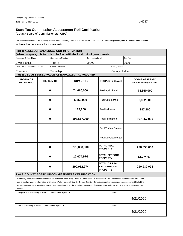(County Board of Commissioners, CBC)

**copies provided to the local unit and county clerk.**  This form is issued under the authority of the General Property Tax Act, P.A. 206 of 1893, MCL 211.34. **Attach orginal copy to the assessment roll with** 

| Part 1: ASSESSOR AND LOCAL UNIT INFORMATION                |                                     |                             |                                                                                                                                                                                                                                                                                                           |                                   |                                                                |                    |                           |  |
|------------------------------------------------------------|-------------------------------------|-----------------------------|-----------------------------------------------------------------------------------------------------------------------------------------------------------------------------------------------------------------------------------------------------------------------------------------------------------|-----------------------------------|----------------------------------------------------------------|--------------------|---------------------------|--|
|                                                            |                                     |                             | (When complete, this form is to be filed with the local unit of government)                                                                                                                                                                                                                               |                                   |                                                                |                    |                           |  |
| Assessing Officer Name                                     |                                     | <b>Certification Number</b> |                                                                                                                                                                                                                                                                                                           | <b>Certification Level</b>        |                                                                |                    | Tax Year                  |  |
| <b>Bryan Renius</b>                                        |                                     | R-8646                      |                                                                                                                                                                                                                                                                                                           | <b>MAAO</b>                       |                                                                |                    | 2020                      |  |
| <b>Local Unit of Government Name</b>                       |                                     | City or Township            |                                                                                                                                                                                                                                                                                                           |                                   |                                                                | <b>County Name</b> |                           |  |
| Raisinville                                                |                                     | Township                    |                                                                                                                                                                                                                                                                                                           |                                   |                                                                | County of Monroe   |                           |  |
|                                                            |                                     |                             | Part 2: CBC ASSESSED VALUE AS EQUALIZED - AD VALOREM                                                                                                                                                                                                                                                      |                                   |                                                                |                    |                           |  |
|                                                            |                                     |                             |                                                                                                                                                                                                                                                                                                           |                                   |                                                                |                    | <b>GIVING ASSESSED</b>    |  |
| <b>ADDING OR</b><br><b>DEDUCTING</b>                       |                                     | THE SUM OF                  | <b>FROM OR TO</b>                                                                                                                                                                                                                                                                                         | <b>PROPERTY CLASS</b>             |                                                                |                    | <b>VALUE AS EQUALIZED</b> |  |
|                                                            |                                     |                             |                                                                                                                                                                                                                                                                                                           |                                   |                                                                |                    |                           |  |
|                                                            |                                     | $\bf{0}$                    | 74,660,000                                                                                                                                                                                                                                                                                                | Real Agricultural                 |                                                                |                    | 74,660,000                |  |
|                                                            |                                     |                             |                                                                                                                                                                                                                                                                                                           |                                   |                                                                |                    |                           |  |
|                                                            | $\bf{0}$                            |                             |                                                                                                                                                                                                                                                                                                           |                                   |                                                                |                    |                           |  |
|                                                            |                                     |                             | 6,352,900                                                                                                                                                                                                                                                                                                 |                                   | <b>Real Commercial</b>                                         |                    | 6,352,900                 |  |
|                                                            |                                     |                             |                                                                                                                                                                                                                                                                                                           |                                   |                                                                |                    |                           |  |
|                                                            | $\bf{0}$                            |                             |                                                                                                                                                                                                                                                                                                           | 187,200                           |                                                                | Real Industrial    | 187,200                   |  |
|                                                            |                                     |                             |                                                                                                                                                                                                                                                                                                           |                                   |                                                                |                    |                           |  |
| $\bf{0}$                                                   |                                     |                             |                                                                                                                                                                                                                                                                                                           |                                   |                                                                |                    |                           |  |
|                                                            |                                     | 197,657,900                 |                                                                                                                                                                                                                                                                                                           | <b>Real Residential</b>           |                                                                |                    | 197,657,900               |  |
|                                                            |                                     |                             |                                                                                                                                                                                                                                                                                                           |                                   |                                                                |                    |                           |  |
|                                                            |                                     |                             |                                                                                                                                                                                                                                                                                                           | <b>Real Timber Cutover</b>        |                                                                |                    |                           |  |
|                                                            |                                     |                             |                                                                                                                                                                                                                                                                                                           |                                   |                                                                |                    |                           |  |
|                                                            |                                     |                             |                                                                                                                                                                                                                                                                                                           |                                   |                                                                | Real Developmental |                           |  |
|                                                            |                                     |                             |                                                                                                                                                                                                                                                                                                           |                                   |                                                                |                    |                           |  |
|                                                            |                                     |                             |                                                                                                                                                                                                                                                                                                           | <b>TOTAL REAL</b>                 |                                                                |                    |                           |  |
|                                                            | $\bf{0}$<br>$\mathbf 0$<br>$\bf{0}$ |                             | 278,858,000                                                                                                                                                                                                                                                                                               |                                   | <b>PROPERTY</b>                                                |                    | 278,858,000               |  |
|                                                            |                                     |                             |                                                                                                                                                                                                                                                                                                           | TOTAL PERSONAL<br><b>PROPERTY</b> |                                                                |                    | 12,074,974                |  |
|                                                            |                                     |                             | 12,074,974                                                                                                                                                                                                                                                                                                |                                   |                                                                |                    |                           |  |
|                                                            |                                     |                             |                                                                                                                                                                                                                                                                                                           |                                   | <b>TOTAL OF REAL</b><br><b>AND PERSONAL</b><br><b>PROPERTY</b> |                    |                           |  |
|                                                            |                                     |                             | 290,932,974                                                                                                                                                                                                                                                                                               |                                   |                                                                |                    | 290,932,974               |  |
|                                                            |                                     |                             |                                                                                                                                                                                                                                                                                                           |                                   |                                                                |                    |                           |  |
|                                                            |                                     |                             | Part 3: COUNTY BOARD OF COMMISSIONERS CERTIFICATION                                                                                                                                                                                                                                                       |                                   |                                                                |                    |                           |  |
|                                                            |                                     |                             |                                                                                                                                                                                                                                                                                                           |                                   |                                                                |                    |                           |  |
|                                                            |                                     |                             | We hereby certify that the information contained within this County Board of Commissioners Assessment Roll Certification is true and accurate to the<br>best of our knowledge, information and belief. We further certify that the County Board of Commissioners have examined the Assessment Roll of the |                                   |                                                                |                    |                           |  |
|                                                            |                                     |                             | above mentioned local unit of government and have determined the equalized valuations of the taxable Ad Valorem and Special Acts property to be                                                                                                                                                           |                                   |                                                                |                    |                           |  |
| accurate.                                                  |                                     |                             |                                                                                                                                                                                                                                                                                                           |                                   |                                                                |                    |                           |  |
| Chairperson of the County Board of Commissioners Signature |                                     |                             | Date                                                                                                                                                                                                                                                                                                      |                                   |                                                                |                    |                           |  |
|                                                            |                                     |                             |                                                                                                                                                                                                                                                                                                           |                                   |                                                                |                    |                           |  |
|                                                            |                                     |                             |                                                                                                                                                                                                                                                                                                           | 4/21/2020                         |                                                                |                    |                           |  |
|                                                            |                                     |                             |                                                                                                                                                                                                                                                                                                           |                                   |                                                                |                    |                           |  |
| Clerk of the County Board of Commissioners Signature       |                                     |                             | Date                                                                                                                                                                                                                                                                                                      |                                   |                                                                |                    |                           |  |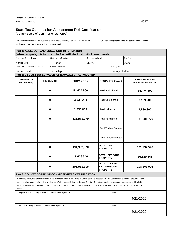(County Board of Commissioners, CBC)

**copies provided to the local unit and county clerk.**  This form is issued under the authority of the General Property Tax Act, P.A. 206 of 1893, MCL 211.34. **Attach orginal copy to the assessment roll with** 

| Part 1: ASSESSOR AND LOCAL UNIT INFORMATION                |                         |                             |                                                                                                                                                      |                            |                                                                |                            |                                                     |  |
|------------------------------------------------------------|-------------------------|-----------------------------|------------------------------------------------------------------------------------------------------------------------------------------------------|----------------------------|----------------------------------------------------------------|----------------------------|-----------------------------------------------------|--|
|                                                            |                         |                             | (When complete, this form is to be filed with the local unit of government)                                                                          |                            |                                                                |                            |                                                     |  |
| Assessing Officer Name                                     |                         | <b>Certification Number</b> |                                                                                                                                                      | <b>Certification Level</b> |                                                                |                            | Tax Year                                            |  |
| Karen Lieb                                                 |                         | R - 8909                    |                                                                                                                                                      | <b>MCAO</b>                |                                                                |                            | 2020                                                |  |
| Local Unit of Government Name                              |                         | City or Township            |                                                                                                                                                      |                            |                                                                | <b>County Name</b>         |                                                     |  |
| Summerfield                                                |                         | Township                    |                                                                                                                                                      |                            |                                                                | County of Monroe           |                                                     |  |
|                                                            |                         |                             | Part 2: CBC ASSESSED VALUE AS EQUALIZED - AD VALOREM                                                                                                 |                            |                                                                |                            |                                                     |  |
| <b>ADDING OR</b><br><b>DEDUCTING</b>                       | THE SUM OF<br>$\bf{0}$  |                             | <b>FROM OR TO</b>                                                                                                                                    |                            | <b>PROPERTY CLASS</b>                                          |                            | <b>GIVING ASSESSED</b><br><b>VALUE AS EQUALIZED</b> |  |
|                                                            |                         |                             | 54,474,800                                                                                                                                           |                            | Real Agricultural                                              |                            | 54,474,800                                          |  |
|                                                            | $\bf{0}$                |                             | 3,939,200                                                                                                                                            |                            | <b>Real Commercial</b>                                         |                            | 3,939,200                                           |  |
|                                                            | $\bf{0}$                |                             | 1,536,800                                                                                                                                            |                            | Real Industrial                                                |                            | 1,536,800                                           |  |
|                                                            | $\bf{0}$                |                             | 131,981,770                                                                                                                                          |                            | <b>Real Residential</b>                                        |                            | 131,981,770                                         |  |
|                                                            |                         |                             |                                                                                                                                                      |                            |                                                                | <b>Real Timber Cutover</b> |                                                     |  |
|                                                            | $\bf{0}$<br>$\mathbf 0$ |                             |                                                                                                                                                      |                            | Real Developmental                                             |                            |                                                     |  |
|                                                            |                         |                             | 191,932,570                                                                                                                                          |                            | <b>TOTAL REAL</b><br><b>PROPERTY</b>                           |                            | 191,932,570                                         |  |
|                                                            |                         |                             | 16,629,346                                                                                                                                           |                            | TOTAL PERSONAL<br><b>PROPERTY</b>                              |                            | 16,629,346                                          |  |
|                                                            |                         | $\bf{0}$                    | 208,561,916                                                                                                                                          |                            | <b>TOTAL OF REAL</b><br><b>AND PERSONAL</b><br><b>PROPERTY</b> |                            | 208,561,916                                         |  |
|                                                            |                         |                             | Part 3: COUNTY BOARD OF COMMISSIONERS CERTIFICATION                                                                                                  |                            |                                                                |                            |                                                     |  |
|                                                            |                         |                             | We hereby certify that the information contained within this County Board of Commissioners Assessment Roll Certification is true and accurate to the |                            |                                                                |                            |                                                     |  |
|                                                            |                         |                             | best of our knowledge, information and belief. We further certify that the County Board of Commissioners have examined the Assessment Roll of the    |                            |                                                                |                            |                                                     |  |
|                                                            |                         |                             | above mentioned local unit of government and have determined the equalized valuations of the taxable Ad Valorem and Special Acts property to be      |                            |                                                                |                            |                                                     |  |
| accurate.                                                  |                         |                             |                                                                                                                                                      |                            |                                                                |                            |                                                     |  |
| Chairperson of the County Board of Commissioners Signature |                         |                             |                                                                                                                                                      |                            |                                                                | Date                       |                                                     |  |
|                                                            |                         |                             |                                                                                                                                                      |                            |                                                                |                            | 4/21/2020                                           |  |
| Clerk of the County Board of Commissioners Signature       |                         |                             |                                                                                                                                                      |                            |                                                                | Date                       |                                                     |  |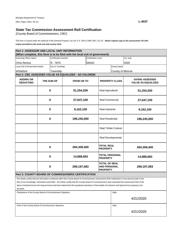(County Board of Commissioners, CBC)

**copies provided to the local unit and county clerk.**  This form is issued under the authority of the General Property Tax Act, P.A. 206 of 1893, MCL 211.34. **Attach orginal copy to the assessment roll with** 

| Part 1: ASSESSOR AND LOCAL UNIT INFORMATION                |                         |                             |                                                                                                                                                      |                            |                                                                |                    |                                                     |  |
|------------------------------------------------------------|-------------------------|-----------------------------|------------------------------------------------------------------------------------------------------------------------------------------------------|----------------------------|----------------------------------------------------------------|--------------------|-----------------------------------------------------|--|
|                                                            |                         |                             | (When complete, this form is to be filed with the local unit of government)                                                                          |                            |                                                                |                    |                                                     |  |
| Assessing Officer Name                                     |                         | <b>Certification Number</b> |                                                                                                                                                      |                            | <b>Certification Level</b>                                     |                    | Tax Year                                            |  |
| <b>Chris Renius</b>                                        |                         | R - 7676                    |                                                                                                                                                      | <b>MAAO</b>                |                                                                |                    | 2020                                                |  |
| <b>Local Unit of Government Name</b>                       |                         | City or Township            |                                                                                                                                                      |                            |                                                                | <b>County Name</b> |                                                     |  |
| Whiteford                                                  |                         | Township                    |                                                                                                                                                      |                            |                                                                | County of Monroe   |                                                     |  |
| Part 2: CBC ASSESSED VALUE AS EQUALIZED - AD VALOREM       |                         |                             |                                                                                                                                                      |                            |                                                                |                    |                                                     |  |
| <b>ADDING OR</b><br><b>DEDUCTING</b>                       | THE SUM OF<br>$\bf{0}$  |                             | <b>FROM OR TO</b>                                                                                                                                    |                            | <b>PROPERTY CLASS</b>                                          |                    | <b>GIVING ASSESSED</b><br><b>VALUE AS EQUALIZED</b> |  |
|                                                            |                         |                             | 51,254,200                                                                                                                                           |                            | Real Agricultural                                              |                    | 51,254,200                                          |  |
|                                                            | $\bf{0}$                |                             | 27,647,100                                                                                                                                           |                            | <b>Real Commercial</b>                                         |                    | 27,647,100                                          |  |
|                                                            | $\bf{0}$                |                             | 9,162,100                                                                                                                                            |                            | Real Industrial                                                |                    | 9,162,100                                           |  |
|                                                            | $\bf{0}$                |                             | 196,245,000                                                                                                                                          |                            | <b>Real Residential</b>                                        |                    | 196,245,000                                         |  |
|                                                            |                         |                             |                                                                                                                                                      | <b>Real Timber Cutover</b> |                                                                |                    |                                                     |  |
|                                                            | $\bf{0}$<br>$\mathbf 0$ |                             |                                                                                                                                                      |                            | Real Developmental                                             |                    |                                                     |  |
|                                                            |                         |                             | 284,308,400                                                                                                                                          |                            | <b>TOTAL REAL</b><br><b>PROPERTY</b>                           |                    | 284,308,400                                         |  |
|                                                            |                         |                             | 14,888,683                                                                                                                                           |                            | TOTAL PERSONAL<br><b>PROPERTY</b>                              |                    | 14,888,683                                          |  |
|                                                            |                         | $\bf{0}$                    | 299,197,083                                                                                                                                          |                            | <b>TOTAL OF REAL</b><br><b>AND PERSONAL</b><br><b>PROPERTY</b> |                    | 299,197,083                                         |  |
|                                                            |                         |                             | Part 3: COUNTY BOARD OF COMMISSIONERS CERTIFICATION                                                                                                  |                            |                                                                |                    |                                                     |  |
|                                                            |                         |                             | We hereby certify that the information contained within this County Board of Commissioners Assessment Roll Certification is true and accurate to the |                            |                                                                |                    |                                                     |  |
|                                                            |                         |                             | best of our knowledge, information and belief. We further certify that the County Board of Commissioners have examined the Assessment Roll of the    |                            |                                                                |                    |                                                     |  |
|                                                            |                         |                             | above mentioned local unit of government and have determined the equalized valuations of the taxable Ad Valorem and Special Acts property to be      |                            |                                                                |                    |                                                     |  |
| accurate.                                                  |                         |                             |                                                                                                                                                      |                            |                                                                |                    |                                                     |  |
| Chairperson of the County Board of Commissioners Signature |                         |                             |                                                                                                                                                      |                            |                                                                | Date               |                                                     |  |
|                                                            |                         |                             |                                                                                                                                                      |                            |                                                                |                    | 4/21/2020                                           |  |
| Clerk of the County Board of Commissioners Signature       |                         |                             |                                                                                                                                                      |                            |                                                                | Date               |                                                     |  |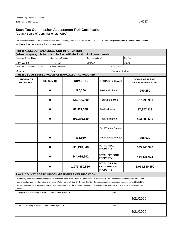(County Board of Commissioners, CBC)

**copies provided to the local unit and county clerk.**  This form is issued under the authority of the General Property Tax Act, P.A. 206 of 1893, MCL 211.34. **Attach orginal copy to the assessment roll with** 

| Part 1: ASSESSOR AND LOCAL UNIT INFORMATION                |   |                             |                                                                                                                                                                                                                                                                                                                                                                                                                                                              |                                                                |                                                                                  |                            |                                                     |  |  |
|------------------------------------------------------------|---|-----------------------------|--------------------------------------------------------------------------------------------------------------------------------------------------------------------------------------------------------------------------------------------------------------------------------------------------------------------------------------------------------------------------------------------------------------------------------------------------------------|----------------------------------------------------------------|----------------------------------------------------------------------------------|----------------------------|-----------------------------------------------------|--|--|
|                                                            |   |                             | (When complete, this form is to be filed with the local unit of government)                                                                                                                                                                                                                                                                                                                                                                                  |                                                                |                                                                                  |                            |                                                     |  |  |
| Assessing Officer Name                                     |   | <b>Certification Number</b> |                                                                                                                                                                                                                                                                                                                                                                                                                                                              | <b>Certification Level</b>                                     |                                                                                  |                            | Tax Year                                            |  |  |
| Sam Guich                                                  |   | R - 2422                    |                                                                                                                                                                                                                                                                                                                                                                                                                                                              | <b>MMAO</b>                                                    |                                                                                  |                            | 2020                                                |  |  |
| Local Unit of Government Name                              |   | City or Township            |                                                                                                                                                                                                                                                                                                                                                                                                                                                              |                                                                | County Name                                                                      |                            |                                                     |  |  |
| Monroe                                                     |   | City                        |                                                                                                                                                                                                                                                                                                                                                                                                                                                              |                                                                |                                                                                  | County of Monroe           |                                                     |  |  |
| Part 2: CBC ASSESSED VALUE AS EQUALIZED - AD VALOREM       |   |                             |                                                                                                                                                                                                                                                                                                                                                                                                                                                              |                                                                |                                                                                  |                            |                                                     |  |  |
| <b>ADDING OR</b><br><b>DEDUCTING</b>                       |   | THE SUM OF                  | <b>FROM OR TO</b>                                                                                                                                                                                                                                                                                                                                                                                                                                            | <b>PROPERTY CLASS</b>                                          |                                                                                  |                            | <b>GIVING ASSESSED</b><br><b>VALUE AS EQUALIZED</b> |  |  |
|                                                            | 0 |                             | 290,250                                                                                                                                                                                                                                                                                                                                                                                                                                                      |                                                                | Real Agricultural                                                                |                            | 290,250                                             |  |  |
| $\mathbf 0$                                                |   |                             | 137,796,900                                                                                                                                                                                                                                                                                                                                                                                                                                                  |                                                                | <b>Real Commercial</b>                                                           |                            | 137,796,900                                         |  |  |
| 0                                                          |   |                             | 87,377,338                                                                                                                                                                                                                                                                                                                                                                                                                                                   |                                                                | Real Industrial                                                                  |                            | 87,377,338                                          |  |  |
| 0                                                          |   | 403,380,530                 |                                                                                                                                                                                                                                                                                                                                                                                                                                                              | <b>Real Residential</b>                                        |                                                                                  | 403,380,530                |                                                     |  |  |
|                                                            |   |                             |                                                                                                                                                                                                                                                                                                                                                                                                                                                              |                                                                |                                                                                  | <b>Real Timber Cutover</b> |                                                     |  |  |
| 0                                                          |   |                             | 398,930                                                                                                                                                                                                                                                                                                                                                                                                                                                      |                                                                | Real Developmental                                                               |                            | 398,930                                             |  |  |
| $\mathbf 0$<br>$\mathbf 0$                                 |   |                             | 629,243,948                                                                                                                                                                                                                                                                                                                                                                                                                                                  |                                                                | <b>TOTAL REAL</b><br><b>PROPERTY</b><br><b>TOTAL PERSONAL</b><br><b>PROPERTY</b> |                            | 629,243,948                                         |  |  |
|                                                            |   |                             | 444,636,602                                                                                                                                                                                                                                                                                                                                                                                                                                                  |                                                                |                                                                                  |                            | 444,636,602                                         |  |  |
| 0                                                          |   | 1,073,880,550               |                                                                                                                                                                                                                                                                                                                                                                                                                                                              | <b>TOTAL OF REAL</b><br><b>AND PERSONAL</b><br><b>PROPERTY</b> |                                                                                  | 1,073,880,550              |                                                     |  |  |
|                                                            |   |                             | <b>Part 3: COUNTY BOARD OF COMMISSIONERS CERTIFICATION</b>                                                                                                                                                                                                                                                                                                                                                                                                   |                                                                |                                                                                  |                            |                                                     |  |  |
| accurate.                                                  |   |                             | We hereby certify that the information contained within this County Board of Commissioners Assessment Roll Certification is true and accurate to the<br>best of our knowledge, information and belief. We further certify that the County Board of Commissioners have examined the Assessment Roll of the<br>above mentioned local unit of government and have determined the equalized valuations of the taxable Ad Valorem and Special Acts property to be |                                                                |                                                                                  |                            |                                                     |  |  |
| Chairperson of the County Board of Commissioners Signature |   |                             |                                                                                                                                                                                                                                                                                                                                                                                                                                                              |                                                                |                                                                                  | Date                       |                                                     |  |  |
|                                                            |   |                             |                                                                                                                                                                                                                                                                                                                                                                                                                                                              |                                                                |                                                                                  |                            | 4/21/2020                                           |  |  |

Clerk of the County Board of Commissioners Signature **Date** Date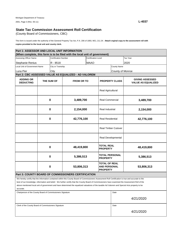(County Board of Commissioners, CBC)

**copies provided to the local unit and county clerk.**  This form is issued under the authority of the General Property Tax Act, P.A. 206 of 1893, MCL 211.34. **Attach orginal copy to the assessment roll with** 

| Part 1: ASSESSOR AND LOCAL UNIT INFORMATION                       |             |                             |                                                                                                                                                                                                                                                                                                                                                                                                                                                              |                            |                                                                |                       |                                                     |  |
|-------------------------------------------------------------------|-------------|-----------------------------|--------------------------------------------------------------------------------------------------------------------------------------------------------------------------------------------------------------------------------------------------------------------------------------------------------------------------------------------------------------------------------------------------------------------------------------------------------------|----------------------------|----------------------------------------------------------------|-----------------------|-----------------------------------------------------|--|
|                                                                   |             |                             | (When complete, this form is to be filed with the local unit of government)                                                                                                                                                                                                                                                                                                                                                                                  |                            |                                                                |                       |                                                     |  |
| Assessing Officer Name                                            |             | <b>Certification Number</b> |                                                                                                                                                                                                                                                                                                                                                                                                                                                              | <b>Certification Level</b> |                                                                |                       | Tax Year                                            |  |
| Stephanie Renius                                                  |             | R - 8518                    |                                                                                                                                                                                                                                                                                                                                                                                                                                                              | <b>MAAO</b>                |                                                                |                       | 2020                                                |  |
| Local Unit of Government Name                                     |             | City or Township            |                                                                                                                                                                                                                                                                                                                                                                                                                                                              |                            |                                                                | <b>County Name</b>    |                                                     |  |
| Luna Pier                                                         |             | City                        |                                                                                                                                                                                                                                                                                                                                                                                                                                                              |                            | County of Monroe                                               |                       |                                                     |  |
|                                                                   |             |                             | Part 2: CBC ASSESSED VALUE AS EQUALIZED - AD VALOREM                                                                                                                                                                                                                                                                                                                                                                                                         |                            |                                                                |                       |                                                     |  |
| <b>ADDING OR</b><br>THE SUM OF<br><b>DEDUCTING</b><br>$\mathbf 0$ |             |                             | <b>FROM OR TO</b>                                                                                                                                                                                                                                                                                                                                                                                                                                            |                            |                                                                | <b>PROPERTY CLASS</b> | <b>GIVING ASSESSED</b><br><b>VALUE AS EQUALIZED</b> |  |
|                                                                   |             |                             |                                                                                                                                                                                                                                                                                                                                                                                                                                                              |                            | Real Agricultural                                              |                       |                                                     |  |
|                                                                   |             |                             | 3,489,700                                                                                                                                                                                                                                                                                                                                                                                                                                                    |                            | <b>Real Commercial</b>                                         |                       | 3,489,700                                           |  |
|                                                                   | $\mathbf 0$ |                             | 2,154,000                                                                                                                                                                                                                                                                                                                                                                                                                                                    |                            | Real Industrial                                                |                       | 2,154,000                                           |  |
|                                                                   | $\bf{0}$    |                             | 42,776,100                                                                                                                                                                                                                                                                                                                                                                                                                                                   |                            | <b>Real Residential</b>                                        |                       | 42,776,100                                          |  |
|                                                                   |             |                             |                                                                                                                                                                                                                                                                                                                                                                                                                                                              | <b>Real Timber Cutover</b> |                                                                |                       |                                                     |  |
|                                                                   |             |                             |                                                                                                                                                                                                                                                                                                                                                                                                                                                              |                            | Real Developmental                                             |                       |                                                     |  |
| $\bf{0}$                                                          |             |                             | 48,419,800                                                                                                                                                                                                                                                                                                                                                                                                                                                   |                            | <b>TOTAL REAL</b><br><b>PROPERTY</b>                           |                       | 48,419,800                                          |  |
|                                                                   | $\bf{0}$    |                             | 5,386,513                                                                                                                                                                                                                                                                                                                                                                                                                                                    | <b>PROPERTY</b>            |                                                                | TOTAL PERSONAL        | 5,386,513                                           |  |
|                                                                   |             | 0                           | 53,806,313                                                                                                                                                                                                                                                                                                                                                                                                                                                   |                            | <b>TOTAL OF REAL</b><br><b>AND PERSONAL</b><br><b>PROPERTY</b> |                       | 53,806,313                                          |  |
|                                                                   |             |                             | <b>Part 3: COUNTY BOARD OF COMMISSIONERS CERTIFICATION</b>                                                                                                                                                                                                                                                                                                                                                                                                   |                            |                                                                |                       |                                                     |  |
| accurate.                                                         |             |                             | We hereby certify that the information contained within this County Board of Commissioners Assessment Roll Certification is true and accurate to the<br>best of our knowledge, information and belief. We further certify that the County Board of Commissioners have examined the Assessment Roll of the<br>above mentioned local unit of government and have determined the equalized valuations of the taxable Ad Valorem and Special Acts property to be |                            |                                                                |                       |                                                     |  |
| Chairperson of the County Board of Commissioners Signature        |             |                             |                                                                                                                                                                                                                                                                                                                                                                                                                                                              |                            |                                                                | Date                  |                                                     |  |
|                                                                   |             |                             |                                                                                                                                                                                                                                                                                                                                                                                                                                                              |                            |                                                                |                       | 4/21/2020                                           |  |
| Clerk of the County Board of Commissioners Signature              |             |                             |                                                                                                                                                                                                                                                                                                                                                                                                                                                              |                            |                                                                | Date                  |                                                     |  |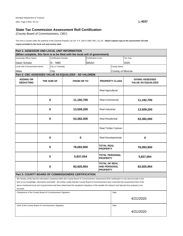(County Board of Commissioners, CBC)

**copies provided to the local unit and county clerk.**  This form is issued under the authority of the General Property Tax Act, P.A. 206 of 1893, MCL 211.34. **Attach orginal copy to the assessment roll with** 

| Part 1: ASSESSOR AND LOCAL UNIT INFORMATION                |            |                             |                                                                                                                                                      |                            |                                                         |                    |                                                     |  |  |
|------------------------------------------------------------|------------|-----------------------------|------------------------------------------------------------------------------------------------------------------------------------------------------|----------------------------|---------------------------------------------------------|--------------------|-----------------------------------------------------|--|--|
|                                                            |            |                             | (When complete, this form is to be filed with the local unit of government)                                                                          |                            |                                                         |                    |                                                     |  |  |
| Assessing Officer Name                                     |            | <b>Certification Number</b> |                                                                                                                                                      | <b>Certification Level</b> |                                                         |                    | Tax Year                                            |  |  |
| Dawn Scheitz                                               |            | R - 7885                    |                                                                                                                                                      | <b>MAAO</b>                |                                                         |                    | 2020                                                |  |  |
| <b>Local Unit of Government Name</b>                       |            | City or Township            |                                                                                                                                                      |                            |                                                         | <b>County Name</b> |                                                     |  |  |
| Milan                                                      |            | City                        |                                                                                                                                                      |                            |                                                         | County of Monroe   |                                                     |  |  |
|                                                            |            |                             | Part 2: CBC ASSESSED VALUE AS EQUALIZED - AD VALOREM                                                                                                 |                            |                                                         |                    |                                                     |  |  |
| <b>ADDING OR</b><br><b>DEDUCTING</b>                       | THE SUM OF |                             | <b>FROM OR TO</b>                                                                                                                                    |                            | <b>PROPERTY CLASS</b>                                   |                    | <b>GIVING ASSESSED</b><br><b>VALUE AS EQUALIZED</b> |  |  |
|                                                            |            |                             |                                                                                                                                                      | Real Agricultural          |                                                         |                    |                                                     |  |  |
| $\mathbf 0$                                                |            |                             | 11,192,700                                                                                                                                           |                            | <b>Real Commercial</b>                                  |                    | 11,192,700                                          |  |  |
|                                                            | $\bf{0}$   |                             | 13,509,200                                                                                                                                           |                            | Real Industrial                                         |                    | 13,509,200                                          |  |  |
| $\bf{0}$                                                   |            | 53,382,000                  |                                                                                                                                                      | <b>Real Residential</b>    |                                                         | 53,382,000         |                                                     |  |  |
|                                                            |            |                             |                                                                                                                                                      | <b>Real Timber Cutover</b> |                                                         |                    |                                                     |  |  |
| $\mathbf 0$                                                |            | $\pmb{0}$                   |                                                                                                                                                      | Real Developmental         |                                                         | 0                  |                                                     |  |  |
|                                                            | $\bf{0}$   |                             | 78,083,900                                                                                                                                           |                            | <b>TOTAL REAL</b><br><b>PROPERTY</b>                    |                    | 78,083,900                                          |  |  |
| $\mathbf 0$                                                |            |                             | 5,837,054                                                                                                                                            |                            | TOTAL PERSONAL<br><b>PROPERTY</b>                       |                    | 5,837,054                                           |  |  |
|                                                            |            | $\mathbf 0$                 | 83,920,954                                                                                                                                           |                            | <b>TOTAL OF REAL</b><br>AND PERSONAL<br><b>PROPERTY</b> |                    | 83,920,954                                          |  |  |
|                                                            |            |                             | <b>Part 3: COUNTY BOARD OF COMMISSIONERS CERTIFICATION</b>                                                                                           |                            |                                                         |                    |                                                     |  |  |
|                                                            |            |                             | We hereby certify that the information contained within this County Board of Commissioners Assessment Roll Certification is true and accurate to the |                            |                                                         |                    |                                                     |  |  |
|                                                            |            |                             | best of our knowledge, information and belief. We further certify that the County Board of Commissioners have examined the Assessment Roll of the    |                            |                                                         |                    |                                                     |  |  |
|                                                            |            |                             | above mentioned local unit of government and have determined the equalized valuations of the taxable Ad Valorem and Special Acts property to be      |                            |                                                         |                    |                                                     |  |  |
| accurate.                                                  |            |                             |                                                                                                                                                      |                            |                                                         |                    |                                                     |  |  |
| Chairperson of the County Board of Commissioners Signature |            |                             |                                                                                                                                                      |                            |                                                         | Date               |                                                     |  |  |
|                                                            |            |                             |                                                                                                                                                      |                            |                                                         |                    | 4/21/2020                                           |  |  |
| Clerk of the County Board of Commissioners Signature       |            |                             |                                                                                                                                                      |                            |                                                         |                    | Date                                                |  |  |